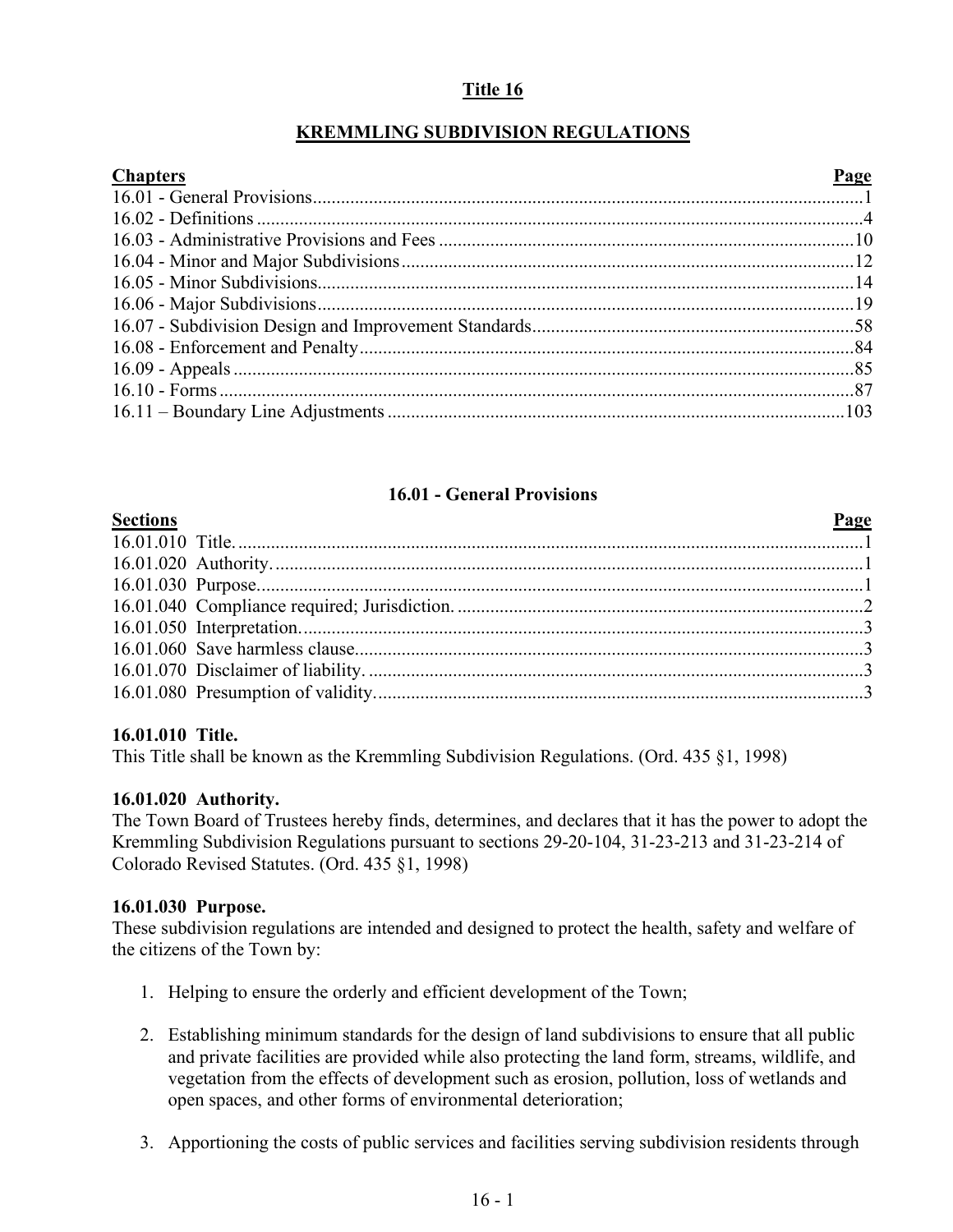# **Title 16**

# **KREMMLING SUBDIVISION REGULATIONS**

| <b>Chapters</b><br>Page |  |
|-------------------------|--|
|                         |  |
|                         |  |
|                         |  |
|                         |  |
|                         |  |
|                         |  |
|                         |  |
|                         |  |
|                         |  |
|                         |  |
|                         |  |

## **16.01 - General Provisions**

<span id="page-0-0"></span>

| <b>Page</b> |  |
|-------------|--|
|             |  |
|             |  |
|             |  |
|             |  |
|             |  |
|             |  |
|             |  |
|             |  |

#### **16.01.010 Title.**

This Title shall be known as the Kremmling Subdivision Regulations. (Ord. 435 §1, 1998)

## **16.01.020 Authority.**

The Town Board of Trustees hereby finds, determines, and declares that it has the power to adopt the Kremmling Subdivision Regulations pursuant to sections 29-20-104, 31-23-213 and 31-23-214 of Colorado Revised Statutes. (Ord. 435 §1, 1998)

#### **16.01.030 Purpose.**

These subdivision regulations are intended and designed to protect the health, safety and welfare of the citizens of the Town by:

- 1. Helping to ensure the orderly and efficient development of the Town;
- 2. Establishing minimum standards for the design of land subdivisions to ensure that all public and private facilities are provided while also protecting the land form, streams, wildlife, and vegetation from the effects of development such as erosion, pollution, loss of wetlands and open spaces, and other forms of environmental deterioration;
- 3. Apportioning the costs of public services and facilities serving subdivision residents through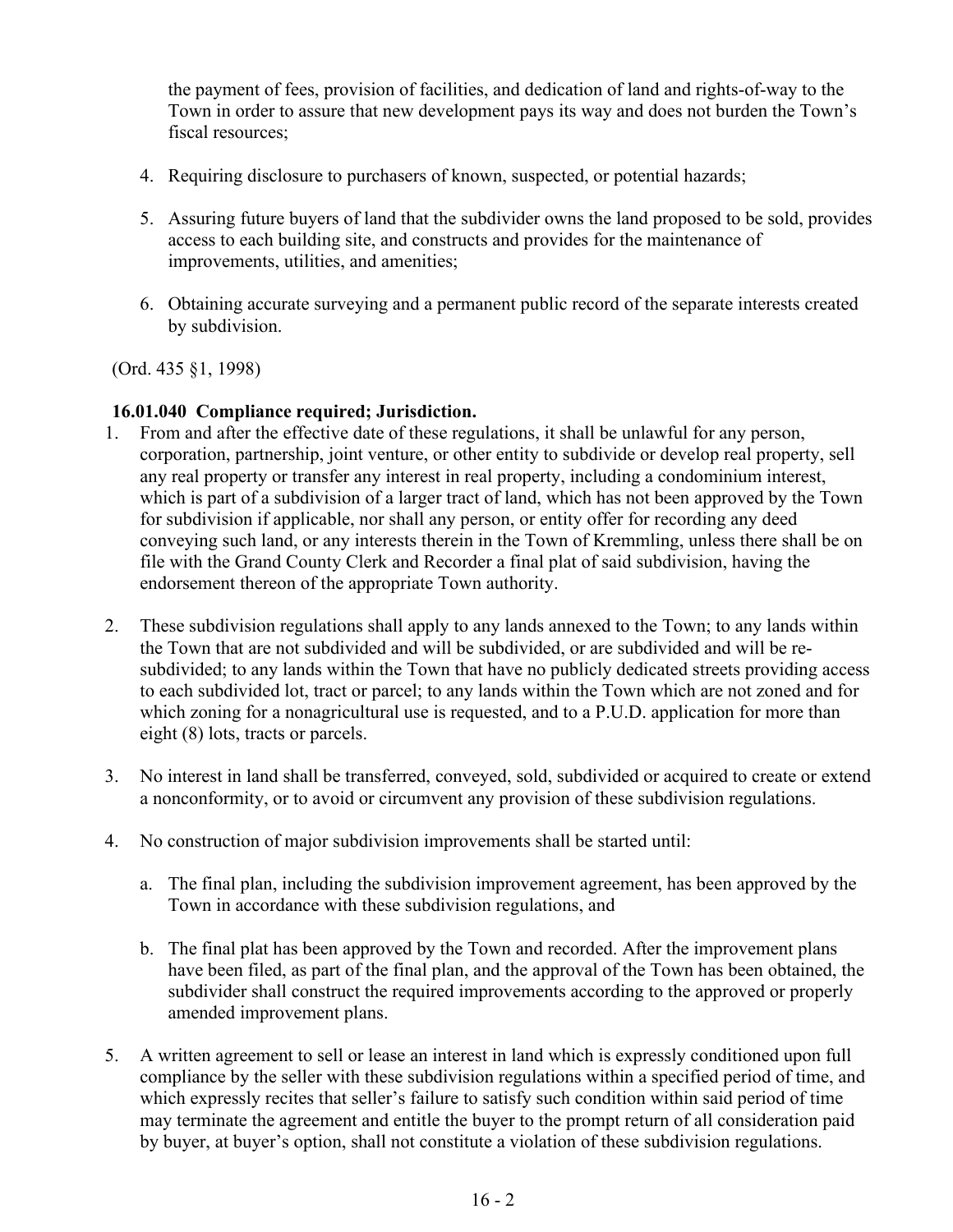the payment of fees, provision of facilities, and dedication of land and rights-of-way to the Town in order to assure that new development pays its way and does not burden the Town's fiscal resources;

- 4. Requiring disclosure to purchasers of known, suspected, or potential hazards;
- 5. Assuring future buyers of land that the subdivider owns the land proposed to be sold, provides access to each building site, and constructs and provides for the maintenance of improvements, utilities, and amenities;
- 6. Obtaining accurate surveying and a permanent public record of the separate interests created by subdivision.

(Ord. 435 §1, 1998)

# **16.01.040 Compliance required; Jurisdiction.**

- 1. From and after the effective date of these regulations, it shall be unlawful for any person, corporation, partnership, joint venture, or other entity to subdivide or develop real property, sell any real property or transfer any interest in real property, including a condominium interest, which is part of a subdivision of a larger tract of land, which has not been approved by the Town for subdivision if applicable, nor shall any person, or entity offer for recording any deed conveying such land, or any interests therein in the Town of Kremmling, unless there shall be on file with the Grand County Clerk and Recorder a final plat of said subdivision, having the endorsement thereon of the appropriate Town authority.
- 2. These subdivision regulations shall apply to any lands annexed to the Town; to any lands within the Town that are not subdivided and will be subdivided, or are subdivided and will be resubdivided; to any lands within the Town that have no publicly dedicated streets providing access to each subdivided lot, tract or parcel; to any lands within the Town which are not zoned and for which zoning for a nonagricultural use is requested, and to a P.U.D. application for more than eight (8) lots, tracts or parcels.
- 3. No interest in land shall be transferred, conveyed, sold, subdivided or acquired to create or extend a nonconformity, or to avoid or circumvent any provision of these subdivision regulations.
- 4. No construction of major subdivision improvements shall be started until:
	- a. The final plan, including the subdivision improvement agreement, has been approved by the Town in accordance with these subdivision regulations, and
	- b. The final plat has been approved by the Town and recorded. After the improvement plans have been filed, as part of the final plan, and the approval of the Town has been obtained, the subdivider shall construct the required improvements according to the approved or properly amended improvement plans.
- 5. A written agreement to sell or lease an interest in land which is expressly conditioned upon full compliance by the seller with these subdivision regulations within a specified period of time, and which expressly recites that seller's failure to satisfy such condition within said period of time may terminate the agreement and entitle the buyer to the prompt return of all consideration paid by buyer, at buyer's option, shall not constitute a violation of these subdivision regulations.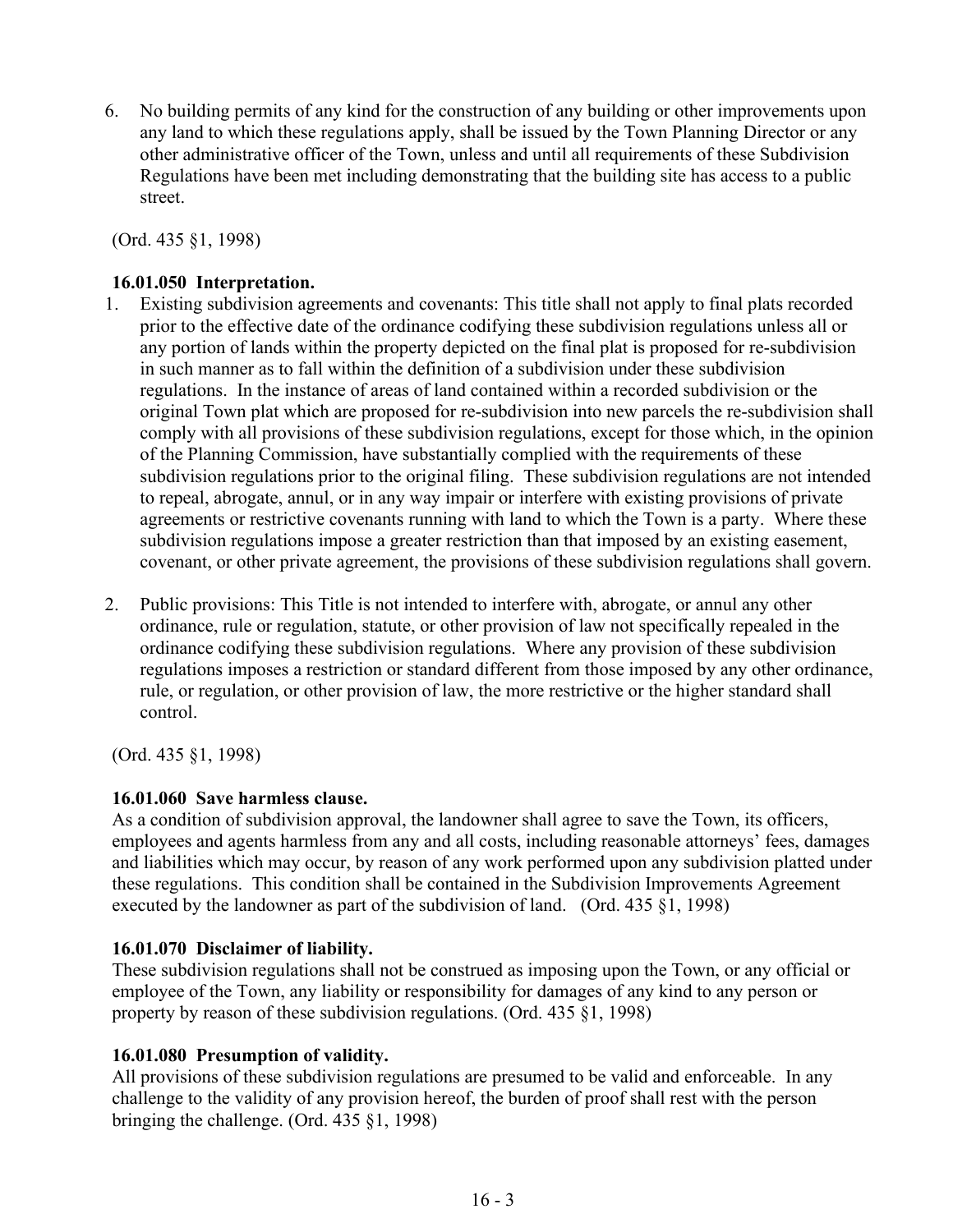6. No building permits of any kind for the construction of any building or other improvements upon any land to which these regulations apply, shall be issued by the Town Planning Director or any other administrative officer of the Town, unless and until all requirements of these Subdivision Regulations have been met including demonstrating that the building site has access to a public street.

(Ord. 435 §1, 1998)

## **16.01.050 Interpretation.**

- 1. Existing subdivision agreements and covenants: This title shall not apply to final plats recorded prior to the effective date of the ordinance codifying these subdivision regulations unless all or any portion of lands within the property depicted on the final plat is proposed for re-subdivision in such manner as to fall within the definition of a subdivision under these subdivision regulations. In the instance of areas of land contained within a recorded subdivision or the original Town plat which are proposed for re-subdivision into new parcels the re-subdivision shall comply with all provisions of these subdivision regulations, except for those which, in the opinion of the Planning Commission, have substantially complied with the requirements of these subdivision regulations prior to the original filing. These subdivision regulations are not intended to repeal, abrogate, annul, or in any way impair or interfere with existing provisions of private agreements or restrictive covenants running with land to which the Town is a party. Where these subdivision regulations impose a greater restriction than that imposed by an existing easement, covenant, or other private agreement, the provisions of these subdivision regulations shall govern.
- 2. Public provisions: This Title is not intended to interfere with, abrogate, or annul any other ordinance, rule or regulation, statute, or other provision of law not specifically repealed in the ordinance codifying these subdivision regulations. Where any provision of these subdivision regulations imposes a restriction or standard different from those imposed by any other ordinance, rule, or regulation, or other provision of law, the more restrictive or the higher standard shall control.

(Ord. 435 §1, 1998)

#### **16.01.060 Save harmless clause.**

As a condition of subdivision approval, the landowner shall agree to save the Town, its officers, employees and agents harmless from any and all costs, including reasonable attorneys' fees, damages and liabilities which may occur, by reason of any work performed upon any subdivision platted under these regulations. This condition shall be contained in the Subdivision Improvements Agreement executed by the landowner as part of the subdivision of land. (Ord. 435 §1, 1998)

#### **16.01.070 Disclaimer of liability.**

These subdivision regulations shall not be construed as imposing upon the Town, or any official or employee of the Town, any liability or responsibility for damages of any kind to any person or property by reason of these subdivision regulations. (Ord. 435 §1, 1998)

## **16.01.080 Presumption of validity.**

All provisions of these subdivision regulations are presumed to be valid and enforceable. In any challenge to the validity of any provision hereof, the burden of proof shall rest with the person bringing the challenge. (Ord. 435 §1, 1998)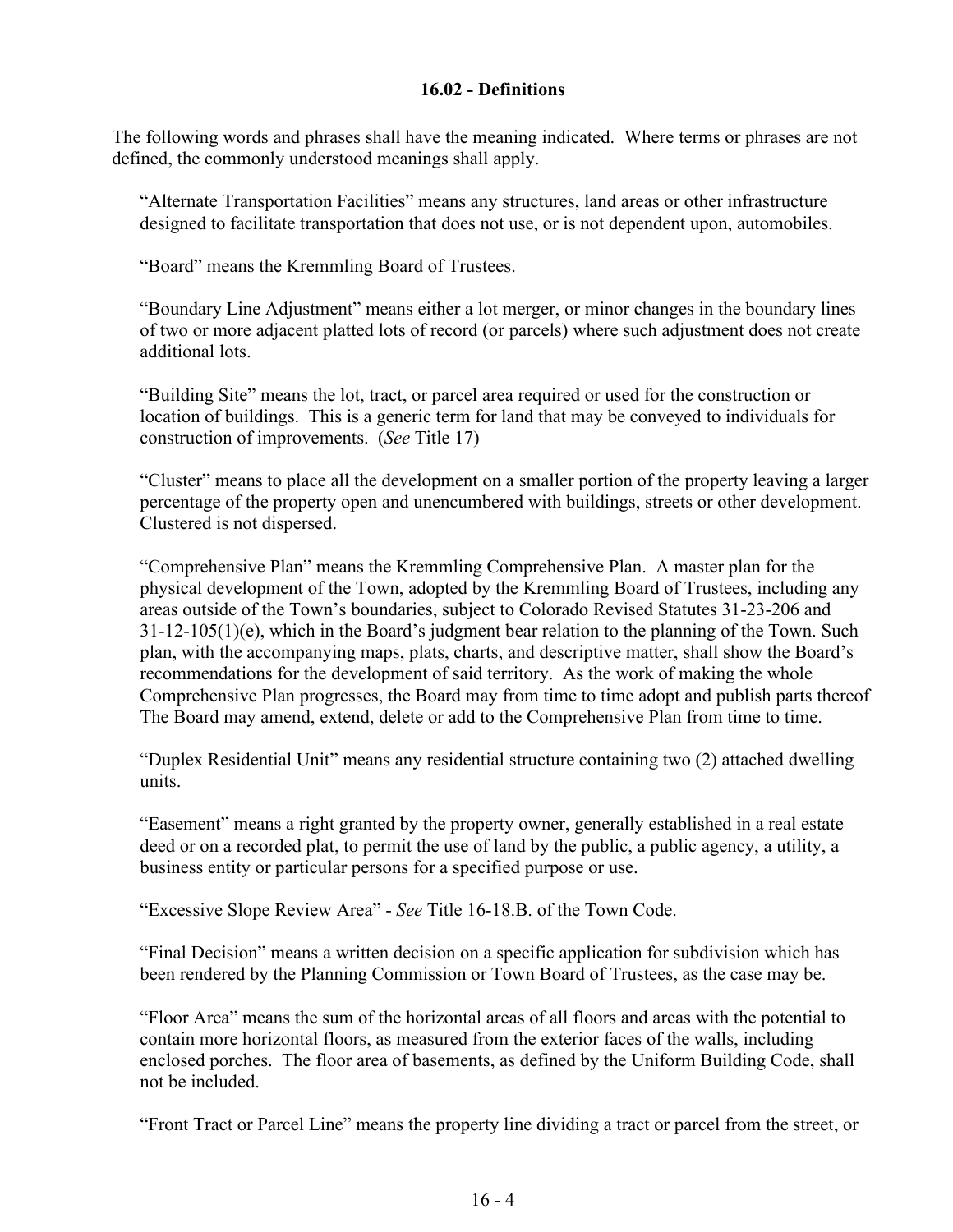### **16.02 - Definitions**

<span id="page-3-0"></span>The following words and phrases shall have the meaning indicated. Where terms or phrases are not defined, the commonly understood meanings shall apply.

"Alternate Transportation Facilities" means any structures, land areas or other infrastructure designed to facilitate transportation that does not use, or is not dependent upon, automobiles.

"Board" means the Kremmling Board of Trustees.

"Boundary Line Adjustment" means either a lot merger, or minor changes in the boundary lines of two or more adjacent platted lots of record (or parcels) where such adjustment does not create additional lots.

"Building Site" means the lot, tract, or parcel area required or used for the construction or location of buildings. This is a generic term for land that may be conveyed to individuals for construction of improvements. (*See* Title 17)

"Cluster" means to place all the development on a smaller portion of the property leaving a larger percentage of the property open and unencumbered with buildings, streets or other development. Clustered is not dispersed.

"Comprehensive Plan" means the Kremmling Comprehensive Plan. A master plan for the physical development of the Town, adopted by the Kremmling Board of Trustees, including any areas outside of the Town's boundaries, subject to Colorado Revised Statutes 31-23-206 and  $31-12-105(1)$ (e), which in the Board's judgment bear relation to the planning of the Town. Such plan, with the accompanying maps, plats, charts, and descriptive matter, shall show the Board's recommendations for the development of said territory. As the work of making the whole Comprehensive Plan progresses, the Board may from time to time adopt and publish parts thereof The Board may amend, extend, delete or add to the Comprehensive Plan from time to time.

"Duplex Residential Unit" means any residential structure containing two (2) attached dwelling units.

"Easement" means a right granted by the property owner, generally established in a real estate deed or on a recorded plat, to permit the use of land by the public, a public agency, a utility, a business entity or particular persons for a specified purpose or use.

"Excessive Slope Review Area" - *See* Title 16-18.B. of the Town Code.

"Final Decision" means a written decision on a specific application for subdivision which has been rendered by the Planning Commission or Town Board of Trustees, as the case may be.

"Floor Area" means the sum of the horizontal areas of all floors and areas with the potential to contain more horizontal floors, as measured from the exterior faces of the walls, including enclosed porches. The floor area of basements, as defined by the Uniform Building Code, shall not be included.

"Front Tract or Parcel Line" means the property line dividing a tract or parcel from the street, or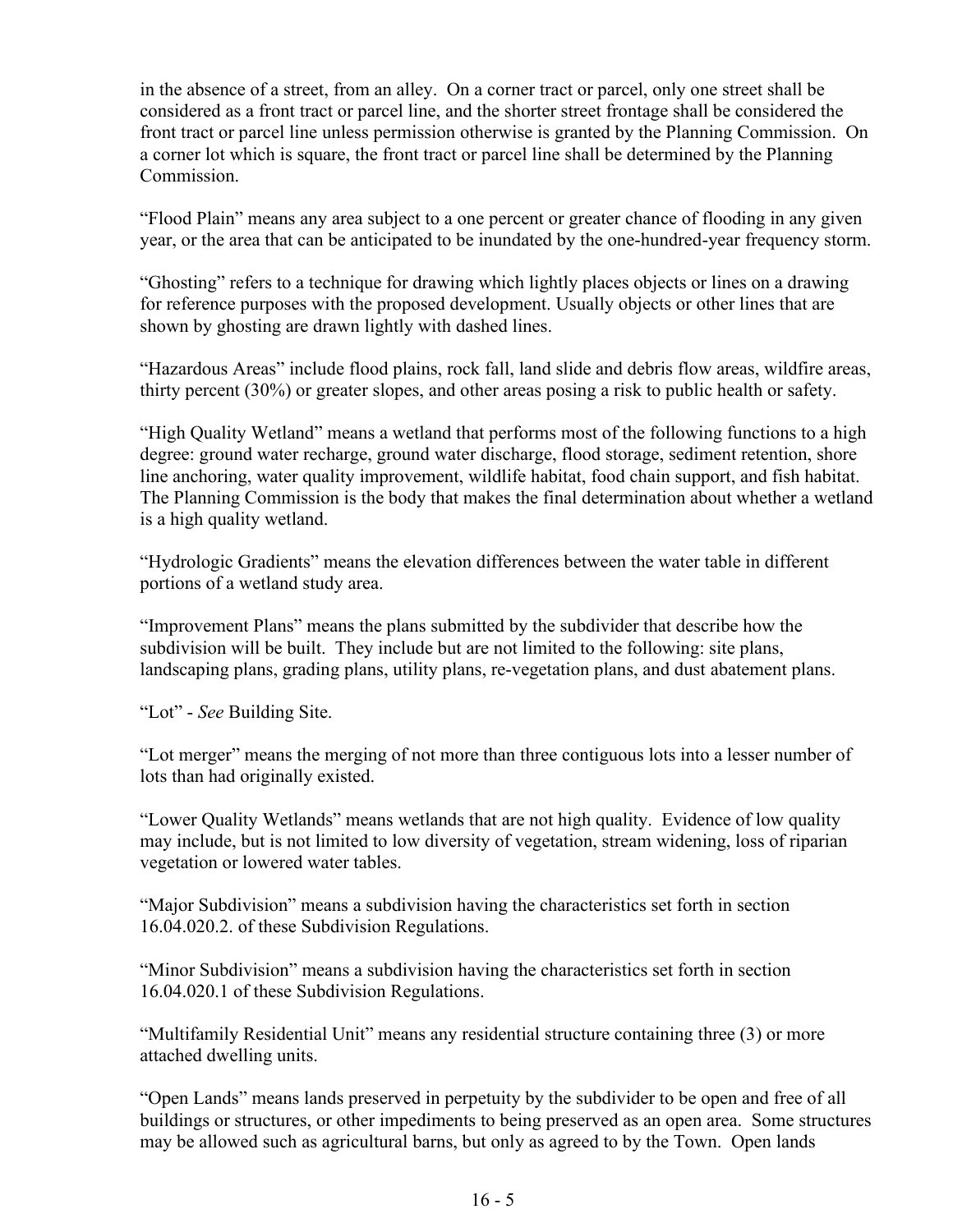in the absence of a street, from an alley. On a corner tract or parcel, only one street shall be considered as a front tract or parcel line, and the shorter street frontage shall be considered the front tract or parcel line unless permission otherwise is granted by the Planning Commission. On a corner lot which is square, the front tract or parcel line shall be determined by the Planning Commission.

"Flood Plain" means any area subject to a one percent or greater chance of flooding in any given year, or the area that can be anticipated to be inundated by the one-hundred-year frequency storm.

"Ghosting" refers to a technique for drawing which lightly places objects or lines on a drawing for reference purposes with the proposed development. Usually objects or other lines that are shown by ghosting are drawn lightly with dashed lines.

"Hazardous Areas" include flood plains, rock fall, land slide and debris flow areas, wildfire areas, thirty percent (30%) or greater slopes, and other areas posing a risk to public health or safety.

"High Quality Wetland" means a wetland that performs most of the following functions to a high degree: ground water recharge, ground water discharge, flood storage, sediment retention, shore line anchoring, water quality improvement, wildlife habitat, food chain support, and fish habitat. The Planning Commission is the body that makes the final determination about whether a wetland is a high quality wetland.

"Hydrologic Gradients" means the elevation differences between the water table in different portions of a wetland study area.

"Improvement Plans" means the plans submitted by the subdivider that describe how the subdivision will be built. They include but are not limited to the following: site plans, landscaping plans, grading plans, utility plans, re-vegetation plans, and dust abatement plans.

"Lot" - *See* Building Site.

"Lot merger" means the merging of not more than three contiguous lots into a lesser number of lots than had originally existed.

"Lower Quality Wetlands" means wetlands that are not high quality. Evidence of low quality may include, but is not limited to low diversity of vegetation, stream widening, loss of riparian vegetation or lowered water tables.

"Major Subdivision" means a subdivision having the characteristics set forth in section 16.04.020.2. of these Subdivision Regulations.

"Minor Subdivision" means a subdivision having the characteristics set forth in section 16.04.020.1 of these Subdivision Regulations.

"Multifamily Residential Unit" means any residential structure containing three (3) or more attached dwelling units.

"Open Lands" means lands preserved in perpetuity by the subdivider to be open and free of all buildings or structures, or other impediments to being preserved as an open area. Some structures may be allowed such as agricultural barns, but only as agreed to by the Town. Open lands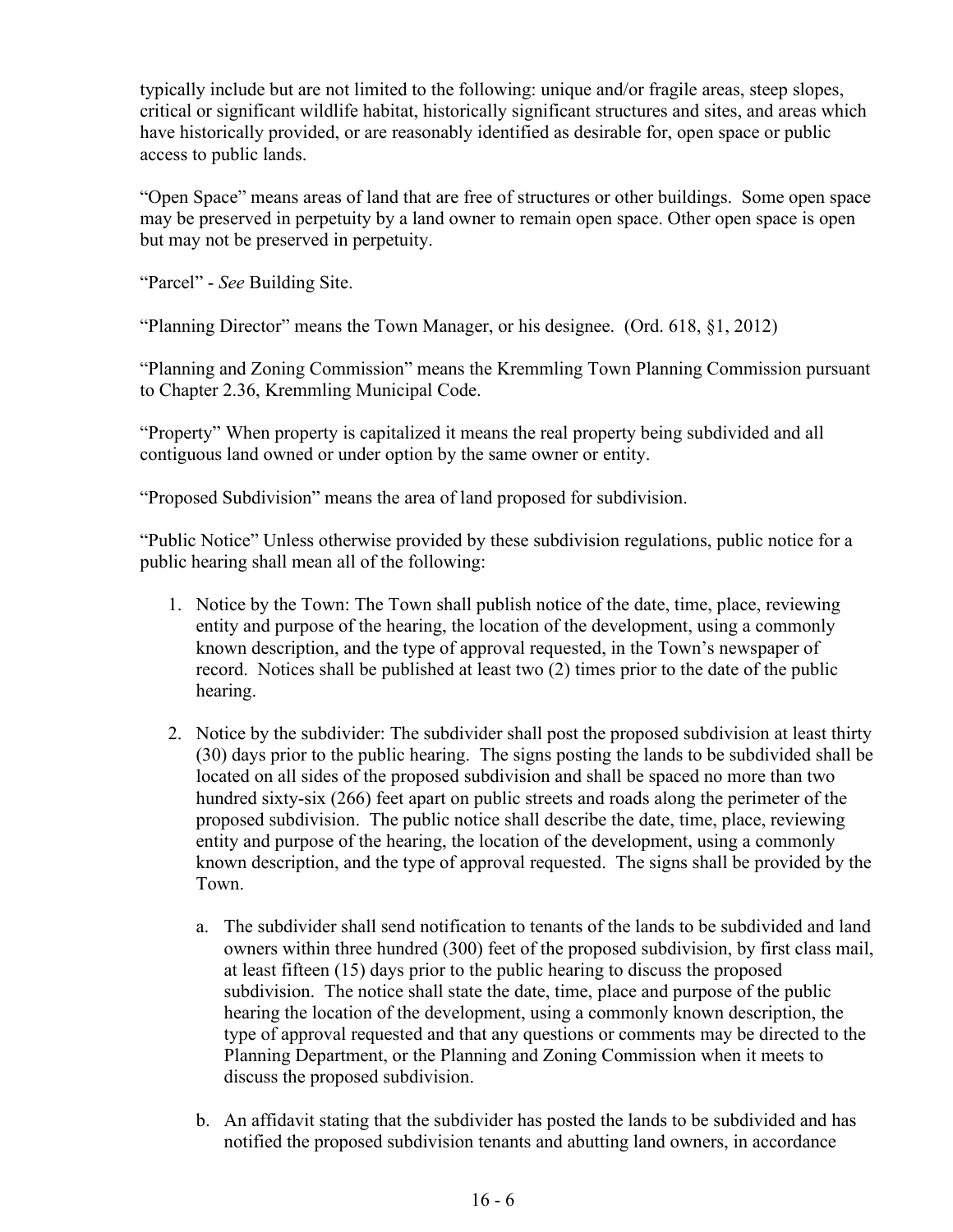typically include but are not limited to the following: unique and/or fragile areas, steep slopes, critical or significant wildlife habitat, historically significant structures and sites, and areas which have historically provided, or are reasonably identified as desirable for, open space or public access to public lands.

"Open Space" means areas of land that are free of structures or other buildings. Some open space may be preserved in perpetuity by a land owner to remain open space. Other open space is open but may not be preserved in perpetuity.

"Parcel" - *See* Building Site.

"Planning Director" means the Town Manager, or his designee. (Ord. 618, §1, 2012)

"Planning and Zoning Commission" means the Kremmling Town Planning Commission pursuant to Chapter 2.36, Kremmling Municipal Code.

"Property" When property is capitalized it means the real property being subdivided and all contiguous land owned or under option by the same owner or entity.

"Proposed Subdivision" means the area of land proposed for subdivision.

"Public Notice" Unless otherwise provided by these subdivision regulations, public notice for a public hearing shall mean all of the following:

- 1. Notice by the Town: The Town shall publish notice of the date, time, place, reviewing entity and purpose of the hearing, the location of the development, using a commonly known description, and the type of approval requested, in the Town's newspaper of record. Notices shall be published at least two (2) times prior to the date of the public hearing.
- 2. Notice by the subdivider: The subdivider shall post the proposed subdivision at least thirty (30) days prior to the public hearing. The signs posting the lands to be subdivided shall be located on all sides of the proposed subdivision and shall be spaced no more than two hundred sixty-six (266) feet apart on public streets and roads along the perimeter of the proposed subdivision. The public notice shall describe the date, time, place, reviewing entity and purpose of the hearing, the location of the development, using a commonly known description, and the type of approval requested. The signs shall be provided by the Town.
	- a. The subdivider shall send notification to tenants of the lands to be subdivided and land owners within three hundred (300) feet of the proposed subdivision, by first class mail, at least fifteen (15) days prior to the public hearing to discuss the proposed subdivision. The notice shall state the date, time, place and purpose of the public hearing the location of the development, using a commonly known description, the type of approval requested and that any questions or comments may be directed to the Planning Department, or the Planning and Zoning Commission when it meets to discuss the proposed subdivision.
	- b. An affidavit stating that the subdivider has posted the lands to be subdivided and has notified the proposed subdivision tenants and abutting land owners, in accordance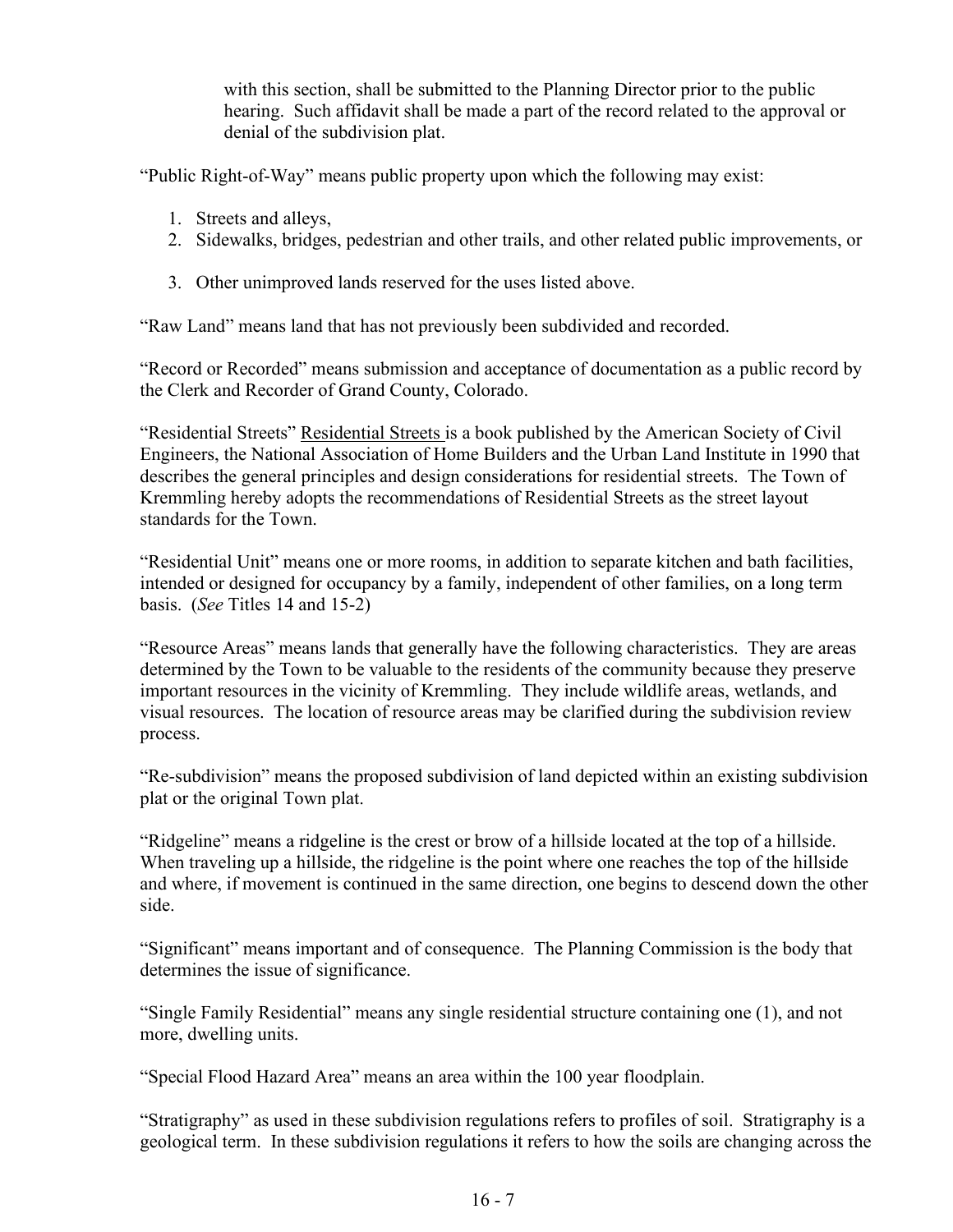with this section, shall be submitted to the Planning Director prior to the public hearing. Such affidavit shall be made a part of the record related to the approval or denial of the subdivision plat.

"Public Right-of-Way" means public property upon which the following may exist:

- 1. Streets and alleys,
- 2. Sidewalks, bridges, pedestrian and other trails, and other related public improvements, or
- 3. Other unimproved lands reserved for the uses listed above.

"Raw Land" means land that has not previously been subdivided and recorded.

"Record or Recorded" means submission and acceptance of documentation as a public record by the Clerk and Recorder of Grand County, Colorado.

"Residential Streets" Residential Streets is a book published by the American Society of Civil Engineers, the National Association of Home Builders and the Urban Land Institute in 1990 that describes the general principles and design considerations for residential streets. The Town of Kremmling hereby adopts the recommendations of Residential Streets as the street layout standards for the Town.

"Residential Unit" means one or more rooms, in addition to separate kitchen and bath facilities, intended or designed for occupancy by a family, independent of other families, on a long term basis. (*See* Titles 14 and 15-2)

"Resource Areas" means lands that generally have the following characteristics. They are areas determined by the Town to be valuable to the residents of the community because they preserve important resources in the vicinity of Kremmling. They include wildlife areas, wetlands, and visual resources. The location of resource areas may be clarified during the subdivision review process.

"Re-subdivision" means the proposed subdivision of land depicted within an existing subdivision plat or the original Town plat.

"Ridgeline" means a ridgeline is the crest or brow of a hillside located at the top of a hillside. When traveling up a hillside, the ridgeline is the point where one reaches the top of the hillside and where, if movement is continued in the same direction, one begins to descend down the other side.

"Significant" means important and of consequence. The Planning Commission is the body that determines the issue of significance.

"Single Family Residential" means any single residential structure containing one (1), and not more, dwelling units.

"Special Flood Hazard Area" means an area within the 100 year floodplain.

"Stratigraphy" as used in these subdivision regulations refers to profiles of soil. Stratigraphy is a geological term. In these subdivision regulations it refers to how the soils are changing across the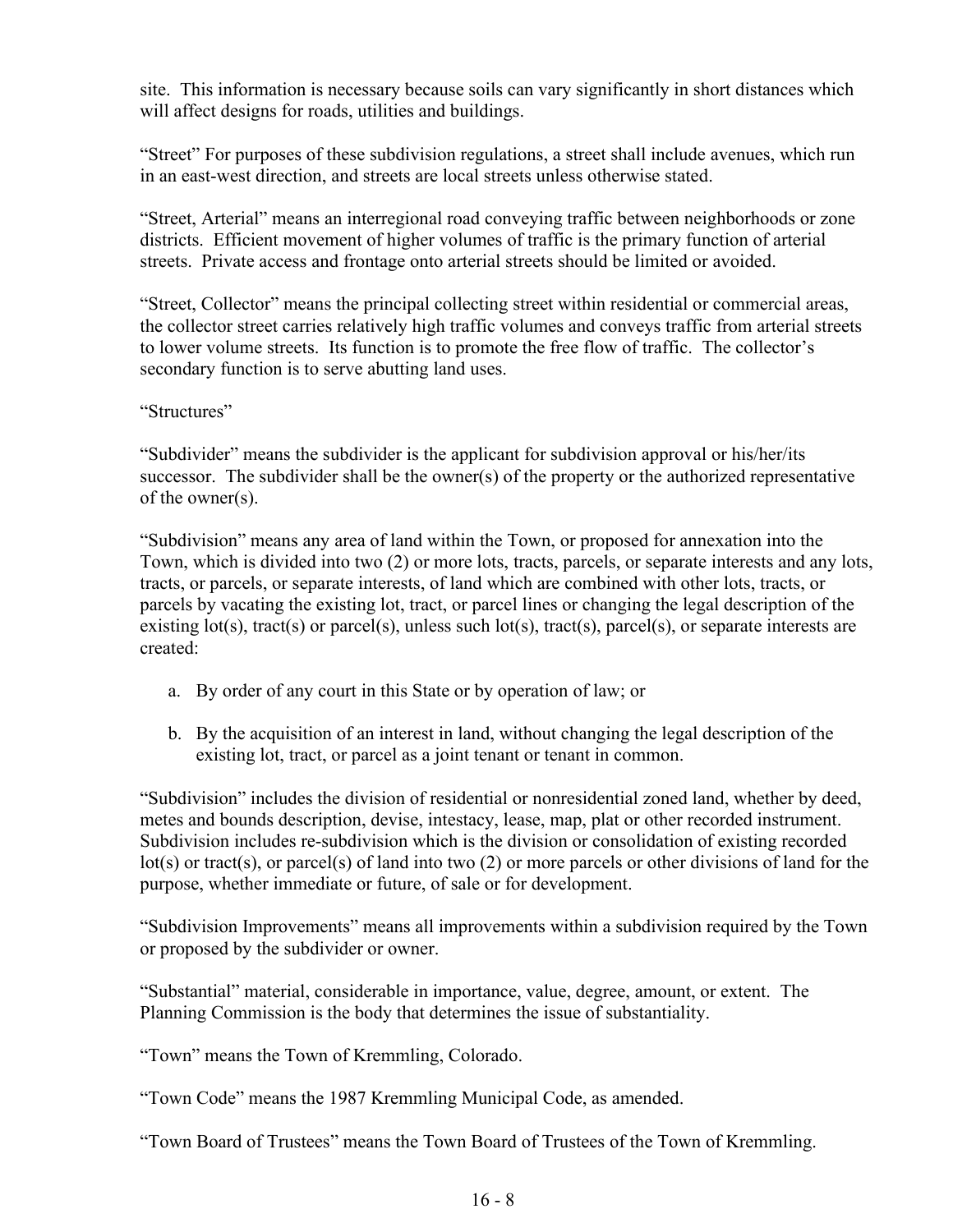site. This information is necessary because soils can vary significantly in short distances which will affect designs for roads, utilities and buildings.

"Street" For purposes of these subdivision regulations, a street shall include avenues, which run in an east-west direction, and streets are local streets unless otherwise stated.

"Street, Arterial" means an interregional road conveying traffic between neighborhoods or zone districts. Efficient movement of higher volumes of traffic is the primary function of arterial streets. Private access and frontage onto arterial streets should be limited or avoided.

"Street, Collector" means the principal collecting street within residential or commercial areas, the collector street carries relatively high traffic volumes and conveys traffic from arterial streets to lower volume streets. Its function is to promote the free flow of traffic. The collector's secondary function is to serve abutting land uses.

"Structures"

"Subdivider" means the subdivider is the applicant for subdivision approval or his/her/its successor. The subdivider shall be the owner(s) of the property or the authorized representative of the owner(s).

"Subdivision" means any area of land within the Town, or proposed for annexation into the Town, which is divided into two (2) or more lots, tracts, parcels, or separate interests and any lots, tracts, or parcels, or separate interests, of land which are combined with other lots, tracts, or parcels by vacating the existing lot, tract, or parcel lines or changing the legal description of the existing lot(s), tract(s) or parcel(s), unless such lot(s), tract(s), parcel(s), or separate interests are created:

- a. By order of any court in this State or by operation of law; or
- b. By the acquisition of an interest in land, without changing the legal description of the existing lot, tract, or parcel as a joint tenant or tenant in common.

"Subdivision" includes the division of residential or nonresidential zoned land, whether by deed, metes and bounds description, devise, intestacy, lease, map, plat or other recorded instrument. Subdivision includes re-subdivision which is the division or consolidation of existing recorded lot(s) or tract(s), or parcel(s) of land into two (2) or more parcels or other divisions of land for the purpose, whether immediate or future, of sale or for development.

"Subdivision Improvements" means all improvements within a subdivision required by the Town or proposed by the subdivider or owner.

"Substantial" material, considerable in importance, value, degree, amount, or extent. The Planning Commission is the body that determines the issue of substantiality.

"Town" means the Town of Kremmling, Colorado.

"Town Code" means the 1987 Kremmling Municipal Code, as amended.

"Town Board of Trustees" means the Town Board of Trustees of the Town of Kremmling.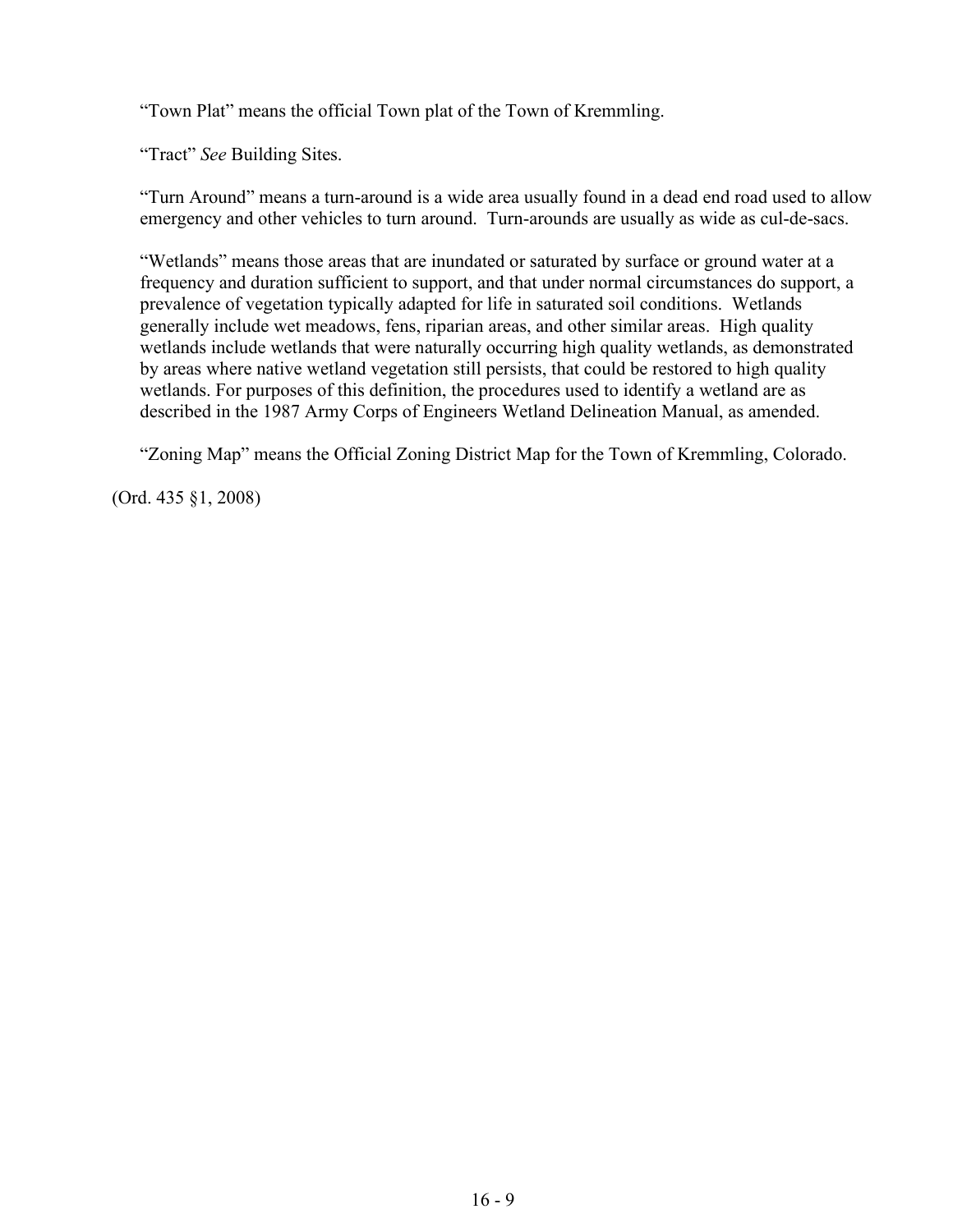"Town Plat" means the official Town plat of the Town of Kremmling.

"Tract" *See* Building Sites.

"Turn Around" means a turn-around is a wide area usually found in a dead end road used to allow emergency and other vehicles to turn around. Turn-arounds are usually as wide as cul-de-sacs.

"Wetlands" means those areas that are inundated or saturated by surface or ground water at a frequency and duration sufficient to support, and that under normal circumstances do support, a prevalence of vegetation typically adapted for life in saturated soil conditions. Wetlands generally include wet meadows, fens, riparian areas, and other similar areas. High quality wetlands include wetlands that were naturally occurring high quality wetlands, as demonstrated by areas where native wetland vegetation still persists, that could be restored to high quality wetlands. For purposes of this definition, the procedures used to identify a wetland are as described in the 1987 Army Corps of Engineers Wetland Delineation Manual, as amended.

"Zoning Map" means the Official Zoning District Map for the Town of Kremmling, Colorado.

(Ord. 435 §1, 2008)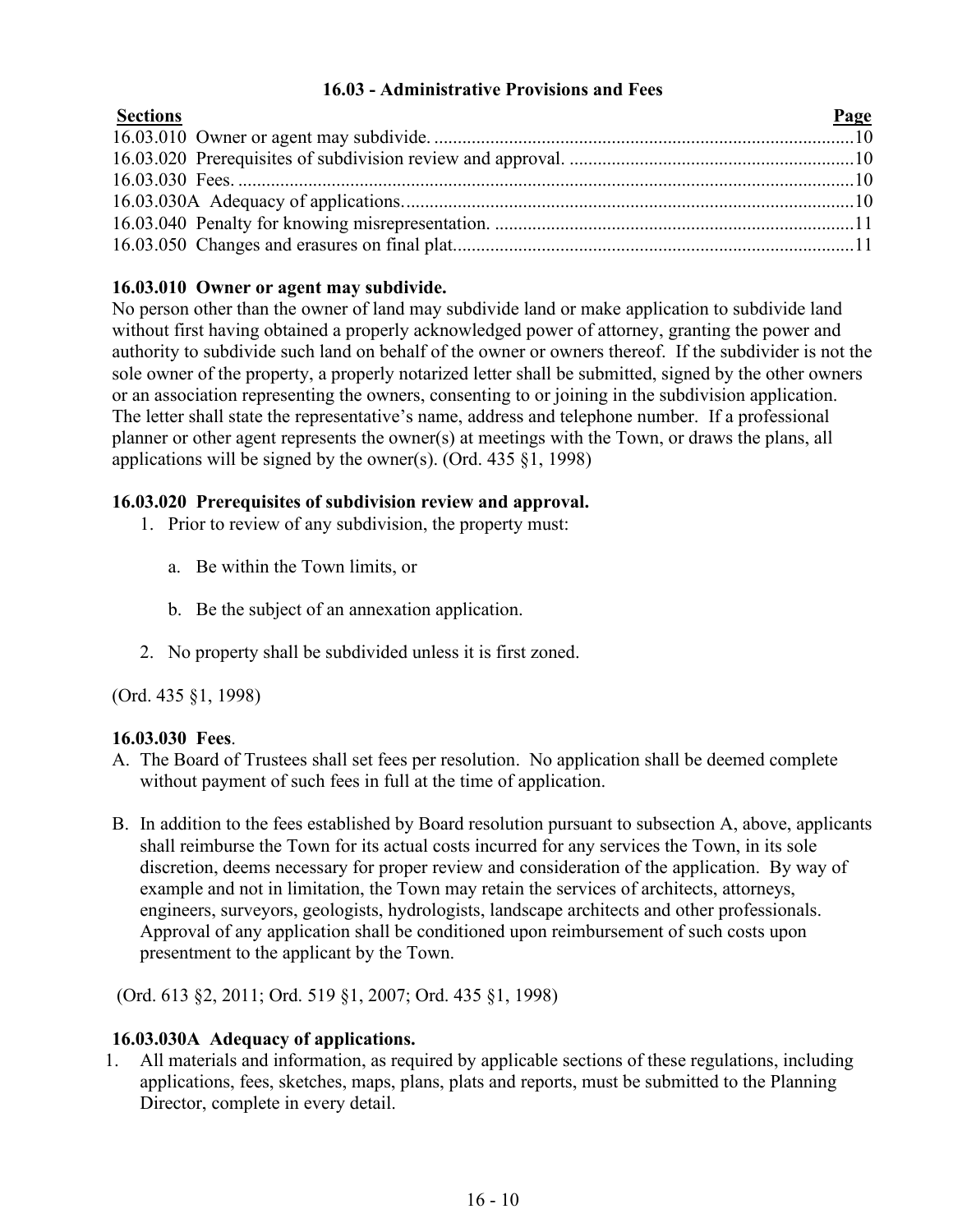## **16.03 - Administrative Provisions and Fees**

<span id="page-9-0"></span>

| <b>Sections</b> | Page |
|-----------------|------|
|                 |      |
|                 |      |
|                 |      |
|                 |      |
|                 |      |
|                 |      |

# **16.03.010 Owner or agent may subdivide.**

No person other than the owner of land may subdivide land or make application to subdivide land without first having obtained a properly acknowledged power of attorney, granting the power and authority to subdivide such land on behalf of the owner or owners thereof. If the subdivider is not the sole owner of the property, a properly notarized letter shall be submitted, signed by the other owners or an association representing the owners, consenting to or joining in the subdivision application. The letter shall state the representative's name, address and telephone number. If a professional planner or other agent represents the owner(s) at meetings with the Town, or draws the plans, all applications will be signed by the owner(s). (Ord. 435 §1, 1998)

## **16.03.020 Prerequisites of subdivision review and approval.**

- 1. Prior to review of any subdivision, the property must:
	- a. Be within the Town limits, or
	- b. Be the subject of an annexation application.
- 2. No property shall be subdivided unless it is first zoned.

(Ord. 435 §1, 1998)

## **16.03.030 Fees**.

- A. The Board of Trustees shall set fees per resolution. No application shall be deemed complete without payment of such fees in full at the time of application.
- B. In addition to the fees established by Board resolution pursuant to subsection A, above, applicants shall reimburse the Town for its actual costs incurred for any services the Town, in its sole discretion, deems necessary for proper review and consideration of the application. By way of example and not in limitation, the Town may retain the services of architects, attorneys, engineers, surveyors, geologists, hydrologists, landscape architects and other professionals. Approval of any application shall be conditioned upon reimbursement of such costs upon presentment to the applicant by the Town.

(Ord. 613 §2, 2011; Ord. 519 §1, 2007; Ord. 435 §1, 1998)

# **16.03.030A Adequacy of applications.**

1. All materials and information, as required by applicable sections of these regulations, including applications, fees, sketches, maps, plans, plats and reports, must be submitted to the Planning Director, complete in every detail.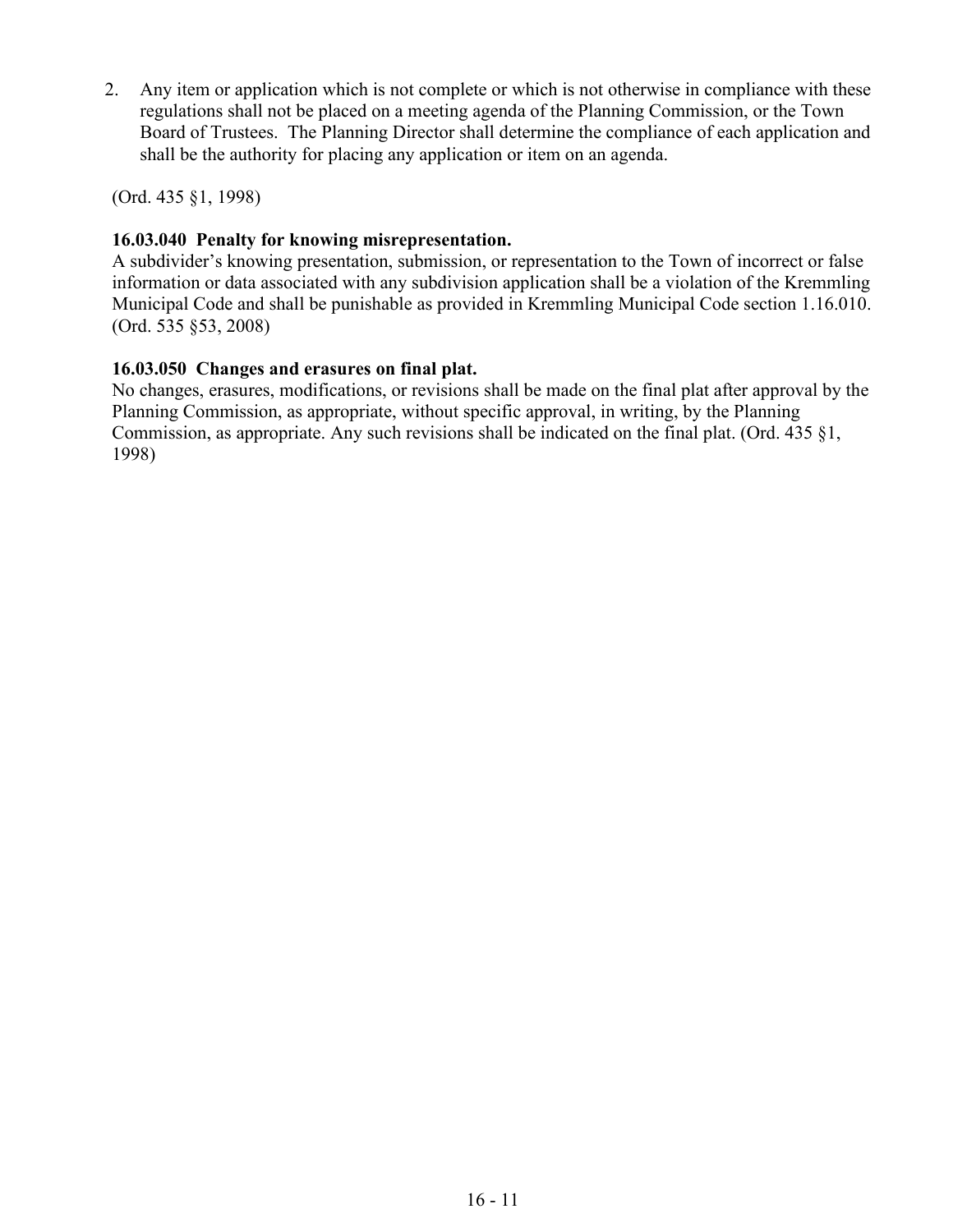2. Any item or application which is not complete or which is not otherwise in compliance with these regulations shall not be placed on a meeting agenda of the Planning Commission, or the Town Board of Trustees. The Planning Director shall determine the compliance of each application and shall be the authority for placing any application or item on an agenda.

(Ord. 435 §1, 1998)

# **16.03.040 Penalty for knowing misrepresentation.**

A subdivider's knowing presentation, submission, or representation to the Town of incorrect or false information or data associated with any subdivision application shall be a violation of the Kremmling Municipal Code and shall be punishable as provided in Kremmling Municipal Code section 1.16.010. (Ord. 535 §53, 2008)

# **16.03.050 Changes and erasures on final plat.**

No changes, erasures, modifications, or revisions shall be made on the final plat after approval by the Planning Commission, as appropriate, without specific approval, in writing, by the Planning Commission, as appropriate. Any such revisions shall be indicated on the final plat. (Ord. 435 §1, 1998)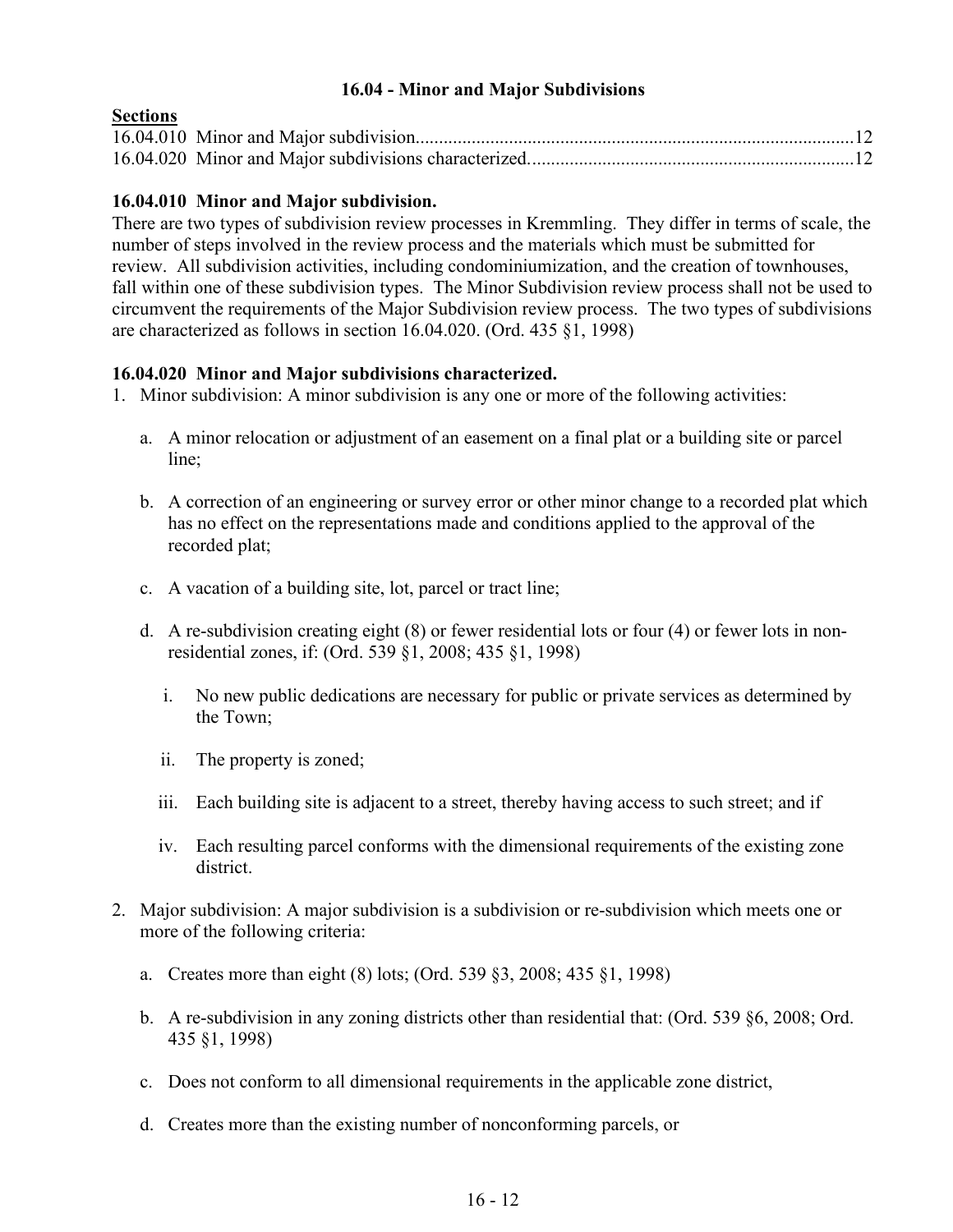## **16.04 - Minor and Major Subdivisions**

## <span id="page-11-0"></span>**Sections**

# **16.04.010 Minor and Major subdivision.**

There are two types of subdivision review processes in Kremmling. They differ in terms of scale, the number of steps involved in the review process and the materials which must be submitted for review. All subdivision activities, including condominiumization, and the creation of townhouses, fall within one of these subdivision types. The Minor Subdivision review process shall not be used to circumvent the requirements of the Major Subdivision review process. The two types of subdivisions are characterized as follows in section 16.04.020. (Ord. 435 §1, 1998)

## **16.04.020 Minor and Major subdivisions characterized.**

- 1. Minor subdivision: A minor subdivision is any one or more of the following activities:
	- a. A minor relocation or adjustment of an easement on a final plat or a building site or parcel line;
	- b. A correction of an engineering or survey error or other minor change to a recorded plat which has no effect on the representations made and conditions applied to the approval of the recorded plat;
	- c. A vacation of a building site, lot, parcel or tract line;
	- d. A re-subdivision creating eight (8) or fewer residential lots or four (4) or fewer lots in nonresidential zones, if: (Ord. 539 §1, 2008; 435 §1, 1998)
		- i. No new public dedications are necessary for public or private services as determined by the Town;
		- ii. The property is zoned;
		- iii. Each building site is adjacent to a street, thereby having access to such street; and if
		- iv. Each resulting parcel conforms with the dimensional requirements of the existing zone district.
- 2. Major subdivision: A major subdivision is a subdivision or re-subdivision which meets one or more of the following criteria:
	- a. Creates more than eight (8) lots; (Ord. 539 §3, 2008; 435 §1, 1998)
	- b. A re-subdivision in any zoning districts other than residential that: (Ord. 539 §6, 2008; Ord. 435 §1, 1998)
	- c. Does not conform to all dimensional requirements in the applicable zone district,
	- d. Creates more than the existing number of nonconforming parcels, or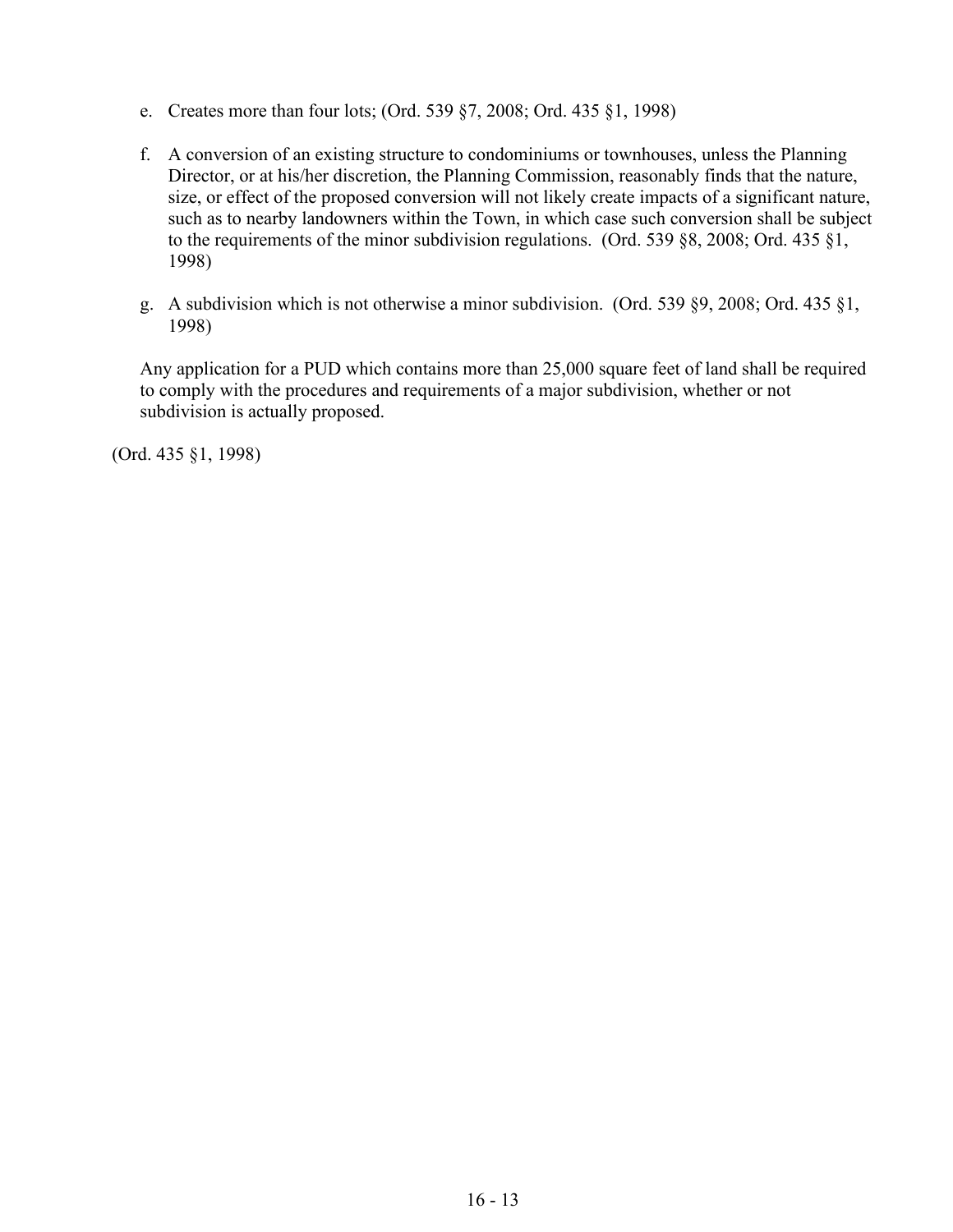- e. Creates more than four lots; (Ord. 539 §7, 2008; Ord. 435 §1, 1998)
- f. A conversion of an existing structure to condominiums or townhouses, unless the Planning Director, or at his/her discretion, the Planning Commission, reasonably finds that the nature, size, or effect of the proposed conversion will not likely create impacts of a significant nature, such as to nearby landowners within the Town, in which case such conversion shall be subject to the requirements of the minor subdivision regulations. (Ord. 539 §8, 2008; Ord. 435 §1, 1998)
- g. A subdivision which is not otherwise a minor subdivision. (Ord. 539 §9, 2008; Ord. 435 §1, 1998)

Any application for a PUD which contains more than 25,000 square feet of land shall be required to comply with the procedures and requirements of a major subdivision, whether or not subdivision is actually proposed.

(Ord. 435 §1, 1998)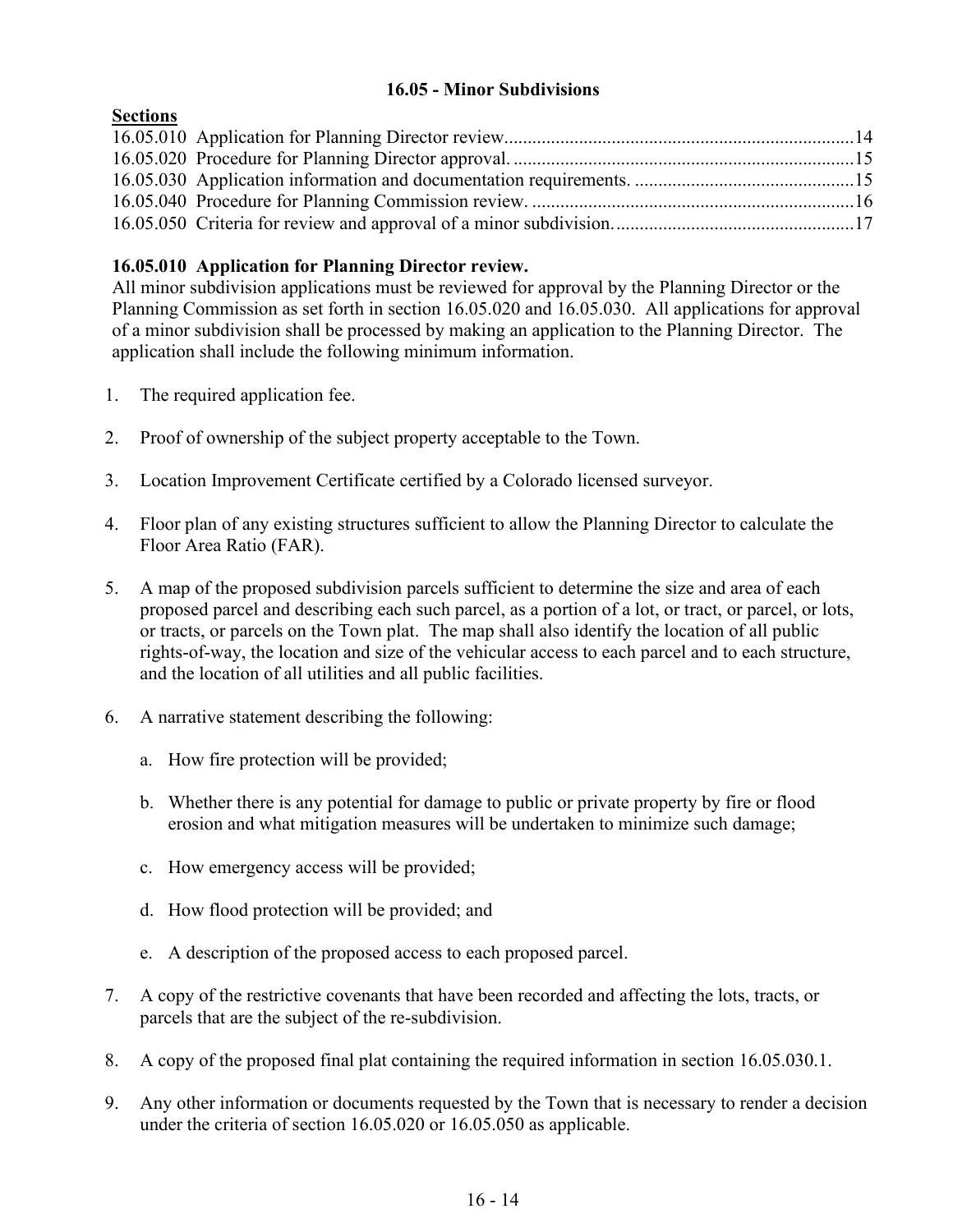## **16.05 - Minor Subdivisions**

<span id="page-13-0"></span>

| <b>Sections</b> |  |
|-----------------|--|
|                 |  |
|                 |  |
|                 |  |
|                 |  |
|                 |  |

# **16.05.010 Application for Planning Director review.**

All minor subdivision applications must be reviewed for approval by the Planning Director or the Planning Commission as set forth in section 16.05.020 and 16.05.030. All applications for approval of a minor subdivision shall be processed by making an application to the Planning Director. The application shall include the following minimum information.

- 1. The required application fee.
- 2. Proof of ownership of the subject property acceptable to the Town.
- 3. Location Improvement Certificate certified by a Colorado licensed surveyor.
- 4. Floor plan of any existing structures sufficient to allow the Planning Director to calculate the Floor Area Ratio (FAR).
- 5. A map of the proposed subdivision parcels sufficient to determine the size and area of each proposed parcel and describing each such parcel, as a portion of a lot, or tract, or parcel, or lots, or tracts, or parcels on the Town plat. The map shall also identify the location of all public rights-of-way, the location and size of the vehicular access to each parcel and to each structure, and the location of all utilities and all public facilities.
- 6. A narrative statement describing the following:
	- a. How fire protection will be provided;
	- b. Whether there is any potential for damage to public or private property by fire or flood erosion and what mitigation measures will be undertaken to minimize such damage;
	- c. How emergency access will be provided;
	- d. How flood protection will be provided; and
	- e. A description of the proposed access to each proposed parcel.
- 7. A copy of the restrictive covenants that have been recorded and affecting the lots, tracts, or parcels that are the subject of the re-subdivision.
- 8. A copy of the proposed final plat containing the required information in section 16.05.030.1.
- 9. Any other information or documents requested by the Town that is necessary to render a decision under the criteria of section 16.05.020 or 16.05.050 as applicable.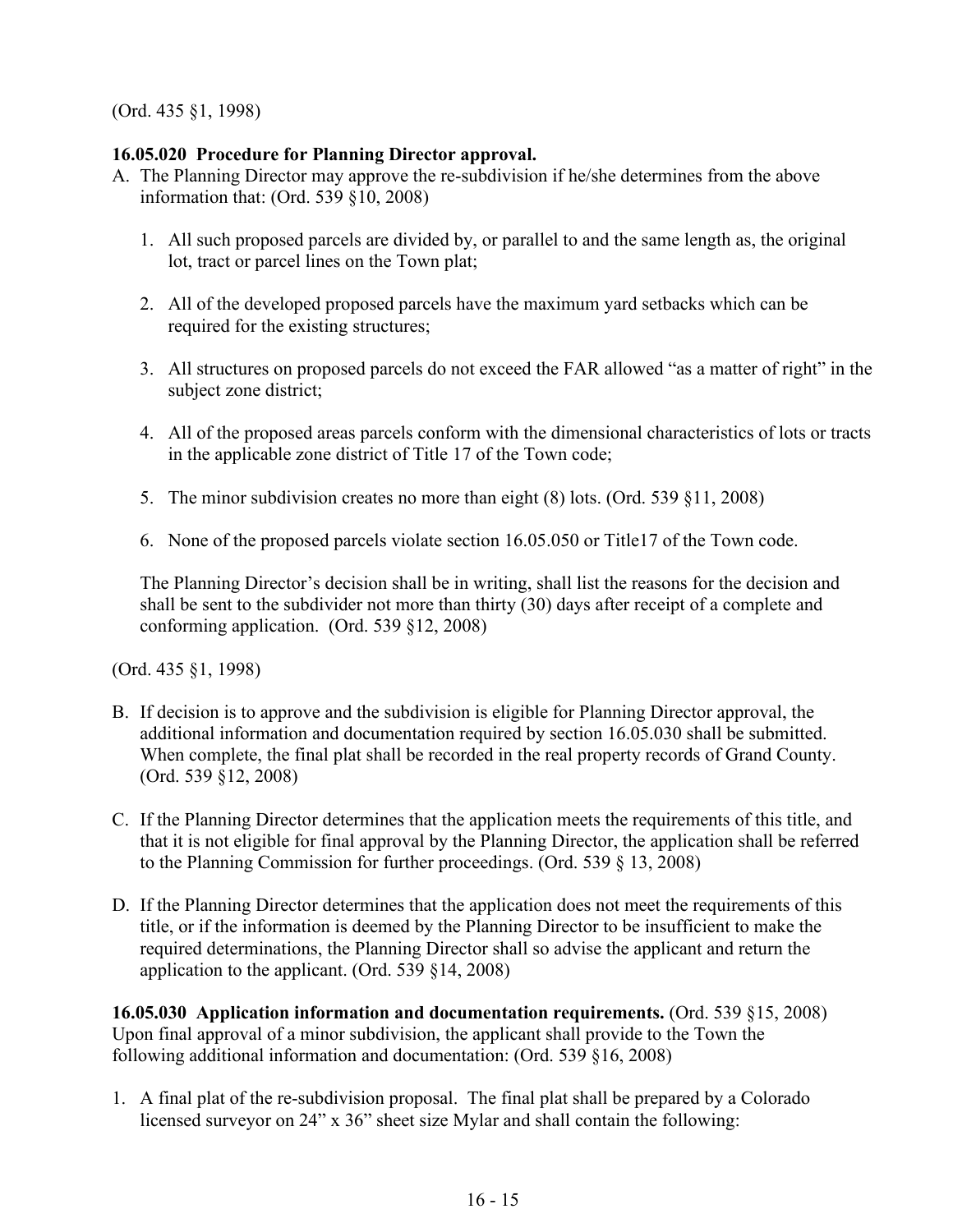## **16.05.020 Procedure for Planning Director approval.**

- A. The Planning Director may approve the re-subdivision if he/she determines from the above information that: (Ord. 539 §10, 2008)
	- 1. All such proposed parcels are divided by, or parallel to and the same length as, the original lot, tract or parcel lines on the Town plat;
	- 2. All of the developed proposed parcels have the maximum yard setbacks which can be required for the existing structures;
	- 3. All structures on proposed parcels do not exceed the FAR allowed "as a matter of right" in the subject zone district;
	- 4. All of the proposed areas parcels conform with the dimensional characteristics of lots or tracts in the applicable zone district of Title 17 of the Town code;
	- 5. The minor subdivision creates no more than eight (8) lots. (Ord. 539 §11, 2008)
	- 6. None of the proposed parcels violate section 16.05.050 or Title17 of the Town code.

The Planning Director's decision shall be in writing, shall list the reasons for the decision and shall be sent to the subdivider not more than thirty (30) days after receipt of a complete and conforming application. (Ord. 539 §12, 2008)

(Ord. 435 §1, 1998)

- B. If decision is to approve and the subdivision is eligible for Planning Director approval, the additional information and documentation required by section 16.05.030 shall be submitted. When complete, the final plat shall be recorded in the real property records of Grand County. (Ord. 539 §12, 2008)
- C. If the Planning Director determines that the application meets the requirements of this title, and that it is not eligible for final approval by the Planning Director, the application shall be referred to the Planning Commission for further proceedings. (Ord. 539 § 13, 2008)
- D. If the Planning Director determines that the application does not meet the requirements of this title, or if the information is deemed by the Planning Director to be insufficient to make the required determinations, the Planning Director shall so advise the applicant and return the application to the applicant. (Ord. 539 §14, 2008)

**16.05.030 Application information and documentation requirements.** (Ord. 539 §15, 2008) Upon final approval of a minor subdivision, the applicant shall provide to the Town the following additional information and documentation: (Ord. 539 §16, 2008)

1. A final plat of the re-subdivision proposal. The final plat shall be prepared by a Colorado licensed surveyor on 24" x 36" sheet size Mylar and shall contain the following: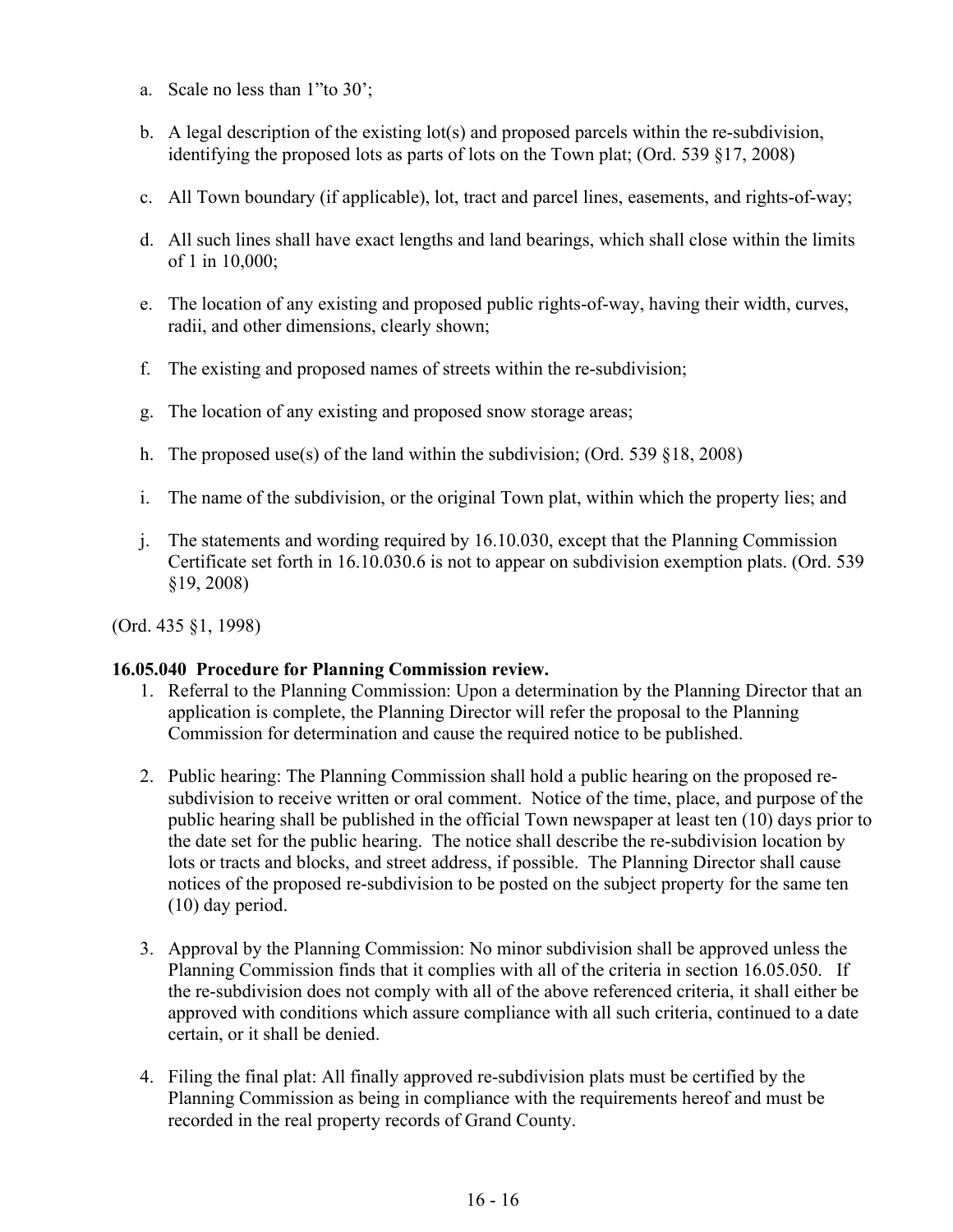- a. Scale no less than 1"to 30';
- b. A legal description of the existing  $\text{lot}(s)$  and proposed parcels within the re-subdivision, identifying the proposed lots as parts of lots on the Town plat; (Ord. 539 §17, 2008)
- c. All Town boundary (if applicable), lot, tract and parcel lines, easements, and rights-of-way;
- d. All such lines shall have exact lengths and land bearings, which shall close within the limits of 1 in 10,000;
- e. The location of any existing and proposed public rights-of-way, having their width, curves, radii, and other dimensions, clearly shown;
- f. The existing and proposed names of streets within the re-subdivision;
- g. The location of any existing and proposed snow storage areas;
- h. The proposed use(s) of the land within the subdivision; (Ord. 539  $§18, 2008)$
- i. The name of the subdivision, or the original Town plat, within which the property lies; and
- j. The statements and wording required by 16.10.030, except that the Planning Commission Certificate set forth in 16.10.030.6 is not to appear on subdivision exemption plats. (Ord. 539 §19, 2008)

#### **16.05.040 Procedure for Planning Commission review.**

- 1. Referral to the Planning Commission: Upon a determination by the Planning Director that an application is complete, the Planning Director will refer the proposal to the Planning Commission for determination and cause the required notice to be published.
- 2. Public hearing: The Planning Commission shall hold a public hearing on the proposed resubdivision to receive written or oral comment. Notice of the time, place, and purpose of the public hearing shall be published in the official Town newspaper at least ten (10) days prior to the date set for the public hearing. The notice shall describe the re-subdivision location by lots or tracts and blocks, and street address, if possible. The Planning Director shall cause notices of the proposed re-subdivision to be posted on the subject property for the same ten (10) day period.
- 3. Approval by the Planning Commission: No minor subdivision shall be approved unless the Planning Commission finds that it complies with all of the criteria in section 16.05.050. If the re-subdivision does not comply with all of the above referenced criteria, it shall either be approved with conditions which assure compliance with all such criteria, continued to a date certain, or it shall be denied.
- 4. Filing the final plat: All finally approved re-subdivision plats must be certified by the Planning Commission as being in compliance with the requirements hereof and must be recorded in the real property records of Grand County.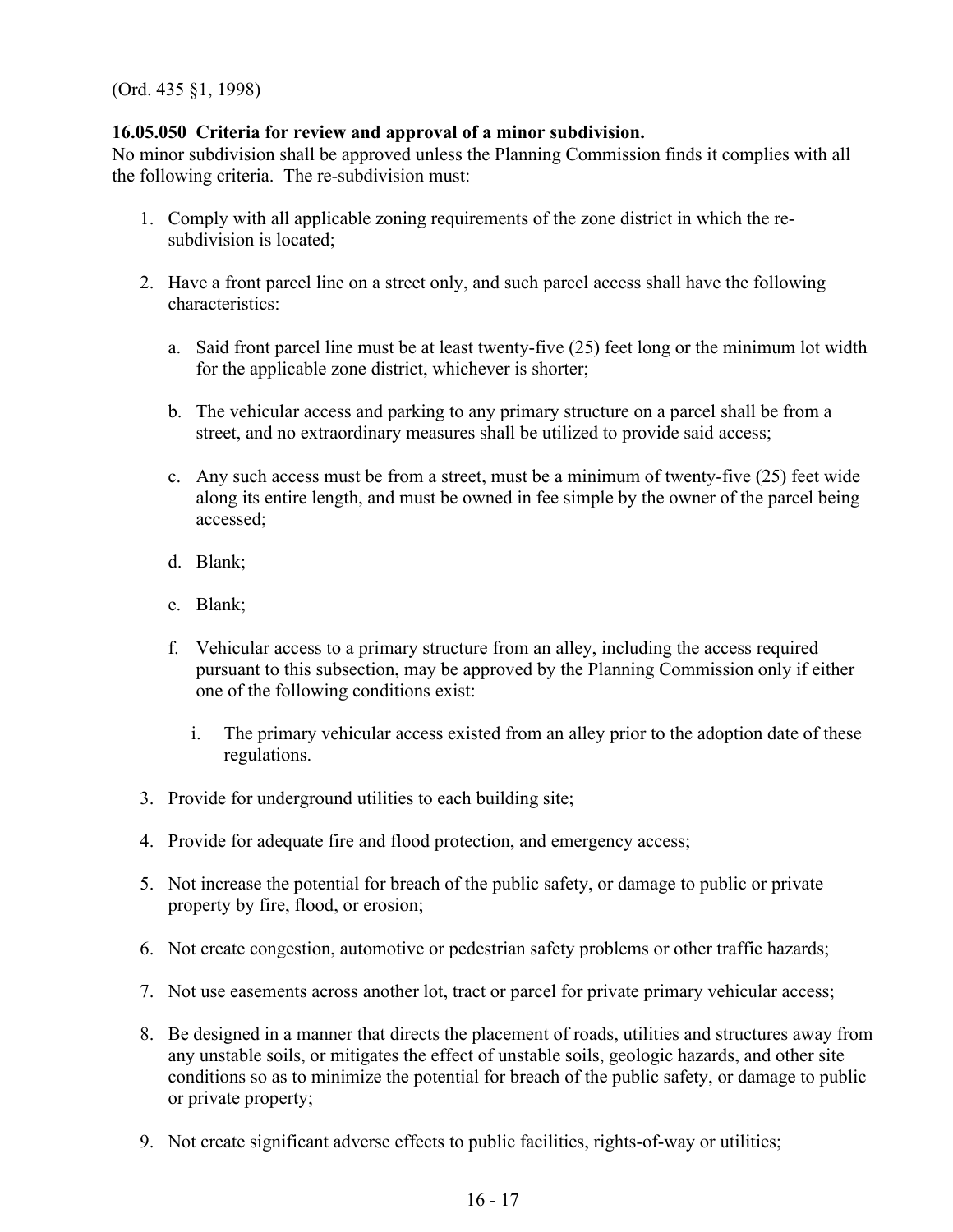## **16.05.050 Criteria for review and approval of a minor subdivision.**

No minor subdivision shall be approved unless the Planning Commission finds it complies with all the following criteria. The re-subdivision must:

- 1. Comply with all applicable zoning requirements of the zone district in which the resubdivision is located;
- 2. Have a front parcel line on a street only, and such parcel access shall have the following characteristics:
	- a. Said front parcel line must be at least twenty-five (25) feet long or the minimum lot width for the applicable zone district, whichever is shorter;
	- b. The vehicular access and parking to any primary structure on a parcel shall be from a street, and no extraordinary measures shall be utilized to provide said access;
	- c. Any such access must be from a street, must be a minimum of twenty-five (25) feet wide along its entire length, and must be owned in fee simple by the owner of the parcel being accessed;
	- d. Blank;
	- e. Blank;
	- f. Vehicular access to a primary structure from an alley, including the access required pursuant to this subsection, may be approved by the Planning Commission only if either one of the following conditions exist:
		- i. The primary vehicular access existed from an alley prior to the adoption date of these regulations.
- 3. Provide for underground utilities to each building site;
- 4. Provide for adequate fire and flood protection, and emergency access;
- 5. Not increase the potential for breach of the public safety, or damage to public or private property by fire, flood, or erosion;
- 6. Not create congestion, automotive or pedestrian safety problems or other traffic hazards;
- 7. Not use easements across another lot, tract or parcel for private primary vehicular access;
- 8. Be designed in a manner that directs the placement of roads, utilities and structures away from any unstable soils, or mitigates the effect of unstable soils, geologic hazards, and other site conditions so as to minimize the potential for breach of the public safety, or damage to public or private property;
- 9. Not create significant adverse effects to public facilities, rights-of-way or utilities;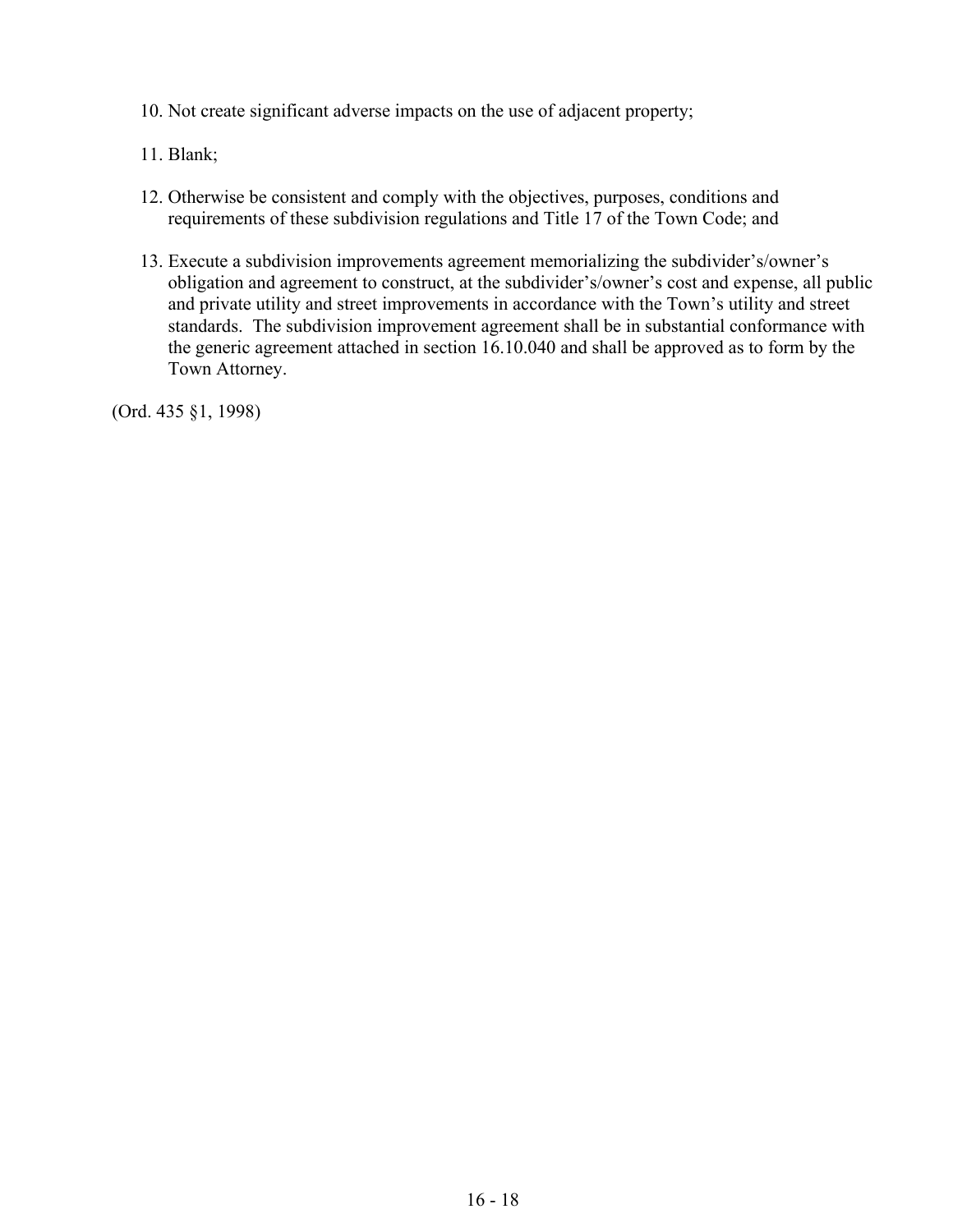- 10. Not create significant adverse impacts on the use of adjacent property;
- 11. Blank;
- 12. Otherwise be consistent and comply with the objectives, purposes, conditions and requirements of these subdivision regulations and Title 17 of the Town Code; and
- 13. Execute a subdivision improvements agreement memorializing the subdivider's/owner's obligation and agreement to construct, at the subdivider's/owner's cost and expense, all public and private utility and street improvements in accordance with the Town's utility and street standards. The subdivision improvement agreement shall be in substantial conformance with the generic agreement attached in section 16.10.040 and shall be approved as to form by the Town Attorney.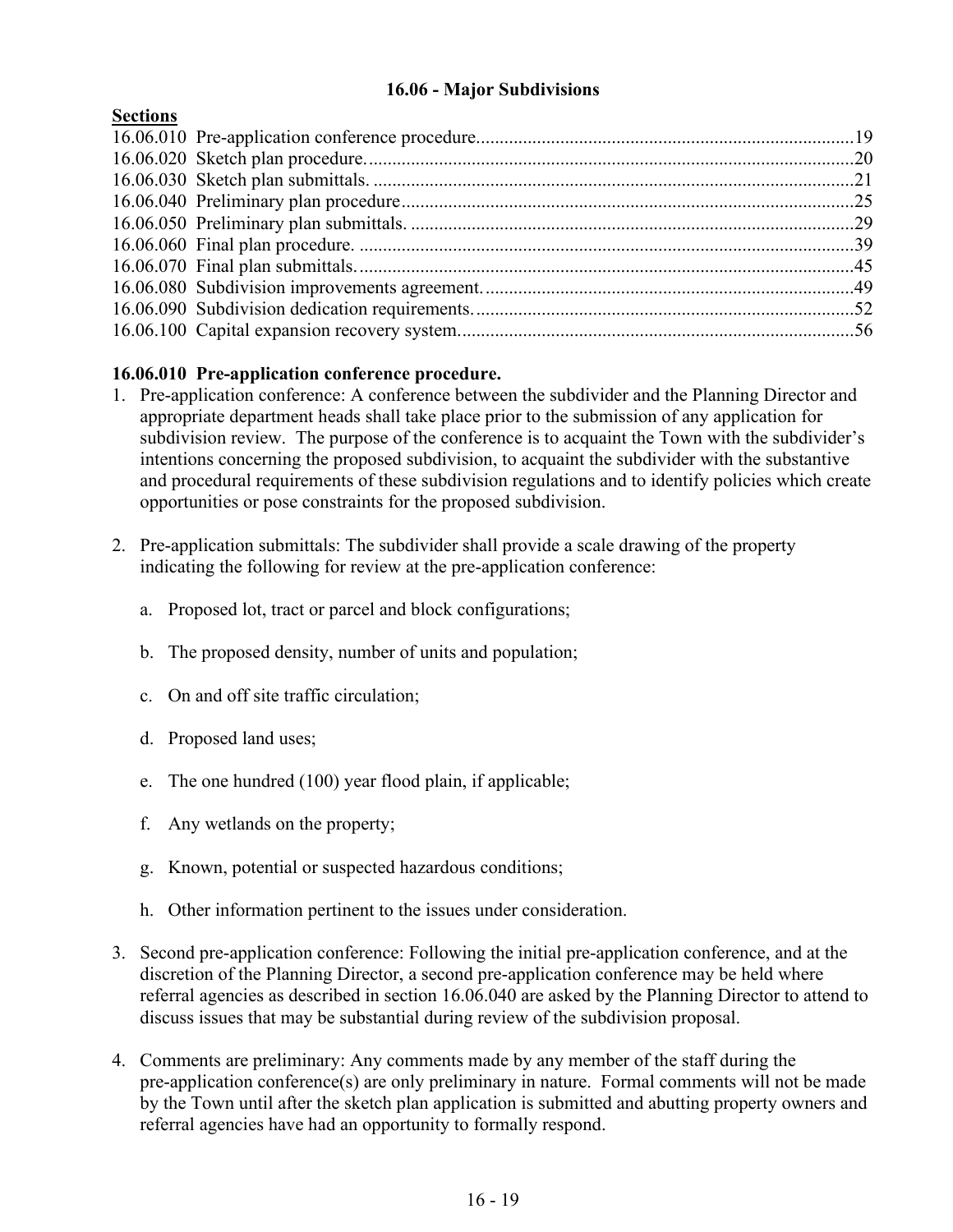# **16.06 - Major Subdivisions**

## <span id="page-18-0"></span>**Sections**

## **16.06.010 Pre-application conference procedure.**

- 1. Pre-application conference: A conference between the subdivider and the Planning Director and appropriate department heads shall take place prior to the submission of any application for subdivision review. The purpose of the conference is to acquaint the Town with the subdivider's intentions concerning the proposed subdivision, to acquaint the subdivider with the substantive and procedural requirements of these subdivision regulations and to identify policies which create opportunities or pose constraints for the proposed subdivision.
- 2. Pre-application submittals: The subdivider shall provide a scale drawing of the property indicating the following for review at the pre-application conference:
	- a. Proposed lot, tract or parcel and block configurations;
	- b. The proposed density, number of units and population;
	- c. On and off site traffic circulation;
	- d. Proposed land uses;
	- e. The one hundred (100) year flood plain, if applicable;
	- f. Any wetlands on the property;
	- g. Known, potential or suspected hazardous conditions;
	- h. Other information pertinent to the issues under consideration.
- 3. Second pre-application conference: Following the initial pre-application conference, and at the discretion of the Planning Director, a second pre-application conference may be held where referral agencies as described in section 16.06.040 are asked by the Planning Director to attend to discuss issues that may be substantial during review of the subdivision proposal.
- 4. Comments are preliminary: Any comments made by any member of the staff during the pre-application conference(s) are only preliminary in nature. Formal comments will not be made by the Town until after the sketch plan application is submitted and abutting property owners and referral agencies have had an opportunity to formally respond.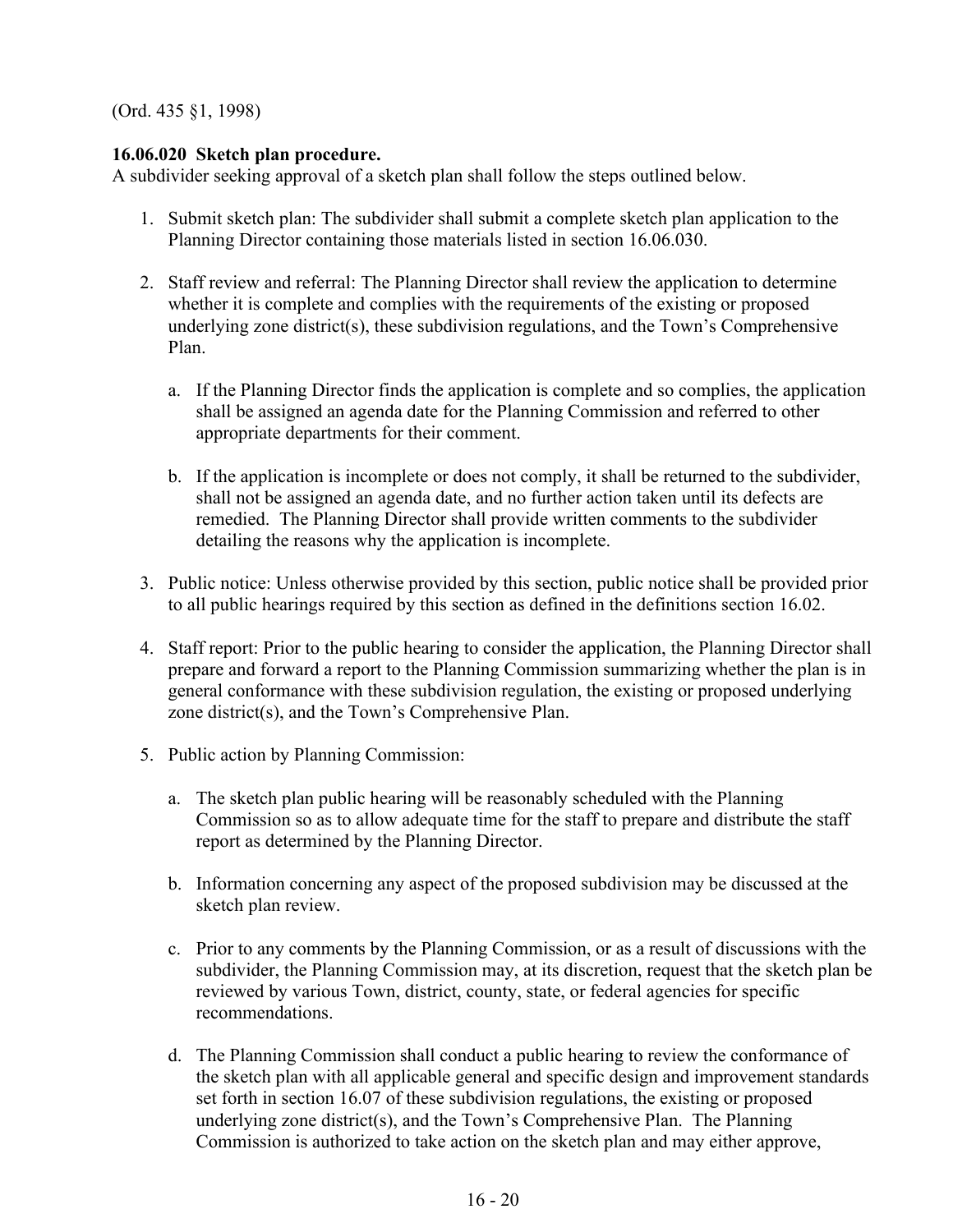## **16.06.020 Sketch plan procedure.**

A subdivider seeking approval of a sketch plan shall follow the steps outlined below.

- 1. Submit sketch plan: The subdivider shall submit a complete sketch plan application to the Planning Director containing those materials listed in section 16.06.030.
- 2. Staff review and referral: The Planning Director shall review the application to determine whether it is complete and complies with the requirements of the existing or proposed underlying zone district(s), these subdivision regulations, and the Town's Comprehensive Plan.
	- a. If the Planning Director finds the application is complete and so complies, the application shall be assigned an agenda date for the Planning Commission and referred to other appropriate departments for their comment.
	- b. If the application is incomplete or does not comply, it shall be returned to the subdivider, shall not be assigned an agenda date, and no further action taken until its defects are remedied. The Planning Director shall provide written comments to the subdivider detailing the reasons why the application is incomplete.
- 3. Public notice: Unless otherwise provided by this section, public notice shall be provided prior to all public hearings required by this section as defined in the definitions section 16.02.
- 4. Staff report: Prior to the public hearing to consider the application, the Planning Director shall prepare and forward a report to the Planning Commission summarizing whether the plan is in general conformance with these subdivision regulation, the existing or proposed underlying zone district(s), and the Town's Comprehensive Plan.
- 5. Public action by Planning Commission:
	- a. The sketch plan public hearing will be reasonably scheduled with the Planning Commission so as to allow adequate time for the staff to prepare and distribute the staff report as determined by the Planning Director.
	- b. Information concerning any aspect of the proposed subdivision may be discussed at the sketch plan review.
	- c. Prior to any comments by the Planning Commission, or as a result of discussions with the subdivider, the Planning Commission may, at its discretion, request that the sketch plan be reviewed by various Town, district, county, state, or federal agencies for specific recommendations.
	- d. The Planning Commission shall conduct a public hearing to review the conformance of the sketch plan with all applicable general and specific design and improvement standards set forth in section 16.07 of these subdivision regulations, the existing or proposed underlying zone district(s), and the Town's Comprehensive Plan. The Planning Commission is authorized to take action on the sketch plan and may either approve,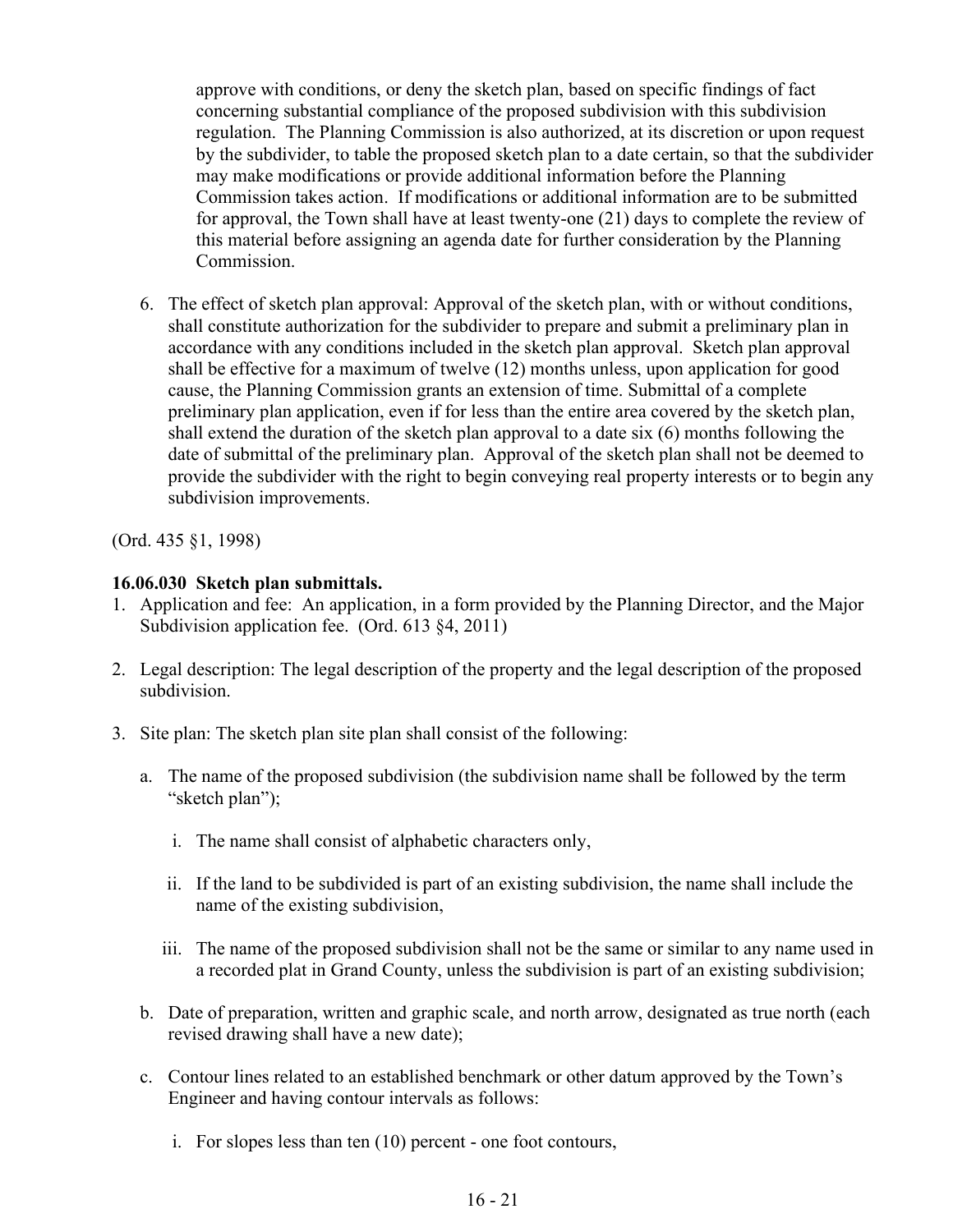approve with conditions, or deny the sketch plan, based on specific findings of fact concerning substantial compliance of the proposed subdivision with this subdivision regulation. The Planning Commission is also authorized, at its discretion or upon request by the subdivider, to table the proposed sketch plan to a date certain, so that the subdivider may make modifications or provide additional information before the Planning Commission takes action. If modifications or additional information are to be submitted for approval, the Town shall have at least twenty-one (21) days to complete the review of this material before assigning an agenda date for further consideration by the Planning Commission.

6. The effect of sketch plan approval: Approval of the sketch plan, with or without conditions, shall constitute authorization for the subdivider to prepare and submit a preliminary plan in accordance with any conditions included in the sketch plan approval. Sketch plan approval shall be effective for a maximum of twelve (12) months unless, upon application for good cause, the Planning Commission grants an extension of time. Submittal of a complete preliminary plan application, even if for less than the entire area covered by the sketch plan, shall extend the duration of the sketch plan approval to a date six (6) months following the date of submittal of the preliminary plan. Approval of the sketch plan shall not be deemed to provide the subdivider with the right to begin conveying real property interests or to begin any subdivision improvements.

(Ord. 435 §1, 1998)

## **16.06.030 Sketch plan submittals.**

- 1. Application and fee: An application, in a form provided by the Planning Director, and the Major Subdivision application fee. (Ord. 613 §4, 2011)
- 2. Legal description: The legal description of the property and the legal description of the proposed subdivision.
- 3. Site plan: The sketch plan site plan shall consist of the following:
	- a. The name of the proposed subdivision (the subdivision name shall be followed by the term "sketch plan");
		- i. The name shall consist of alphabetic characters only,
		- ii. If the land to be subdivided is part of an existing subdivision, the name shall include the name of the existing subdivision,
		- iii. The name of the proposed subdivision shall not be the same or similar to any name used in a recorded plat in Grand County, unless the subdivision is part of an existing subdivision;
	- b. Date of preparation, written and graphic scale, and north arrow, designated as true north (each revised drawing shall have a new date);
	- c. Contour lines related to an established benchmark or other datum approved by the Town's Engineer and having contour intervals as follows:
		- i. For slopes less than ten (10) percent one foot contours,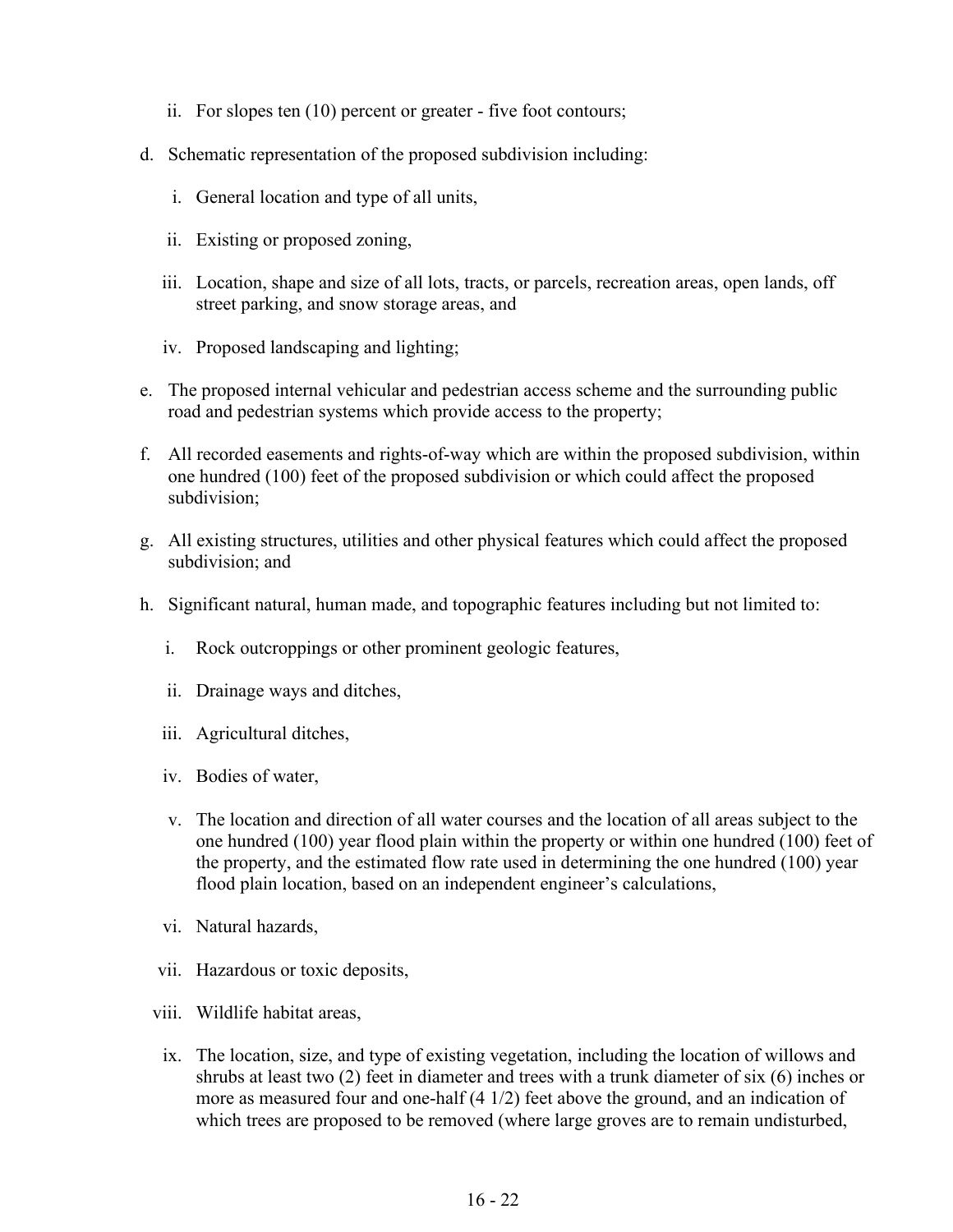- ii. For slopes ten (10) percent or greater five foot contours;
- d. Schematic representation of the proposed subdivision including:
	- i. General location and type of all units,
	- ii. Existing or proposed zoning,
	- iii. Location, shape and size of all lots, tracts, or parcels, recreation areas, open lands, off street parking, and snow storage areas, and
	- iv. Proposed landscaping and lighting;
- e. The proposed internal vehicular and pedestrian access scheme and the surrounding public road and pedestrian systems which provide access to the property;
- f. All recorded easements and rights-of-way which are within the proposed subdivision, within one hundred (100) feet of the proposed subdivision or which could affect the proposed subdivision;
- g. All existing structures, utilities and other physical features which could affect the proposed subdivision; and
- h. Significant natural, human made, and topographic features including but not limited to:
	- i. Rock outcroppings or other prominent geologic features,
	- ii. Drainage ways and ditches,
	- iii. Agricultural ditches,
	- iv. Bodies of water,
	- v. The location and direction of all water courses and the location of all areas subject to the one hundred (100) year flood plain within the property or within one hundred (100) feet of the property, and the estimated flow rate used in determining the one hundred (100) year flood plain location, based on an independent engineer's calculations,
	- vi. Natural hazards,
	- vii. Hazardous or toxic deposits,
	- viii. Wildlife habitat areas,
		- ix. The location, size, and type of existing vegetation, including the location of willows and shrubs at least two (2) feet in diameter and trees with a trunk diameter of six (6) inches or more as measured four and one-half (4 1/2) feet above the ground, and an indication of which trees are proposed to be removed (where large groves are to remain undisturbed,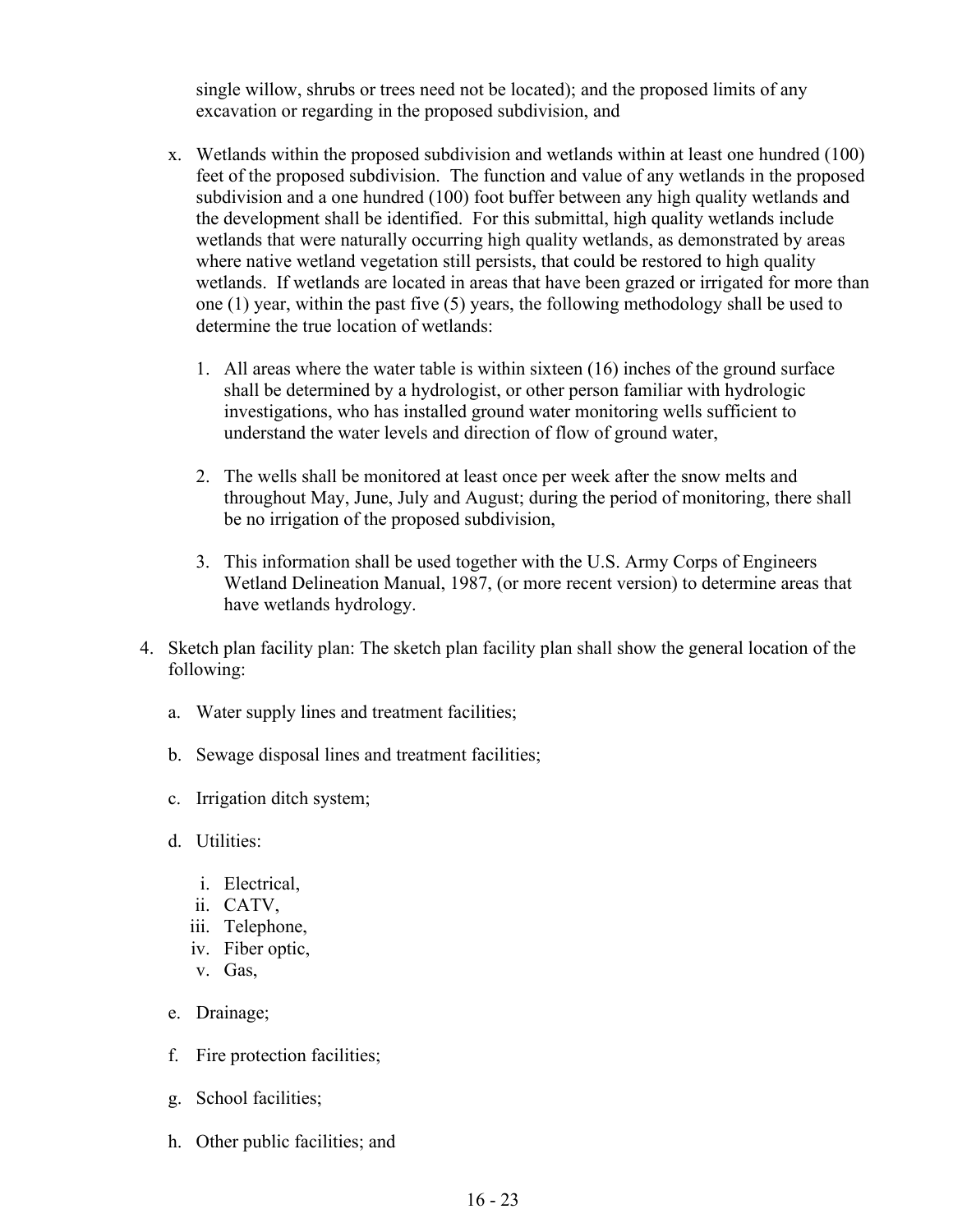single willow, shrubs or trees need not be located); and the proposed limits of any excavation or regarding in the proposed subdivision, and

- x. Wetlands within the proposed subdivision and wetlands within at least one hundred (100) feet of the proposed subdivision. The function and value of any wetlands in the proposed subdivision and a one hundred (100) foot buffer between any high quality wetlands and the development shall be identified. For this submittal, high quality wetlands include wetlands that were naturally occurring high quality wetlands, as demonstrated by areas where native wetland vegetation still persists, that could be restored to high quality wetlands. If wetlands are located in areas that have been grazed or irrigated for more than one (1) year, within the past five (5) years, the following methodology shall be used to determine the true location of wetlands:
	- 1. All areas where the water table is within sixteen (16) inches of the ground surface shall be determined by a hydrologist, or other person familiar with hydrologic investigations, who has installed ground water monitoring wells sufficient to understand the water levels and direction of flow of ground water,
	- 2. The wells shall be monitored at least once per week after the snow melts and throughout May, June, July and August; during the period of monitoring, there shall be no irrigation of the proposed subdivision,
	- 3. This information shall be used together with the U.S. Army Corps of Engineers Wetland Delineation Manual, 1987, (or more recent version) to determine areas that have wetlands hydrology.
- 4. Sketch plan facility plan: The sketch plan facility plan shall show the general location of the following:
	- a. Water supply lines and treatment facilities;
	- b. Sewage disposal lines and treatment facilities;
	- c. Irrigation ditch system;
	- d. Utilities:
		- i. Electrical,
		- ii. CATV,
		- iii. Telephone,
		- iv. Fiber optic,
		- v. Gas,
	- e. Drainage;
	- f. Fire protection facilities;
	- g. School facilities;
	- h. Other public facilities; and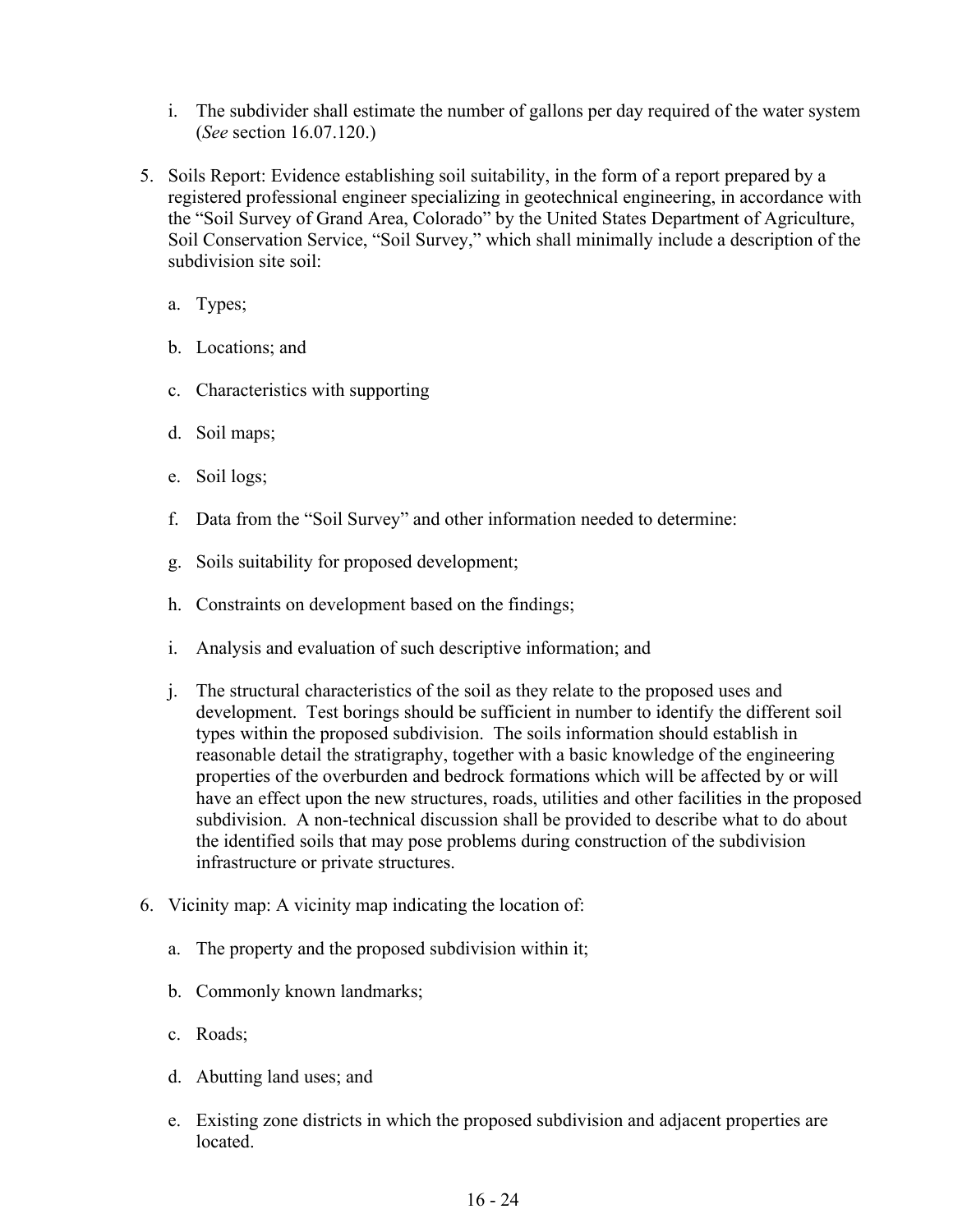- i. The subdivider shall estimate the number of gallons per day required of the water system (*See* section 16.07.120.)
- 5. Soils Report: Evidence establishing soil suitability, in the form of a report prepared by a registered professional engineer specializing in geotechnical engineering, in accordance with the "Soil Survey of Grand Area, Colorado" by the United States Department of Agriculture, Soil Conservation Service, "Soil Survey," which shall minimally include a description of the subdivision site soil:
	- a. Types;
	- b. Locations; and
	- c. Characteristics with supporting
	- d. Soil maps;
	- e. Soil logs;
	- f. Data from the "Soil Survey" and other information needed to determine:
	- g. Soils suitability for proposed development;
	- h. Constraints on development based on the findings;
	- i. Analysis and evaluation of such descriptive information; and
	- j. The structural characteristics of the soil as they relate to the proposed uses and development. Test borings should be sufficient in number to identify the different soil types within the proposed subdivision. The soils information should establish in reasonable detail the stratigraphy, together with a basic knowledge of the engineering properties of the overburden and bedrock formations which will be affected by or will have an effect upon the new structures, roads, utilities and other facilities in the proposed subdivision. A non-technical discussion shall be provided to describe what to do about the identified soils that may pose problems during construction of the subdivision infrastructure or private structures.
- 6. Vicinity map: A vicinity map indicating the location of:
	- a. The property and the proposed subdivision within it;
	- b. Commonly known landmarks;
	- c. Roads;
	- d. Abutting land uses; and
	- e. Existing zone districts in which the proposed subdivision and adjacent properties are located.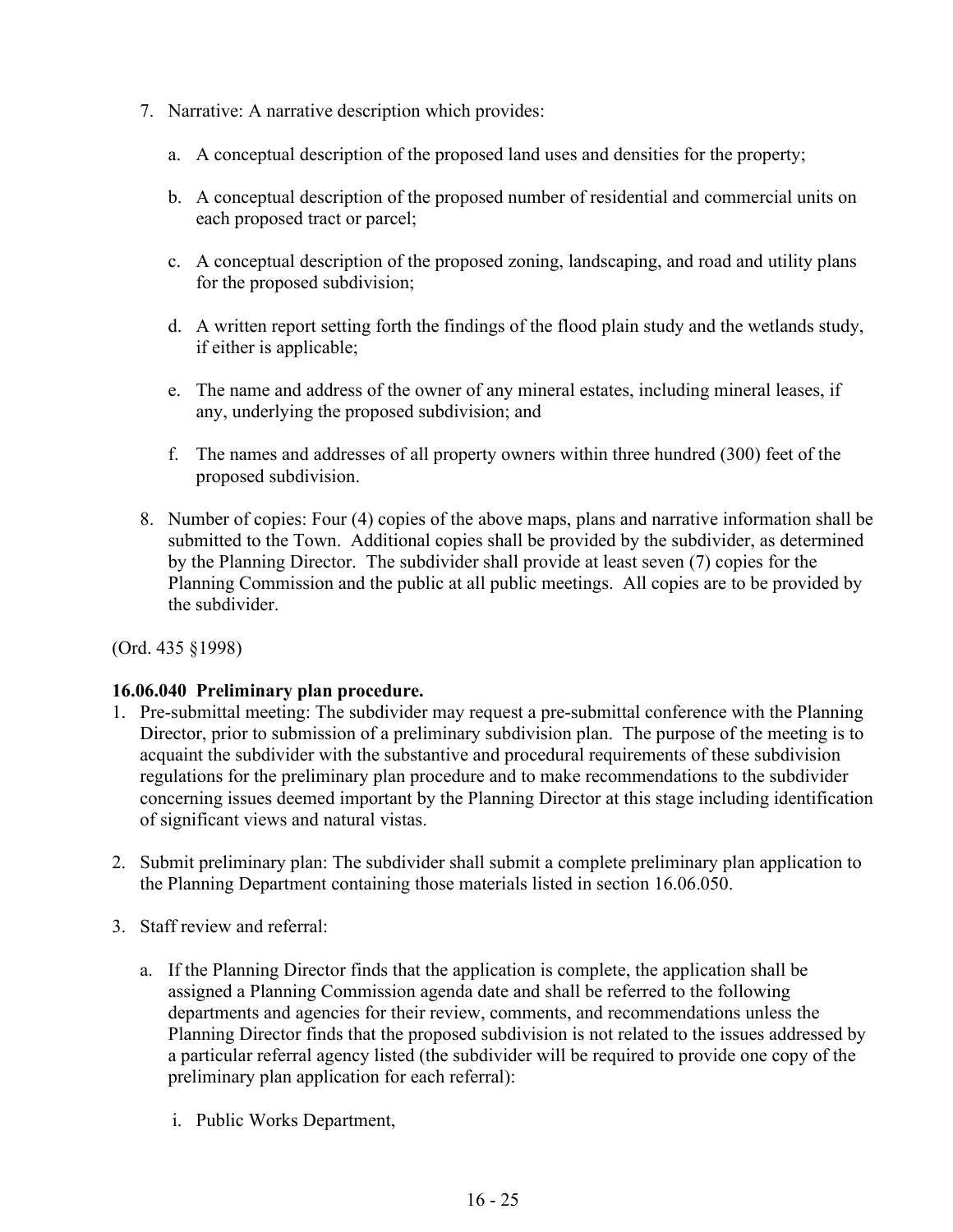- 7. Narrative: A narrative description which provides:
	- a. A conceptual description of the proposed land uses and densities for the property;
	- b. A conceptual description of the proposed number of residential and commercial units on each proposed tract or parcel;
	- c. A conceptual description of the proposed zoning, landscaping, and road and utility plans for the proposed subdivision;
	- d. A written report setting forth the findings of the flood plain study and the wetlands study, if either is applicable;
	- e. The name and address of the owner of any mineral estates, including mineral leases, if any, underlying the proposed subdivision; and
	- f. The names and addresses of all property owners within three hundred (300) feet of the proposed subdivision.
- 8. Number of copies: Four (4) copies of the above maps, plans and narrative information shall be submitted to the Town. Additional copies shall be provided by the subdivider, as determined by the Planning Director. The subdivider shall provide at least seven (7) copies for the Planning Commission and the public at all public meetings. All copies are to be provided by the subdivider.

## **16.06.040 Preliminary plan procedure.**

- 1. Pre-submittal meeting: The subdivider may request a pre-submittal conference with the Planning Director, prior to submission of a preliminary subdivision plan. The purpose of the meeting is to acquaint the subdivider with the substantive and procedural requirements of these subdivision regulations for the preliminary plan procedure and to make recommendations to the subdivider concerning issues deemed important by the Planning Director at this stage including identification of significant views and natural vistas.
- 2. Submit preliminary plan: The subdivider shall submit a complete preliminary plan application to the Planning Department containing those materials listed in section 16.06.050.
- 3. Staff review and referral:
	- a. If the Planning Director finds that the application is complete, the application shall be assigned a Planning Commission agenda date and shall be referred to the following departments and agencies for their review, comments, and recommendations unless the Planning Director finds that the proposed subdivision is not related to the issues addressed by a particular referral agency listed (the subdivider will be required to provide one copy of the preliminary plan application for each referral):
		- i. Public Works Department,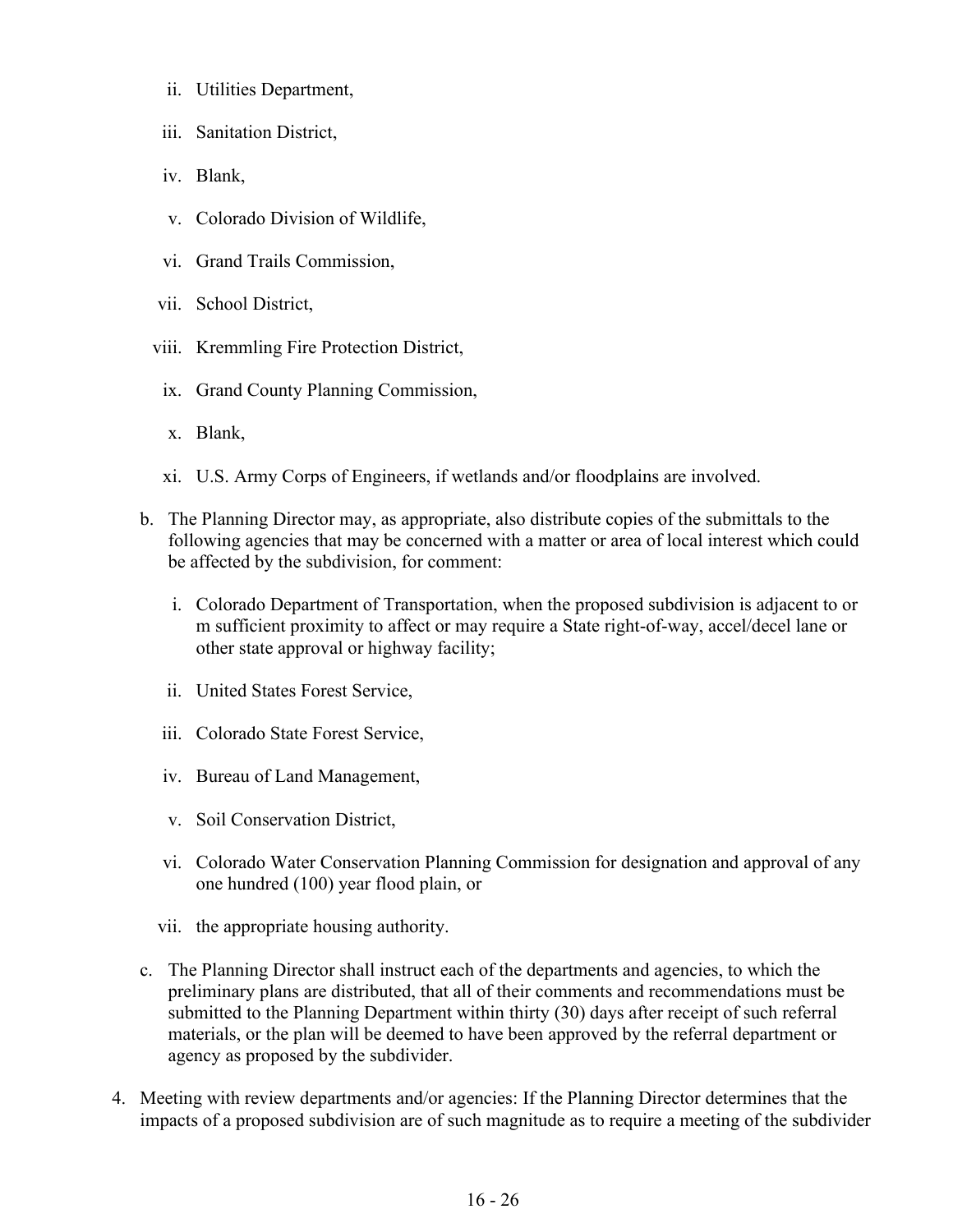- ii. Utilities Department,
- iii. Sanitation District,
- iv. Blank,
- v. Colorado Division of Wildlife,
- vi. Grand Trails Commission,
- vii. School District,
- viii. Kremmling Fire Protection District,
- ix. Grand County Planning Commission,
- x. Blank,
- xi. U.S. Army Corps of Engineers, if wetlands and/or floodplains are involved.
- b. The Planning Director may, as appropriate, also distribute copies of the submittals to the following agencies that may be concerned with a matter or area of local interest which could be affected by the subdivision, for comment:
	- i. Colorado Department of Transportation, when the proposed subdivision is adjacent to or m sufficient proximity to affect or may require a State right-of-way, accel/decel lane or other state approval or highway facility;
	- ii. United States Forest Service,
	- iii. Colorado State Forest Service,
	- iv. Bureau of Land Management,
	- v. Soil Conservation District,
	- vi. Colorado Water Conservation Planning Commission for designation and approval of any one hundred (100) year flood plain, or
	- vii. the appropriate housing authority.
- c. The Planning Director shall instruct each of the departments and agencies, to which the preliminary plans are distributed, that all of their comments and recommendations must be submitted to the Planning Department within thirty (30) days after receipt of such referral materials, or the plan will be deemed to have been approved by the referral department or agency as proposed by the subdivider.
- 4. Meeting with review departments and/or agencies: If the Planning Director determines that the impacts of a proposed subdivision are of such magnitude as to require a meeting of the subdivider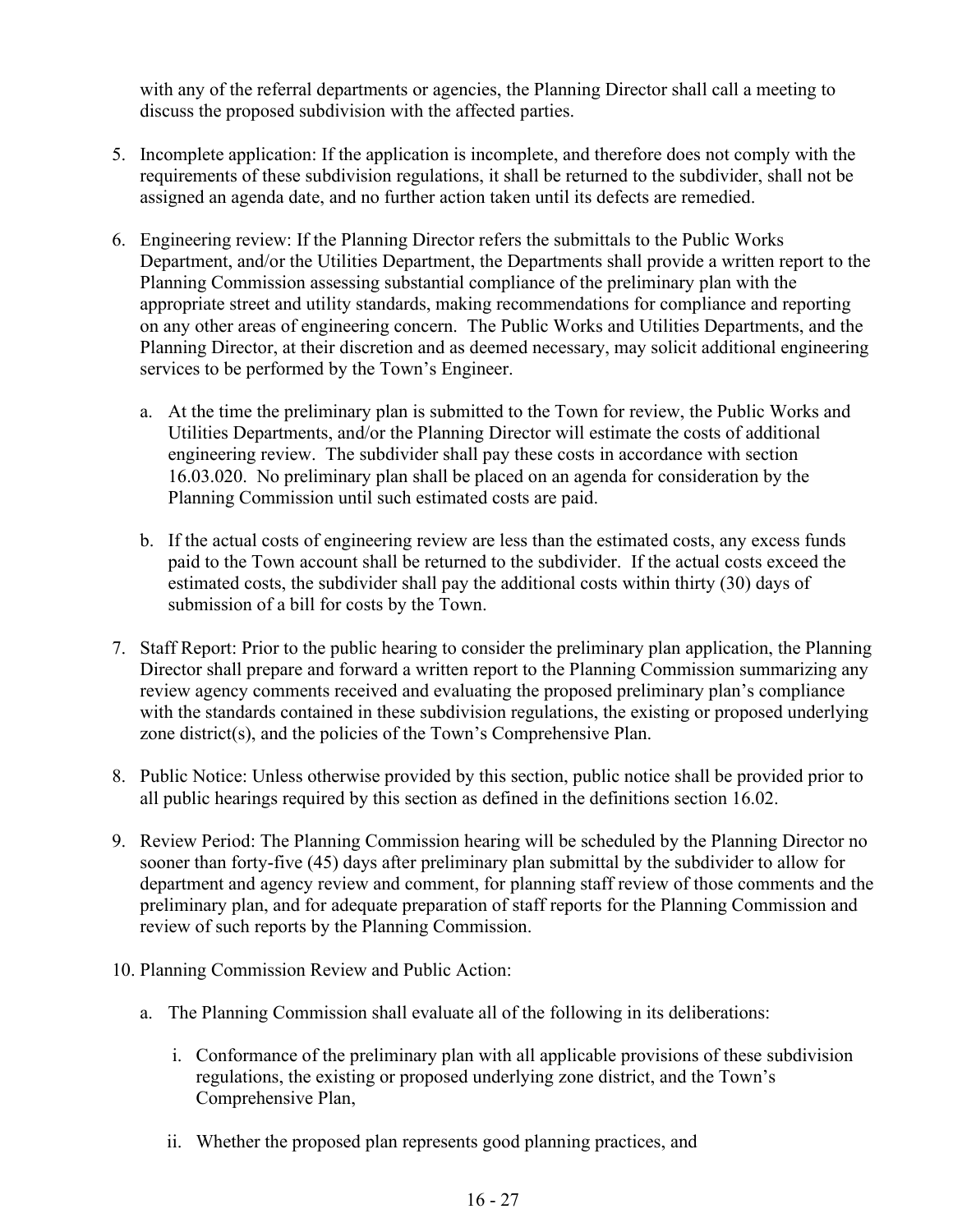with any of the referral departments or agencies, the Planning Director shall call a meeting to discuss the proposed subdivision with the affected parties.

- 5. Incomplete application: If the application is incomplete, and therefore does not comply with the requirements of these subdivision regulations, it shall be returned to the subdivider, shall not be assigned an agenda date, and no further action taken until its defects are remedied.
- 6. Engineering review: If the Planning Director refers the submittals to the Public Works Department, and/or the Utilities Department, the Departments shall provide a written report to the Planning Commission assessing substantial compliance of the preliminary plan with the appropriate street and utility standards, making recommendations for compliance and reporting on any other areas of engineering concern. The Public Works and Utilities Departments, and the Planning Director, at their discretion and as deemed necessary, may solicit additional engineering services to be performed by the Town's Engineer.
	- a. At the time the preliminary plan is submitted to the Town for review, the Public Works and Utilities Departments, and/or the Planning Director will estimate the costs of additional engineering review. The subdivider shall pay these costs in accordance with section 16.03.020. No preliminary plan shall be placed on an agenda for consideration by the Planning Commission until such estimated costs are paid.
	- b. If the actual costs of engineering review are less than the estimated costs, any excess funds paid to the Town account shall be returned to the subdivider. If the actual costs exceed the estimated costs, the subdivider shall pay the additional costs within thirty (30) days of submission of a bill for costs by the Town.
- 7. Staff Report: Prior to the public hearing to consider the preliminary plan application, the Planning Director shall prepare and forward a written report to the Planning Commission summarizing any review agency comments received and evaluating the proposed preliminary plan's compliance with the standards contained in these subdivision regulations, the existing or proposed underlying zone district(s), and the policies of the Town's Comprehensive Plan.
- 8. Public Notice: Unless otherwise provided by this section, public notice shall be provided prior to all public hearings required by this section as defined in the definitions section 16.02.
- 9. Review Period: The Planning Commission hearing will be scheduled by the Planning Director no sooner than forty-five (45) days after preliminary plan submittal by the subdivider to allow for department and agency review and comment, for planning staff review of those comments and the preliminary plan, and for adequate preparation of staff reports for the Planning Commission and review of such reports by the Planning Commission.
- 10. Planning Commission Review and Public Action:
	- a. The Planning Commission shall evaluate all of the following in its deliberations:
		- i. Conformance of the preliminary plan with all applicable provisions of these subdivision regulations, the existing or proposed underlying zone district, and the Town's Comprehensive Plan,
		- ii. Whether the proposed plan represents good planning practices, and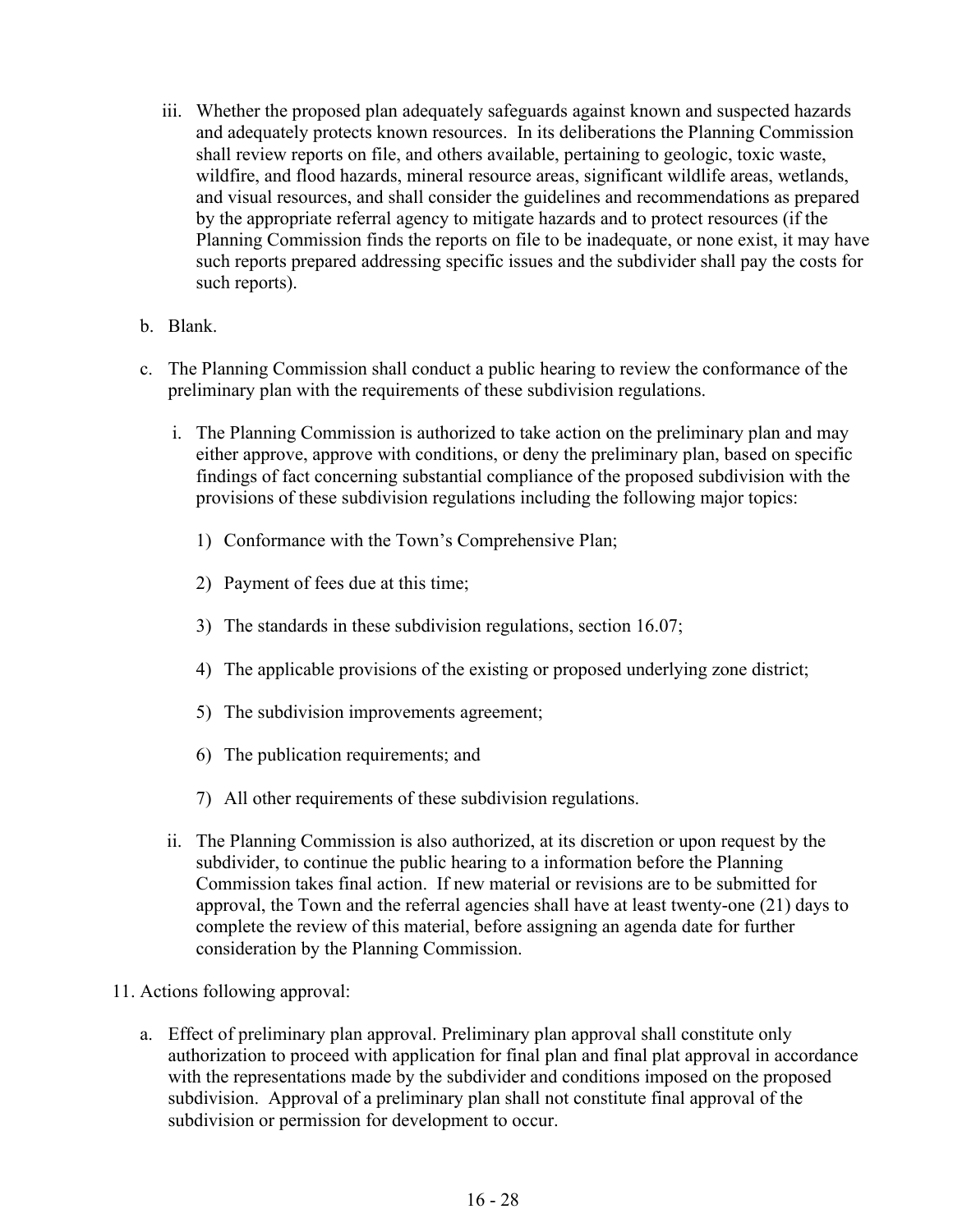- iii. Whether the proposed plan adequately safeguards against known and suspected hazards and adequately protects known resources. In its deliberations the Planning Commission shall review reports on file, and others available, pertaining to geologic, toxic waste, wildfire, and flood hazards, mineral resource areas, significant wildlife areas, wetlands, and visual resources, and shall consider the guidelines and recommendations as prepared by the appropriate referral agency to mitigate hazards and to protect resources (if the Planning Commission finds the reports on file to be inadequate, or none exist, it may have such reports prepared addressing specific issues and the subdivider shall pay the costs for such reports).
- b. Blank.
- c. The Planning Commission shall conduct a public hearing to review the conformance of the preliminary plan with the requirements of these subdivision regulations.
	- i. The Planning Commission is authorized to take action on the preliminary plan and may either approve, approve with conditions, or deny the preliminary plan, based on specific findings of fact concerning substantial compliance of the proposed subdivision with the provisions of these subdivision regulations including the following major topics:
		- 1) Conformance with the Town's Comprehensive Plan;
		- 2) Payment of fees due at this time;
		- 3) The standards in these subdivision regulations, section 16.07;
		- 4) The applicable provisions of the existing or proposed underlying zone district;
		- 5) The subdivision improvements agreement;
		- 6) The publication requirements; and
		- 7) All other requirements of these subdivision regulations.
	- ii. The Planning Commission is also authorized, at its discretion or upon request by the subdivider, to continue the public hearing to a information before the Planning Commission takes final action. If new material or revisions are to be submitted for approval, the Town and the referral agencies shall have at least twenty-one (21) days to complete the review of this material, before assigning an agenda date for further consideration by the Planning Commission.
- 11. Actions following approval:
	- a. Effect of preliminary plan approval. Preliminary plan approval shall constitute only authorization to proceed with application for final plan and final plat approval in accordance with the representations made by the subdivider and conditions imposed on the proposed subdivision. Approval of a preliminary plan shall not constitute final approval of the subdivision or permission for development to occur.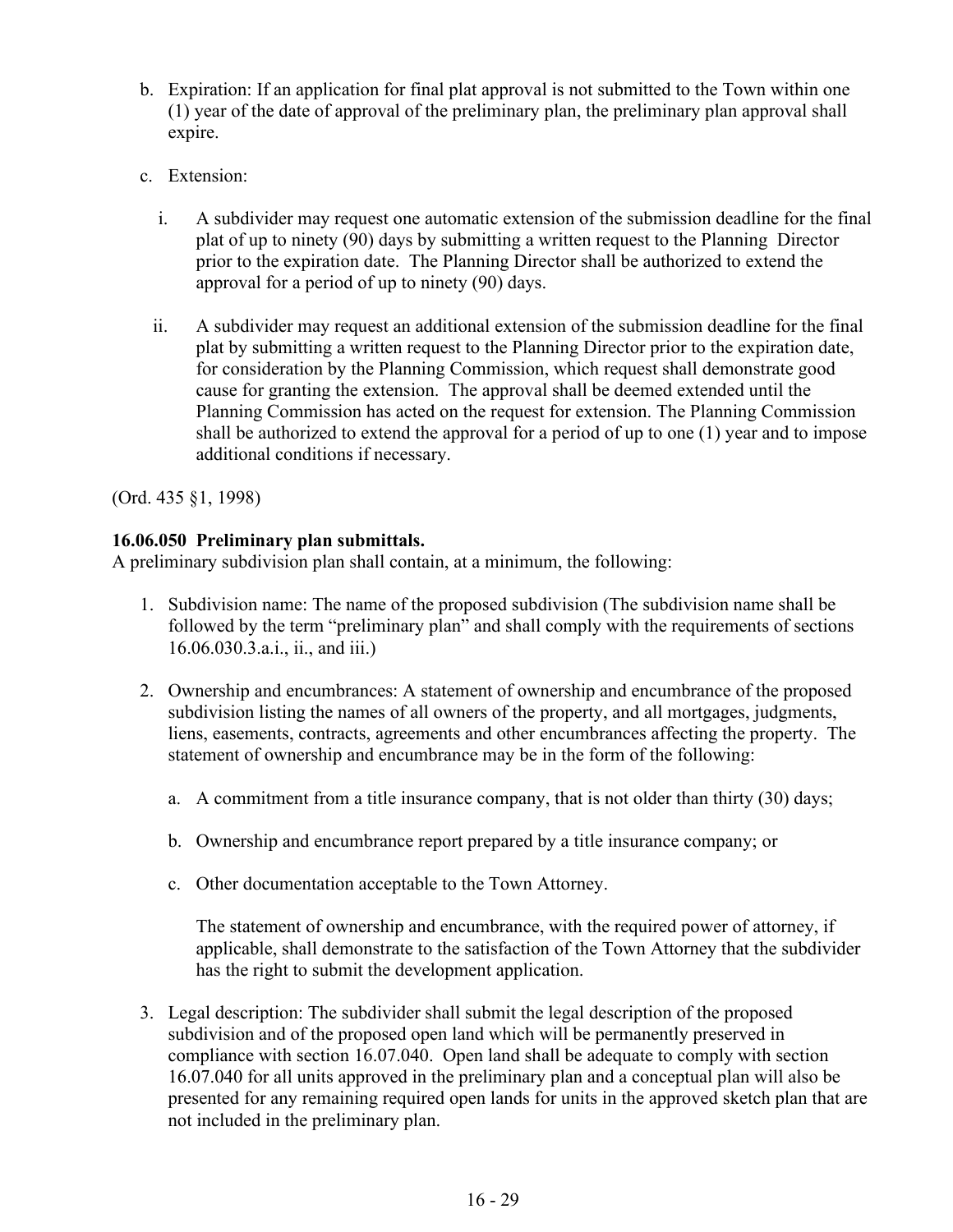- b. Expiration: If an application for final plat approval is not submitted to the Town within one (1) year of the date of approval of the preliminary plan, the preliminary plan approval shall expire.
- c. Extension:
	- i. A subdivider may request one automatic extension of the submission deadline for the final plat of up to ninety (90) days by submitting a written request to the Planning Director prior to the expiration date. The Planning Director shall be authorized to extend the approval for a period of up to ninety (90) days.
	- ii. A subdivider may request an additional extension of the submission deadline for the final plat by submitting a written request to the Planning Director prior to the expiration date, for consideration by the Planning Commission, which request shall demonstrate good cause for granting the extension. The approval shall be deemed extended until the Planning Commission has acted on the request for extension. The Planning Commission shall be authorized to extend the approval for a period of up to one (1) year and to impose additional conditions if necessary.

#### **16.06.050 Preliminary plan submittals.**

A preliminary subdivision plan shall contain, at a minimum, the following:

- 1. Subdivision name: The name of the proposed subdivision (The subdivision name shall be followed by the term "preliminary plan" and shall comply with the requirements of sections 16.06.030.3.a.i., ii., and iii.)
- 2. Ownership and encumbrances: A statement of ownership and encumbrance of the proposed subdivision listing the names of all owners of the property, and all mortgages, judgments, liens, easements, contracts, agreements and other encumbrances affecting the property. The statement of ownership and encumbrance may be in the form of the following:
	- a. A commitment from a title insurance company, that is not older than thirty (30) days;
	- b. Ownership and encumbrance report prepared by a title insurance company; or
	- c. Other documentation acceptable to the Town Attorney.

The statement of ownership and encumbrance, with the required power of attorney, if applicable, shall demonstrate to the satisfaction of the Town Attorney that the subdivider has the right to submit the development application.

3. Legal description: The subdivider shall submit the legal description of the proposed subdivision and of the proposed open land which will be permanently preserved in compliance with section 16.07.040. Open land shall be adequate to comply with section 16.07.040 for all units approved in the preliminary plan and a conceptual plan will also be presented for any remaining required open lands for units in the approved sketch plan that are not included in the preliminary plan.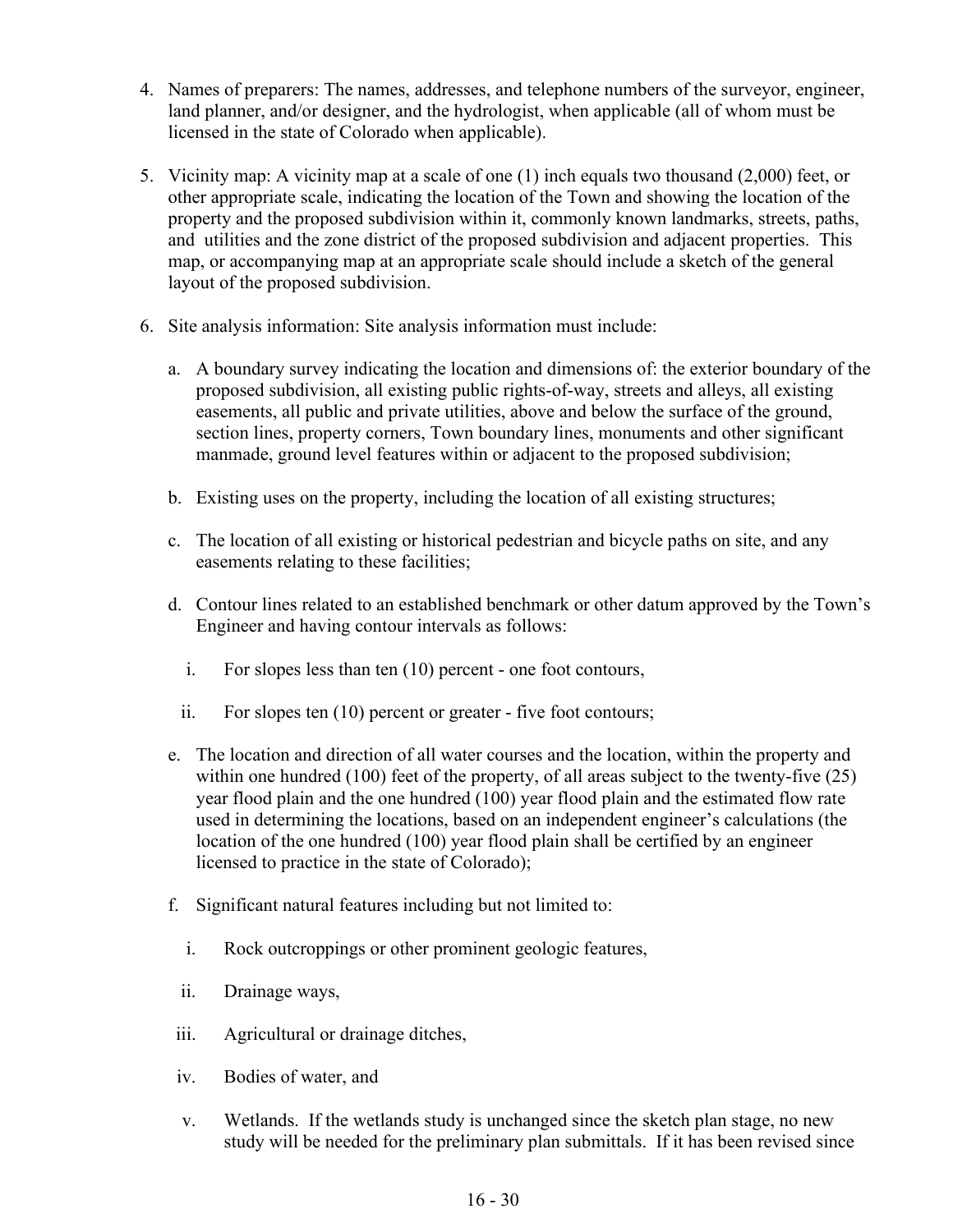- 4. Names of preparers: The names, addresses, and telephone numbers of the surveyor, engineer, land planner, and/or designer, and the hydrologist, when applicable (all of whom must be licensed in the state of Colorado when applicable).
- 5. Vicinity map: A vicinity map at a scale of one (1) inch equals two thousand (2,000) feet, or other appropriate scale, indicating the location of the Town and showing the location of the property and the proposed subdivision within it, commonly known landmarks, streets, paths, and utilities and the zone district of the proposed subdivision and adjacent properties. This map, or accompanying map at an appropriate scale should include a sketch of the general layout of the proposed subdivision.
- 6. Site analysis information: Site analysis information must include:
	- a. A boundary survey indicating the location and dimensions of: the exterior boundary of the proposed subdivision, all existing public rights-of-way, streets and alleys, all existing easements, all public and private utilities, above and below the surface of the ground, section lines, property corners, Town boundary lines, monuments and other significant manmade, ground level features within or adjacent to the proposed subdivision;
	- b. Existing uses on the property, including the location of all existing structures;
	- c. The location of all existing or historical pedestrian and bicycle paths on site, and any easements relating to these facilities;
	- d. Contour lines related to an established benchmark or other datum approved by the Town's Engineer and having contour intervals as follows:
		- i. For slopes less than ten (10) percent one foot contours,
		- ii. For slopes ten (10) percent or greater five foot contours;
	- e. The location and direction of all water courses and the location, within the property and within one hundred (100) feet of the property, of all areas subject to the twenty-five (25) year flood plain and the one hundred (100) year flood plain and the estimated flow rate used in determining the locations, based on an independent engineer's calculations (the location of the one hundred (100) year flood plain shall be certified by an engineer licensed to practice in the state of Colorado);
	- f. Significant natural features including but not limited to:
		- i. Rock outcroppings or other prominent geologic features,
		- ii. Drainage ways,
	- iii. Agricultural or drainage ditches,
	- iv. Bodies of water, and
	- v. Wetlands. If the wetlands study is unchanged since the sketch plan stage, no new study will be needed for the preliminary plan submittals. If it has been revised since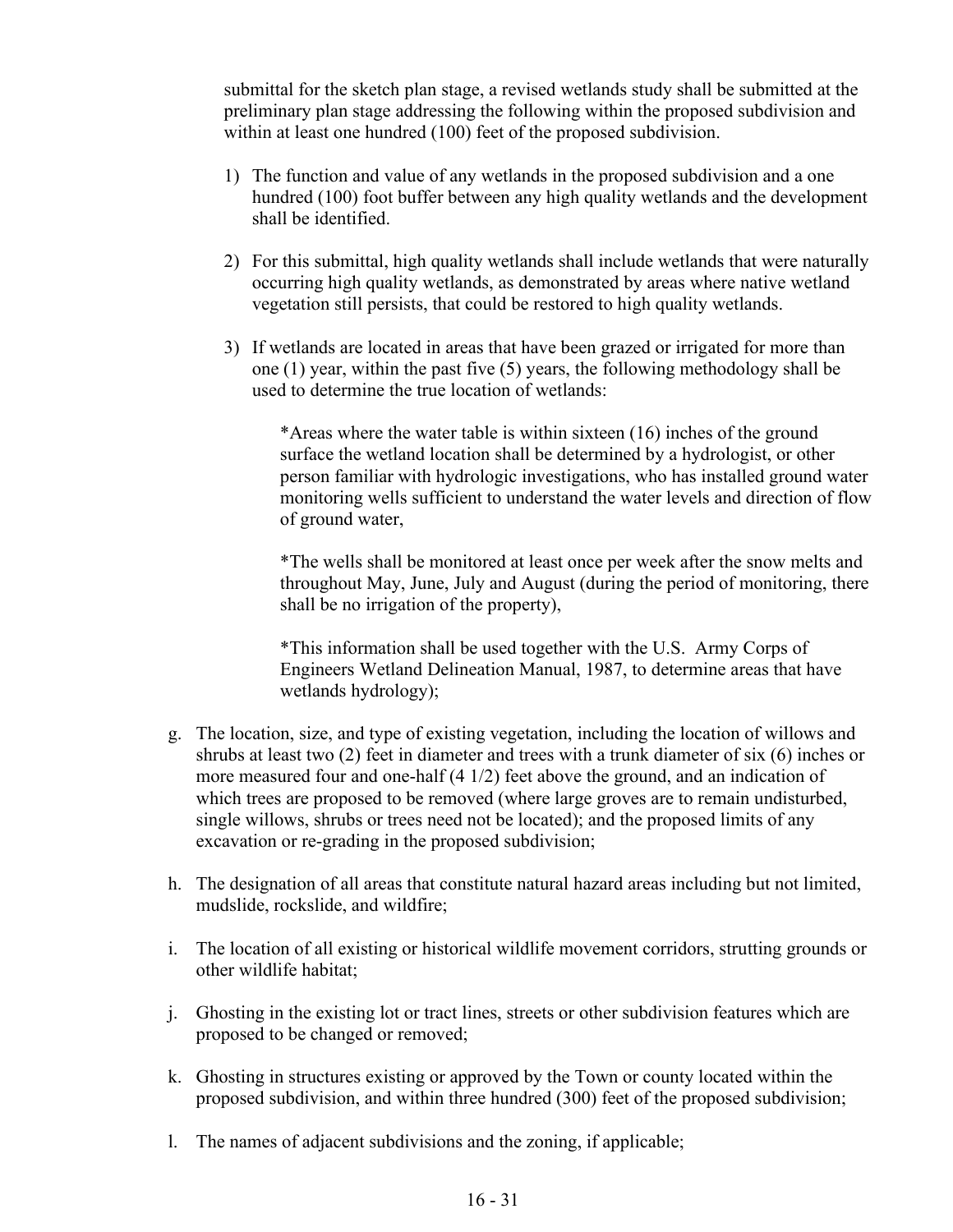submittal for the sketch plan stage, a revised wetlands study shall be submitted at the preliminary plan stage addressing the following within the proposed subdivision and within at least one hundred (100) feet of the proposed subdivision.

- 1) The function and value of any wetlands in the proposed subdivision and a one hundred (100) foot buffer between any high quality wetlands and the development shall be identified.
- 2) For this submittal, high quality wetlands shall include wetlands that were naturally occurring high quality wetlands, as demonstrated by areas where native wetland vegetation still persists, that could be restored to high quality wetlands.
- 3) If wetlands are located in areas that have been grazed or irrigated for more than one (1) year, within the past five (5) years, the following methodology shall be used to determine the true location of wetlands:

\*Areas where the water table is within sixteen (16) inches of the ground surface the wetland location shall be determined by a hydrologist, or other person familiar with hydrologic investigations, who has installed ground water monitoring wells sufficient to understand the water levels and direction of flow of ground water,

\*The wells shall be monitored at least once per week after the snow melts and throughout May, June, July and August (during the period of monitoring, there shall be no irrigation of the property),

\*This information shall be used together with the U.S. Army Corps of Engineers Wetland Delineation Manual, 1987, to determine areas that have wetlands hydrology);

- g. The location, size, and type of existing vegetation, including the location of willows and shrubs at least two (2) feet in diameter and trees with a trunk diameter of six (6) inches or more measured four and one-half (4 1/2) feet above the ground, and an indication of which trees are proposed to be removed (where large groves are to remain undisturbed, single willows, shrubs or trees need not be located); and the proposed limits of any excavation or re-grading in the proposed subdivision;
- h. The designation of all areas that constitute natural hazard areas including but not limited, mudslide, rockslide, and wildfire;
- i. The location of all existing or historical wildlife movement corridors, strutting grounds or other wildlife habitat;
- j. Ghosting in the existing lot or tract lines, streets or other subdivision features which are proposed to be changed or removed;
- k. Ghosting in structures existing or approved by the Town or county located within the proposed subdivision, and within three hundred (300) feet of the proposed subdivision;
- l. The names of adjacent subdivisions and the zoning, if applicable;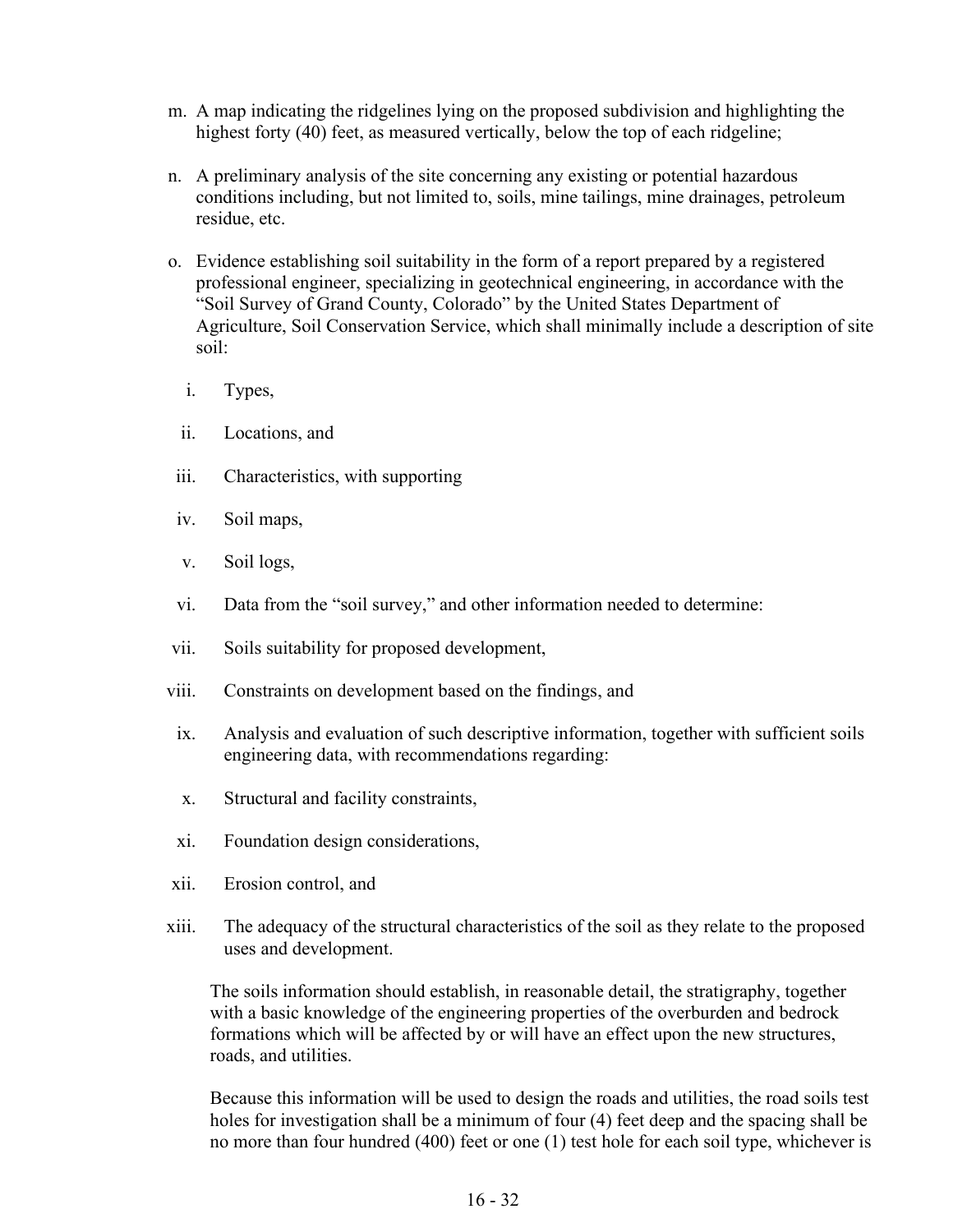- m. A map indicating the ridgelines lying on the proposed subdivision and highlighting the highest forty (40) feet, as measured vertically, below the top of each ridgeline;
- n. A preliminary analysis of the site concerning any existing or potential hazardous conditions including, but not limited to, soils, mine tailings, mine drainages, petroleum residue, etc.
- o. Evidence establishing soil suitability in the form of a report prepared by a registered professional engineer, specializing in geotechnical engineering, in accordance with the "Soil Survey of Grand County, Colorado" by the United States Department of Agriculture, Soil Conservation Service, which shall minimally include a description of site soil:
	- i. Types,
	- ii. Locations, and
- iii. Characteristics, with supporting
- iv. Soil maps,
- v. Soil logs,
- vi. Data from the "soil survey," and other information needed to determine:
- vii. Soils suitability for proposed development,
- viii. Constraints on development based on the findings, and
- ix. Analysis and evaluation of such descriptive information, together with sufficient soils engineering data, with recommendations regarding:
- x. Structural and facility constraints,
- xi. Foundation design considerations,
- xii. Erosion control, and
- xiii. The adequacy of the structural characteristics of the soil as they relate to the proposed uses and development.

The soils information should establish, in reasonable detail, the stratigraphy, together with a basic knowledge of the engineering properties of the overburden and bedrock formations which will be affected by or will have an effect upon the new structures, roads, and utilities.

Because this information will be used to design the roads and utilities, the road soils test holes for investigation shall be a minimum of four (4) feet deep and the spacing shall be no more than four hundred (400) feet or one (1) test hole for each soil type, whichever is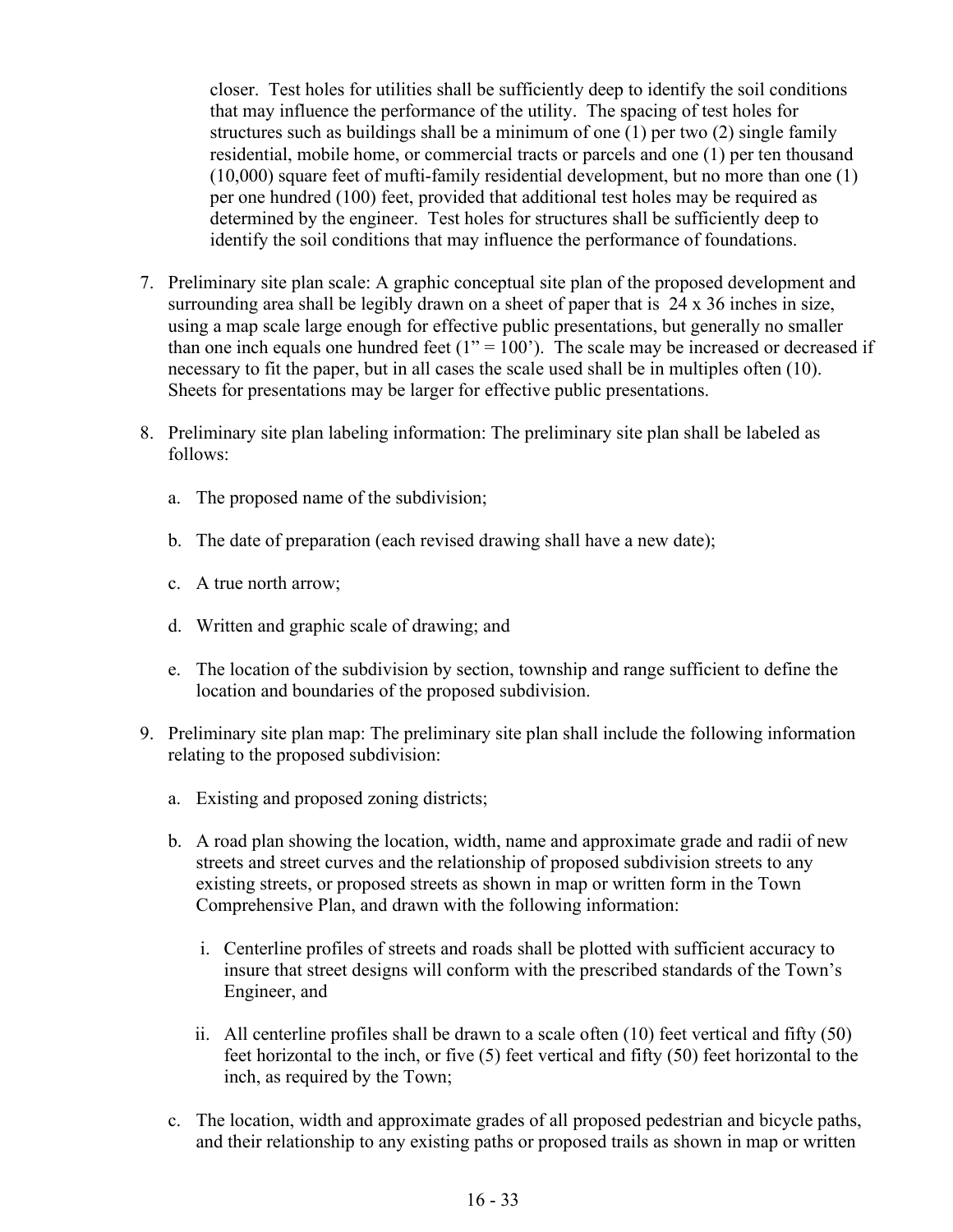closer. Test holes for utilities shall be sufficiently deep to identify the soil conditions that may influence the performance of the utility. The spacing of test holes for structures such as buildings shall be a minimum of one (1) per two (2) single family residential, mobile home, or commercial tracts or parcels and one (1) per ten thousand (10,000) square feet of mufti-family residential development, but no more than one (1) per one hundred (100) feet, provided that additional test holes may be required as determined by the engineer. Test holes for structures shall be sufficiently deep to identify the soil conditions that may influence the performance of foundations.

- 7. Preliminary site plan scale: A graphic conceptual site plan of the proposed development and surrounding area shall be legibly drawn on a sheet of paper that is 24 x 36 inches in size, using a map scale large enough for effective public presentations, but generally no smaller than one inch equals one hundred feet  $(1" = 100)$ . The scale may be increased or decreased if necessary to fit the paper, but in all cases the scale used shall be in multiples often (10). Sheets for presentations may be larger for effective public presentations.
- 8. Preliminary site plan labeling information: The preliminary site plan shall be labeled as follows:
	- a. The proposed name of the subdivision;
	- b. The date of preparation (each revised drawing shall have a new date);
	- c. A true north arrow;
	- d. Written and graphic scale of drawing; and
	- e. The location of the subdivision by section, township and range sufficient to define the location and boundaries of the proposed subdivision.
- 9. Preliminary site plan map: The preliminary site plan shall include the following information relating to the proposed subdivision:
	- a. Existing and proposed zoning districts;
	- b. A road plan showing the location, width, name and approximate grade and radii of new streets and street curves and the relationship of proposed subdivision streets to any existing streets, or proposed streets as shown in map or written form in the Town Comprehensive Plan, and drawn with the following information:
		- i. Centerline profiles of streets and roads shall be plotted with sufficient accuracy to insure that street designs will conform with the prescribed standards of the Town's Engineer, and
		- ii. All centerline profiles shall be drawn to a scale often (10) feet vertical and fifty (50) feet horizontal to the inch, or five (5) feet vertical and fifty (50) feet horizontal to the inch, as required by the Town;
	- c. The location, width and approximate grades of all proposed pedestrian and bicycle paths, and their relationship to any existing paths or proposed trails as shown in map or written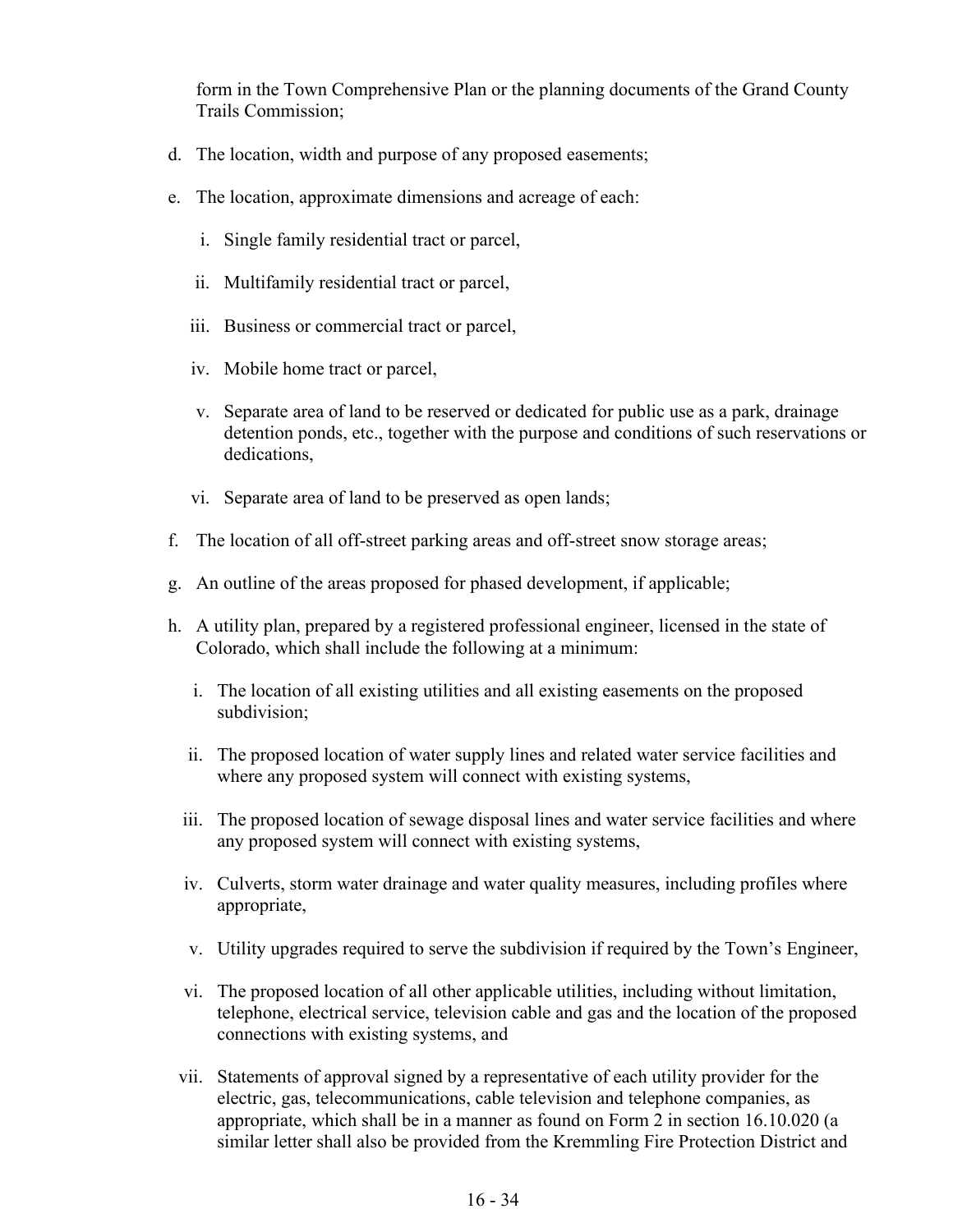form in the Town Comprehensive Plan or the planning documents of the Grand County Trails Commission;

- d. The location, width and purpose of any proposed easements;
- e. The location, approximate dimensions and acreage of each:
	- i. Single family residential tract or parcel,
	- ii. Multifamily residential tract or parcel,
	- iii. Business or commercial tract or parcel,
	- iv. Mobile home tract or parcel,
	- v. Separate area of land to be reserved or dedicated for public use as a park, drainage detention ponds, etc., together with the purpose and conditions of such reservations or dedications,
	- vi. Separate area of land to be preserved as open lands;
- f. The location of all off-street parking areas and off-street snow storage areas;
- g. An outline of the areas proposed for phased development, if applicable;
- h. A utility plan, prepared by a registered professional engineer, licensed in the state of Colorado, which shall include the following at a minimum:
	- i. The location of all existing utilities and all existing easements on the proposed subdivision;
	- ii. The proposed location of water supply lines and related water service facilities and where any proposed system will connect with existing systems,
	- iii. The proposed location of sewage disposal lines and water service facilities and where any proposed system will connect with existing systems,
	- iv. Culverts, storm water drainage and water quality measures, including profiles where appropriate,
	- v. Utility upgrades required to serve the subdivision if required by the Town's Engineer,
	- vi. The proposed location of all other applicable utilities, including without limitation, telephone, electrical service, television cable and gas and the location of the proposed connections with existing systems, and
	- vii. Statements of approval signed by a representative of each utility provider for the electric, gas, telecommunications, cable television and telephone companies, as appropriate, which shall be in a manner as found on Form 2 in section 16.10.020 (a similar letter shall also be provided from the Kremmling Fire Protection District and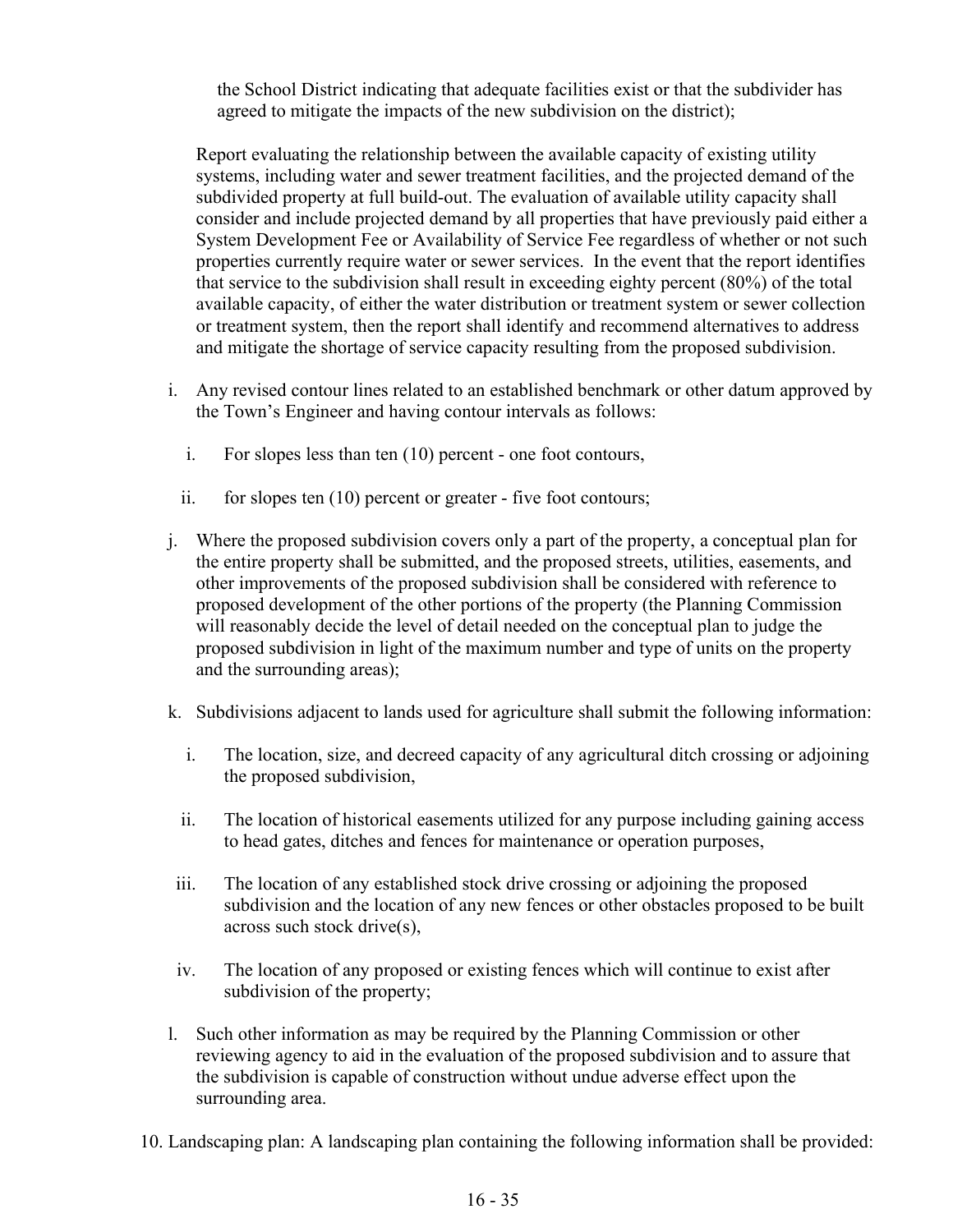the School District indicating that adequate facilities exist or that the subdivider has agreed to mitigate the impacts of the new subdivision on the district);

Report evaluating the relationship between the available capacity of existing utility systems, including water and sewer treatment facilities, and the projected demand of the subdivided property at full build-out. The evaluation of available utility capacity shall consider and include projected demand by all properties that have previously paid either a System Development Fee or Availability of Service Fee regardless of whether or not such properties currently require water or sewer services. In the event that the report identifies that service to the subdivision shall result in exceeding eighty percent (80%) of the total available capacity, of either the water distribution or treatment system or sewer collection or treatment system, then the report shall identify and recommend alternatives to address and mitigate the shortage of service capacity resulting from the proposed subdivision.

- i. Any revised contour lines related to an established benchmark or other datum approved by the Town's Engineer and having contour intervals as follows:
	- i. For slopes less than ten (10) percent one foot contours,
	- ii. for slopes ten (10) percent or greater five foot contours;
- j. Where the proposed subdivision covers only a part of the property, a conceptual plan for the entire property shall be submitted, and the proposed streets, utilities, easements, and other improvements of the proposed subdivision shall be considered with reference to proposed development of the other portions of the property (the Planning Commission will reasonably decide the level of detail needed on the conceptual plan to judge the proposed subdivision in light of the maximum number and type of units on the property and the surrounding areas);
- k. Subdivisions adjacent to lands used for agriculture shall submit the following information:
	- i. The location, size, and decreed capacity of any agricultural ditch crossing or adjoining the proposed subdivision,
	- ii. The location of historical easements utilized for any purpose including gaining access to head gates, ditches and fences for maintenance or operation purposes,
- iii. The location of any established stock drive crossing or adjoining the proposed subdivision and the location of any new fences or other obstacles proposed to be built across such stock drive(s),
- iv. The location of any proposed or existing fences which will continue to exist after subdivision of the property;
- l. Such other information as may be required by the Planning Commission or other reviewing agency to aid in the evaluation of the proposed subdivision and to assure that the subdivision is capable of construction without undue adverse effect upon the surrounding area.
- 10. Landscaping plan: A landscaping plan containing the following information shall be provided: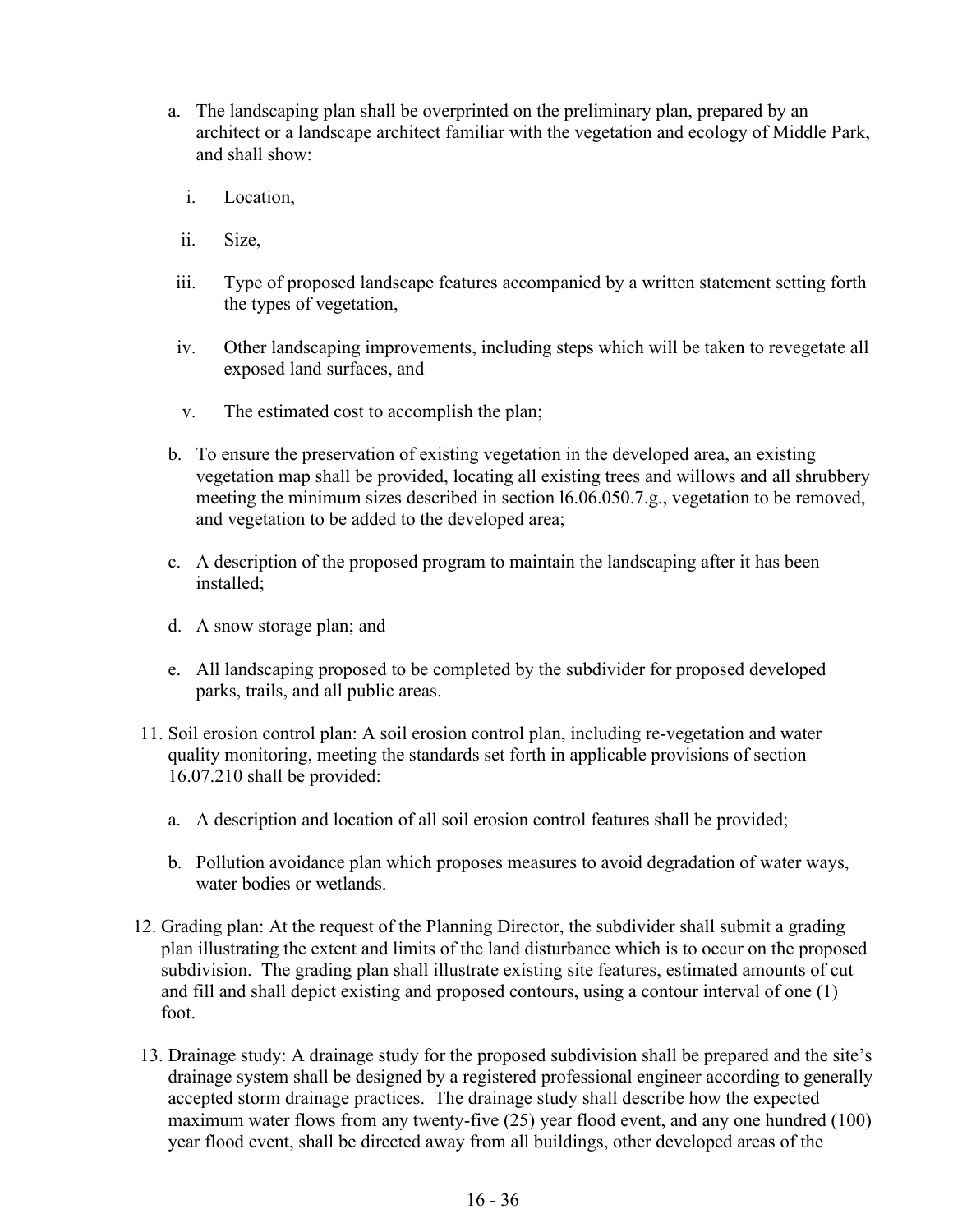- a. The landscaping plan shall be overprinted on the preliminary plan, prepared by an architect or a landscape architect familiar with the vegetation and ecology of Middle Park, and shall show:
	- i. Location,
	- ii. Size,
- iii. Type of proposed landscape features accompanied by a written statement setting forth the types of vegetation,
- iv. Other landscaping improvements, including steps which will be taken to revegetate all exposed land surfaces, and
- v. The estimated cost to accomplish the plan;
- b. To ensure the preservation of existing vegetation in the developed area, an existing vegetation map shall be provided, locating all existing trees and willows and all shrubbery meeting the minimum sizes described in section l6.06.050.7.g., vegetation to be removed, and vegetation to be added to the developed area;
- c. A description of the proposed program to maintain the landscaping after it has been installed;
- d. A snow storage plan; and
- e. All landscaping proposed to be completed by the subdivider for proposed developed parks, trails, and all public areas.
- 11. Soil erosion control plan: A soil erosion control plan, including re-vegetation and water quality monitoring, meeting the standards set forth in applicable provisions of section 16.07.210 shall be provided:
	- a. A description and location of all soil erosion control features shall be provided;
	- b. Pollution avoidance plan which proposes measures to avoid degradation of water ways, water bodies or wetlands.
- 12. Grading plan: At the request of the Planning Director, the subdivider shall submit a grading plan illustrating the extent and limits of the land disturbance which is to occur on the proposed subdivision. The grading plan shall illustrate existing site features, estimated amounts of cut and fill and shall depict existing and proposed contours, using a contour interval of one (1) foot.
- 13. Drainage study: A drainage study for the proposed subdivision shall be prepared and the site's drainage system shall be designed by a registered professional engineer according to generally accepted storm drainage practices. The drainage study shall describe how the expected maximum water flows from any twenty-five (25) year flood event, and any one hundred (100) year flood event, shall be directed away from all buildings, other developed areas of the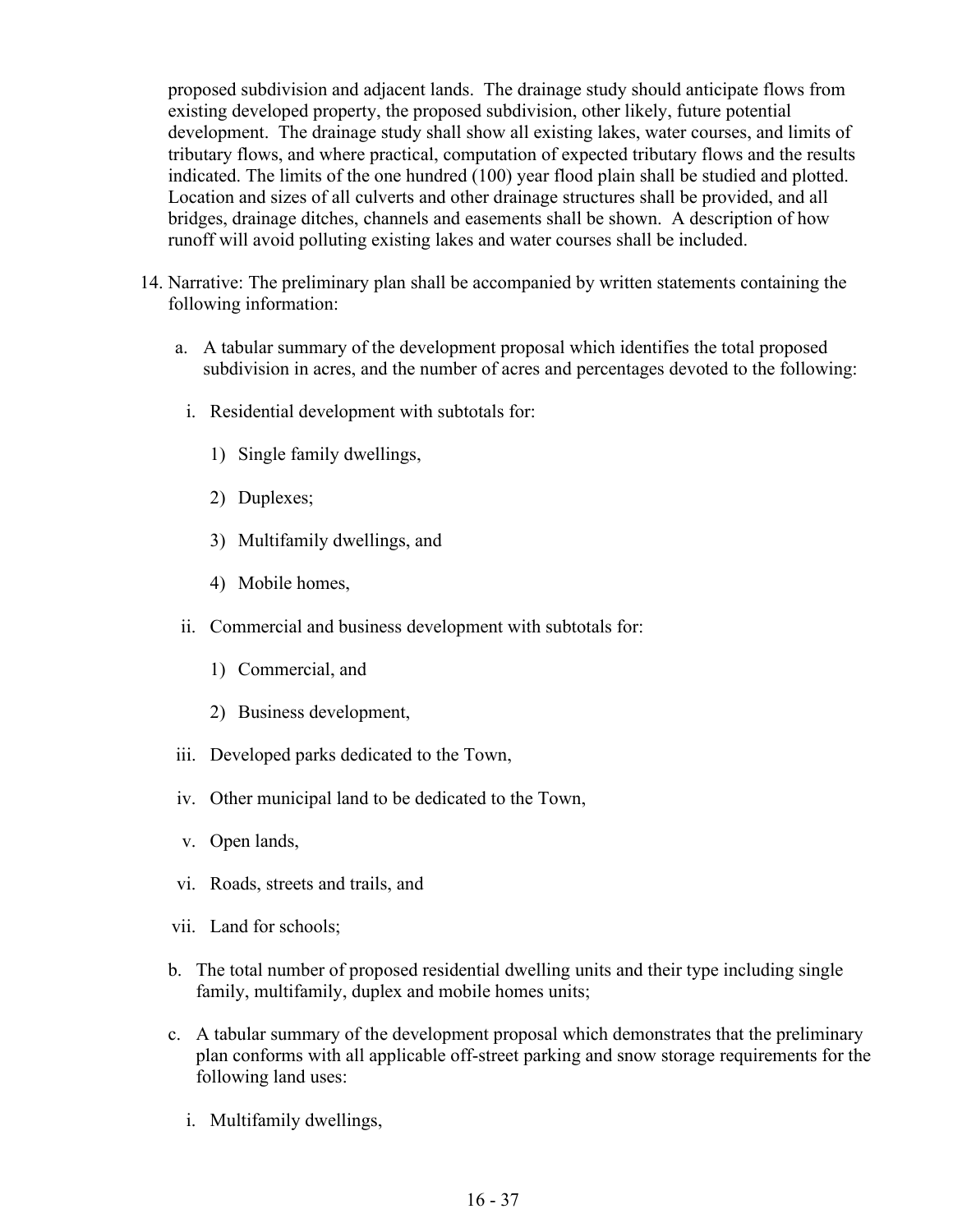proposed subdivision and adjacent lands. The drainage study should anticipate flows from existing developed property, the proposed subdivision, other likely, future potential development. The drainage study shall show all existing lakes, water courses, and limits of tributary flows, and where practical, computation of expected tributary flows and the results indicated. The limits of the one hundred (100) year flood plain shall be studied and plotted. Location and sizes of all culverts and other drainage structures shall be provided, and all bridges, drainage ditches, channels and easements shall be shown. A description of how runoff will avoid polluting existing lakes and water courses shall be included.

- 14. Narrative: The preliminary plan shall be accompanied by written statements containing the following information:
	- a. A tabular summary of the development proposal which identifies the total proposed subdivision in acres, and the number of acres and percentages devoted to the following:
		- i. Residential development with subtotals for:
			- 1) Single family dwellings,
			- 2) Duplexes;
			- 3) Multifamily dwellings, and
			- 4) Mobile homes,
	- ii. Commercial and business development with subtotals for:
		- 1) Commercial, and
		- 2) Business development,
	- iii. Developed parks dedicated to the Town,
	- iv. Other municipal land to be dedicated to the Town,
	- v. Open lands,
	- vi. Roads, streets and trails, and
	- vii. Land for schools;
	- b. The total number of proposed residential dwelling units and their type including single family, multifamily, duplex and mobile homes units;
	- c. A tabular summary of the development proposal which demonstrates that the preliminary plan conforms with all applicable off-street parking and snow storage requirements for the following land uses:
		- i. Multifamily dwellings,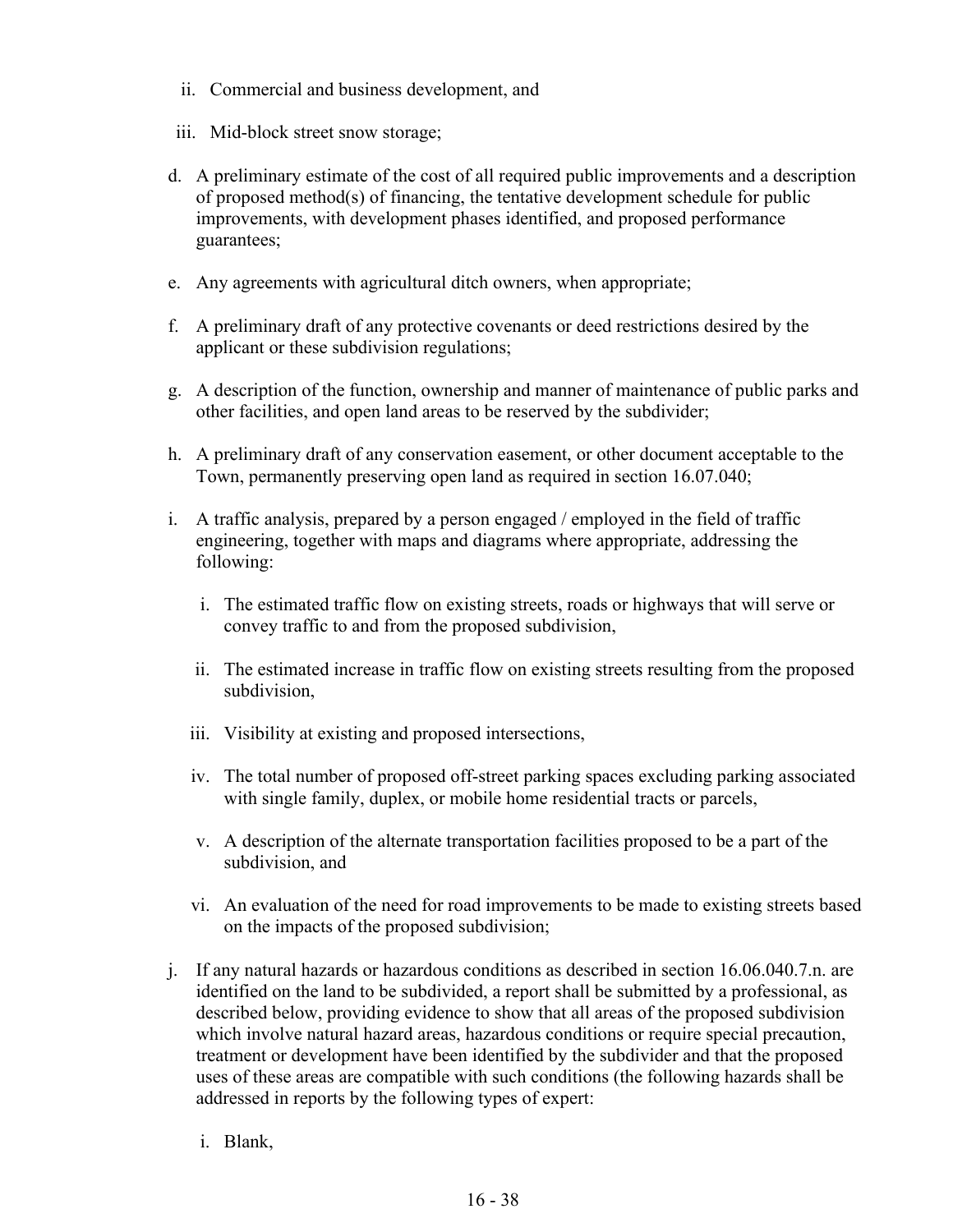- ii. Commercial and business development, and
- iii. Mid-block street snow storage;
- d. A preliminary estimate of the cost of all required public improvements and a description of proposed method(s) of financing, the tentative development schedule for public improvements, with development phases identified, and proposed performance guarantees;
- e. Any agreements with agricultural ditch owners, when appropriate;
- f. A preliminary draft of any protective covenants or deed restrictions desired by the applicant or these subdivision regulations;
- g. A description of the function, ownership and manner of maintenance of public parks and other facilities, and open land areas to be reserved by the subdivider;
- h. A preliminary draft of any conservation easement, or other document acceptable to the Town, permanently preserving open land as required in section 16.07.040;
- i. A traffic analysis, prepared by a person engaged / employed in the field of traffic engineering, together with maps and diagrams where appropriate, addressing the following:
	- i. The estimated traffic flow on existing streets, roads or highways that will serve or convey traffic to and from the proposed subdivision,
	- ii. The estimated increase in traffic flow on existing streets resulting from the proposed subdivision,
	- iii. Visibility at existing and proposed intersections,
	- iv. The total number of proposed off-street parking spaces excluding parking associated with single family, duplex, or mobile home residential tracts or parcels,
	- v. A description of the alternate transportation facilities proposed to be a part of the subdivision, and
	- vi. An evaluation of the need for road improvements to be made to existing streets based on the impacts of the proposed subdivision;
- j. If any natural hazards or hazardous conditions as described in section 16.06.040.7.n. are identified on the land to be subdivided, a report shall be submitted by a professional, as described below, providing evidence to show that all areas of the proposed subdivision which involve natural hazard areas, hazardous conditions or require special precaution, treatment or development have been identified by the subdivider and that the proposed uses of these areas are compatible with such conditions (the following hazards shall be addressed in reports by the following types of expert:
	- i. Blank,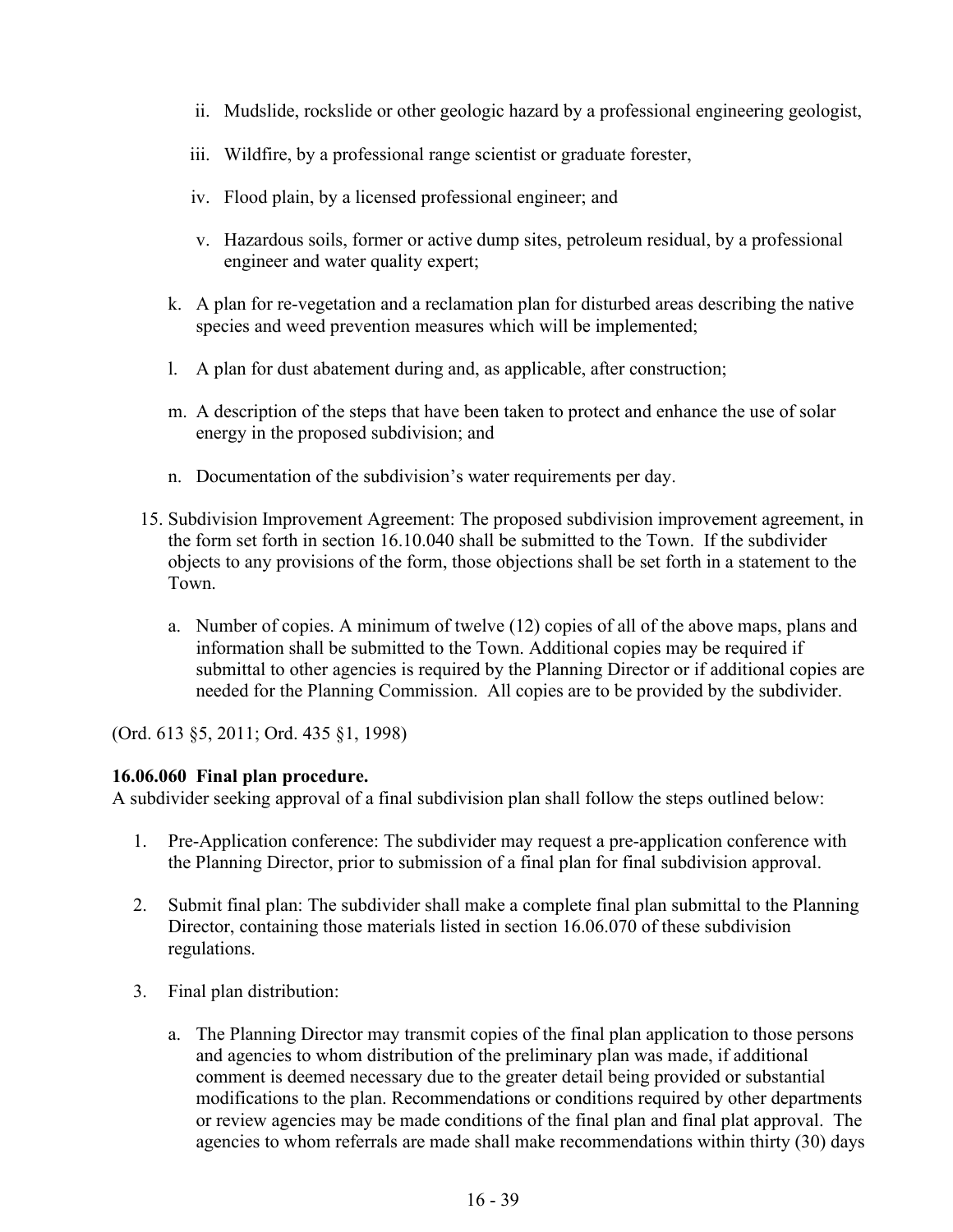- ii. Mudslide, rockslide or other geologic hazard by a professional engineering geologist,
- iii. Wildfire, by a professional range scientist or graduate forester,
- iv. Flood plain, by a licensed professional engineer; and
- v. Hazardous soils, former or active dump sites, petroleum residual, by a professional engineer and water quality expert;
- k. A plan for re-vegetation and a reclamation plan for disturbed areas describing the native species and weed prevention measures which will be implemented;
- l. A plan for dust abatement during and, as applicable, after construction;
- m. A description of the steps that have been taken to protect and enhance the use of solar energy in the proposed subdivision; and
- n. Documentation of the subdivision's water requirements per day.
- 15. Subdivision Improvement Agreement: The proposed subdivision improvement agreement, in the form set forth in section 16.10.040 shall be submitted to the Town. If the subdivider objects to any provisions of the form, those objections shall be set forth in a statement to the Town.
	- a. Number of copies. A minimum of twelve (12) copies of all of the above maps, plans and information shall be submitted to the Town. Additional copies may be required if submittal to other agencies is required by the Planning Director or if additional copies are needed for the Planning Commission. All copies are to be provided by the subdivider.

(Ord. 613 §5, 2011; Ord. 435 §1, 1998)

#### **16.06.060 Final plan procedure.**

A subdivider seeking approval of a final subdivision plan shall follow the steps outlined below:

- 1. Pre-Application conference: The subdivider may request a pre-application conference with the Planning Director, prior to submission of a final plan for final subdivision approval.
- 2. Submit final plan: The subdivider shall make a complete final plan submittal to the Planning Director, containing those materials listed in section 16.06.070 of these subdivision regulations.
- 3. Final plan distribution:
	- a. The Planning Director may transmit copies of the final plan application to those persons and agencies to whom distribution of the preliminary plan was made, if additional comment is deemed necessary due to the greater detail being provided or substantial modifications to the plan. Recommendations or conditions required by other departments or review agencies may be made conditions of the final plan and final plat approval. The agencies to whom referrals are made shall make recommendations within thirty (30) days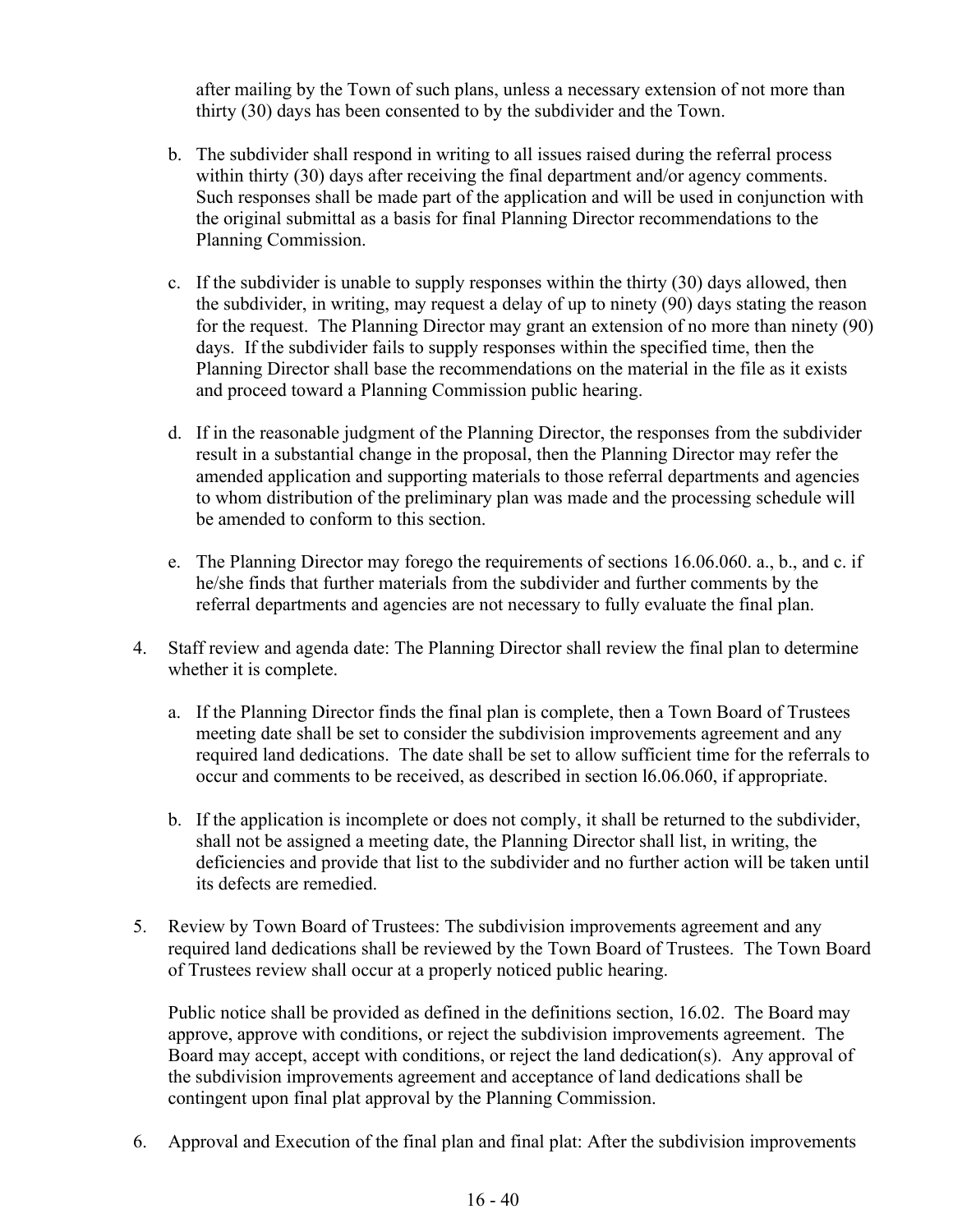after mailing by the Town of such plans, unless a necessary extension of not more than thirty (30) days has been consented to by the subdivider and the Town.

- b. The subdivider shall respond in writing to all issues raised during the referral process within thirty (30) days after receiving the final department and/or agency comments. Such responses shall be made part of the application and will be used in conjunction with the original submittal as a basis for final Planning Director recommendations to the Planning Commission.
- c. If the subdivider is unable to supply responses within the thirty (30) days allowed, then the subdivider, in writing, may request a delay of up to ninety (90) days stating the reason for the request. The Planning Director may grant an extension of no more than ninety (90) days. If the subdivider fails to supply responses within the specified time, then the Planning Director shall base the recommendations on the material in the file as it exists and proceed toward a Planning Commission public hearing.
- d. If in the reasonable judgment of the Planning Director, the responses from the subdivider result in a substantial change in the proposal, then the Planning Director may refer the amended application and supporting materials to those referral departments and agencies to whom distribution of the preliminary plan was made and the processing schedule will be amended to conform to this section.
- e. The Planning Director may forego the requirements of sections 16.06.060. a., b., and c. if he/she finds that further materials from the subdivider and further comments by the referral departments and agencies are not necessary to fully evaluate the final plan.
- 4. Staff review and agenda date: The Planning Director shall review the final plan to determine whether it is complete.
	- a. If the Planning Director finds the final plan is complete, then a Town Board of Trustees meeting date shall be set to consider the subdivision improvements agreement and any required land dedications. The date shall be set to allow sufficient time for the referrals to occur and comments to be received, as described in section l6.06.060, if appropriate.
	- b. If the application is incomplete or does not comply, it shall be returned to the subdivider, shall not be assigned a meeting date, the Planning Director shall list, in writing, the deficiencies and provide that list to the subdivider and no further action will be taken until its defects are remedied.
- 5. Review by Town Board of Trustees: The subdivision improvements agreement and any required land dedications shall be reviewed by the Town Board of Trustees. The Town Board of Trustees review shall occur at a properly noticed public hearing.

Public notice shall be provided as defined in the definitions section, 16.02. The Board may approve, approve with conditions, or reject the subdivision improvements agreement. The Board may accept, accept with conditions, or reject the land dedication(s). Any approval of the subdivision improvements agreement and acceptance of land dedications shall be contingent upon final plat approval by the Planning Commission.

6. Approval and Execution of the final plan and final plat: After the subdivision improvements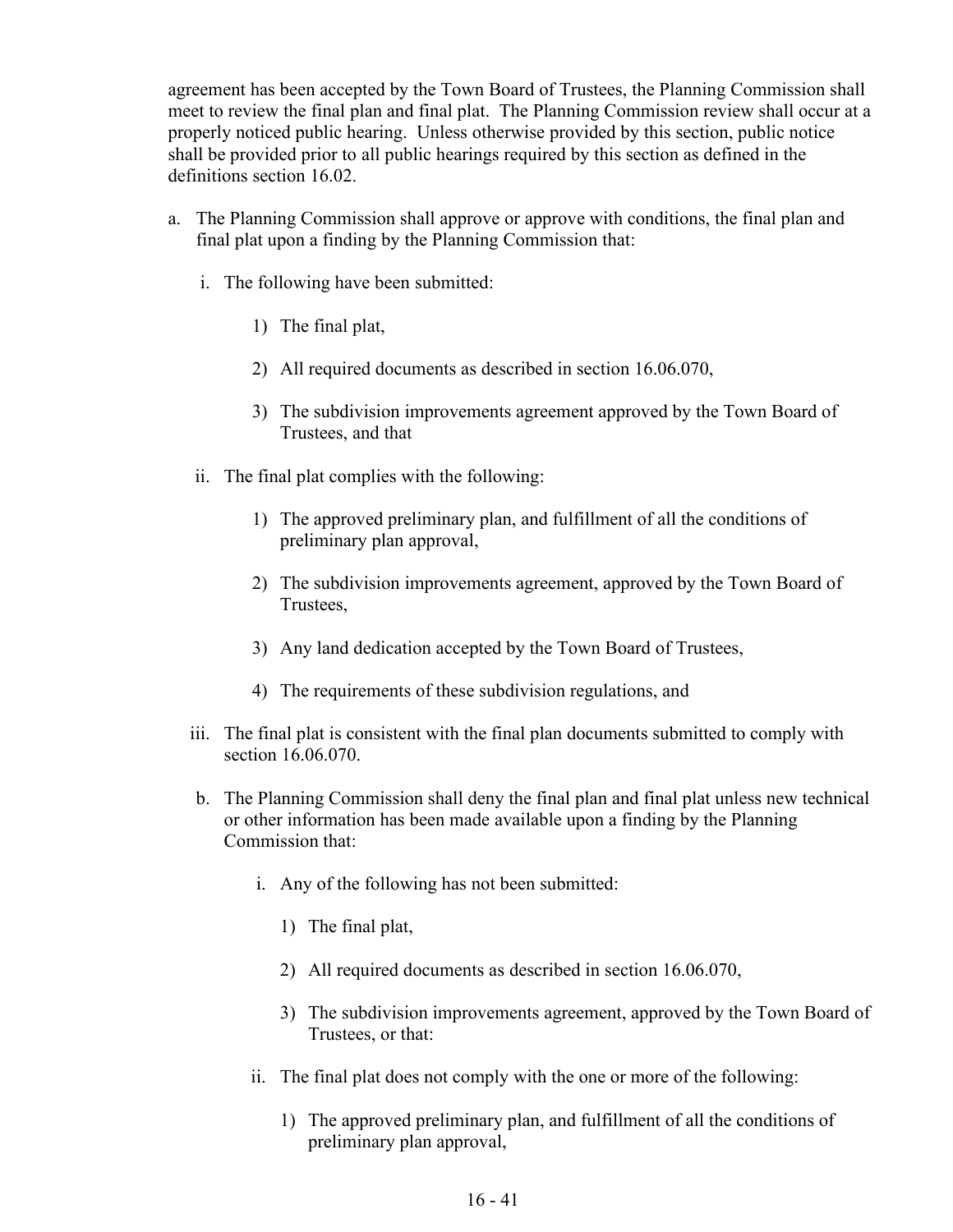agreement has been accepted by the Town Board of Trustees, the Planning Commission shall meet to review the final plan and final plat. The Planning Commission review shall occur at a properly noticed public hearing. Unless otherwise provided by this section, public notice shall be provided prior to all public hearings required by this section as defined in the definitions section 16.02.

- a. The Planning Commission shall approve or approve with conditions, the final plan and final plat upon a finding by the Planning Commission that:
	- i. The following have been submitted:
		- 1) The final plat,
		- 2) All required documents as described in section 16.06.070,
		- 3) The subdivision improvements agreement approved by the Town Board of Trustees, and that
	- ii. The final plat complies with the following:
		- 1) The approved preliminary plan, and fulfillment of all the conditions of preliminary plan approval,
		- 2) The subdivision improvements agreement, approved by the Town Board of Trustees,
		- 3) Any land dedication accepted by the Town Board of Trustees,
		- 4) The requirements of these subdivision regulations, and
	- iii. The final plat is consistent with the final plan documents submitted to comply with section 16.06.070.
	- b. The Planning Commission shall deny the final plan and final plat unless new technical or other information has been made available upon a finding by the Planning Commission that:
		- i. Any of the following has not been submitted:
			- 1) The final plat,
			- 2) All required documents as described in section 16.06.070,
			- 3) The subdivision improvements agreement, approved by the Town Board of Trustees, or that:
		- ii. The final plat does not comply with the one or more of the following:
			- 1) The approved preliminary plan, and fulfillment of all the conditions of preliminary plan approval,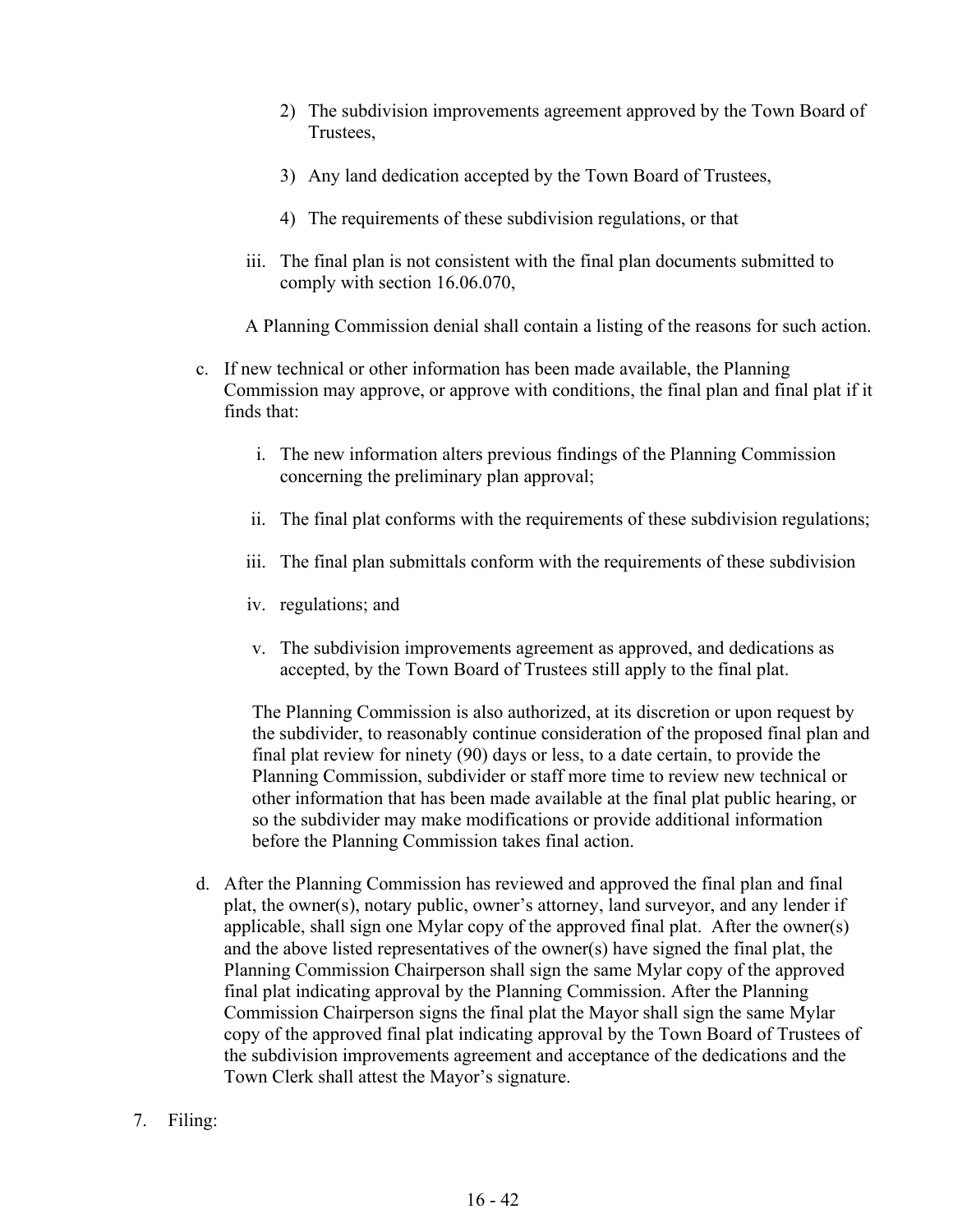- 2) The subdivision improvements agreement approved by the Town Board of Trustees,
- 3) Any land dedication accepted by the Town Board of Trustees,
- 4) The requirements of these subdivision regulations, or that
- iii. The final plan is not consistent with the final plan documents submitted to comply with section 16.06.070,

A Planning Commission denial shall contain a listing of the reasons for such action.

- c. If new technical or other information has been made available, the Planning Commission may approve, or approve with conditions, the final plan and final plat if it finds that:
	- i. The new information alters previous findings of the Planning Commission concerning the preliminary plan approval;
	- ii. The final plat conforms with the requirements of these subdivision regulations;
	- iii. The final plan submittals conform with the requirements of these subdivision
	- iv. regulations; and
	- v. The subdivision improvements agreement as approved, and dedications as accepted, by the Town Board of Trustees still apply to the final plat.

The Planning Commission is also authorized, at its discretion or upon request by the subdivider, to reasonably continue consideration of the proposed final plan and final plat review for ninety (90) days or less, to a date certain, to provide the Planning Commission, subdivider or staff more time to review new technical or other information that has been made available at the final plat public hearing, or so the subdivider may make modifications or provide additional information before the Planning Commission takes final action.

- d. After the Planning Commission has reviewed and approved the final plan and final plat, the owner $(s)$ , notary public, owner's attorney, land surveyor, and any lender if applicable, shall sign one Mylar copy of the approved final plat. After the owner(s) and the above listed representatives of the owner(s) have signed the final plat, the Planning Commission Chairperson shall sign the same Mylar copy of the approved final plat indicating approval by the Planning Commission. After the Planning Commission Chairperson signs the final plat the Mayor shall sign the same Mylar copy of the approved final plat indicating approval by the Town Board of Trustees of the subdivision improvements agreement and acceptance of the dedications and the Town Clerk shall attest the Mayor's signature.
- 7. Filing: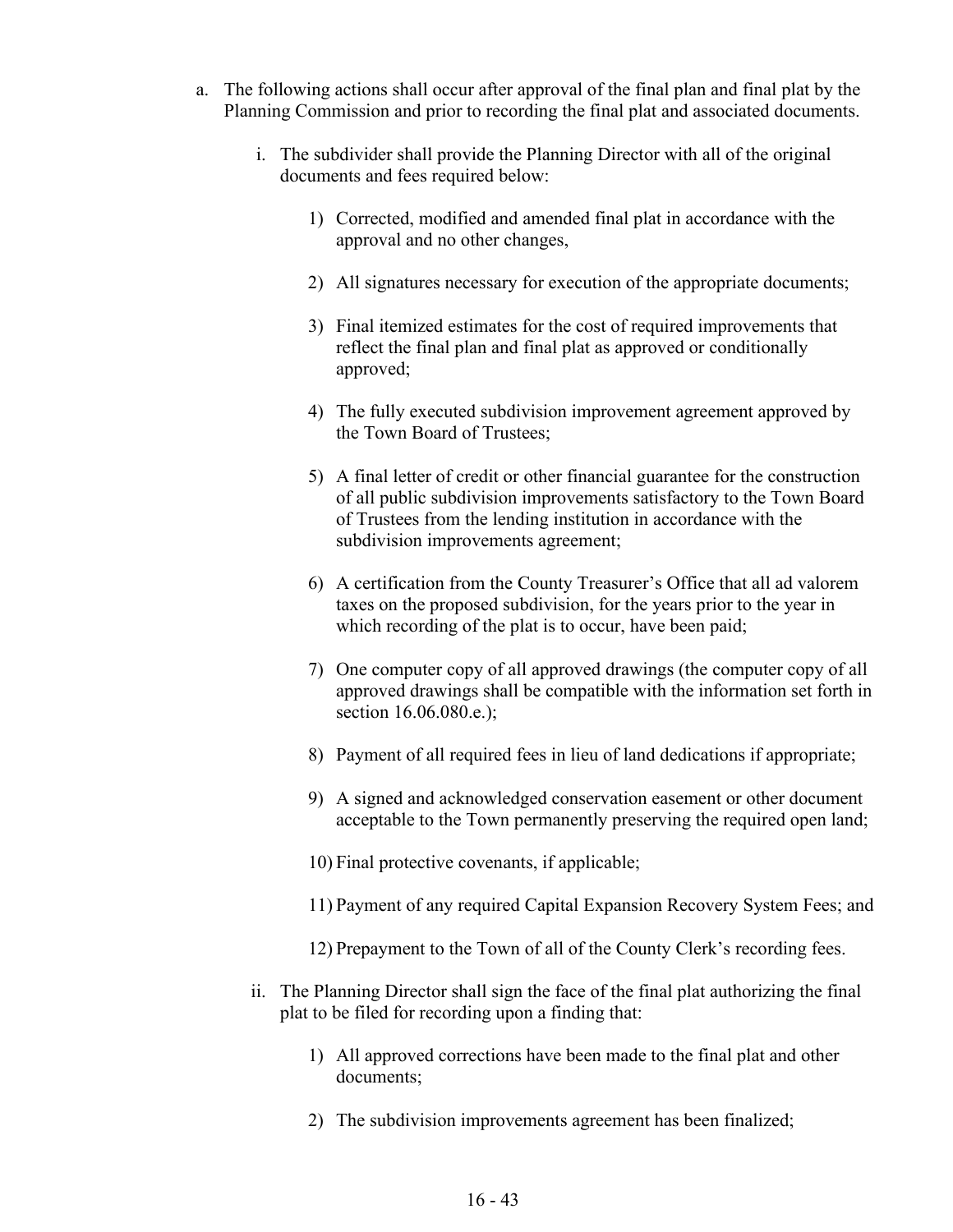- a. The following actions shall occur after approval of the final plan and final plat by the Planning Commission and prior to recording the final plat and associated documents.
	- i. The subdivider shall provide the Planning Director with all of the original documents and fees required below:
		- 1) Corrected, modified and amended final plat in accordance with the approval and no other changes,
		- 2) All signatures necessary for execution of the appropriate documents;
		- 3) Final itemized estimates for the cost of required improvements that reflect the final plan and final plat as approved or conditionally approved;
		- 4) The fully executed subdivision improvement agreement approved by the Town Board of Trustees;
		- 5) A final letter of credit or other financial guarantee for the construction of all public subdivision improvements satisfactory to the Town Board of Trustees from the lending institution in accordance with the subdivision improvements agreement;
		- 6) A certification from the County Treasurer's Office that all ad valorem taxes on the proposed subdivision, for the years prior to the year in which recording of the plat is to occur, have been paid;
		- 7) One computer copy of all approved drawings (the computer copy of all approved drawings shall be compatible with the information set forth in section 16.06.080.e.);
		- 8) Payment of all required fees in lieu of land dedications if appropriate;
		- 9) A signed and acknowledged conservation easement or other document acceptable to the Town permanently preserving the required open land;
		- 10) Final protective covenants, if applicable;
		- 11) Payment of any required Capital Expansion Recovery System Fees; and
		- 12) Prepayment to the Town of all of the County Clerk's recording fees.
	- ii. The Planning Director shall sign the face of the final plat authorizing the final plat to be filed for recording upon a finding that:
		- 1) All approved corrections have been made to the final plat and other documents;
		- 2) The subdivision improvements agreement has been finalized;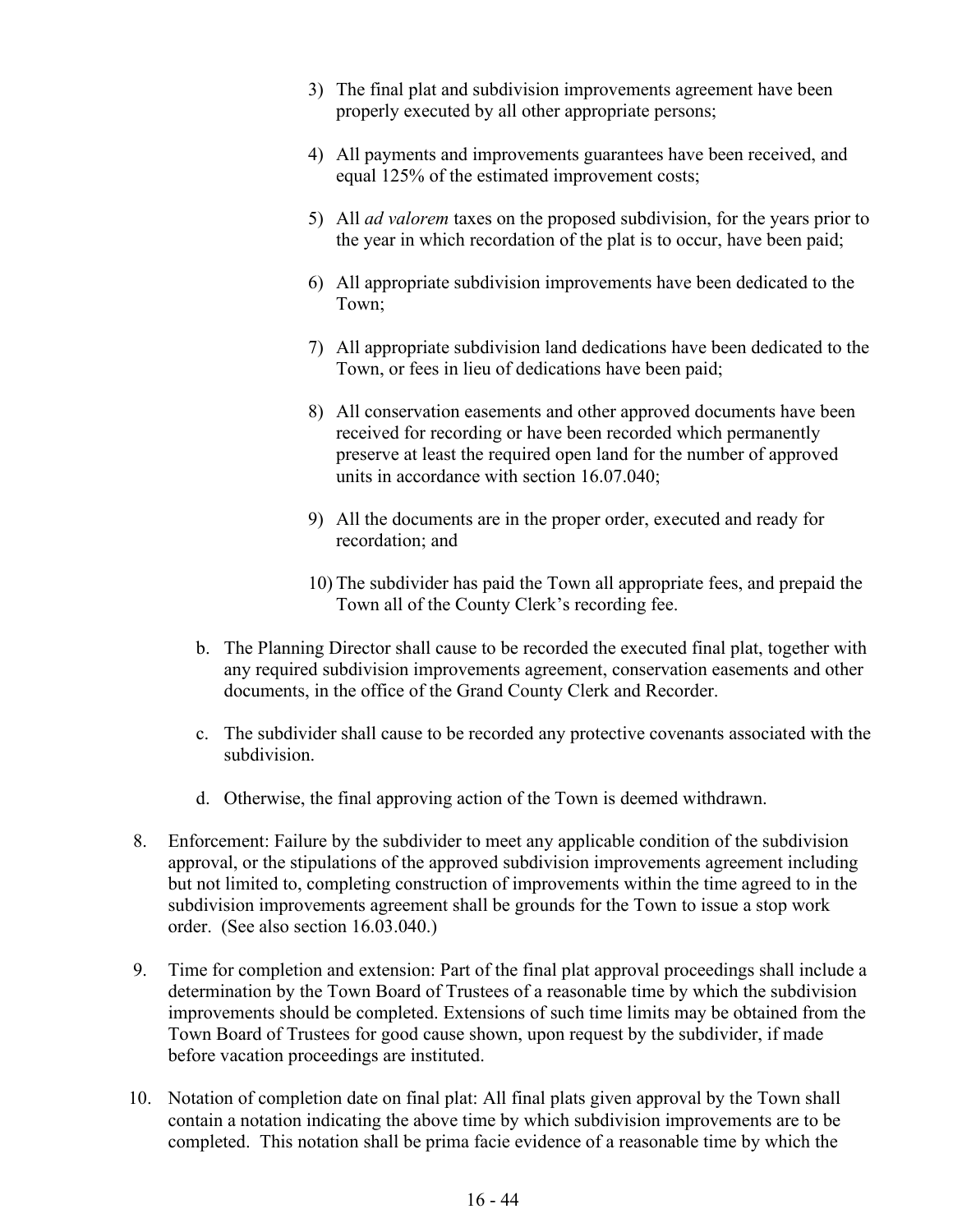- 3) The final plat and subdivision improvements agreement have been properly executed by all other appropriate persons;
- 4) All payments and improvements guarantees have been received, and equal 125% of the estimated improvement costs;
- 5) All *ad valorem* taxes on the proposed subdivision, for the years prior to the year in which recordation of the plat is to occur, have been paid;
- 6) All appropriate subdivision improvements have been dedicated to the Town;
- 7) All appropriate subdivision land dedications have been dedicated to the Town, or fees in lieu of dedications have been paid;
- 8) All conservation easements and other approved documents have been received for recording or have been recorded which permanently preserve at least the required open land for the number of approved units in accordance with section 16.07.040;
- 9) All the documents are in the proper order, executed and ready for recordation; and
- 10) The subdivider has paid the Town all appropriate fees, and prepaid the Town all of the County Clerk's recording fee.
- b. The Planning Director shall cause to be recorded the executed final plat, together with any required subdivision improvements agreement, conservation easements and other documents, in the office of the Grand County Clerk and Recorder.
- c. The subdivider shall cause to be recorded any protective covenants associated with the subdivision.
- d. Otherwise, the final approving action of the Town is deemed withdrawn.
- 8. Enforcement: Failure by the subdivider to meet any applicable condition of the subdivision approval, or the stipulations of the approved subdivision improvements agreement including but not limited to, completing construction of improvements within the time agreed to in the subdivision improvements agreement shall be grounds for the Town to issue a stop work order. (See also section 16.03.040.)
- 9. Time for completion and extension: Part of the final plat approval proceedings shall include a determination by the Town Board of Trustees of a reasonable time by which the subdivision improvements should be completed. Extensions of such time limits may be obtained from the Town Board of Trustees for good cause shown, upon request by the subdivider, if made before vacation proceedings are instituted.
- 10. Notation of completion date on final plat: All final plats given approval by the Town shall contain a notation indicating the above time by which subdivision improvements are to be completed. This notation shall be prima facie evidence of a reasonable time by which the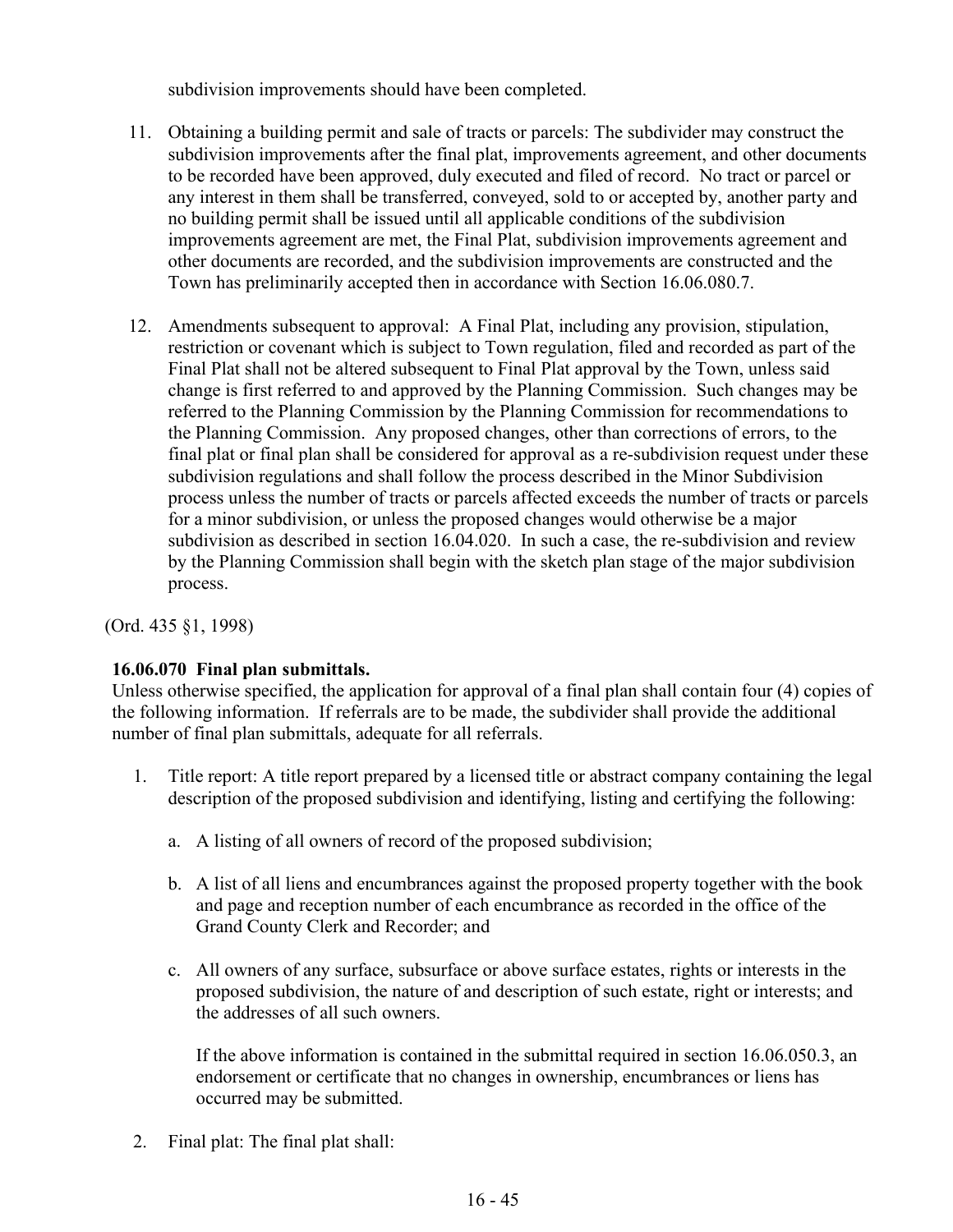subdivision improvements should have been completed.

- 11. Obtaining a building permit and sale of tracts or parcels: The subdivider may construct the subdivision improvements after the final plat, improvements agreement, and other documents to be recorded have been approved, duly executed and filed of record. No tract or parcel or any interest in them shall be transferred, conveyed, sold to or accepted by, another party and no building permit shall be issued until all applicable conditions of the subdivision improvements agreement are met, the Final Plat, subdivision improvements agreement and other documents are recorded, and the subdivision improvements are constructed and the Town has preliminarily accepted then in accordance with Section 16.06.080.7.
- 12. Amendments subsequent to approval: A Final Plat, including any provision, stipulation, restriction or covenant which is subject to Town regulation, filed and recorded as part of the Final Plat shall not be altered subsequent to Final Plat approval by the Town, unless said change is first referred to and approved by the Planning Commission. Such changes may be referred to the Planning Commission by the Planning Commission for recommendations to the Planning Commission. Any proposed changes, other than corrections of errors, to the final plat or final plan shall be considered for approval as a re-subdivision request under these subdivision regulations and shall follow the process described in the Minor Subdivision process unless the number of tracts or parcels affected exceeds the number of tracts or parcels for a minor subdivision, or unless the proposed changes would otherwise be a major subdivision as described in section 16.04.020. In such a case, the re-subdivision and review by the Planning Commission shall begin with the sketch plan stage of the major subdivision process.

(Ord. 435 §1, 1998)

### **16.06.070 Final plan submittals.**

Unless otherwise specified, the application for approval of a final plan shall contain four (4) copies of the following information. If referrals are to be made, the subdivider shall provide the additional number of final plan submittals, adequate for all referrals.

- 1. Title report: A title report prepared by a licensed title or abstract company containing the legal description of the proposed subdivision and identifying, listing and certifying the following:
	- a. A listing of all owners of record of the proposed subdivision;
	- b. A list of all liens and encumbrances against the proposed property together with the book and page and reception number of each encumbrance as recorded in the office of the Grand County Clerk and Recorder; and
	- c. All owners of any surface, subsurface or above surface estates, rights or interests in the proposed subdivision, the nature of and description of such estate, right or interests; and the addresses of all such owners.

If the above information is contained in the submittal required in section 16.06.050.3, an endorsement or certificate that no changes in ownership, encumbrances or liens has occurred may be submitted.

2. Final plat: The final plat shall: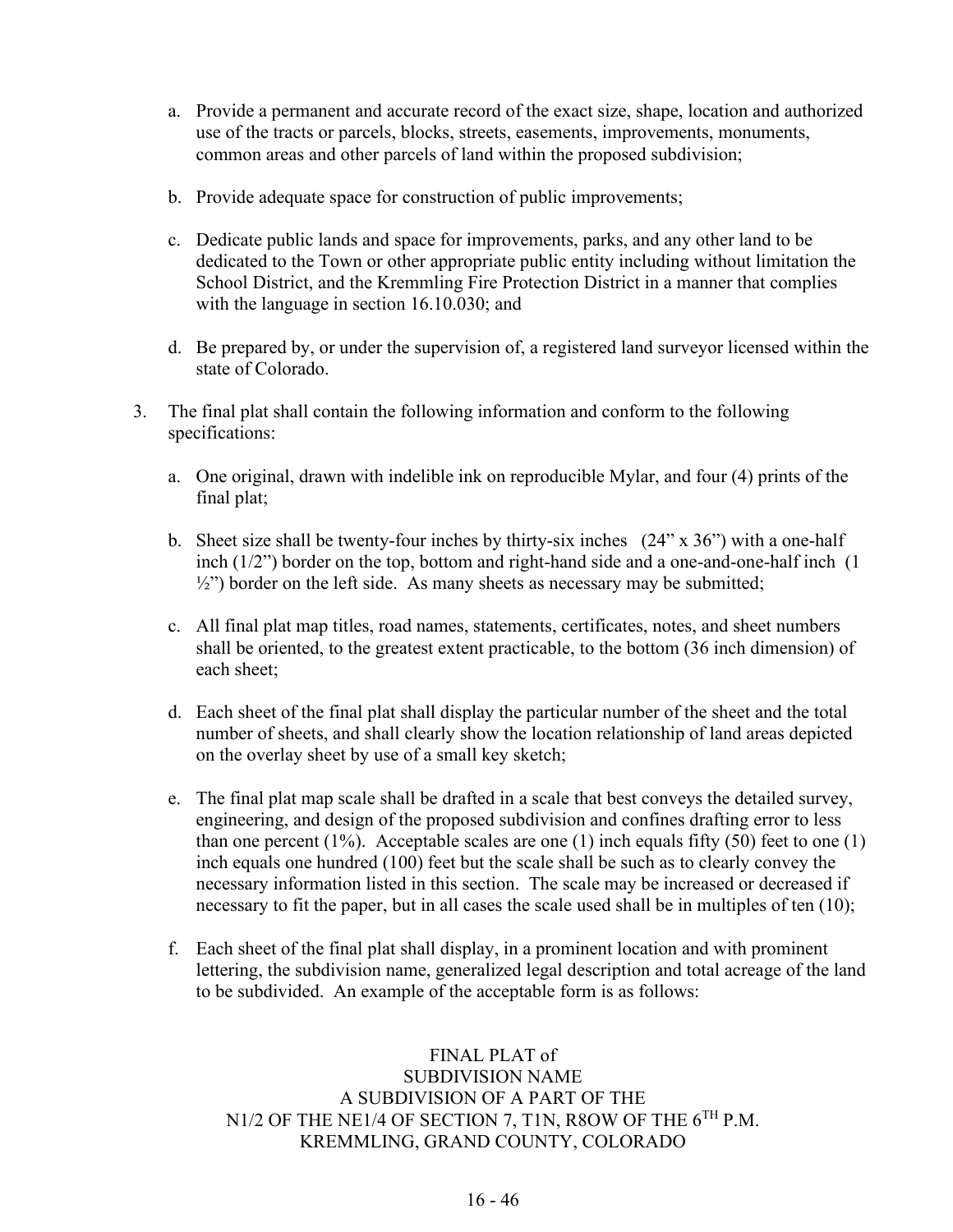- a. Provide a permanent and accurate record of the exact size, shape, location and authorized use of the tracts or parcels, blocks, streets, easements, improvements, monuments, common areas and other parcels of land within the proposed subdivision;
- b. Provide adequate space for construction of public improvements;
- c. Dedicate public lands and space for improvements, parks, and any other land to be dedicated to the Town or other appropriate public entity including without limitation the School District, and the Kremmling Fire Protection District in a manner that complies with the language in section 16.10.030; and
- d. Be prepared by, or under the supervision of, a registered land surveyor licensed within the state of Colorado.
- 3. The final plat shall contain the following information and conform to the following specifications:
	- a. One original, drawn with indelible ink on reproducible Mylar, and four (4) prints of the final plat;
	- b. Sheet size shall be twenty-four inches by thirty-six inches  $(24" \times 36")$  with a one-half inch (1/2") border on the top, bottom and right-hand side and a one-and-one-half inch (1  $\frac{1}{2}$ ") border on the left side. As many sheets as necessary may be submitted;
	- c. All final plat map titles, road names, statements, certificates, notes, and sheet numbers shall be oriented, to the greatest extent practicable, to the bottom (36 inch dimension) of each sheet;
	- d. Each sheet of the final plat shall display the particular number of the sheet and the total number of sheets, and shall clearly show the location relationship of land areas depicted on the overlay sheet by use of a small key sketch;
	- e. The final plat map scale shall be drafted in a scale that best conveys the detailed survey, engineering, and design of the proposed subdivision and confines drafting error to less than one percent  $(1\%)$ . Acceptable scales are one  $(1)$  inch equals fifty  $(50)$  feet to one  $(1)$ inch equals one hundred (100) feet but the scale shall be such as to clearly convey the necessary information listed in this section. The scale may be increased or decreased if necessary to fit the paper, but in all cases the scale used shall be in multiples of ten (10);
	- f. Each sheet of the final plat shall display, in a prominent location and with prominent lettering, the subdivision name, generalized legal description and total acreage of the land to be subdivided. An example of the acceptable form is as follows:

## FINAL PLAT of SUBDIVISION NAME A SUBDIVISION OF A PART OF THE N1/2 OF THE NE1/4 OF SECTION 7, T1N, R8OW OF THE 6<sup>TH</sup> P.M. KREMMLING, GRAND COUNTY, COLORADO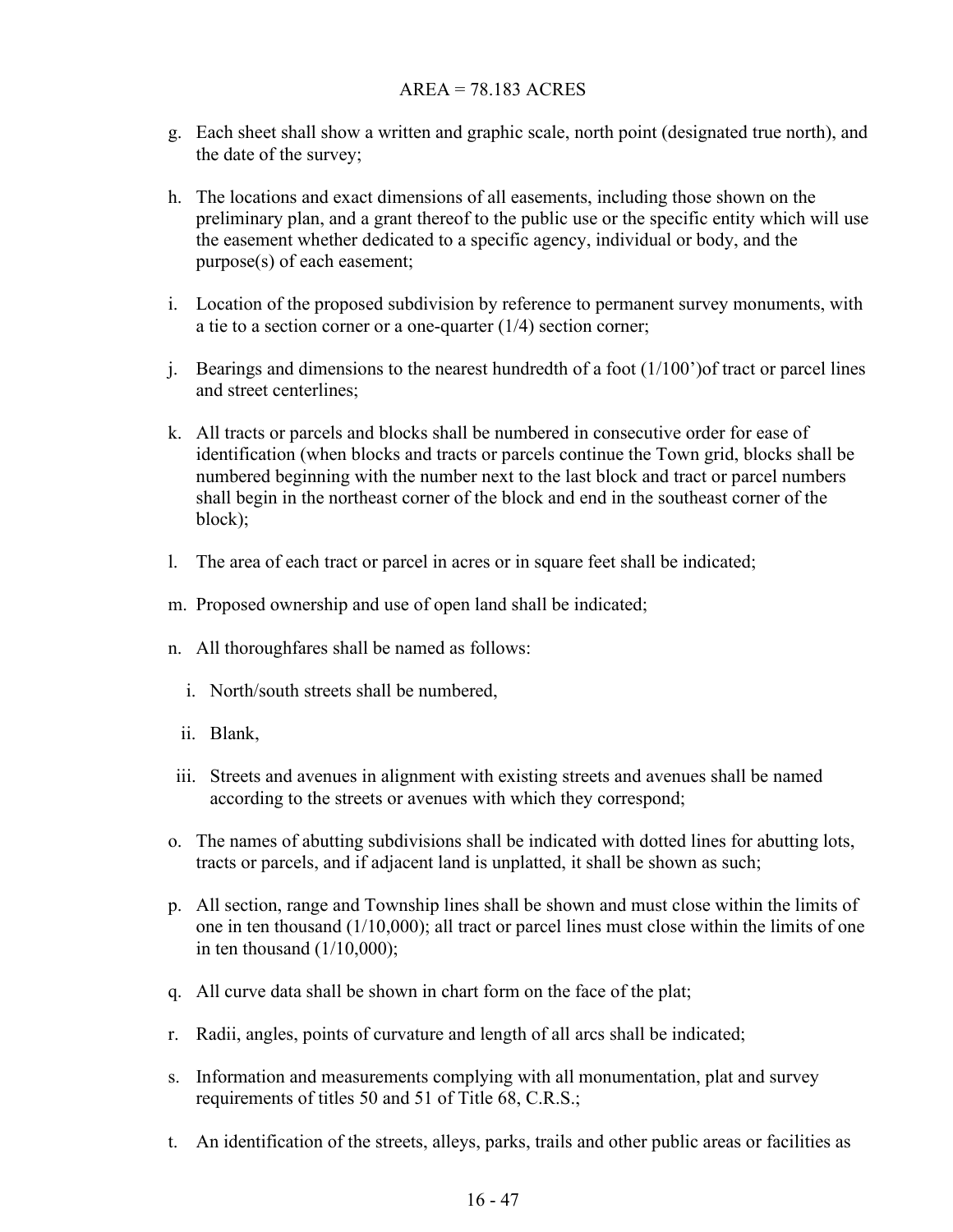#### AREA = 78.183 ACRES

- g. Each sheet shall show a written and graphic scale, north point (designated true north), and the date of the survey;
- h. The locations and exact dimensions of all easements, including those shown on the preliminary plan, and a grant thereof to the public use or the specific entity which will use the easement whether dedicated to a specific agency, individual or body, and the purpose(s) of each easement;
- i. Location of the proposed subdivision by reference to permanent survey monuments, with a tie to a section corner or a one-quarter  $(1/4)$  section corner;
- j. Bearings and dimensions to the nearest hundredth of a foot  $(1/100')$  of tract or parcel lines and street centerlines;
- k. All tracts or parcels and blocks shall be numbered in consecutive order for ease of identification (when blocks and tracts or parcels continue the Town grid, blocks shall be numbered beginning with the number next to the last block and tract or parcel numbers shall begin in the northeast corner of the block and end in the southeast corner of the block);
- l. The area of each tract or parcel in acres or in square feet shall be indicated;
- m. Proposed ownership and use of open land shall be indicated;
- n. All thoroughfares shall be named as follows:
	- i. North/south streets shall be numbered,
	- ii. Blank,
- iii. Streets and avenues in alignment with existing streets and avenues shall be named according to the streets or avenues with which they correspond;
- o. The names of abutting subdivisions shall be indicated with dotted lines for abutting lots, tracts or parcels, and if adjacent land is unplatted, it shall be shown as such;
- p. All section, range and Township lines shall be shown and must close within the limits of one in ten thousand (1/10,000); all tract or parcel lines must close within the limits of one in ten thousand  $(1/10,000)$ ;
- q. All curve data shall be shown in chart form on the face of the plat;
- r. Radii, angles, points of curvature and length of all arcs shall be indicated;
- s. Information and measurements complying with all monumentation, plat and survey requirements of titles 50 and 51 of Title 68, C.R.S.;
- t. An identification of the streets, alleys, parks, trails and other public areas or facilities as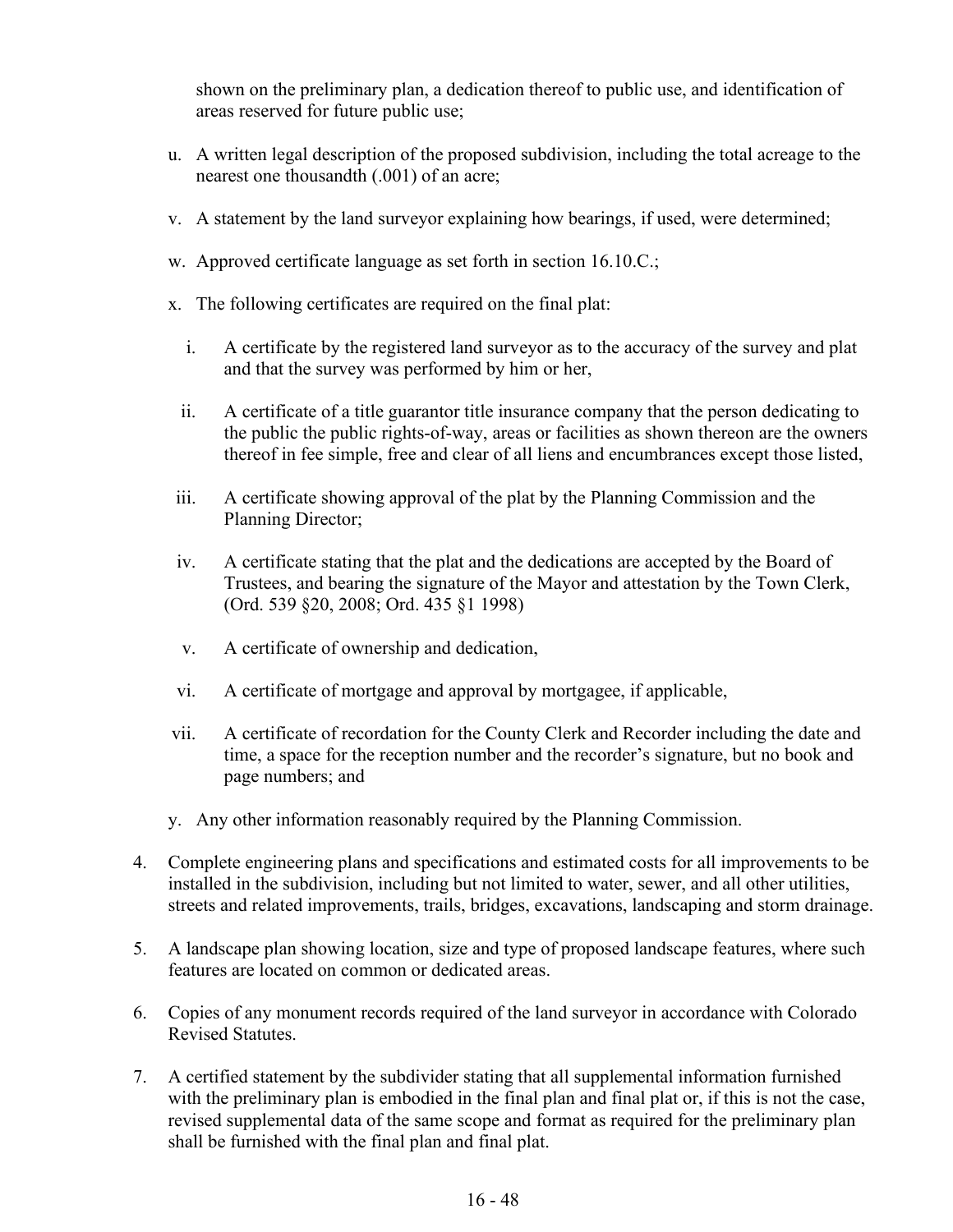shown on the preliminary plan, a dedication thereof to public use, and identification of areas reserved for future public use;

- u. A written legal description of the proposed subdivision, including the total acreage to the nearest one thousandth (.001) of an acre;
- v. A statement by the land surveyor explaining how bearings, if used, were determined;
- w. Approved certificate language as set forth in section 16.10.C.;
- x. The following certificates are required on the final plat:
	- i. A certificate by the registered land surveyor as to the accuracy of the survey and plat and that the survey was performed by him or her,
	- ii. A certificate of a title guarantor title insurance company that the person dedicating to the public the public rights-of-way, areas or facilities as shown thereon are the owners thereof in fee simple, free and clear of all liens and encumbrances except those listed,
- iii. A certificate showing approval of the plat by the Planning Commission and the Planning Director;
- iv. A certificate stating that the plat and the dedications are accepted by the Board of Trustees, and bearing the signature of the Mayor and attestation by the Town Clerk, (Ord. 539 §20, 2008; Ord. 435 §1 1998)
- v. A certificate of ownership and dedication,
- vi. A certificate of mortgage and approval by mortgagee, if applicable,
- vii. A certificate of recordation for the County Clerk and Recorder including the date and time, a space for the reception number and the recorder's signature, but no book and page numbers; and
- y. Any other information reasonably required by the Planning Commission.
- 4. Complete engineering plans and specifications and estimated costs for all improvements to be installed in the subdivision, including but not limited to water, sewer, and all other utilities, streets and related improvements, trails, bridges, excavations, landscaping and storm drainage.
- 5. A landscape plan showing location, size and type of proposed landscape features, where such features are located on common or dedicated areas.
- 6. Copies of any monument records required of the land surveyor in accordance with Colorado Revised Statutes.
- 7. A certified statement by the subdivider stating that all supplemental information furnished with the preliminary plan is embodied in the final plan and final plat or, if this is not the case, revised supplemental data of the same scope and format as required for the preliminary plan shall be furnished with the final plan and final plat.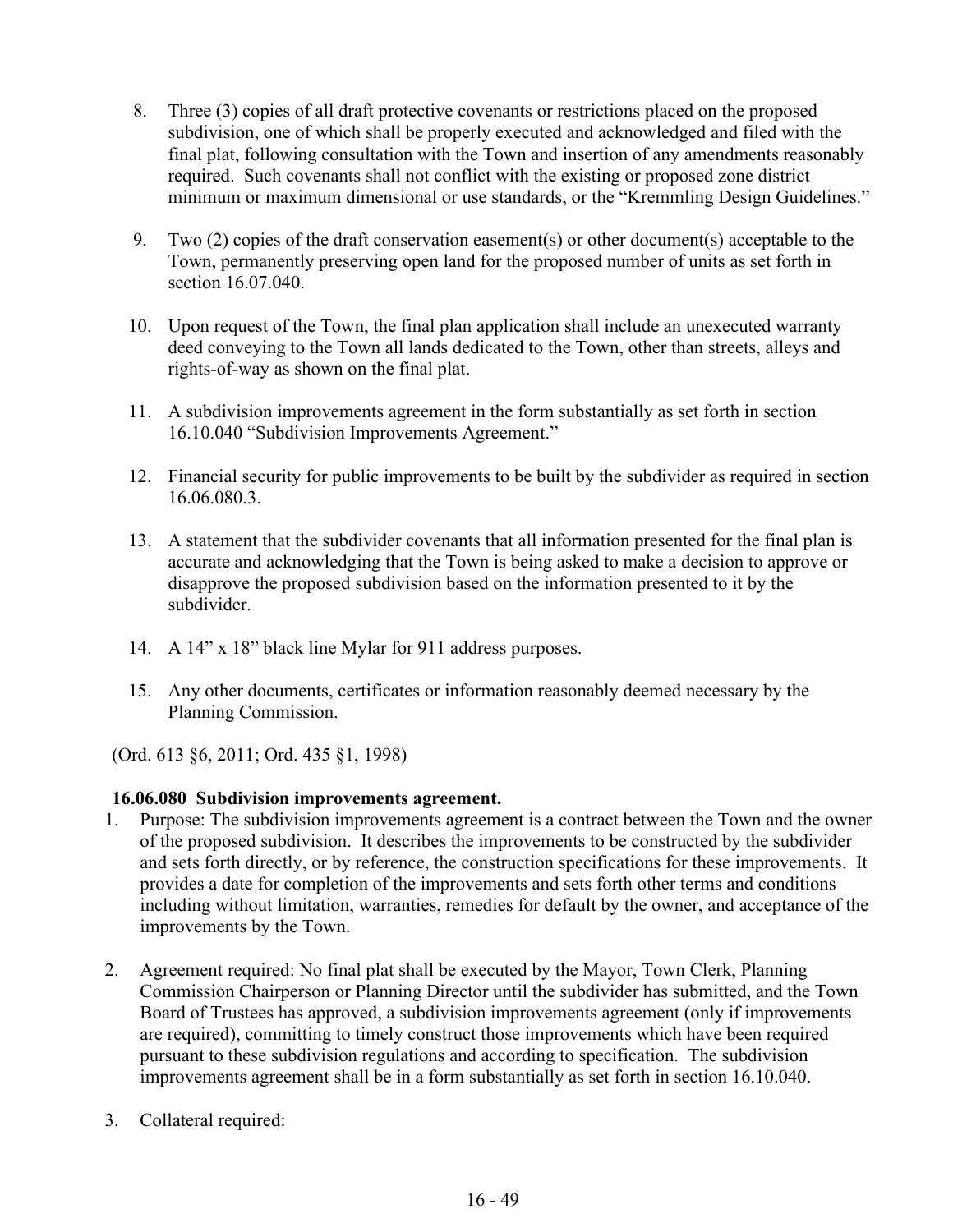- 8. Three (3) copies of all draft protective covenants or restrictions placed on the proposed subdivision, one of which shall be properly executed and acknowledged and filed with the final plat, following consultation with the Town and insertion of any amendments reasonably required. Such covenants shall not conflict with the existing or proposed zone district minimum or maximum dimensional or use standards, or the "Kremmling Design Guidelines."
- 9. Two (2) copies of the draft conservation easement(s) or other document(s) acceptable to the Town, permanently preserving open land for the proposed number of units as set forth in section 16.07.040.
- 10. Upon request of the Town, the final plan application shall include an unexecuted warranty deed conveying to the Town all lands dedicated to the Town, other than streets, alleys and rights-of-way as shown on the final plat.
- 11. A subdivision improvements agreement in the form substantially as set forth in section 16.10.040 "Subdivision Improvements Agreement."
- 12. Financial security for public improvements to be built by the subdivider as required in section 16.06.080.3.
- 13. A statement that the subdivider covenants that all information presented for the final plan is accurate and acknowledging that the Town is being asked to make a decision to approve or disapprove the proposed subdivision based on the information presented to it by the subdivider.
- 14. A 14" x 18" black line Mylar for 911 address purposes.
- 15. Any other documents, certificates or information reasonably deemed necessary by the Planning Commission.

(Ord. 613 §6, 2011; Ord. 435 §1, 1998)

### **16.06.080 Subdivision improvements agreement.**

- 1. Purpose: The subdivision improvements agreement is a contract between the Town and the owner of the proposed subdivision. It describes the improvements to be constructed by the subdivider and sets forth directly, or by reference, the construction specifications for these improvements. It provides a date for completion of the improvements and sets forth other terms and conditions including without limitation, warranties, remedies for default by the owner, and acceptance of the improvements by the Town.
- 2. Agreement required: No final plat shall be executed by the Mayor, Town Clerk, Planning Commission Chairperson or Planning Director until the subdivider has submitted, and the Town Board of Trustees has approved, a subdivision improvements agreement (only if improvements are required), committing to timely construct those improvements which have been required pursuant to these subdivision regulations and according to specification. The subdivision improvements agreement shall be in a form substantially as set forth in section 16.10.040.
- 3. Collateral required: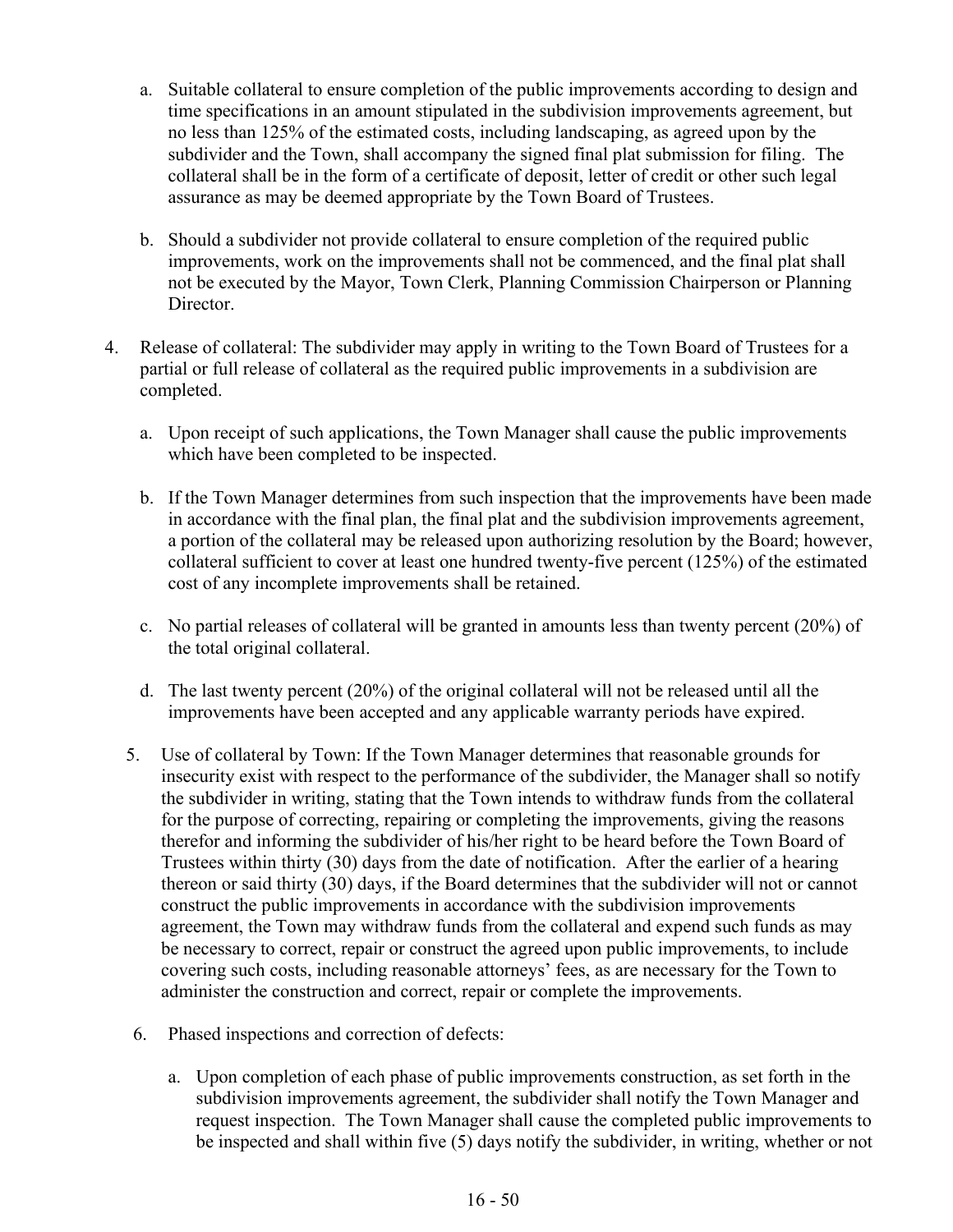- a. Suitable collateral to ensure completion of the public improvements according to design and time specifications in an amount stipulated in the subdivision improvements agreement, but no less than 125% of the estimated costs, including landscaping, as agreed upon by the subdivider and the Town, shall accompany the signed final plat submission for filing. The collateral shall be in the form of a certificate of deposit, letter of credit or other such legal assurance as may be deemed appropriate by the Town Board of Trustees.
- b. Should a subdivider not provide collateral to ensure completion of the required public improvements, work on the improvements shall not be commenced, and the final plat shall not be executed by the Mayor, Town Clerk, Planning Commission Chairperson or Planning Director.
- 4. Release of collateral: The subdivider may apply in writing to the Town Board of Trustees for a partial or full release of collateral as the required public improvements in a subdivision are completed.
	- a. Upon receipt of such applications, the Town Manager shall cause the public improvements which have been completed to be inspected.
	- b. If the Town Manager determines from such inspection that the improvements have been made in accordance with the final plan, the final plat and the subdivision improvements agreement, a portion of the collateral may be released upon authorizing resolution by the Board; however, collateral sufficient to cover at least one hundred twenty-five percent (125%) of the estimated cost of any incomplete improvements shall be retained.
	- c. No partial releases of collateral will be granted in amounts less than twenty percent (20%) of the total original collateral.
	- d. The last twenty percent (20%) of the original collateral will not be released until all the improvements have been accepted and any applicable warranty periods have expired.
	- 5. Use of collateral by Town: If the Town Manager determines that reasonable grounds for insecurity exist with respect to the performance of the subdivider, the Manager shall so notify the subdivider in writing, stating that the Town intends to withdraw funds from the collateral for the purpose of correcting, repairing or completing the improvements, giving the reasons therefor and informing the subdivider of his/her right to be heard before the Town Board of Trustees within thirty (30) days from the date of notification. After the earlier of a hearing thereon or said thirty (30) days, if the Board determines that the subdivider will not or cannot construct the public improvements in accordance with the subdivision improvements agreement, the Town may withdraw funds from the collateral and expend such funds as may be necessary to correct, repair or construct the agreed upon public improvements, to include covering such costs, including reasonable attorneys' fees, as are necessary for the Town to administer the construction and correct, repair or complete the improvements.
	- 6. Phased inspections and correction of defects:
		- a. Upon completion of each phase of public improvements construction, as set forth in the subdivision improvements agreement, the subdivider shall notify the Town Manager and request inspection. The Town Manager shall cause the completed public improvements to be inspected and shall within five (5) days notify the subdivider, in writing, whether or not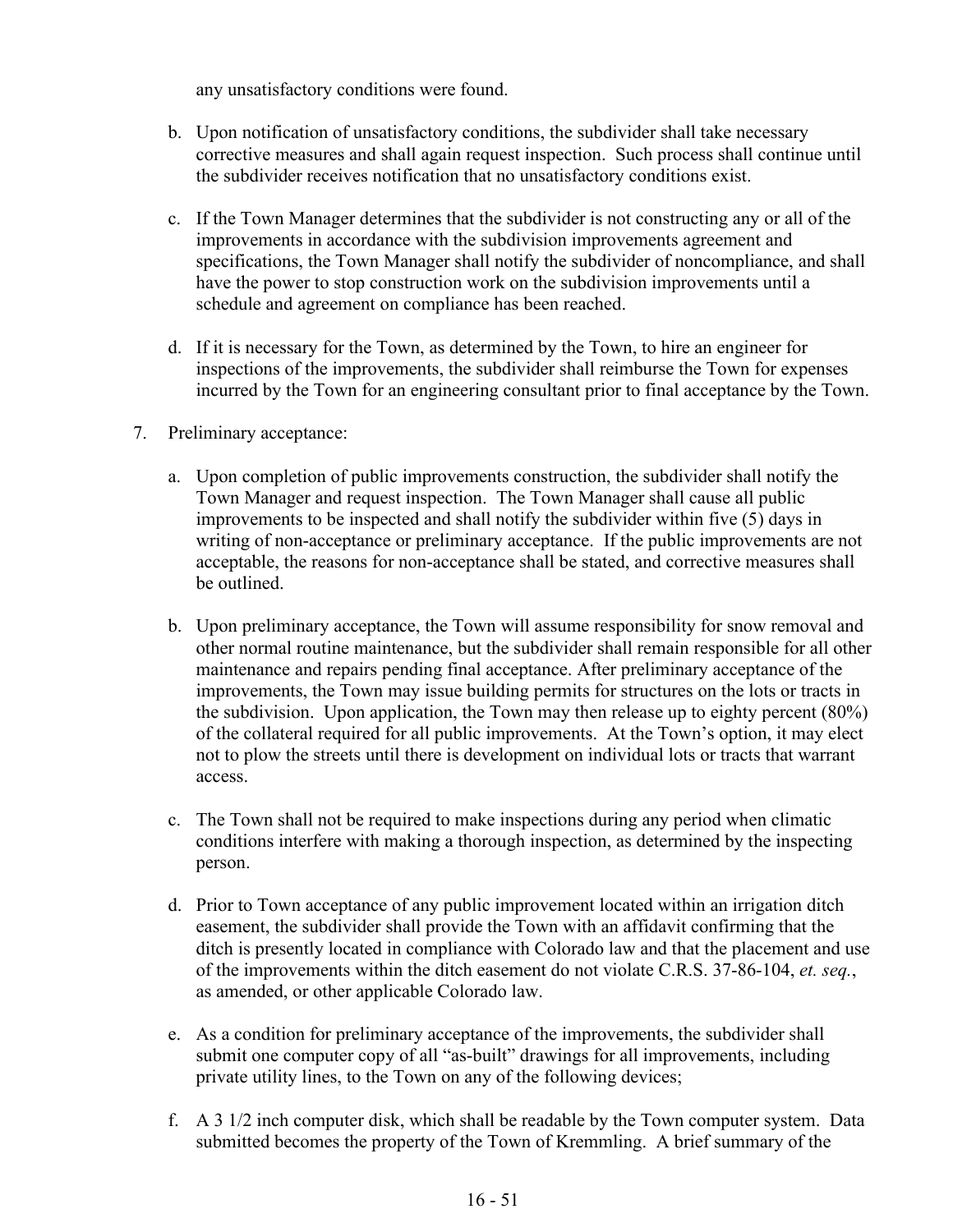any unsatisfactory conditions were found.

- b. Upon notification of unsatisfactory conditions, the subdivider shall take necessary corrective measures and shall again request inspection. Such process shall continue until the subdivider receives notification that no unsatisfactory conditions exist.
- c. If the Town Manager determines that the subdivider is not constructing any or all of the improvements in accordance with the subdivision improvements agreement and specifications, the Town Manager shall notify the subdivider of noncompliance, and shall have the power to stop construction work on the subdivision improvements until a schedule and agreement on compliance has been reached.
- d. If it is necessary for the Town, as determined by the Town, to hire an engineer for inspections of the improvements, the subdivider shall reimburse the Town for expenses incurred by the Town for an engineering consultant prior to final acceptance by the Town.
- 7. Preliminary acceptance:
	- a. Upon completion of public improvements construction, the subdivider shall notify the Town Manager and request inspection. The Town Manager shall cause all public improvements to be inspected and shall notify the subdivider within five (5) days in writing of non-acceptance or preliminary acceptance. If the public improvements are not acceptable, the reasons for non-acceptance shall be stated, and corrective measures shall be outlined.
	- b. Upon preliminary acceptance, the Town will assume responsibility for snow removal and other normal routine maintenance, but the subdivider shall remain responsible for all other maintenance and repairs pending final acceptance. After preliminary acceptance of the improvements, the Town may issue building permits for structures on the lots or tracts in the subdivision. Upon application, the Town may then release up to eighty percent (80%) of the collateral required for all public improvements. At the Town's option, it may elect not to plow the streets until there is development on individual lots or tracts that warrant access.
	- c. The Town shall not be required to make inspections during any period when climatic conditions interfere with making a thorough inspection, as determined by the inspecting person.
	- d. Prior to Town acceptance of any public improvement located within an irrigation ditch easement, the subdivider shall provide the Town with an affidavit confirming that the ditch is presently located in compliance with Colorado law and that the placement and use of the improvements within the ditch easement do not violate C.R.S. 37-86-104, *et. seq.*, as amended, or other applicable Colorado law.
	- e. As a condition for preliminary acceptance of the improvements, the subdivider shall submit one computer copy of all "as-built" drawings for all improvements, including private utility lines, to the Town on any of the following devices;
	- f. A 3 1/2 inch computer disk, which shall be readable by the Town computer system. Data submitted becomes the property of the Town of Kremmling. A brief summary of the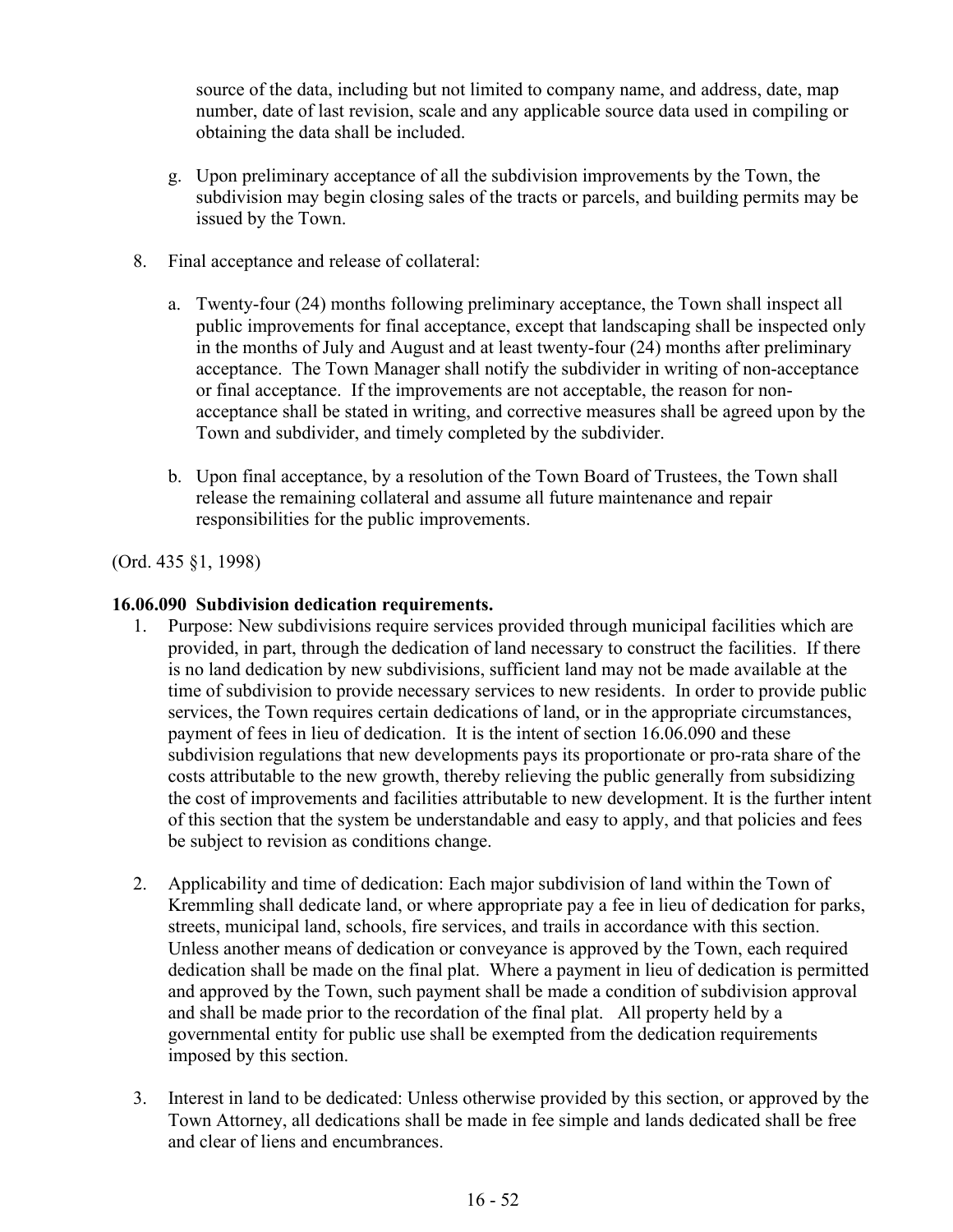source of the data, including but not limited to company name, and address, date, map number, date of last revision, scale and any applicable source data used in compiling or obtaining the data shall be included.

- g. Upon preliminary acceptance of all the subdivision improvements by the Town, the subdivision may begin closing sales of the tracts or parcels, and building permits may be issued by the Town.
- 8. Final acceptance and release of collateral:
	- a. Twenty-four (24) months following preliminary acceptance, the Town shall inspect all public improvements for final acceptance, except that landscaping shall be inspected only in the months of July and August and at least twenty-four (24) months after preliminary acceptance. The Town Manager shall notify the subdivider in writing of non-acceptance or final acceptance. If the improvements are not acceptable, the reason for nonacceptance shall be stated in writing, and corrective measures shall be agreed upon by the Town and subdivider, and timely completed by the subdivider.
	- b. Upon final acceptance, by a resolution of the Town Board of Trustees, the Town shall release the remaining collateral and assume all future maintenance and repair responsibilities for the public improvements.

(Ord. 435 §1, 1998)

#### **16.06.090 Subdivision dedication requirements.**

- 1. Purpose: New subdivisions require services provided through municipal facilities which are provided, in part, through the dedication of land necessary to construct the facilities. If there is no land dedication by new subdivisions, sufficient land may not be made available at the time of subdivision to provide necessary services to new residents. In order to provide public services, the Town requires certain dedications of land, or in the appropriate circumstances, payment of fees in lieu of dedication. It is the intent of section 16.06.090 and these subdivision regulations that new developments pays its proportionate or pro-rata share of the costs attributable to the new growth, thereby relieving the public generally from subsidizing the cost of improvements and facilities attributable to new development. It is the further intent of this section that the system be understandable and easy to apply, and that policies and fees be subject to revision as conditions change.
- 2. Applicability and time of dedication: Each major subdivision of land within the Town of Kremmling shall dedicate land, or where appropriate pay a fee in lieu of dedication for parks, streets, municipal land, schools, fire services, and trails in accordance with this section. Unless another means of dedication or conveyance is approved by the Town, each required dedication shall be made on the final plat. Where a payment in lieu of dedication is permitted and approved by the Town, such payment shall be made a condition of subdivision approval and shall be made prior to the recordation of the final plat. All property held by a governmental entity for public use shall be exempted from the dedication requirements imposed by this section.
- 3. Interest in land to be dedicated: Unless otherwise provided by this section, or approved by the Town Attorney, all dedications shall be made in fee simple and lands dedicated shall be free and clear of liens and encumbrances.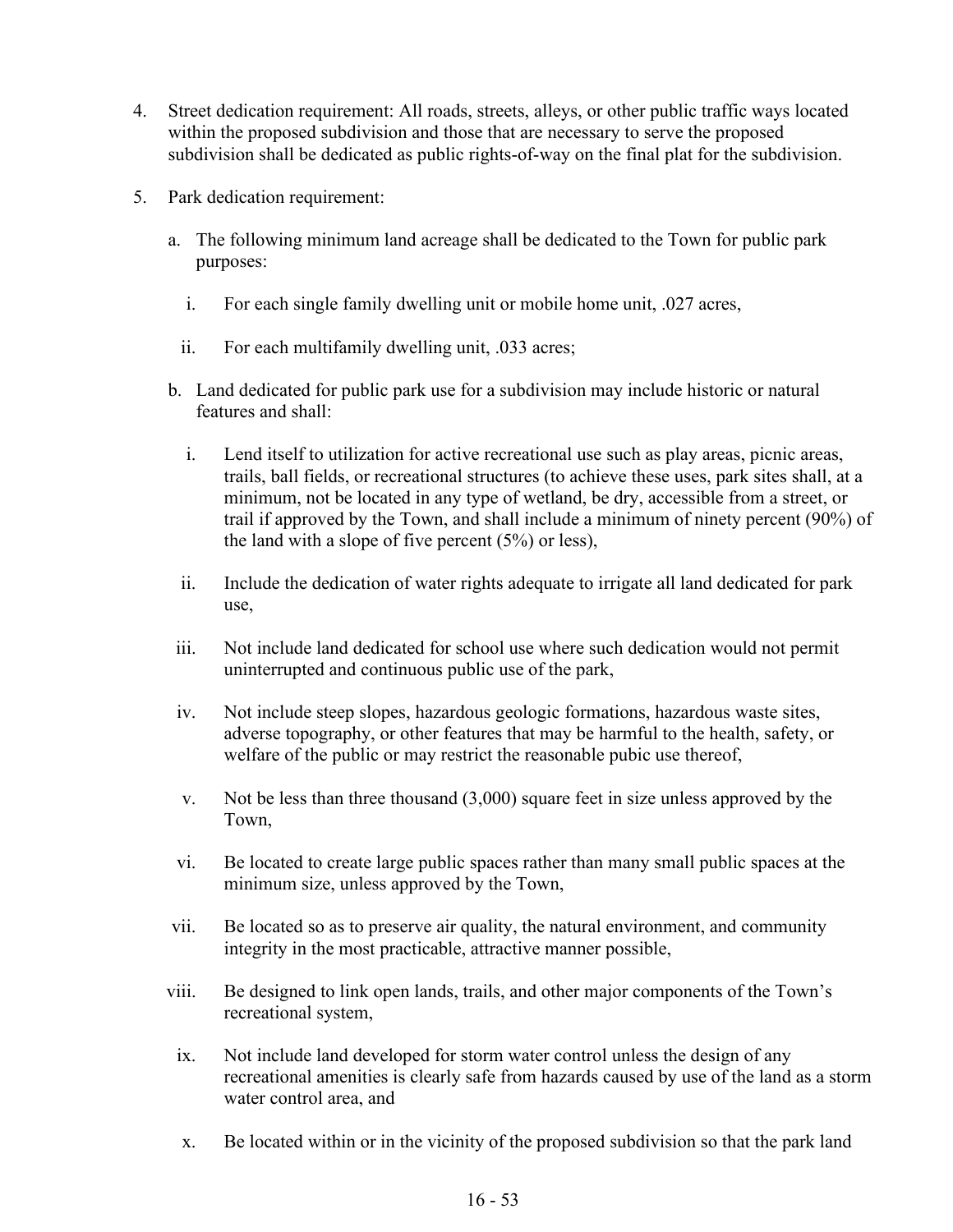- 4. Street dedication requirement: All roads, streets, alleys, or other public traffic ways located within the proposed subdivision and those that are necessary to serve the proposed subdivision shall be dedicated as public rights-of-way on the final plat for the subdivision.
- 5. Park dedication requirement:
	- a. The following minimum land acreage shall be dedicated to the Town for public park purposes:
		- i. For each single family dwelling unit or mobile home unit, .027 acres,
		- ii. For each multifamily dwelling unit, .033 acres;
	- b. Land dedicated for public park use for a subdivision may include historic or natural features and shall:
		- i. Lend itself to utilization for active recreational use such as play areas, picnic areas, trails, ball fields, or recreational structures (to achieve these uses, park sites shall, at a minimum, not be located in any type of wetland, be dry, accessible from a street, or trail if approved by the Town, and shall include a minimum of ninety percent (90%) of the land with a slope of five percent (5%) or less),
		- ii. Include the dedication of water rights adequate to irrigate all land dedicated for park use,
	- iii. Not include land dedicated for school use where such dedication would not permit uninterrupted and continuous public use of the park,
	- iv. Not include steep slopes, hazardous geologic formations, hazardous waste sites, adverse topography, or other features that may be harmful to the health, safety, or welfare of the public or may restrict the reasonable pubic use thereof,
	- v. Not be less than three thousand (3,000) square feet in size unless approved by the Town,
	- vi. Be located to create large public spaces rather than many small public spaces at the minimum size, unless approved by the Town,
	- vii. Be located so as to preserve air quality, the natural environment, and community integrity in the most practicable, attractive manner possible,
	- viii. Be designed to link open lands, trails, and other major components of the Town's recreational system,
	- ix. Not include land developed for storm water control unless the design of any recreational amenities is clearly safe from hazards caused by use of the land as a storm water control area, and
	- x. Be located within or in the vicinity of the proposed subdivision so that the park land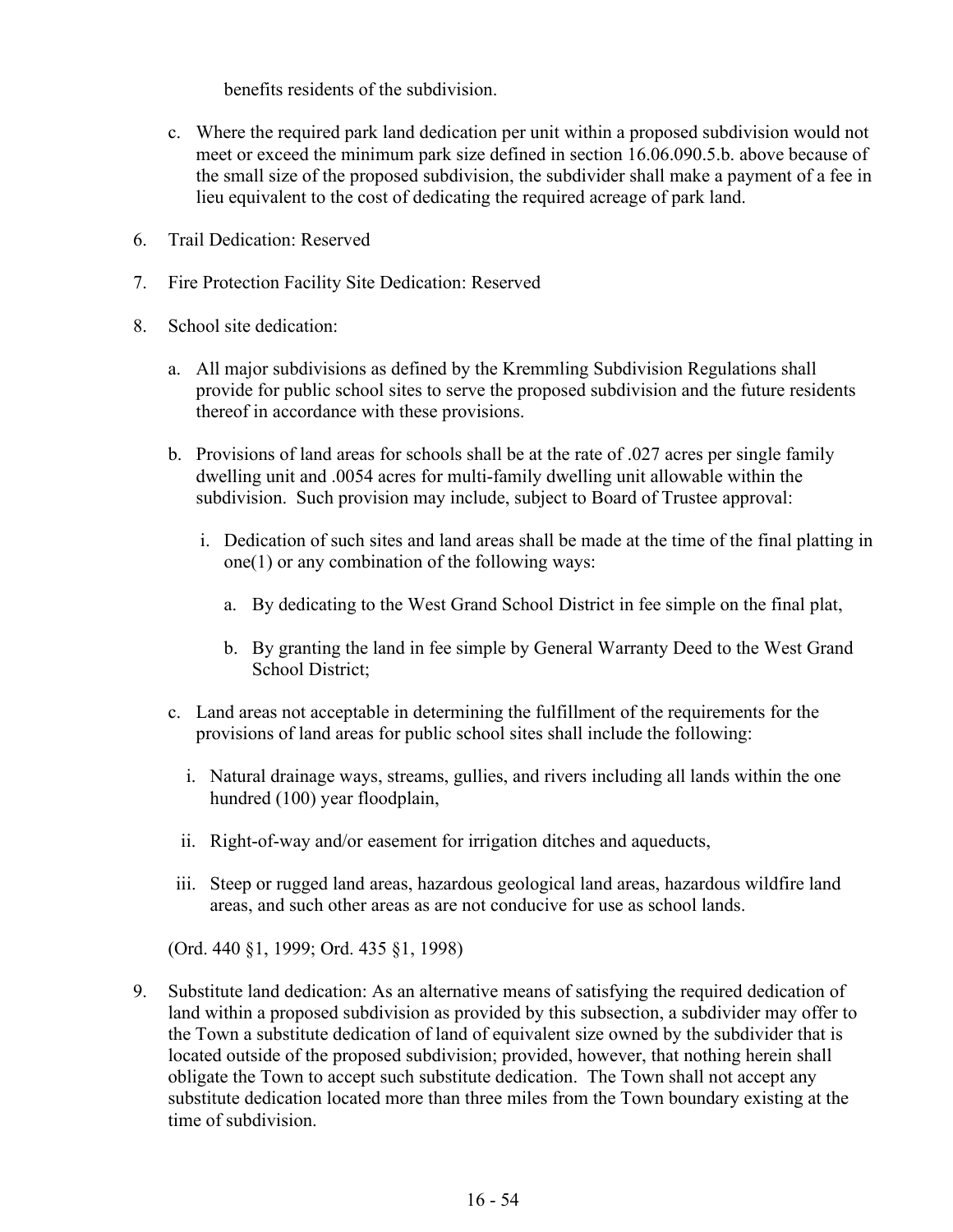benefits residents of the subdivision.

- c. Where the required park land dedication per unit within a proposed subdivision would not meet or exceed the minimum park size defined in section 16.06.090.5.b. above because of the small size of the proposed subdivision, the subdivider shall make a payment of a fee in lieu equivalent to the cost of dedicating the required acreage of park land.
- 6. Trail Dedication: Reserved
- 7. Fire Protection Facility Site Dedication: Reserved
- 8. School site dedication:
	- a. All major subdivisions as defined by the Kremmling Subdivision Regulations shall provide for public school sites to serve the proposed subdivision and the future residents thereof in accordance with these provisions.
	- b. Provisions of land areas for schools shall be at the rate of .027 acres per single family dwelling unit and .0054 acres for multi-family dwelling unit allowable within the subdivision. Such provision may include, subject to Board of Trustee approval:
		- i. Dedication of such sites and land areas shall be made at the time of the final platting in one(1) or any combination of the following ways:
			- a. By dedicating to the West Grand School District in fee simple on the final plat,
			- b. By granting the land in fee simple by General Warranty Deed to the West Grand School District;
	- c. Land areas not acceptable in determining the fulfillment of the requirements for the provisions of land areas for public school sites shall include the following:
		- i. Natural drainage ways, streams, gullies, and rivers including all lands within the one hundred (100) year floodplain,
		- ii. Right-of-way and/or easement for irrigation ditches and aqueducts,
	- iii. Steep or rugged land areas, hazardous geological land areas, hazardous wildfire land areas, and such other areas as are not conducive for use as school lands.

(Ord. 440 §1, 1999; Ord. 435 §1, 1998)

9. Substitute land dedication: As an alternative means of satisfying the required dedication of land within a proposed subdivision as provided by this subsection, a subdivider may offer to the Town a substitute dedication of land of equivalent size owned by the subdivider that is located outside of the proposed subdivision; provided, however, that nothing herein shall obligate the Town to accept such substitute dedication. The Town shall not accept any substitute dedication located more than three miles from the Town boundary existing at the time of subdivision.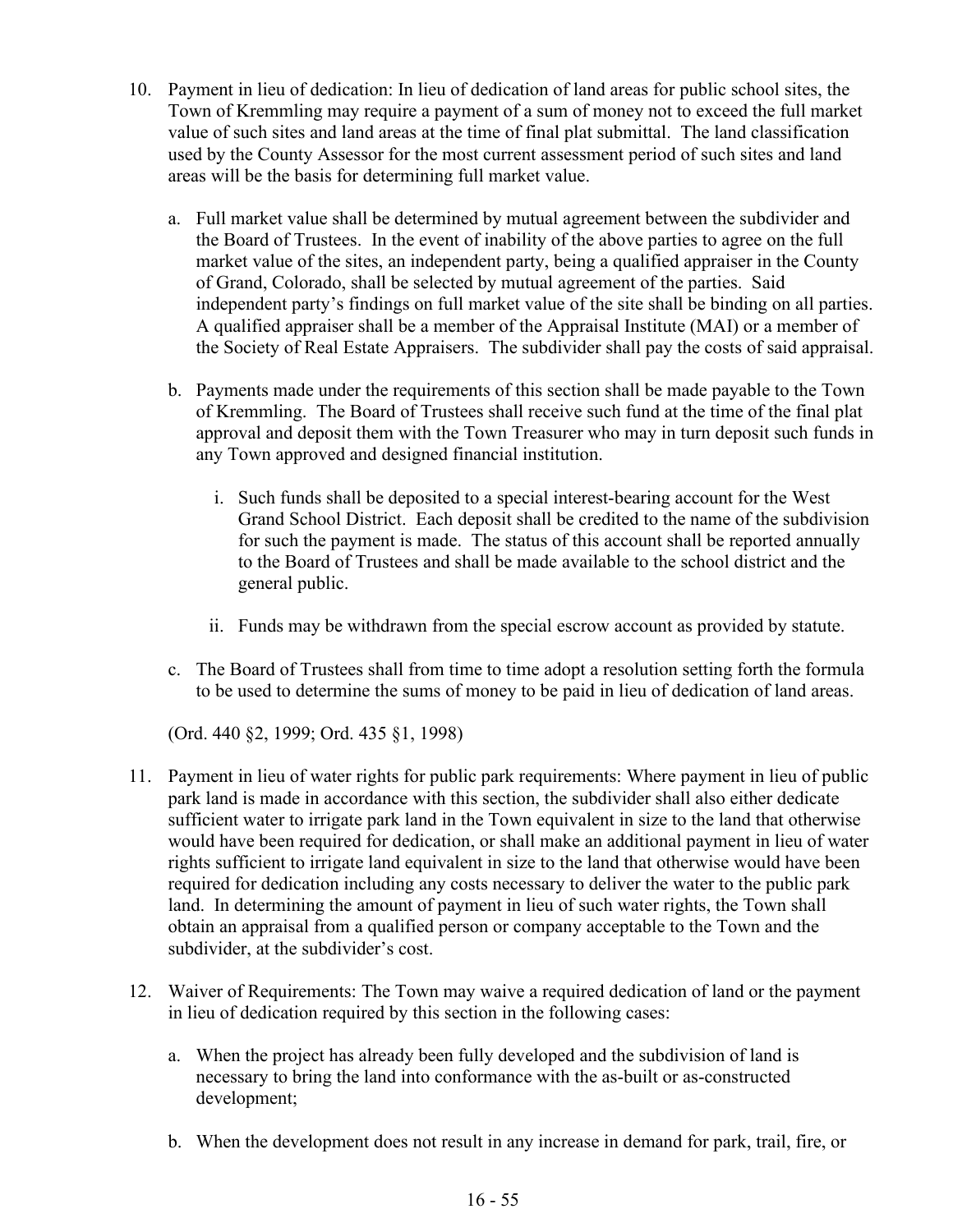- 10. Payment in lieu of dedication: In lieu of dedication of land areas for public school sites, the Town of Kremmling may require a payment of a sum of money not to exceed the full market value of such sites and land areas at the time of final plat submittal. The land classification used by the County Assessor for the most current assessment period of such sites and land areas will be the basis for determining full market value.
	- a. Full market value shall be determined by mutual agreement between the subdivider and the Board of Trustees. In the event of inability of the above parties to agree on the full market value of the sites, an independent party, being a qualified appraiser in the County of Grand, Colorado, shall be selected by mutual agreement of the parties. Said independent party's findings on full market value of the site shall be binding on all parties. A qualified appraiser shall be a member of the Appraisal Institute (MAI) or a member of the Society of Real Estate Appraisers. The subdivider shall pay the costs of said appraisal.
	- b. Payments made under the requirements of this section shall be made payable to the Town of Kremmling. The Board of Trustees shall receive such fund at the time of the final plat approval and deposit them with the Town Treasurer who may in turn deposit such funds in any Town approved and designed financial institution.
		- i. Such funds shall be deposited to a special interest-bearing account for the West Grand School District. Each deposit shall be credited to the name of the subdivision for such the payment is made. The status of this account shall be reported annually to the Board of Trustees and shall be made available to the school district and the general public.
		- ii. Funds may be withdrawn from the special escrow account as provided by statute.
	- c. The Board of Trustees shall from time to time adopt a resolution setting forth the formula to be used to determine the sums of money to be paid in lieu of dedication of land areas.

(Ord. 440 §2, 1999; Ord. 435 §1, 1998)

- 11. Payment in lieu of water rights for public park requirements: Where payment in lieu of public park land is made in accordance with this section, the subdivider shall also either dedicate sufficient water to irrigate park land in the Town equivalent in size to the land that otherwise would have been required for dedication, or shall make an additional payment in lieu of water rights sufficient to irrigate land equivalent in size to the land that otherwise would have been required for dedication including any costs necessary to deliver the water to the public park land. In determining the amount of payment in lieu of such water rights, the Town shall obtain an appraisal from a qualified person or company acceptable to the Town and the subdivider, at the subdivider's cost.
- 12. Waiver of Requirements: The Town may waive a required dedication of land or the payment in lieu of dedication required by this section in the following cases:
	- a. When the project has already been fully developed and the subdivision of land is necessary to bring the land into conformance with the as-built or as-constructed development;
	- b. When the development does not result in any increase in demand for park, trail, fire, or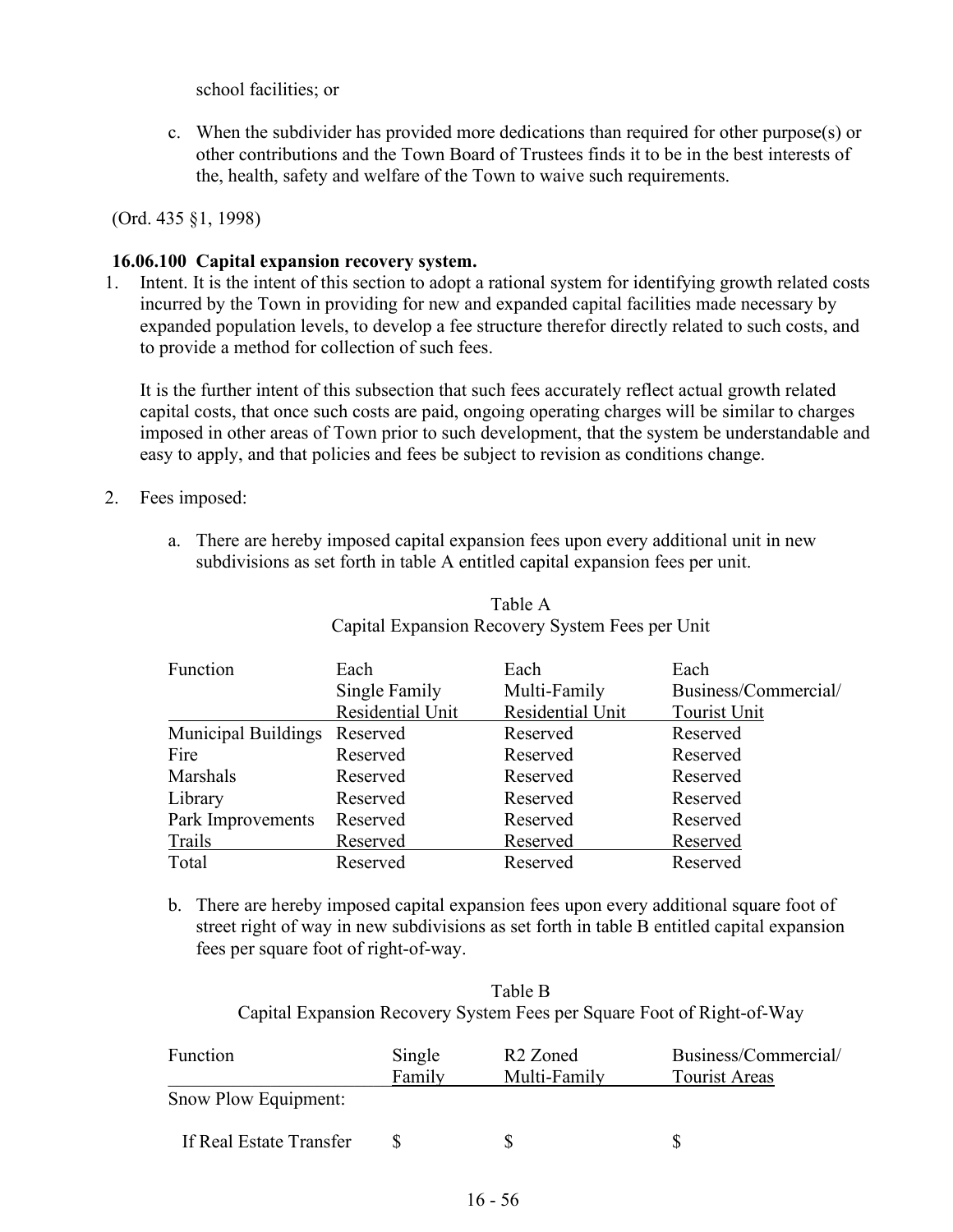school facilities; or

c. When the subdivider has provided more dedications than required for other purpose(s) or other contributions and the Town Board of Trustees finds it to be in the best interests of the, health, safety and welfare of the Town to waive such requirements.

(Ord. 435 §1, 1998)

#### **16.06.100 Capital expansion recovery system.**

1. Intent. It is the intent of this section to adopt a rational system for identifying growth related costs incurred by the Town in providing for new and expanded capital facilities made necessary by expanded population levels, to develop a fee structure therefor directly related to such costs, and to provide a method for collection of such fees.

It is the further intent of this subsection that such fees accurately reflect actual growth related capital costs, that once such costs are paid, ongoing operating charges will be similar to charges imposed in other areas of Town prior to such development, that the system be understandable and easy to apply, and that policies and fees be subject to revision as conditions change.

- 2. Fees imposed:
	- a. There are hereby imposed capital expansion fees upon every additional unit in new subdivisions as set forth in table A entitled capital expansion fees per unit.

| Function                     | Each             | Each             | Each                 |
|------------------------------|------------------|------------------|----------------------|
|                              | Single Family    | Multi-Family     | Business/Commercial/ |
|                              | Residential Unit | Residential Unit | Tourist Unit         |
| Municipal Buildings Reserved |                  | Reserved         | Reserved             |
| Fire                         | Reserved         | Reserved         | Reserved             |
| Marshals                     | Reserved         | Reserved         | Reserved             |
| Library                      | Reserved         | Reserved         | Reserved             |
| Park Improvements            | Reserved         | Reserved         | Reserved             |
| Trails                       | Reserved         | Reserved         | Reserved             |
| Total                        | Reserved         | Reserved         | Reserved             |

### Table A Capital Expansion Recovery System Fees per Unit

b. There are hereby imposed capital expansion fees upon every additional square foot of street right of way in new subdivisions as set forth in table B entitled capital expansion fees per square foot of right-of-way.

| Table B |                                                                        |
|---------|------------------------------------------------------------------------|
|         | Capital Expansion Recovery System Fees per Square Foot of Right-of-Way |

| Function                | Single<br>Family | R <sub>2</sub> Zoned<br>Multi-Family | Business/Commercial/<br><b>Tourist Areas</b> |
|-------------------------|------------------|--------------------------------------|----------------------------------------------|
| Snow Plow Equipment:    |                  |                                      |                                              |
| If Real Estate Transfer |                  | S                                    |                                              |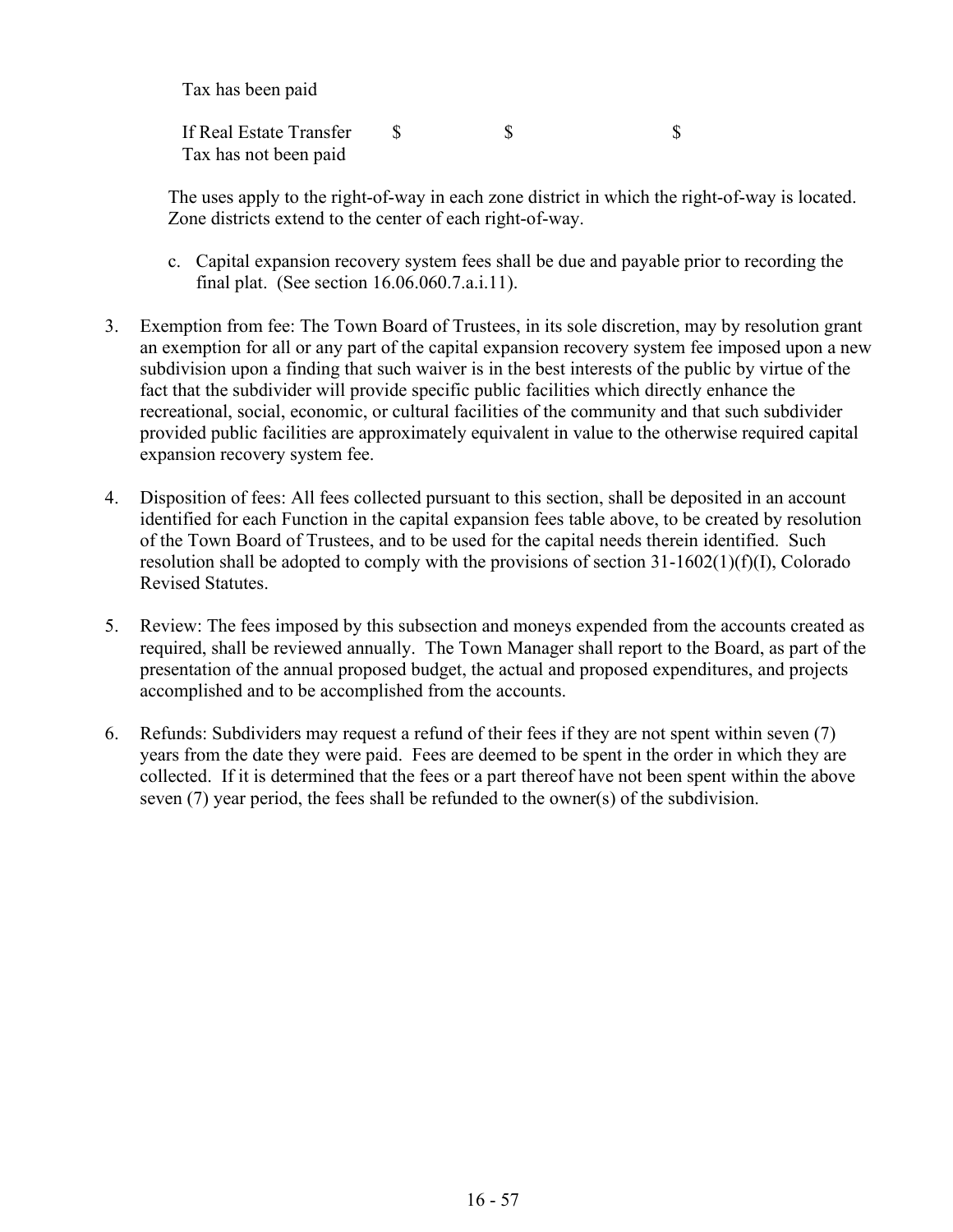Tax has been paid

If Real Estate Transfer \$ \$ \$ Tax has not been paid

The uses apply to the right-of-way in each zone district in which the right-of-way is located. Zone districts extend to the center of each right-of-way.

- c. Capital expansion recovery system fees shall be due and payable prior to recording the final plat. (See section 16.06.060.7.a.i.11).
- 3. Exemption from fee: The Town Board of Trustees, in its sole discretion, may by resolution grant an exemption for all or any part of the capital expansion recovery system fee imposed upon a new subdivision upon a finding that such waiver is in the best interests of the public by virtue of the fact that the subdivider will provide specific public facilities which directly enhance the recreational, social, economic, or cultural facilities of the community and that such subdivider provided public facilities are approximately equivalent in value to the otherwise required capital expansion recovery system fee.
- 4. Disposition of fees: All fees collected pursuant to this section, shall be deposited in an account identified for each Function in the capital expansion fees table above, to be created by resolution of the Town Board of Trustees, and to be used for the capital needs therein identified. Such resolution shall be adopted to comply with the provisions of section 31-1602(1)(f)(I), Colorado Revised Statutes.
- 5. Review: The fees imposed by this subsection and moneys expended from the accounts created as required, shall be reviewed annually. The Town Manager shall report to the Board, as part of the presentation of the annual proposed budget, the actual and proposed expenditures, and projects accomplished and to be accomplished from the accounts.
- 6. Refunds: Subdividers may request a refund of their fees if they are not spent within seven (7) years from the date they were paid. Fees are deemed to be spent in the order in which they are collected. If it is determined that the fees or a part thereof have not been spent within the above seven (7) year period, the fees shall be refunded to the owner(s) of the subdivision.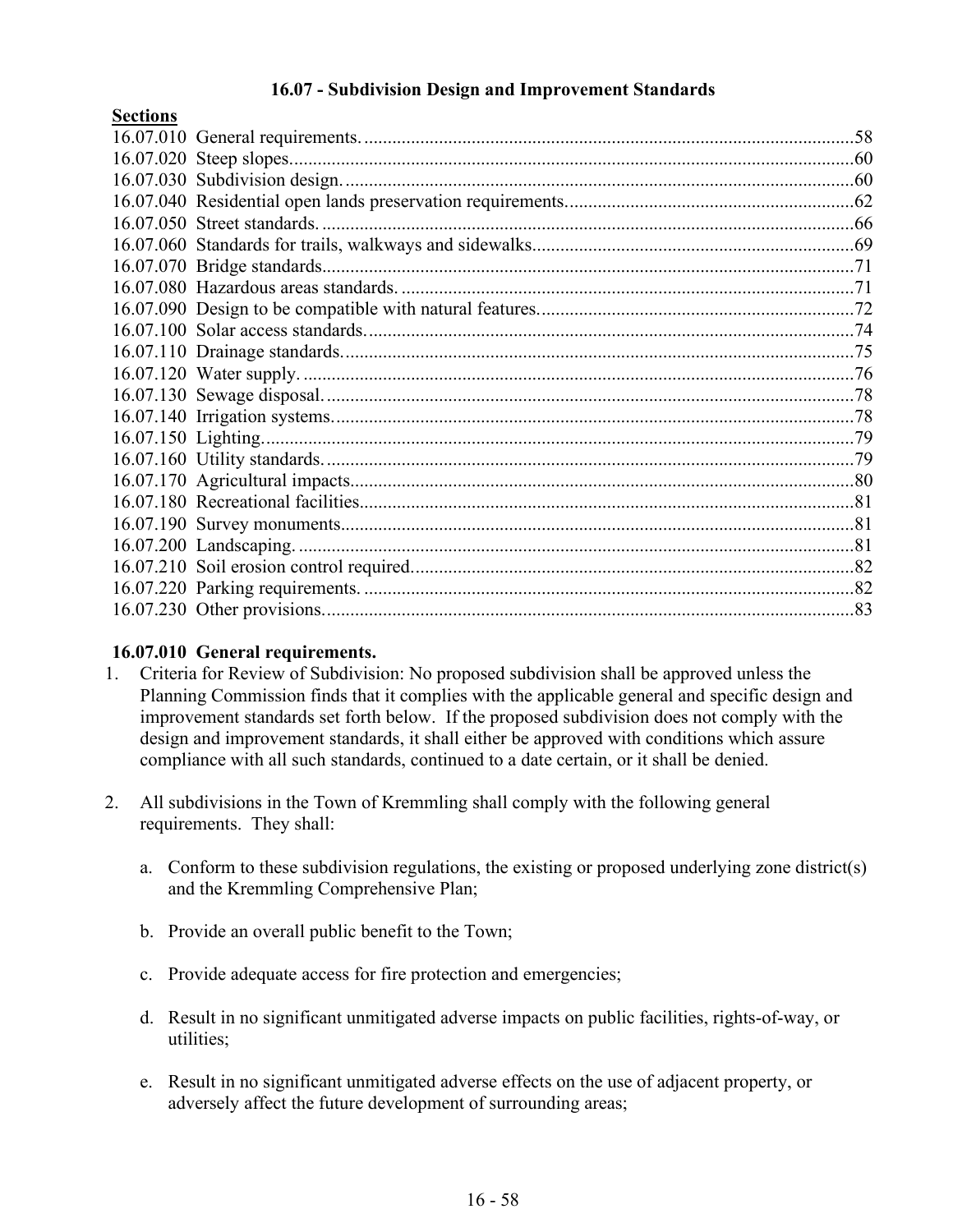### **16.07 - Subdivision Design and Improvement Standards**

| рссиона |  |
|---------|--|
|         |  |
|         |  |
|         |  |
|         |  |
|         |  |
|         |  |
|         |  |
|         |  |
|         |  |
|         |  |
|         |  |
|         |  |
|         |  |
|         |  |
|         |  |
|         |  |
|         |  |
|         |  |
|         |  |
|         |  |
|         |  |
|         |  |
|         |  |
|         |  |

### **16.07.010 General requirements.**

**Sections**

- 1. Criteria for Review of Subdivision: No proposed subdivision shall be approved unless the Planning Commission finds that it complies with the applicable general and specific design and improvement standards set forth below. If the proposed subdivision does not comply with the design and improvement standards, it shall either be approved with conditions which assure compliance with all such standards, continued to a date certain, or it shall be denied.
- 2. All subdivisions in the Town of Kremmling shall comply with the following general requirements. They shall:
	- a. Conform to these subdivision regulations, the existing or proposed underlying zone district(s) and the Kremmling Comprehensive Plan;
	- b. Provide an overall public benefit to the Town;
	- c. Provide adequate access for fire protection and emergencies;
	- d. Result in no significant unmitigated adverse impacts on public facilities, rights-of-way, or utilities;
	- e. Result in no significant unmitigated adverse effects on the use of adjacent property, or adversely affect the future development of surrounding areas;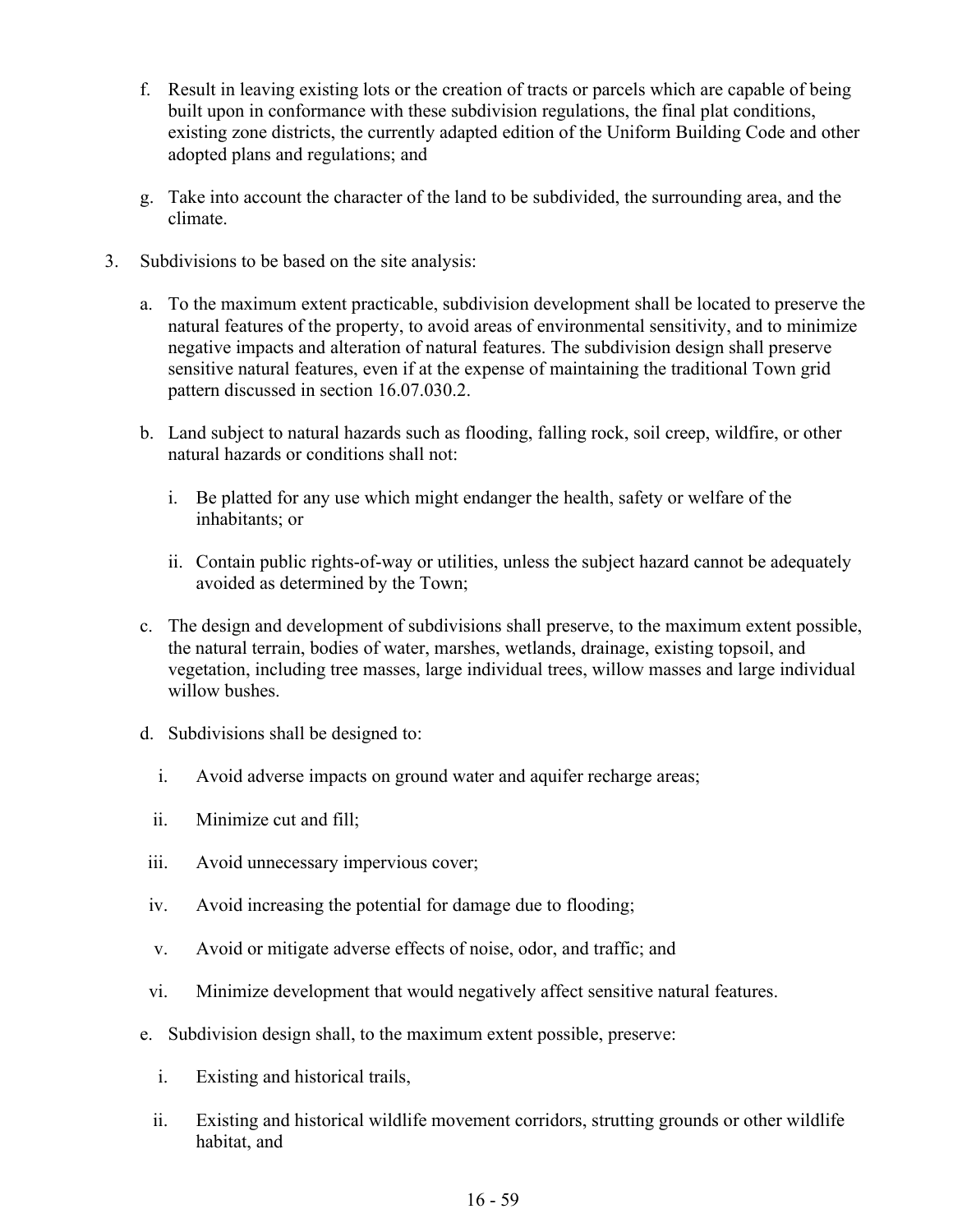- f. Result in leaving existing lots or the creation of tracts or parcels which are capable of being built upon in conformance with these subdivision regulations, the final plat conditions, existing zone districts, the currently adapted edition of the Uniform Building Code and other adopted plans and regulations; and
- g. Take into account the character of the land to be subdivided, the surrounding area, and the climate.
- 3. Subdivisions to be based on the site analysis:
	- a. To the maximum extent practicable, subdivision development shall be located to preserve the natural features of the property, to avoid areas of environmental sensitivity, and to minimize negative impacts and alteration of natural features. The subdivision design shall preserve sensitive natural features, even if at the expense of maintaining the traditional Town grid pattern discussed in section 16.07.030.2.
	- b. Land subject to natural hazards such as flooding, falling rock, soil creep, wildfire, or other natural hazards or conditions shall not:
		- i. Be platted for any use which might endanger the health, safety or welfare of the inhabitants; or
		- ii. Contain public rights-of-way or utilities, unless the subject hazard cannot be adequately avoided as determined by the Town;
	- c. The design and development of subdivisions shall preserve, to the maximum extent possible, the natural terrain, bodies of water, marshes, wetlands, drainage, existing topsoil, and vegetation, including tree masses, large individual trees, willow masses and large individual willow bushes.
	- d. Subdivisions shall be designed to:
		- i. Avoid adverse impacts on ground water and aquifer recharge areas;
		- ii. Minimize cut and fill;
	- iii. Avoid unnecessary impervious cover;
	- iv. Avoid increasing the potential for damage due to flooding;
	- v. Avoid or mitigate adverse effects of noise, odor, and traffic; and
	- vi. Minimize development that would negatively affect sensitive natural features.
	- e. Subdivision design shall, to the maximum extent possible, preserve:
		- i. Existing and historical trails,
		- ii. Existing and historical wildlife movement corridors, strutting grounds or other wildlife habitat, and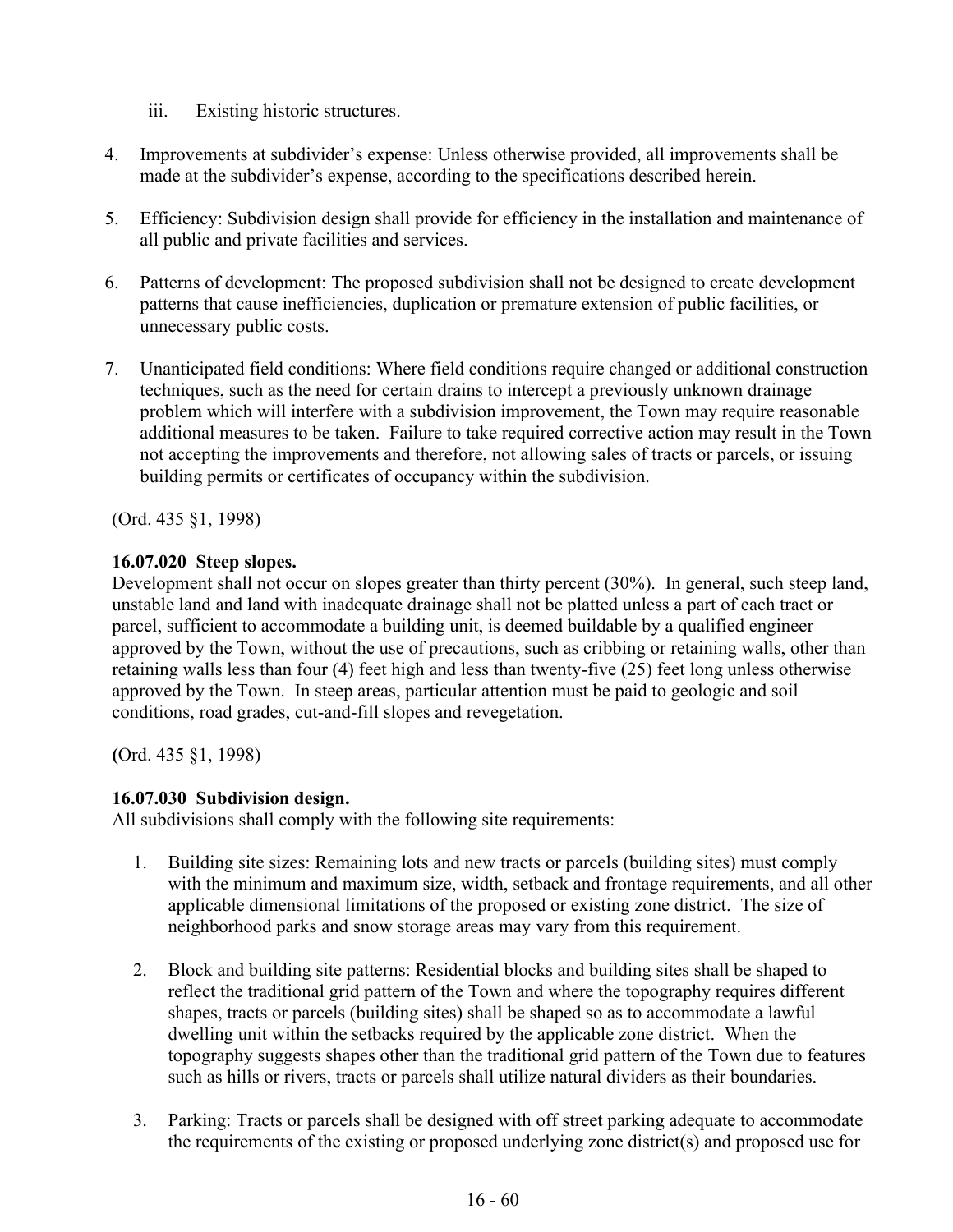- iii. Existing historic structures.
- 4. Improvements at subdivider's expense: Unless otherwise provided, all improvements shall be made at the subdivider's expense, according to the specifications described herein.
- 5. Efficiency: Subdivision design shall provide for efficiency in the installation and maintenance of all public and private facilities and services.
- 6. Patterns of development: The proposed subdivision shall not be designed to create development patterns that cause inefficiencies, duplication or premature extension of public facilities, or unnecessary public costs.
- 7. Unanticipated field conditions: Where field conditions require changed or additional construction techniques, such as the need for certain drains to intercept a previously unknown drainage problem which will interfere with a subdivision improvement, the Town may require reasonable additional measures to be taken. Failure to take required corrective action may result in the Town not accepting the improvements and therefore, not allowing sales of tracts or parcels, or issuing building permits or certificates of occupancy within the subdivision.

(Ord. 435 §1, 1998)

## **16.07.020 Steep slopes.**

Development shall not occur on slopes greater than thirty percent (30%). In general, such steep land, unstable land and land with inadequate drainage shall not be platted unless a part of each tract or parcel, sufficient to accommodate a building unit, is deemed buildable by a qualified engineer approved by the Town, without the use of precautions, such as cribbing or retaining walls, other than retaining walls less than four (4) feet high and less than twenty-five (25) feet long unless otherwise approved by the Town. In steep areas, particular attention must be paid to geologic and soil conditions, road grades, cut-and-fill slopes and revegetation.

**(**Ord. 435 §1, 1998)

# **16.07.030 Subdivision design.**

All subdivisions shall comply with the following site requirements:

- 1. Building site sizes: Remaining lots and new tracts or parcels (building sites) must comply with the minimum and maximum size, width, setback and frontage requirements, and all other applicable dimensional limitations of the proposed or existing zone district. The size of neighborhood parks and snow storage areas may vary from this requirement.
- 2. Block and building site patterns: Residential blocks and building sites shall be shaped to reflect the traditional grid pattern of the Town and where the topography requires different shapes, tracts or parcels (building sites) shall be shaped so as to accommodate a lawful dwelling unit within the setbacks required by the applicable zone district. When the topography suggests shapes other than the traditional grid pattern of the Town due to features such as hills or rivers, tracts or parcels shall utilize natural dividers as their boundaries.
- 3. Parking: Tracts or parcels shall be designed with off street parking adequate to accommodate the requirements of the existing or proposed underlying zone district(s) and proposed use for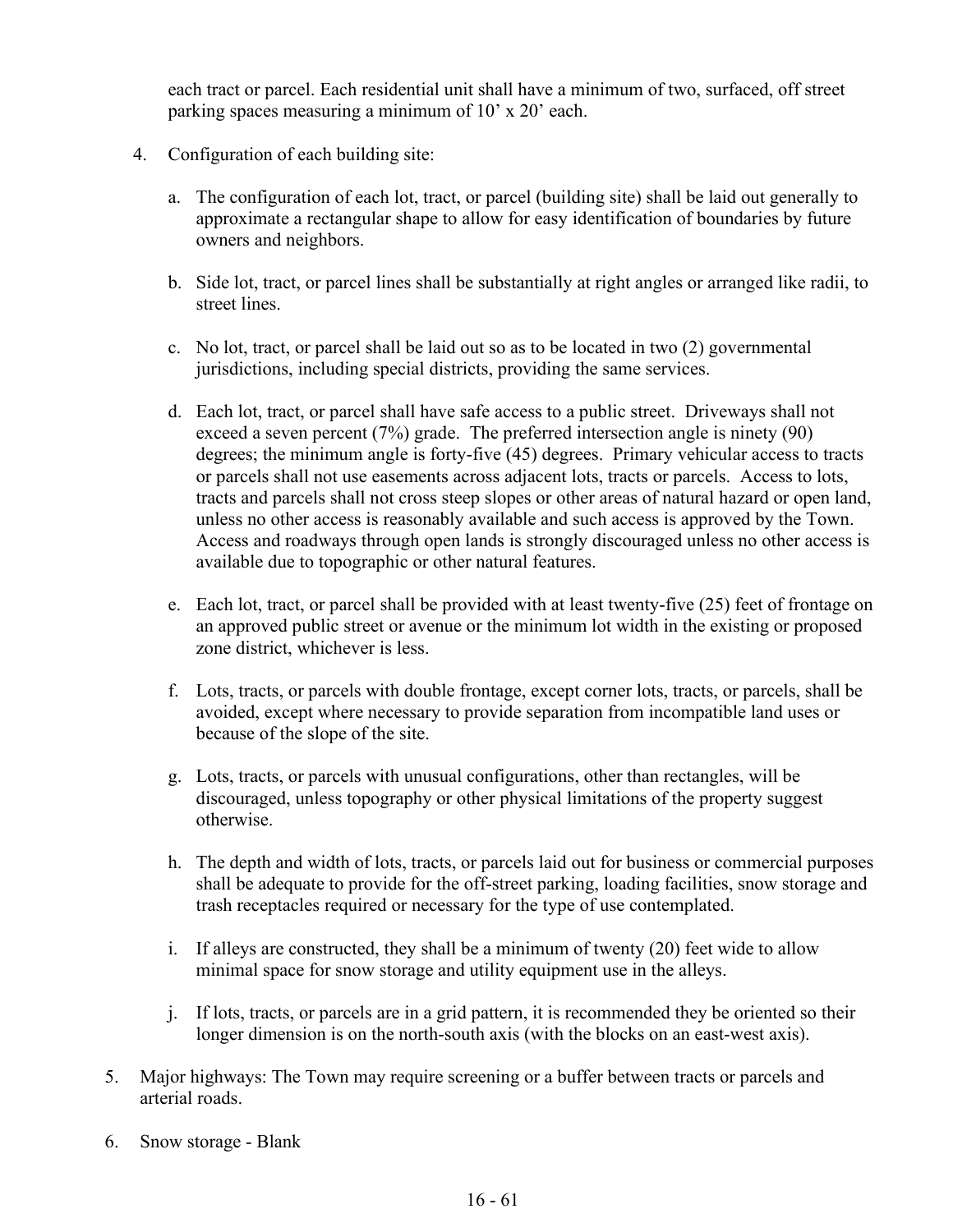each tract or parcel. Each residential unit shall have a minimum of two, surfaced, off street parking spaces measuring a minimum of 10' x 20' each.

- 4. Configuration of each building site:
	- a. The configuration of each lot, tract, or parcel (building site) shall be laid out generally to approximate a rectangular shape to allow for easy identification of boundaries by future owners and neighbors.
	- b. Side lot, tract, or parcel lines shall be substantially at right angles or arranged like radii, to street lines.
	- c. No lot, tract, or parcel shall be laid out so as to be located in two (2) governmental jurisdictions, including special districts, providing the same services.
	- d. Each lot, tract, or parcel shall have safe access to a public street. Driveways shall not exceed a seven percent (7%) grade. The preferred intersection angle is ninety (90) degrees; the minimum angle is forty-five (45) degrees. Primary vehicular access to tracts or parcels shall not use easements across adjacent lots, tracts or parcels. Access to lots, tracts and parcels shall not cross steep slopes or other areas of natural hazard or open land, unless no other access is reasonably available and such access is approved by the Town. Access and roadways through open lands is strongly discouraged unless no other access is available due to topographic or other natural features.
	- e. Each lot, tract, or parcel shall be provided with at least twenty-five (25) feet of frontage on an approved public street or avenue or the minimum lot width in the existing or proposed zone district, whichever is less.
	- f. Lots, tracts, or parcels with double frontage, except corner lots, tracts, or parcels, shall be avoided, except where necessary to provide separation from incompatible land uses or because of the slope of the site.
	- g. Lots, tracts, or parcels with unusual configurations, other than rectangles, will be discouraged, unless topography or other physical limitations of the property suggest otherwise.
	- h. The depth and width of lots, tracts, or parcels laid out for business or commercial purposes shall be adequate to provide for the off-street parking, loading facilities, snow storage and trash receptacles required or necessary for the type of use contemplated.
	- i. If alleys are constructed, they shall be a minimum of twenty (20) feet wide to allow minimal space for snow storage and utility equipment use in the alleys.
	- j. If lots, tracts, or parcels are in a grid pattern, it is recommended they be oriented so their longer dimension is on the north-south axis (with the blocks on an east-west axis).
- 5. Major highways: The Town may require screening or a buffer between tracts or parcels and arterial roads.
- 6. Snow storage Blank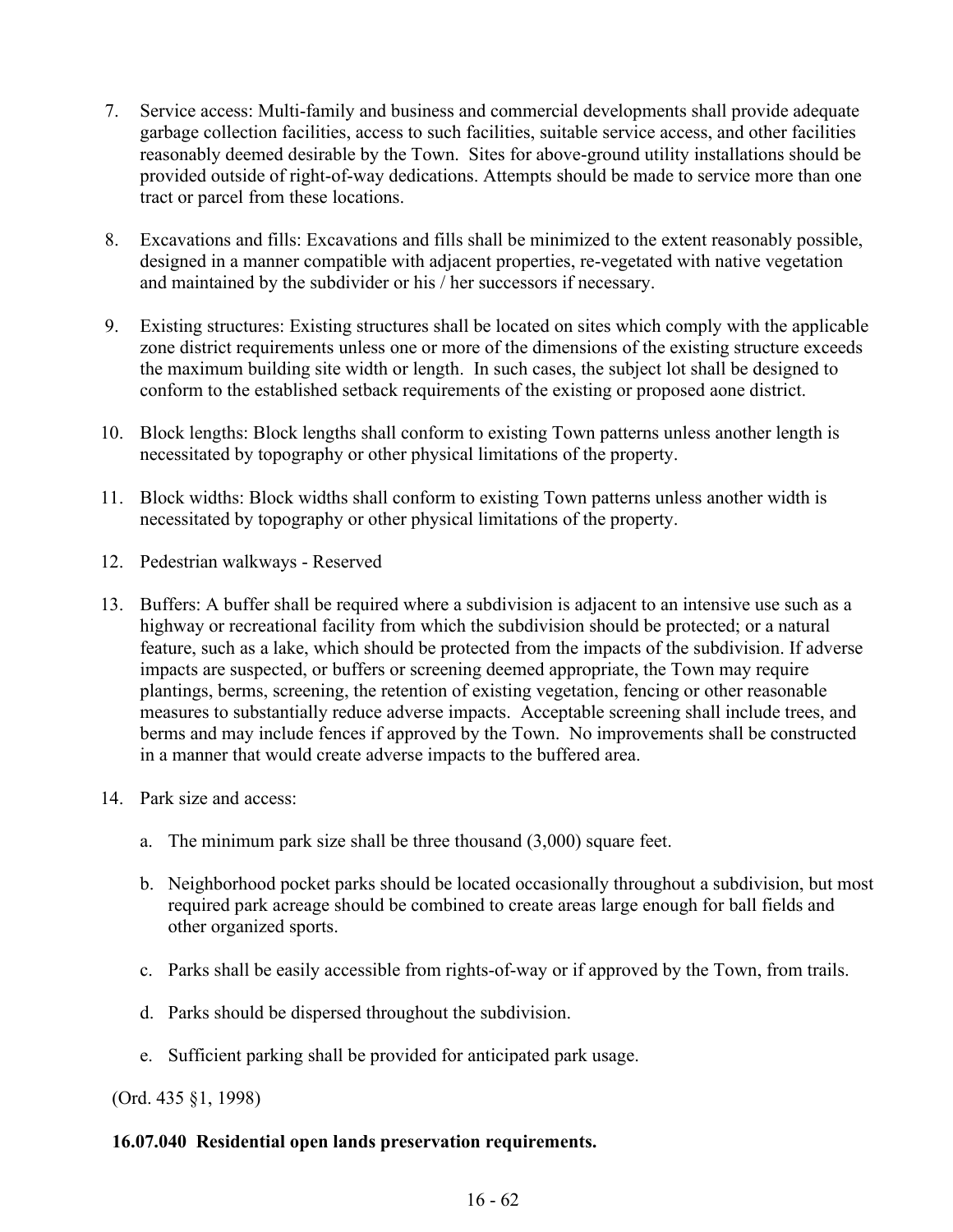- 7. Service access: Multi-family and business and commercial developments shall provide adequate garbage collection facilities, access to such facilities, suitable service access, and other facilities reasonably deemed desirable by the Town. Sites for above-ground utility installations should be provided outside of right-of-way dedications. Attempts should be made to service more than one tract or parcel from these locations.
- 8. Excavations and fills: Excavations and fills shall be minimized to the extent reasonably possible, designed in a manner compatible with adjacent properties, re-vegetated with native vegetation and maintained by the subdivider or his / her successors if necessary.
- 9. Existing structures: Existing structures shall be located on sites which comply with the applicable zone district requirements unless one or more of the dimensions of the existing structure exceeds the maximum building site width or length. In such cases, the subject lot shall be designed to conform to the established setback requirements of the existing or proposed aone district.
- 10. Block lengths: Block lengths shall conform to existing Town patterns unless another length is necessitated by topography or other physical limitations of the property.
- 11. Block widths: Block widths shall conform to existing Town patterns unless another width is necessitated by topography or other physical limitations of the property.
- 12. Pedestrian walkways Reserved
- 13. Buffers: A buffer shall be required where a subdivision is adjacent to an intensive use such as a highway or recreational facility from which the subdivision should be protected; or a natural feature, such as a lake, which should be protected from the impacts of the subdivision. If adverse impacts are suspected, or buffers or screening deemed appropriate, the Town may require plantings, berms, screening, the retention of existing vegetation, fencing or other reasonable measures to substantially reduce adverse impacts. Acceptable screening shall include trees, and berms and may include fences if approved by the Town. No improvements shall be constructed in a manner that would create adverse impacts to the buffered area.
- 14. Park size and access:
	- a. The minimum park size shall be three thousand (3,000) square feet.
	- b. Neighborhood pocket parks should be located occasionally throughout a subdivision, but most required park acreage should be combined to create areas large enough for ball fields and other organized sports.
	- c. Parks shall be easily accessible from rights-of-way or if approved by the Town, from trails.
	- d. Parks should be dispersed throughout the subdivision.
	- e. Sufficient parking shall be provided for anticipated park usage.

(Ord. 435 §1, 1998)

### **16.07.040 Residential open lands preservation requirements.**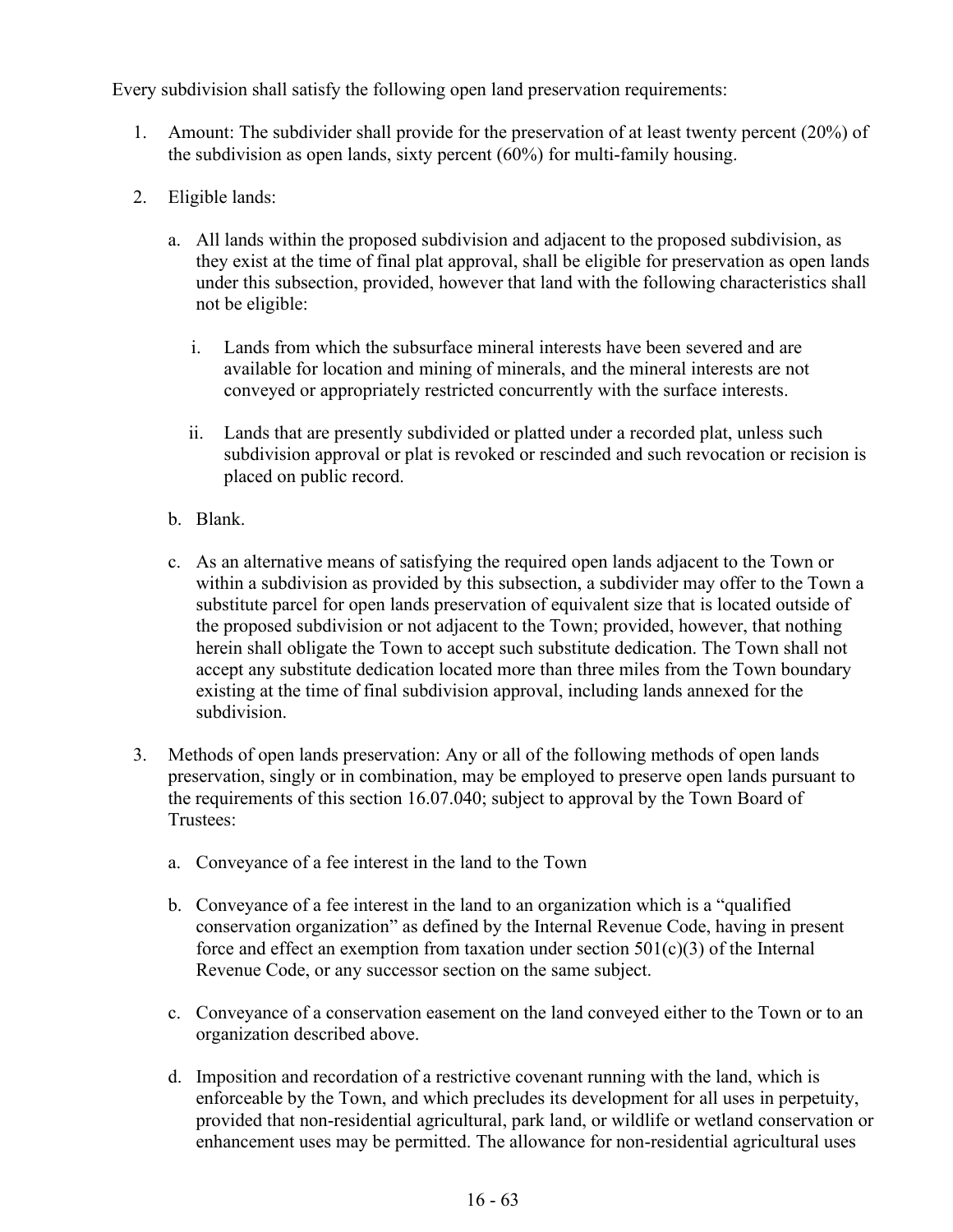Every subdivision shall satisfy the following open land preservation requirements:

- 1. Amount: The subdivider shall provide for the preservation of at least twenty percent (20%) of the subdivision as open lands, sixty percent (60%) for multi-family housing.
- 2. Eligible lands:
	- a. All lands within the proposed subdivision and adjacent to the proposed subdivision, as they exist at the time of final plat approval, shall be eligible for preservation as open lands under this subsection, provided, however that land with the following characteristics shall not be eligible:
		- i. Lands from which the subsurface mineral interests have been severed and are available for location and mining of minerals, and the mineral interests are not conveyed or appropriately restricted concurrently with the surface interests.
		- ii. Lands that are presently subdivided or platted under a recorded plat, unless such subdivision approval or plat is revoked or rescinded and such revocation or recision is placed on public record.
	- b. Blank.
	- c. As an alternative means of satisfying the required open lands adjacent to the Town or within a subdivision as provided by this subsection, a subdivider may offer to the Town a substitute parcel for open lands preservation of equivalent size that is located outside of the proposed subdivision or not adjacent to the Town; provided, however, that nothing herein shall obligate the Town to accept such substitute dedication. The Town shall not accept any substitute dedication located more than three miles from the Town boundary existing at the time of final subdivision approval, including lands annexed for the subdivision.
- 3. Methods of open lands preservation: Any or all of the following methods of open lands preservation, singly or in combination, may be employed to preserve open lands pursuant to the requirements of this section 16.07.040; subject to approval by the Town Board of Trustees:
	- a. Conveyance of a fee interest in the land to the Town
	- b. Conveyance of a fee interest in the land to an organization which is a "qualified conservation organization" as defined by the Internal Revenue Code, having in present force and effect an exemption from taxation under section  $501(c)(3)$  of the Internal Revenue Code, or any successor section on the same subject.
	- c. Conveyance of a conservation easement on the land conveyed either to the Town or to an organization described above.
	- d. Imposition and recordation of a restrictive covenant running with the land, which is enforceable by the Town, and which precludes its development for all uses in perpetuity, provided that non-residential agricultural, park land, or wildlife or wetland conservation or enhancement uses may be permitted. The allowance for non-residential agricultural uses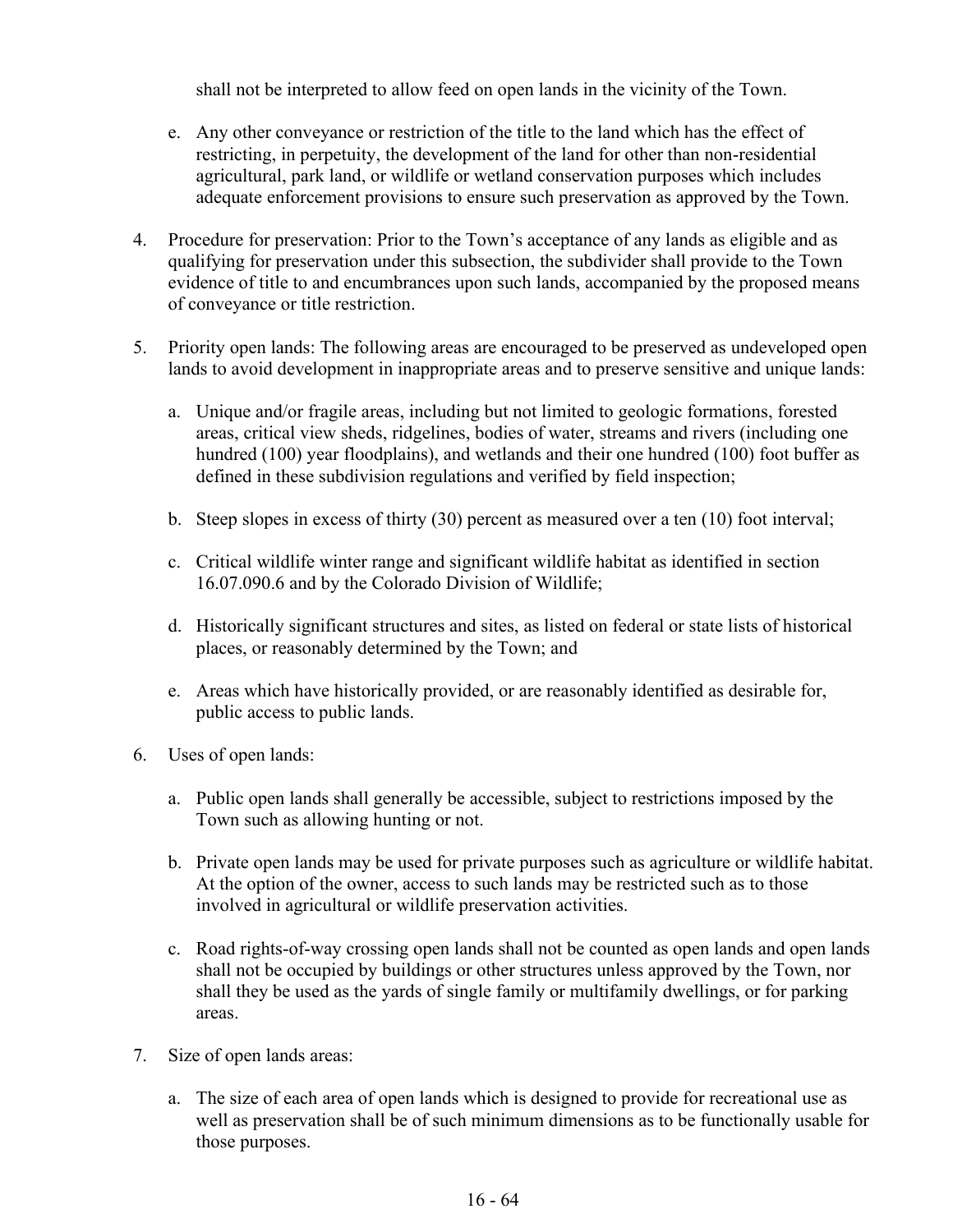shall not be interpreted to allow feed on open lands in the vicinity of the Town.

- e. Any other conveyance or restriction of the title to the land which has the effect of restricting, in perpetuity, the development of the land for other than non-residential agricultural, park land, or wildlife or wetland conservation purposes which includes adequate enforcement provisions to ensure such preservation as approved by the Town.
- 4. Procedure for preservation: Prior to the Town's acceptance of any lands as eligible and as qualifying for preservation under this subsection, the subdivider shall provide to the Town evidence of title to and encumbrances upon such lands, accompanied by the proposed means of conveyance or title restriction.
- 5. Priority open lands: The following areas are encouraged to be preserved as undeveloped open lands to avoid development in inappropriate areas and to preserve sensitive and unique lands:
	- a. Unique and/or fragile areas, including but not limited to geologic formations, forested areas, critical view sheds, ridgelines, bodies of water, streams and rivers (including one hundred (100) year floodplains), and wetlands and their one hundred (100) foot buffer as defined in these subdivision regulations and verified by field inspection;
	- b. Steep slopes in excess of thirty (30) percent as measured over a ten (10) foot interval;
	- c. Critical wildlife winter range and significant wildlife habitat as identified in section 16.07.090.6 and by the Colorado Division of Wildlife;
	- d. Historically significant structures and sites, as listed on federal or state lists of historical places, or reasonably determined by the Town; and
	- e. Areas which have historically provided, or are reasonably identified as desirable for, public access to public lands.
- 6. Uses of open lands:
	- a. Public open lands shall generally be accessible, subject to restrictions imposed by the Town such as allowing hunting or not.
	- b. Private open lands may be used for private purposes such as agriculture or wildlife habitat. At the option of the owner, access to such lands may be restricted such as to those involved in agricultural or wildlife preservation activities.
	- c. Road rights-of-way crossing open lands shall not be counted as open lands and open lands shall not be occupied by buildings or other structures unless approved by the Town, nor shall they be used as the yards of single family or multifamily dwellings, or for parking areas.
- 7. Size of open lands areas:
	- a. The size of each area of open lands which is designed to provide for recreational use as well as preservation shall be of such minimum dimensions as to be functionally usable for those purposes.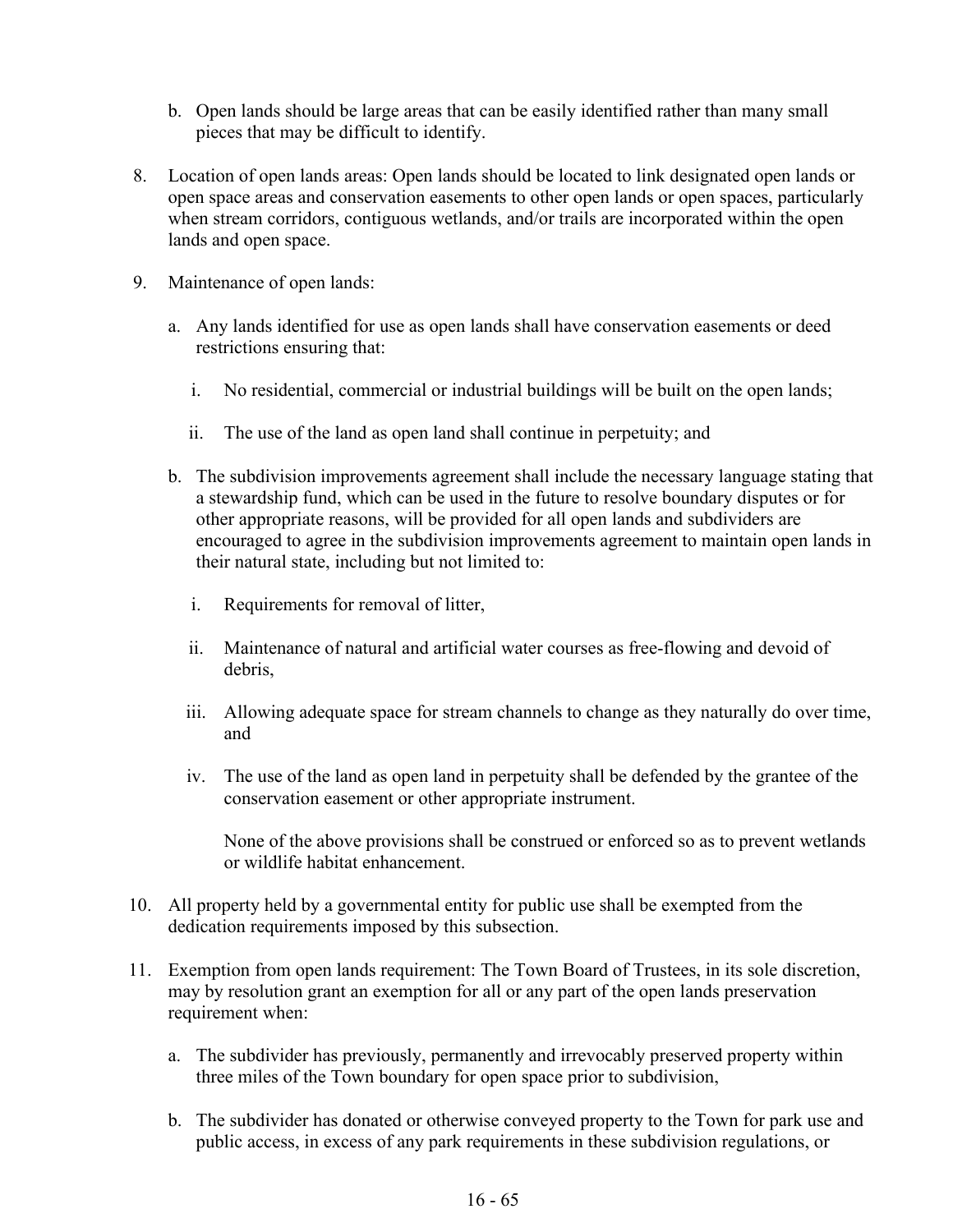- b. Open lands should be large areas that can be easily identified rather than many small pieces that may be difficult to identify.
- 8. Location of open lands areas: Open lands should be located to link designated open lands or open space areas and conservation easements to other open lands or open spaces, particularly when stream corridors, contiguous wetlands, and/or trails are incorporated within the open lands and open space.
- 9. Maintenance of open lands:
	- a. Any lands identified for use as open lands shall have conservation easements or deed restrictions ensuring that:
		- i. No residential, commercial or industrial buildings will be built on the open lands;
		- ii. The use of the land as open land shall continue in perpetuity; and
	- b. The subdivision improvements agreement shall include the necessary language stating that a stewardship fund, which can be used in the future to resolve boundary disputes or for other appropriate reasons, will be provided for all open lands and subdividers are encouraged to agree in the subdivision improvements agreement to maintain open lands in their natural state, including but not limited to:
		- i. Requirements for removal of litter,
		- ii. Maintenance of natural and artificial water courses as free-flowing and devoid of debris,
		- iii. Allowing adequate space for stream channels to change as they naturally do over time, and
		- iv. The use of the land as open land in perpetuity shall be defended by the grantee of the conservation easement or other appropriate instrument.

None of the above provisions shall be construed or enforced so as to prevent wetlands or wildlife habitat enhancement.

- 10. All property held by a governmental entity for public use shall be exempted from the dedication requirements imposed by this subsection.
- 11. Exemption from open lands requirement: The Town Board of Trustees, in its sole discretion, may by resolution grant an exemption for all or any part of the open lands preservation requirement when:
	- a. The subdivider has previously, permanently and irrevocably preserved property within three miles of the Town boundary for open space prior to subdivision,
	- b. The subdivider has donated or otherwise conveyed property to the Town for park use and public access, in excess of any park requirements in these subdivision regulations, or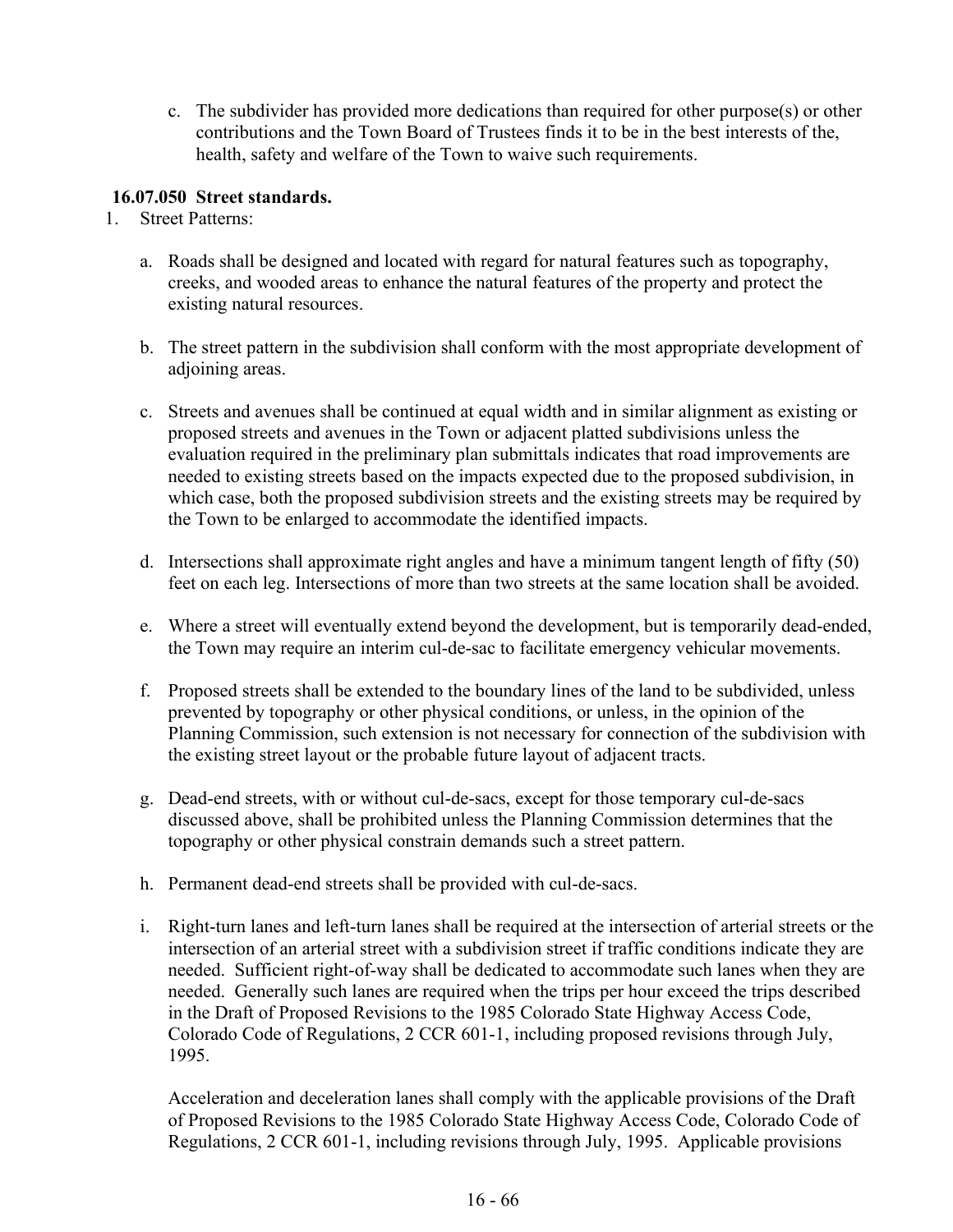c. The subdivider has provided more dedications than required for other purpose(s) or other contributions and the Town Board of Trustees finds it to be in the best interests of the, health, safety and welfare of the Town to waive such requirements.

### **16.07.050 Street standards.**

- 1. Street Patterns:
	- a. Roads shall be designed and located with regard for natural features such as topography, creeks, and wooded areas to enhance the natural features of the property and protect the existing natural resources.
	- b. The street pattern in the subdivision shall conform with the most appropriate development of adjoining areas.
	- c. Streets and avenues shall be continued at equal width and in similar alignment as existing or proposed streets and avenues in the Town or adjacent platted subdivisions unless the evaluation required in the preliminary plan submittals indicates that road improvements are needed to existing streets based on the impacts expected due to the proposed subdivision, in which case, both the proposed subdivision streets and the existing streets may be required by the Town to be enlarged to accommodate the identified impacts.
	- d. Intersections shall approximate right angles and have a minimum tangent length of fifty (50) feet on each leg. Intersections of more than two streets at the same location shall be avoided.
	- e. Where a street will eventually extend beyond the development, but is temporarily dead-ended, the Town may require an interim cul-de-sac to facilitate emergency vehicular movements.
	- f. Proposed streets shall be extended to the boundary lines of the land to be subdivided, unless prevented by topography or other physical conditions, or unless, in the opinion of the Planning Commission, such extension is not necessary for connection of the subdivision with the existing street layout or the probable future layout of adjacent tracts.
	- g. Dead-end streets, with or without cul-de-sacs, except for those temporary cul-de-sacs discussed above, shall be prohibited unless the Planning Commission determines that the topography or other physical constrain demands such a street pattern.
	- h. Permanent dead-end streets shall be provided with cul-de-sacs.
	- i. Right-turn lanes and left-turn lanes shall be required at the intersection of arterial streets or the intersection of an arterial street with a subdivision street if traffic conditions indicate they are needed. Sufficient right-of-way shall be dedicated to accommodate such lanes when they are needed. Generally such lanes are required when the trips per hour exceed the trips described in the Draft of Proposed Revisions to the 1985 Colorado State Highway Access Code, Colorado Code of Regulations, 2 CCR 601-1, including proposed revisions through July, 1995.

Acceleration and deceleration lanes shall comply with the applicable provisions of the Draft of Proposed Revisions to the 1985 Colorado State Highway Access Code, Colorado Code of Regulations, 2 CCR 601-1, including revisions through July, 1995. Applicable provisions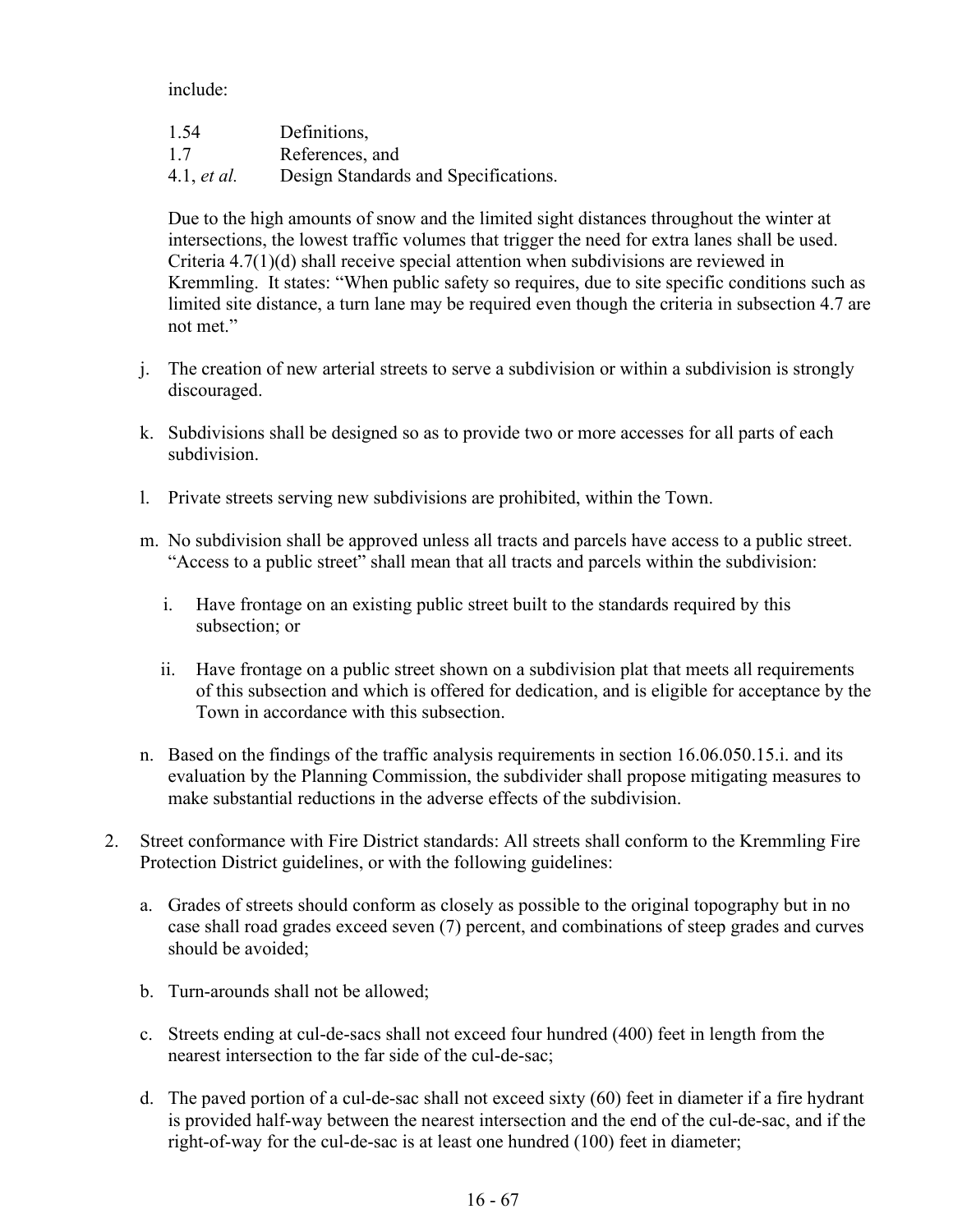include:

| 1.54               | Definitions,                         |
|--------------------|--------------------------------------|
| 1.7                | References, and                      |
| 4.1, <i>et al.</i> | Design Standards and Specifications. |

Due to the high amounts of snow and the limited sight distances throughout the winter at intersections, the lowest traffic volumes that trigger the need for extra lanes shall be used. Criteria 4.7(1)(d) shall receive special attention when subdivisions are reviewed in Kremmling. It states: "When public safety so requires, due to site specific conditions such as limited site distance, a turn lane may be required even though the criteria in subsection 4.7 are not met."

- j. The creation of new arterial streets to serve a subdivision or within a subdivision is strongly discouraged.
- k. Subdivisions shall be designed so as to provide two or more accesses for all parts of each subdivision.
- l. Private streets serving new subdivisions are prohibited, within the Town.
- m. No subdivision shall be approved unless all tracts and parcels have access to a public street. "Access to a public street" shall mean that all tracts and parcels within the subdivision:
	- i. Have frontage on an existing public street built to the standards required by this subsection; or
	- ii. Have frontage on a public street shown on a subdivision plat that meets all requirements of this subsection and which is offered for dedication, and is eligible for acceptance by the Town in accordance with this subsection.
- n. Based on the findings of the traffic analysis requirements in section 16.06.050.15.i. and its evaluation by the Planning Commission, the subdivider shall propose mitigating measures to make substantial reductions in the adverse effects of the subdivision.
- 2. Street conformance with Fire District standards: All streets shall conform to the Kremmling Fire Protection District guidelines, or with the following guidelines:
	- a. Grades of streets should conform as closely as possible to the original topography but in no case shall road grades exceed seven (7) percent, and combinations of steep grades and curves should be avoided;
	- b. Turn-arounds shall not be allowed;
	- c. Streets ending at cul-de-sacs shall not exceed four hundred (400) feet in length from the nearest intersection to the far side of the cul-de-sac;
	- d. The paved portion of a cul-de-sac shall not exceed sixty (60) feet in diameter if a fire hydrant is provided half-way between the nearest intersection and the end of the cul-de-sac, and if the right-of-way for the cul-de-sac is at least one hundred (100) feet in diameter;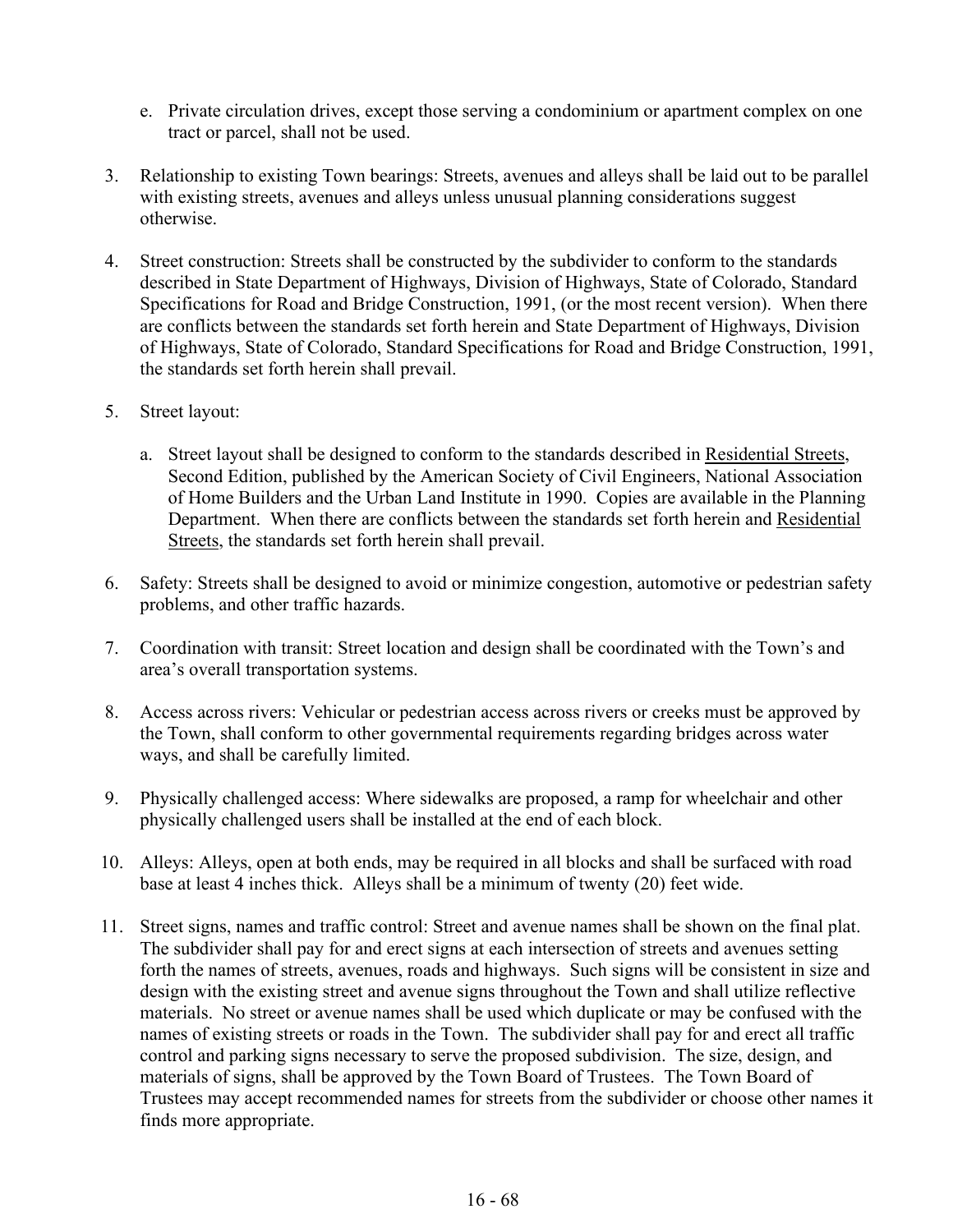- e. Private circulation drives, except those serving a condominium or apartment complex on one tract or parcel, shall not be used.
- 3. Relationship to existing Town bearings: Streets, avenues and alleys shall be laid out to be parallel with existing streets, avenues and alleys unless unusual planning considerations suggest otherwise.
- 4. Street construction: Streets shall be constructed by the subdivider to conform to the standards described in State Department of Highways, Division of Highways, State of Colorado, Standard Specifications for Road and Bridge Construction, 1991, (or the most recent version). When there are conflicts between the standards set forth herein and State Department of Highways, Division of Highways, State of Colorado, Standard Specifications for Road and Bridge Construction, 1991, the standards set forth herein shall prevail.
- 5. Street layout:
	- a. Street layout shall be designed to conform to the standards described in Residential Streets, Second Edition, published by the American Society of Civil Engineers, National Association of Home Builders and the Urban Land Institute in 1990. Copies are available in the Planning Department. When there are conflicts between the standards set forth herein and Residential Streets, the standards set forth herein shall prevail.
- 6. Safety: Streets shall be designed to avoid or minimize congestion, automotive or pedestrian safety problems, and other traffic hazards.
- 7. Coordination with transit: Street location and design shall be coordinated with the Town's and area's overall transportation systems.
- 8. Access across rivers: Vehicular or pedestrian access across rivers or creeks must be approved by the Town, shall conform to other governmental requirements regarding bridges across water ways, and shall be carefully limited.
- 9. Physically challenged access: Where sidewalks are proposed, a ramp for wheelchair and other physically challenged users shall be installed at the end of each block.
- 10. Alleys: Alleys, open at both ends, may be required in all blocks and shall be surfaced with road base at least 4 inches thick. Alleys shall be a minimum of twenty (20) feet wide.
- 11. Street signs, names and traffic control: Street and avenue names shall be shown on the final plat. The subdivider shall pay for and erect signs at each intersection of streets and avenues setting forth the names of streets, avenues, roads and highways. Such signs will be consistent in size and design with the existing street and avenue signs throughout the Town and shall utilize reflective materials. No street or avenue names shall be used which duplicate or may be confused with the names of existing streets or roads in the Town. The subdivider shall pay for and erect all traffic control and parking signs necessary to serve the proposed subdivision. The size, design, and materials of signs, shall be approved by the Town Board of Trustees. The Town Board of Trustees may accept recommended names for streets from the subdivider or choose other names it finds more appropriate.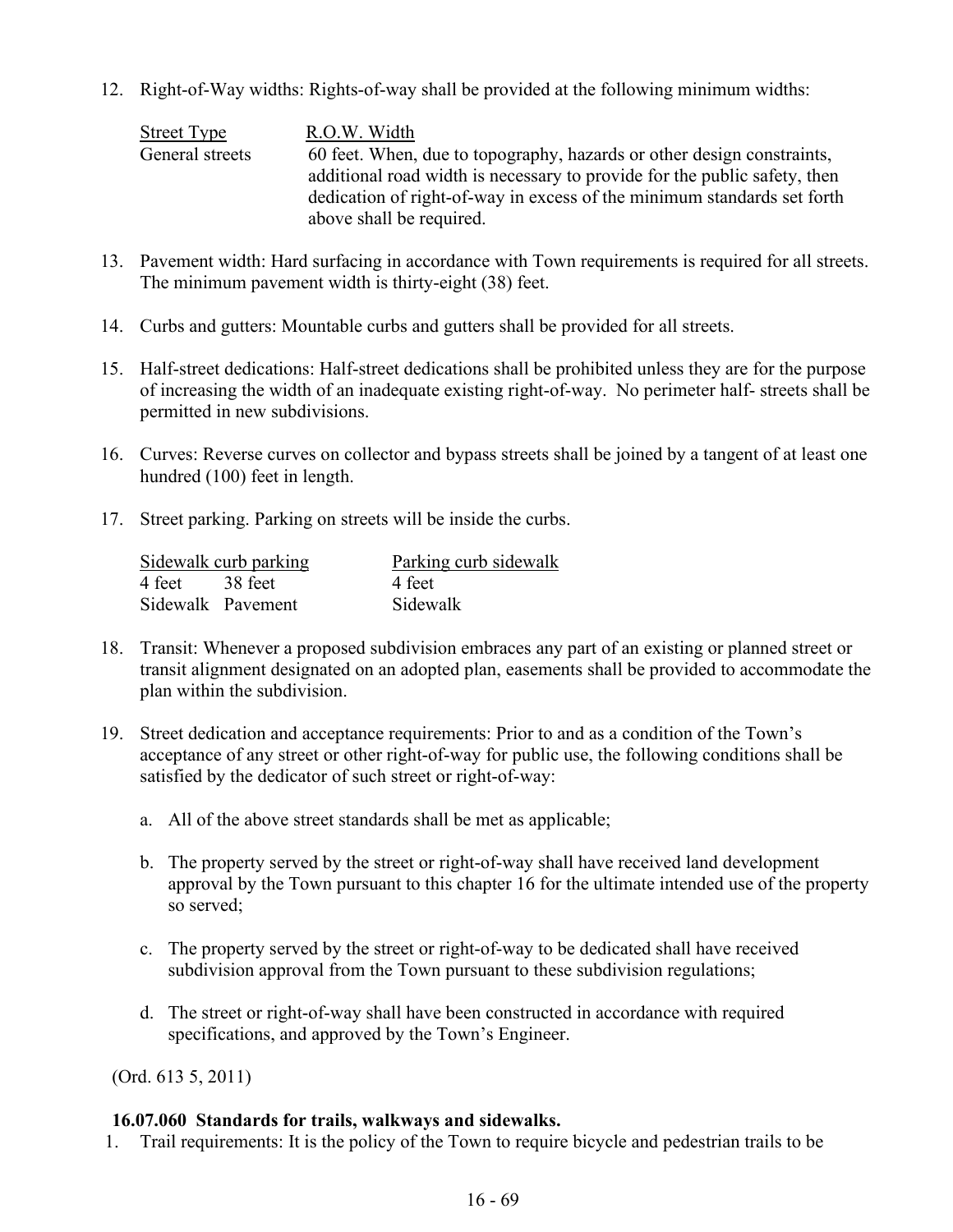12. Right-of-Way widths: Rights-of-way shall be provided at the following minimum widths:

Street Type R.O.W. Width General streets 60 feet. When, due to topography, hazards or other design constraints, additional road width is necessary to provide for the public safety, then dedication of right-of-way in excess of the minimum standards set forth above shall be required.

- 13. Pavement width: Hard surfacing in accordance with Town requirements is required for all streets. The minimum pavement width is thirty-eight (38) feet.
- 14. Curbs and gutters: Mountable curbs and gutters shall be provided for all streets.
- 15. Half-street dedications: Half-street dedications shall be prohibited unless they are for the purpose of increasing the width of an inadequate existing right-of-way. No perimeter half- streets shall be permitted in new subdivisions.
- 16. Curves: Reverse curves on collector and bypass streets shall be joined by a tangent of at least one hundred (100) feet in length.
- 17. Street parking. Parking on streets will be inside the curbs.

| Sidewalk curb parking |                   | Parking curb sidewalk |  |
|-----------------------|-------------------|-----------------------|--|
| 4 feet 38 feet        |                   | 4 feet                |  |
|                       | Sidewalk Pavement | Sidewalk              |  |

- 18. Transit: Whenever a proposed subdivision embraces any part of an existing or planned street or transit alignment designated on an adopted plan, easements shall be provided to accommodate the plan within the subdivision.
- 19. Street dedication and acceptance requirements: Prior to and as a condition of the Town's acceptance of any street or other right-of-way for public use, the following conditions shall be satisfied by the dedicator of such street or right-of-way:
	- a. All of the above street standards shall be met as applicable;
	- b. The property served by the street or right-of-way shall have received land development approval by the Town pursuant to this chapter 16 for the ultimate intended use of the property so served;
	- c. The property served by the street or right-of-way to be dedicated shall have received subdivision approval from the Town pursuant to these subdivision regulations;
	- d. The street or right-of-way shall have been constructed in accordance with required specifications, and approved by the Town's Engineer.

(Ord. 613 5, 2011)

### **16.07.060 Standards for trails, walkways and sidewalks.**

1. Trail requirements: It is the policy of the Town to require bicycle and pedestrian trails to be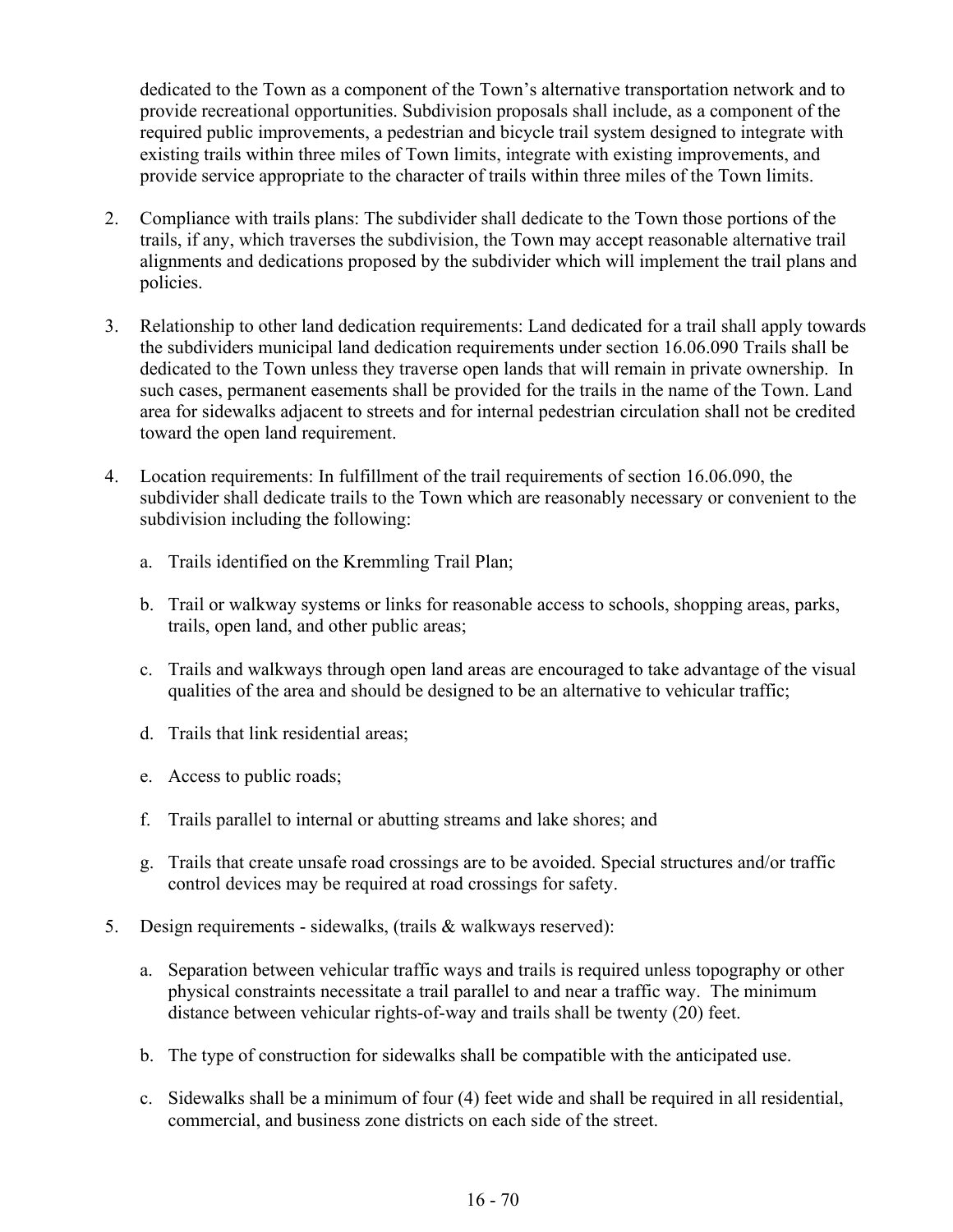dedicated to the Town as a component of the Town's alternative transportation network and to provide recreational opportunities. Subdivision proposals shall include, as a component of the required public improvements, a pedestrian and bicycle trail system designed to integrate with existing trails within three miles of Town limits, integrate with existing improvements, and provide service appropriate to the character of trails within three miles of the Town limits.

- 2. Compliance with trails plans: The subdivider shall dedicate to the Town those portions of the trails, if any, which traverses the subdivision, the Town may accept reasonable alternative trail alignments and dedications proposed by the subdivider which will implement the trail plans and policies.
- 3. Relationship to other land dedication requirements: Land dedicated for a trail shall apply towards the subdividers municipal land dedication requirements under section 16.06.090 Trails shall be dedicated to the Town unless they traverse open lands that will remain in private ownership. In such cases, permanent easements shall be provided for the trails in the name of the Town. Land area for sidewalks adjacent to streets and for internal pedestrian circulation shall not be credited toward the open land requirement.
- 4. Location requirements: In fulfillment of the trail requirements of section 16.06.090, the subdivider shall dedicate trails to the Town which are reasonably necessary or convenient to the subdivision including the following:
	- a. Trails identified on the Kremmling Trail Plan;
	- b. Trail or walkway systems or links for reasonable access to schools, shopping areas, parks, trails, open land, and other public areas;
	- c. Trails and walkways through open land areas are encouraged to take advantage of the visual qualities of the area and should be designed to be an alternative to vehicular traffic;
	- d. Trails that link residential areas;
	- e. Access to public roads;
	- f. Trails parallel to internal or abutting streams and lake shores; and
	- g. Trails that create unsafe road crossings are to be avoided. Special structures and/or traffic control devices may be required at road crossings for safety.
- 5. Design requirements sidewalks, (trails & walkways reserved):
	- a. Separation between vehicular traffic ways and trails is required unless topography or other physical constraints necessitate a trail parallel to and near a traffic way. The minimum distance between vehicular rights-of-way and trails shall be twenty (20) feet.
	- b. The type of construction for sidewalks shall be compatible with the anticipated use.
	- c. Sidewalks shall be a minimum of four (4) feet wide and shall be required in all residential, commercial, and business zone districts on each side of the street.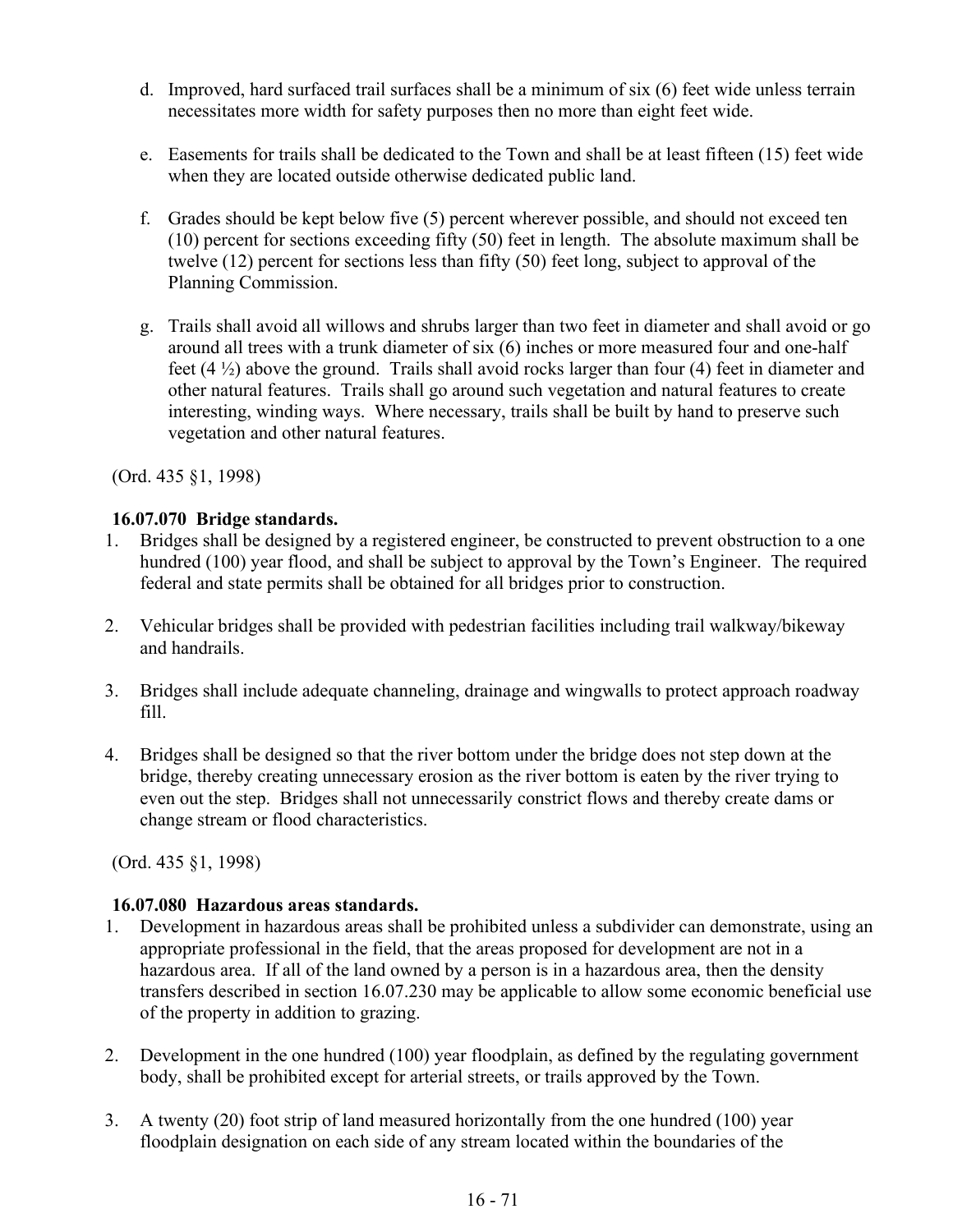- d. Improved, hard surfaced trail surfaces shall be a minimum of six (6) feet wide unless terrain necessitates more width for safety purposes then no more than eight feet wide.
- e. Easements for trails shall be dedicated to the Town and shall be at least fifteen (15) feet wide when they are located outside otherwise dedicated public land.
- f. Grades should be kept below five (5) percent wherever possible, and should not exceed ten (10) percent for sections exceeding fifty (50) feet in length. The absolute maximum shall be twelve (12) percent for sections less than fifty (50) feet long, subject to approval of the Planning Commission.
- g. Trails shall avoid all willows and shrubs larger than two feet in diameter and shall avoid or go around all trees with a trunk diameter of six (6) inches or more measured four and one-half feet  $(4\frac{1}{2})$  above the ground. Trails shall avoid rocks larger than four (4) feet in diameter and other natural features. Trails shall go around such vegetation and natural features to create interesting, winding ways. Where necessary, trails shall be built by hand to preserve such vegetation and other natural features.

(Ord. 435 §1, 1998)

## **16.07.070 Bridge standards.**

- 1. Bridges shall be designed by a registered engineer, be constructed to prevent obstruction to a one hundred (100) year flood, and shall be subject to approval by the Town's Engineer. The required federal and state permits shall be obtained for all bridges prior to construction.
- 2. Vehicular bridges shall be provided with pedestrian facilities including trail walkway/bikeway and handrails.
- 3. Bridges shall include adequate channeling, drainage and wingwalls to protect approach roadway fill.
- 4. Bridges shall be designed so that the river bottom under the bridge does not step down at the bridge, thereby creating unnecessary erosion as the river bottom is eaten by the river trying to even out the step. Bridges shall not unnecessarily constrict flows and thereby create dams or change stream or flood characteristics.

(Ord. 435 §1, 1998)

### **16.07.080 Hazardous areas standards.**

- 1. Development in hazardous areas shall be prohibited unless a subdivider can demonstrate, using an appropriate professional in the field, that the areas proposed for development are not in a hazardous area. If all of the land owned by a person is in a hazardous area, then the density transfers described in section 16.07.230 may be applicable to allow some economic beneficial use of the property in addition to grazing.
- 2. Development in the one hundred (100) year floodplain, as defined by the regulating government body, shall be prohibited except for arterial streets, or trails approved by the Town.
- 3. A twenty (20) foot strip of land measured horizontally from the one hundred (100) year floodplain designation on each side of any stream located within the boundaries of the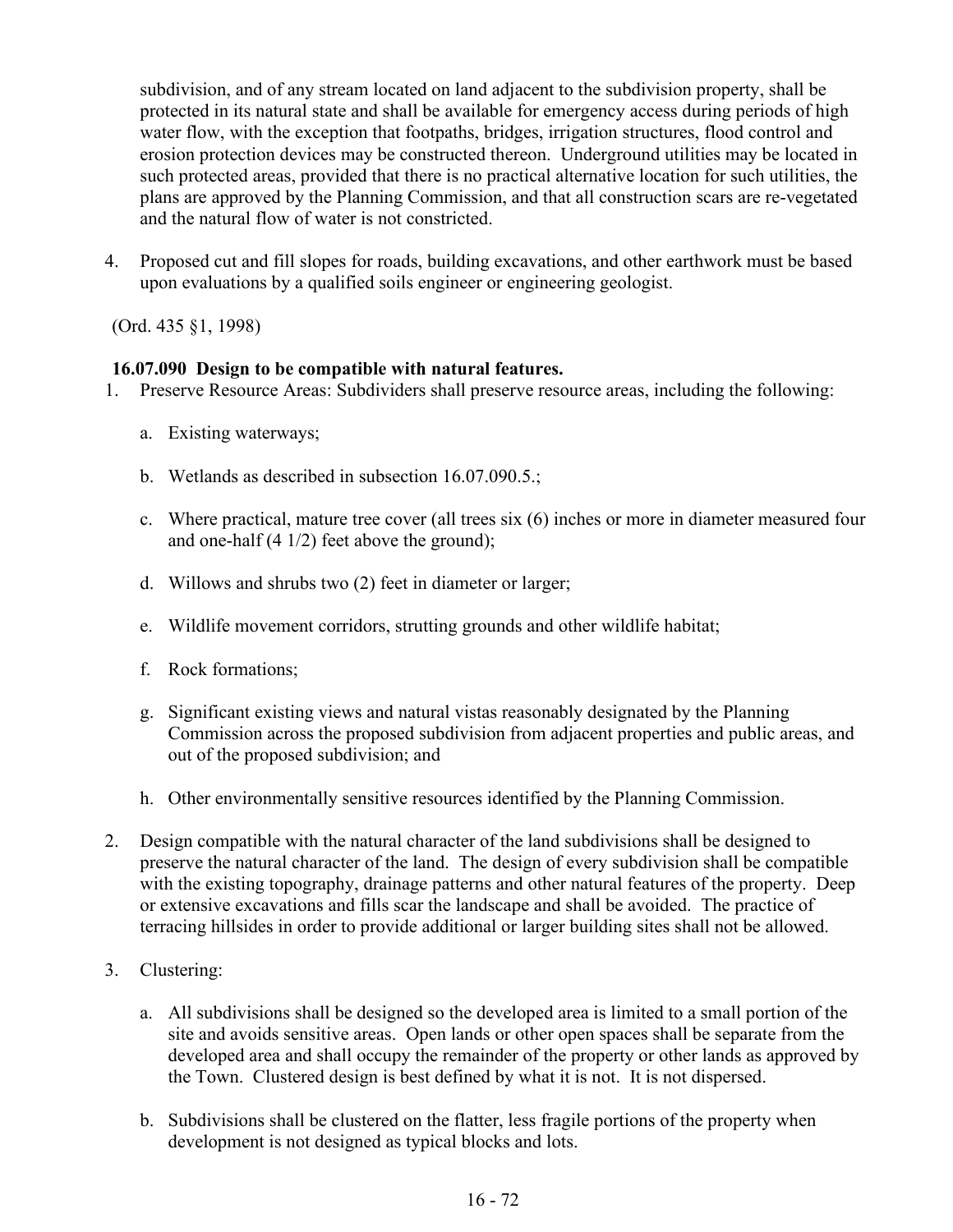subdivision, and of any stream located on land adjacent to the subdivision property, shall be protected in its natural state and shall be available for emergency access during periods of high water flow, with the exception that footpaths, bridges, irrigation structures, flood control and erosion protection devices may be constructed thereon. Underground utilities may be located in such protected areas, provided that there is no practical alternative location for such utilities, the plans are approved by the Planning Commission, and that all construction scars are re-vegetated and the natural flow of water is not constricted.

4. Proposed cut and fill slopes for roads, building excavations, and other earthwork must be based upon evaluations by a qualified soils engineer or engineering geologist.

(Ord. 435 §1, 1998)

## **16.07.090 Design to be compatible with natural features.**

- 1. Preserve Resource Areas: Subdividers shall preserve resource areas, including the following:
	- a. Existing waterways;
	- b. Wetlands as described in subsection 16.07.090.5.;
	- c. Where practical, mature tree cover (all trees six (6) inches or more in diameter measured four and one-half (4 1/2) feet above the ground);
	- d. Willows and shrubs two (2) feet in diameter or larger;
	- e. Wildlife movement corridors, strutting grounds and other wildlife habitat;
	- f. Rock formations;
	- g. Significant existing views and natural vistas reasonably designated by the Planning Commission across the proposed subdivision from adjacent properties and public areas, and out of the proposed subdivision; and
	- h. Other environmentally sensitive resources identified by the Planning Commission.
- 2. Design compatible with the natural character of the land subdivisions shall be designed to preserve the natural character of the land. The design of every subdivision shall be compatible with the existing topography, drainage patterns and other natural features of the property. Deep or extensive excavations and fills scar the landscape and shall be avoided. The practice of terracing hillsides in order to provide additional or larger building sites shall not be allowed.
- 3. Clustering:
	- a. All subdivisions shall be designed so the developed area is limited to a small portion of the site and avoids sensitive areas. Open lands or other open spaces shall be separate from the developed area and shall occupy the remainder of the property or other lands as approved by the Town. Clustered design is best defined by what it is not. It is not dispersed.
	- b. Subdivisions shall be clustered on the flatter, less fragile portions of the property when development is not designed as typical blocks and lots.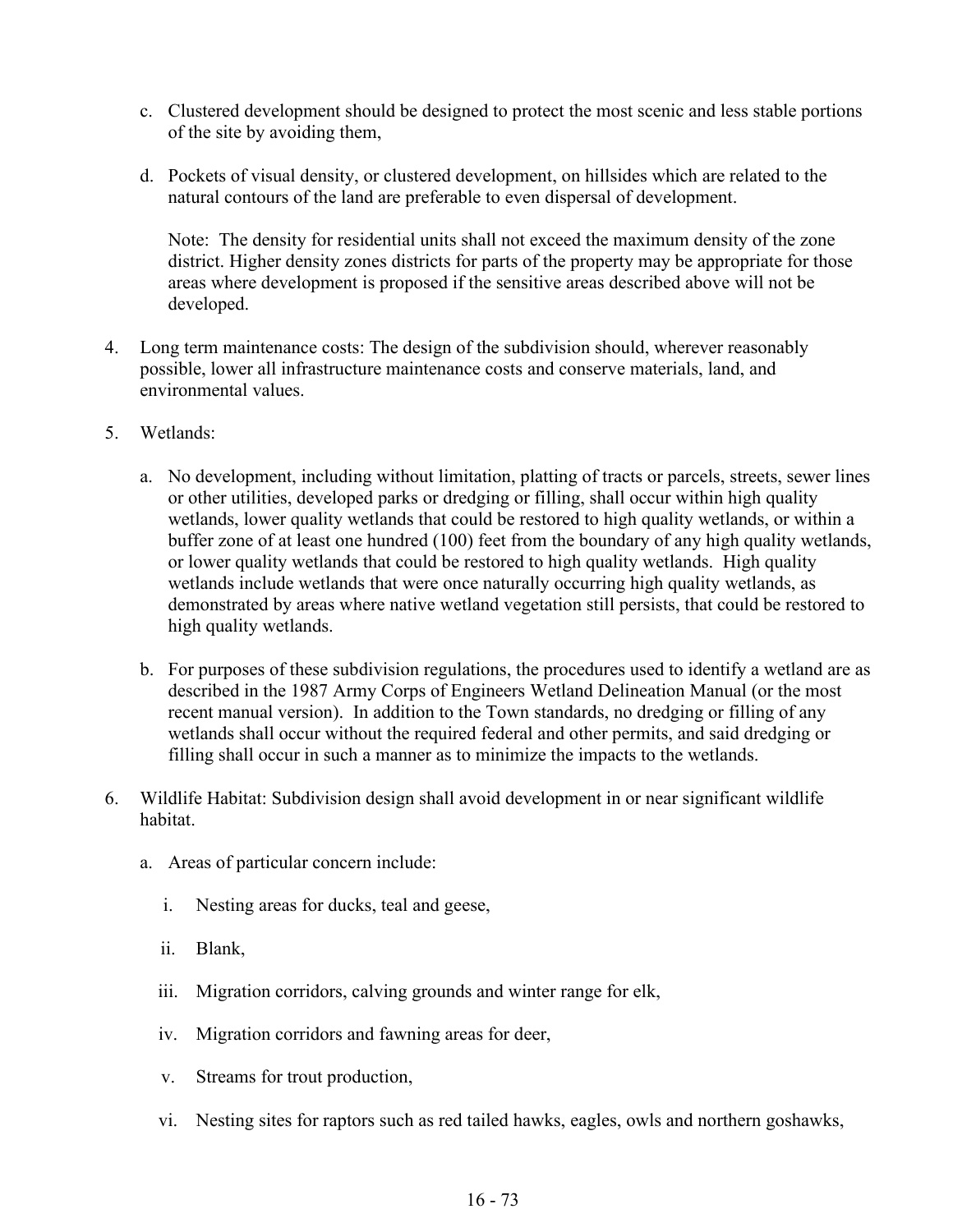- c. Clustered development should be designed to protect the most scenic and less stable portions of the site by avoiding them,
- d. Pockets of visual density, or clustered development, on hillsides which are related to the natural contours of the land are preferable to even dispersal of development.

Note: The density for residential units shall not exceed the maximum density of the zone district. Higher density zones districts for parts of the property may be appropriate for those areas where development is proposed if the sensitive areas described above will not be developed.

- 4. Long term maintenance costs: The design of the subdivision should, wherever reasonably possible, lower all infrastructure maintenance costs and conserve materials, land, and environmental values.
- 5. Wetlands:
	- a. No development, including without limitation, platting of tracts or parcels, streets, sewer lines or other utilities, developed parks or dredging or filling, shall occur within high quality wetlands, lower quality wetlands that could be restored to high quality wetlands, or within a buffer zone of at least one hundred (100) feet from the boundary of any high quality wetlands, or lower quality wetlands that could be restored to high quality wetlands. High quality wetlands include wetlands that were once naturally occurring high quality wetlands, as demonstrated by areas where native wetland vegetation still persists, that could be restored to high quality wetlands.
	- b. For purposes of these subdivision regulations, the procedures used to identify a wetland are as described in the 1987 Army Corps of Engineers Wetland Delineation Manual (or the most recent manual version). In addition to the Town standards, no dredging or filling of any wetlands shall occur without the required federal and other permits, and said dredging or filling shall occur in such a manner as to minimize the impacts to the wetlands.
- 6. Wildlife Habitat: Subdivision design shall avoid development in or near significant wildlife habitat.
	- a. Areas of particular concern include:
		- i. Nesting areas for ducks, teal and geese,
		- ii. Blank,
		- iii. Migration corridors, calving grounds and winter range for elk,
		- iv. Migration corridors and fawning areas for deer,
		- v. Streams for trout production,
		- vi. Nesting sites for raptors such as red tailed hawks, eagles, owls and northern goshawks,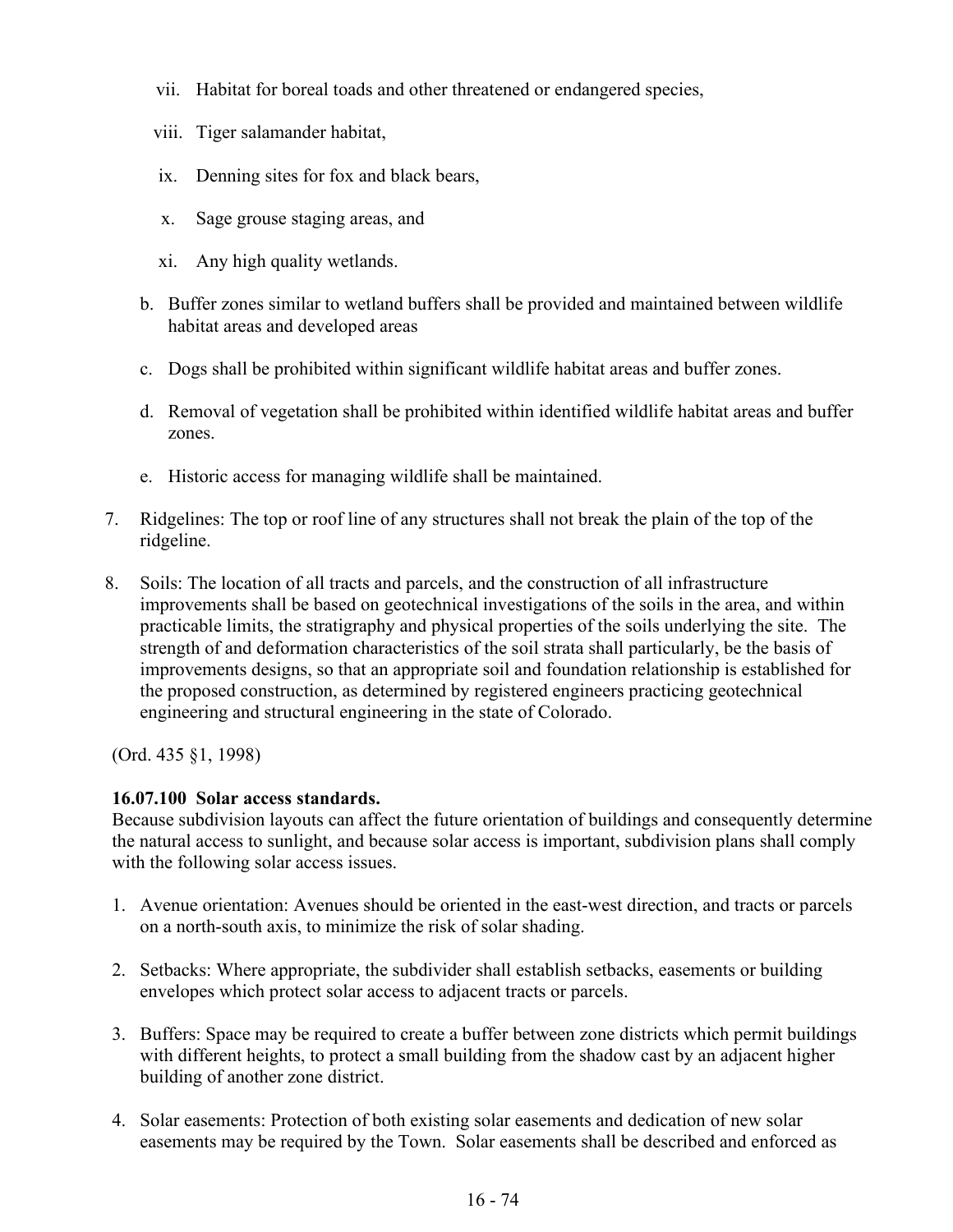- vii. Habitat for boreal toads and other threatened or endangered species,
- viii. Tiger salamander habitat,
- ix. Denning sites for fox and black bears,
- x. Sage grouse staging areas, and
- xi. Any high quality wetlands.
- b. Buffer zones similar to wetland buffers shall be provided and maintained between wildlife habitat areas and developed areas
- c. Dogs shall be prohibited within significant wildlife habitat areas and buffer zones.
- d. Removal of vegetation shall be prohibited within identified wildlife habitat areas and buffer zones.
- e. Historic access for managing wildlife shall be maintained.
- 7. Ridgelines: The top or roof line of any structures shall not break the plain of the top of the ridgeline.
- 8. Soils: The location of all tracts and parcels, and the construction of all infrastructure improvements shall be based on geotechnical investigations of the soils in the area, and within practicable limits, the stratigraphy and physical properties of the soils underlying the site. The strength of and deformation characteristics of the soil strata shall particularly, be the basis of improvements designs, so that an appropriate soil and foundation relationship is established for the proposed construction, as determined by registered engineers practicing geotechnical engineering and structural engineering in the state of Colorado.

(Ord. 435 §1, 1998)

## **16.07.100 Solar access standards.**

Because subdivision layouts can affect the future orientation of buildings and consequently determine the natural access to sunlight, and because solar access is important, subdivision plans shall comply with the following solar access issues.

- 1. Avenue orientation: Avenues should be oriented in the east-west direction, and tracts or parcels on a north-south axis, to minimize the risk of solar shading.
- 2. Setbacks: Where appropriate, the subdivider shall establish setbacks, easements or building envelopes which protect solar access to adjacent tracts or parcels.
- 3. Buffers: Space may be required to create a buffer between zone districts which permit buildings with different heights, to protect a small building from the shadow cast by an adjacent higher building of another zone district.
- 4. Solar easements: Protection of both existing solar easements and dedication of new solar easements may be required by the Town. Solar easements shall be described and enforced as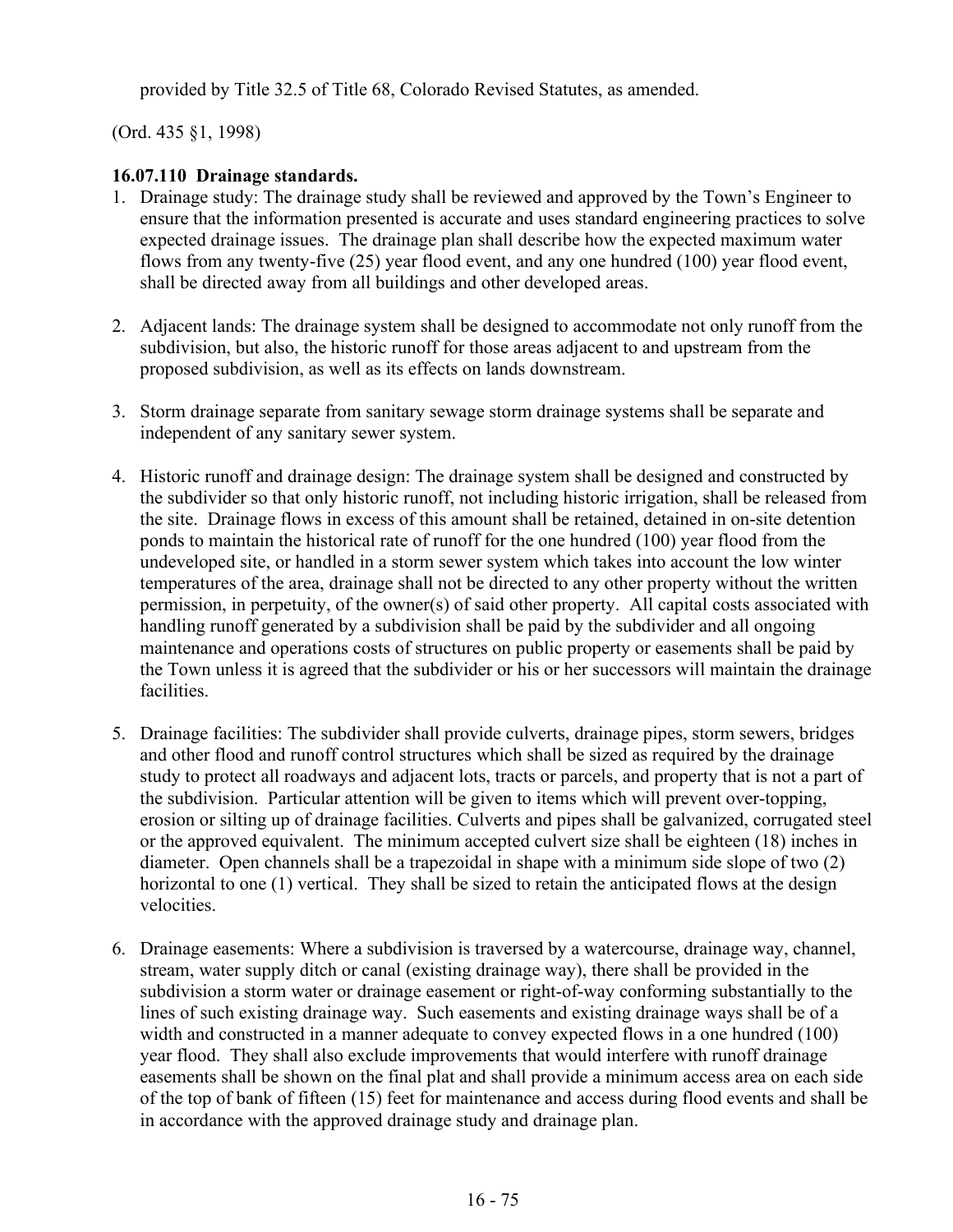provided by Title 32.5 of Title 68, Colorado Revised Statutes, as amended.

(Ord. 435 §1, 1998)

# **16.07.110 Drainage standards.**

- 1. Drainage study: The drainage study shall be reviewed and approved by the Town's Engineer to ensure that the information presented is accurate and uses standard engineering practices to solve expected drainage issues. The drainage plan shall describe how the expected maximum water flows from any twenty-five (25) year flood event, and any one hundred (100) year flood event, shall be directed away from all buildings and other developed areas.
- 2. Adjacent lands: The drainage system shall be designed to accommodate not only runoff from the subdivision, but also, the historic runoff for those areas adjacent to and upstream from the proposed subdivision, as well as its effects on lands downstream.
- 3. Storm drainage separate from sanitary sewage storm drainage systems shall be separate and independent of any sanitary sewer system.
- 4. Historic runoff and drainage design: The drainage system shall be designed and constructed by the subdivider so that only historic runoff, not including historic irrigation, shall be released from the site. Drainage flows in excess of this amount shall be retained, detained in on-site detention ponds to maintain the historical rate of runoff for the one hundred (100) year flood from the undeveloped site, or handled in a storm sewer system which takes into account the low winter temperatures of the area, drainage shall not be directed to any other property without the written permission, in perpetuity, of the owner(s) of said other property. All capital costs associated with handling runoff generated by a subdivision shall be paid by the subdivider and all ongoing maintenance and operations costs of structures on public property or easements shall be paid by the Town unless it is agreed that the subdivider or his or her successors will maintain the drainage facilities.
- 5. Drainage facilities: The subdivider shall provide culverts, drainage pipes, storm sewers, bridges and other flood and runoff control structures which shall be sized as required by the drainage study to protect all roadways and adjacent lots, tracts or parcels, and property that is not a part of the subdivision. Particular attention will be given to items which will prevent over-topping, erosion or silting up of drainage facilities. Culverts and pipes shall be galvanized, corrugated steel or the approved equivalent. The minimum accepted culvert size shall be eighteen (18) inches in diameter. Open channels shall be a trapezoidal in shape with a minimum side slope of two (2) horizontal to one (1) vertical. They shall be sized to retain the anticipated flows at the design velocities.
- 6. Drainage easements: Where a subdivision is traversed by a watercourse, drainage way, channel, stream, water supply ditch or canal (existing drainage way), there shall be provided in the subdivision a storm water or drainage easement or right-of-way conforming substantially to the lines of such existing drainage way. Such easements and existing drainage ways shall be of a width and constructed in a manner adequate to convey expected flows in a one hundred (100) year flood. They shall also exclude improvements that would interfere with runoff drainage easements shall be shown on the final plat and shall provide a minimum access area on each side of the top of bank of fifteen (15) feet for maintenance and access during flood events and shall be in accordance with the approved drainage study and drainage plan.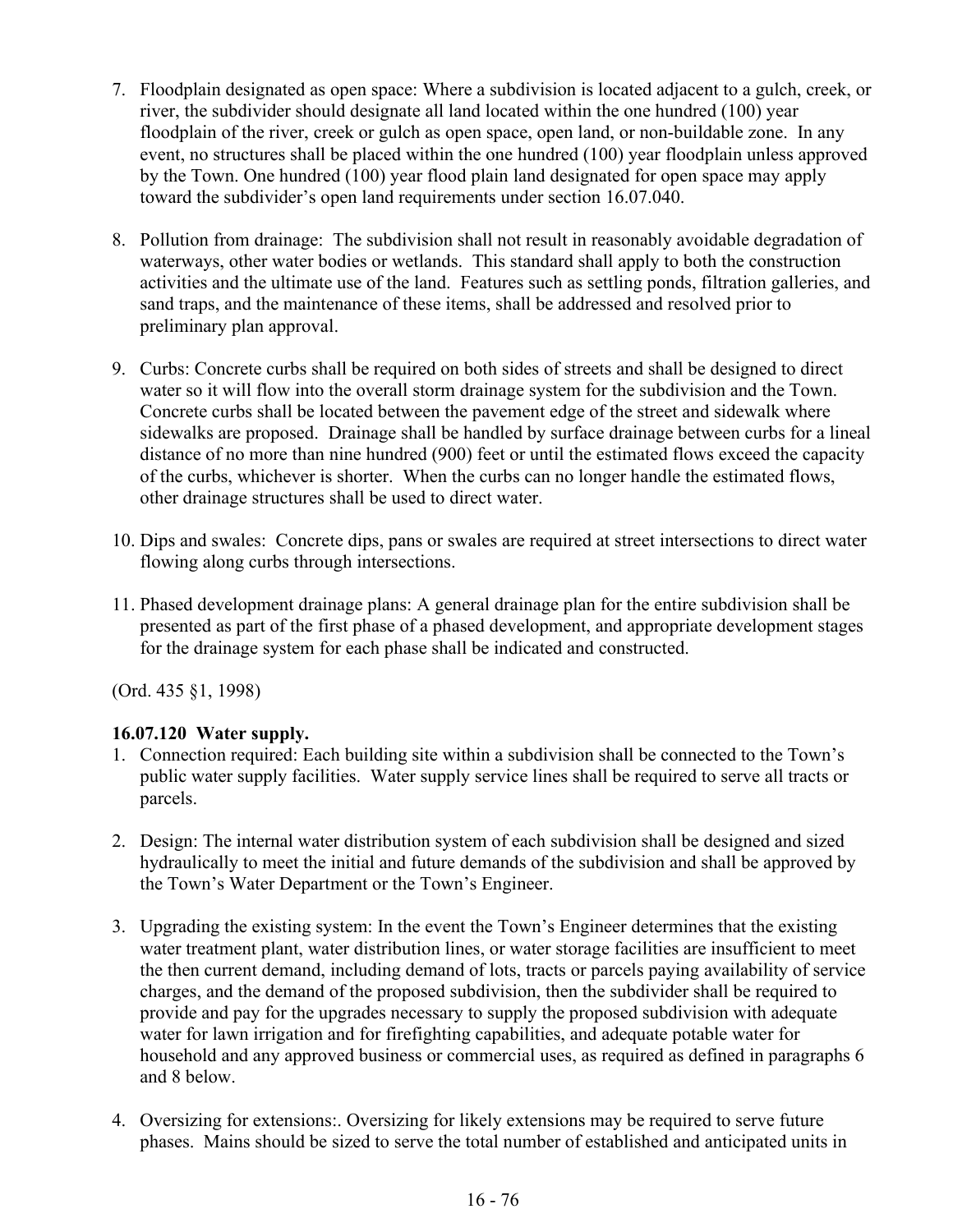- 7. Floodplain designated as open space: Where a subdivision is located adjacent to a gulch, creek, or river, the subdivider should designate all land located within the one hundred (100) year floodplain of the river, creek or gulch as open space, open land, or non-buildable zone. In any event, no structures shall be placed within the one hundred (100) year floodplain unless approved by the Town. One hundred (100) year flood plain land designated for open space may apply toward the subdivider's open land requirements under section 16.07.040.
- 8. Pollution from drainage: The subdivision shall not result in reasonably avoidable degradation of waterways, other water bodies or wetlands. This standard shall apply to both the construction activities and the ultimate use of the land. Features such as settling ponds, filtration galleries, and sand traps, and the maintenance of these items, shall be addressed and resolved prior to preliminary plan approval.
- 9. Curbs: Concrete curbs shall be required on both sides of streets and shall be designed to direct water so it will flow into the overall storm drainage system for the subdivision and the Town. Concrete curbs shall be located between the pavement edge of the street and sidewalk where sidewalks are proposed. Drainage shall be handled by surface drainage between curbs for a lineal distance of no more than nine hundred (900) feet or until the estimated flows exceed the capacity of the curbs, whichever is shorter. When the curbs can no longer handle the estimated flows, other drainage structures shall be used to direct water.
- 10. Dips and swales: Concrete dips, pans or swales are required at street intersections to direct water flowing along curbs through intersections.
- 11. Phased development drainage plans: A general drainage plan for the entire subdivision shall be presented as part of the first phase of a phased development, and appropriate development stages for the drainage system for each phase shall be indicated and constructed.

(Ord. 435 §1, 1998)

## **16.07.120 Water supply.**

- 1. Connection required: Each building site within a subdivision shall be connected to the Town's public water supply facilities. Water supply service lines shall be required to serve all tracts or parcels.
- 2. Design: The internal water distribution system of each subdivision shall be designed and sized hydraulically to meet the initial and future demands of the subdivision and shall be approved by the Town's Water Department or the Town's Engineer.
- 3. Upgrading the existing system: In the event the Town's Engineer determines that the existing water treatment plant, water distribution lines, or water storage facilities are insufficient to meet the then current demand, including demand of lots, tracts or parcels paying availability of service charges, and the demand of the proposed subdivision, then the subdivider shall be required to provide and pay for the upgrades necessary to supply the proposed subdivision with adequate water for lawn irrigation and for firefighting capabilities, and adequate potable water for household and any approved business or commercial uses, as required as defined in paragraphs 6 and 8 below.
- 4. Oversizing for extensions:. Oversizing for likely extensions may be required to serve future phases. Mains should be sized to serve the total number of established and anticipated units in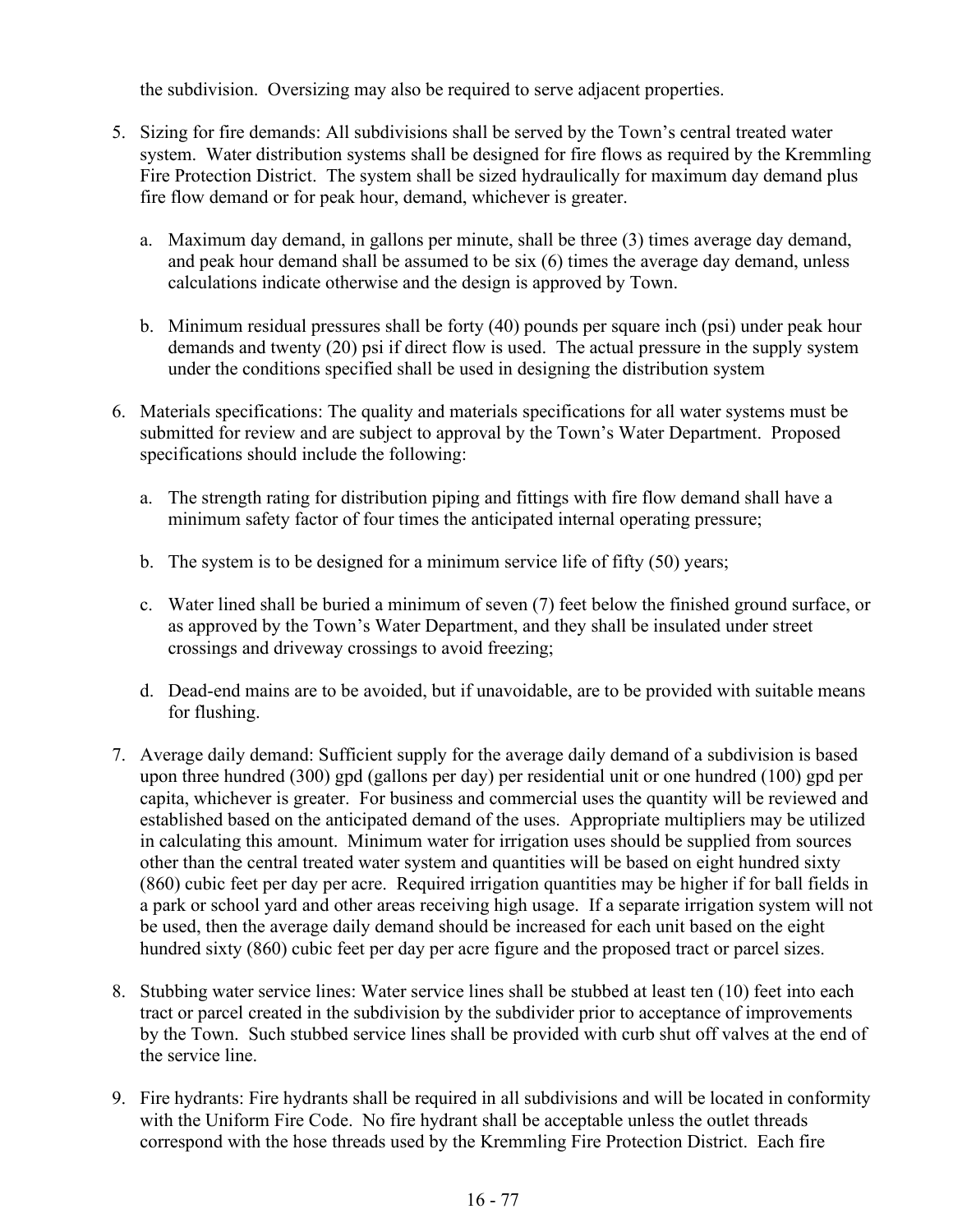the subdivision. Oversizing may also be required to serve adjacent properties.

- 5. Sizing for fire demands: All subdivisions shall be served by the Town's central treated water system. Water distribution systems shall be designed for fire flows as required by the Kremmling Fire Protection District. The system shall be sized hydraulically for maximum day demand plus fire flow demand or for peak hour, demand, whichever is greater.
	- a. Maximum day demand, in gallons per minute, shall be three (3) times average day demand, and peak hour demand shall be assumed to be six (6) times the average day demand, unless calculations indicate otherwise and the design is approved by Town.
	- b. Minimum residual pressures shall be forty (40) pounds per square inch (psi) under peak hour demands and twenty (20) psi if direct flow is used. The actual pressure in the supply system under the conditions specified shall be used in designing the distribution system
- 6. Materials specifications: The quality and materials specifications for all water systems must be submitted for review and are subject to approval by the Town's Water Department. Proposed specifications should include the following:
	- a. The strength rating for distribution piping and fittings with fire flow demand shall have a minimum safety factor of four times the anticipated internal operating pressure;
	- b. The system is to be designed for a minimum service life of fifty (50) years;
	- c. Water lined shall be buried a minimum of seven (7) feet below the finished ground surface, or as approved by the Town's Water Department, and they shall be insulated under street crossings and driveway crossings to avoid freezing;
	- d. Dead-end mains are to be avoided, but if unavoidable, are to be provided with suitable means for flushing.
- 7. Average daily demand: Sufficient supply for the average daily demand of a subdivision is based upon three hundred (300) gpd (gallons per day) per residential unit or one hundred (100) gpd per capita, whichever is greater. For business and commercial uses the quantity will be reviewed and established based on the anticipated demand of the uses. Appropriate multipliers may be utilized in calculating this amount. Minimum water for irrigation uses should be supplied from sources other than the central treated water system and quantities will be based on eight hundred sixty (860) cubic feet per day per acre. Required irrigation quantities may be higher if for ball fields in a park or school yard and other areas receiving high usage. If a separate irrigation system will not be used, then the average daily demand should be increased for each unit based on the eight hundred sixty (860) cubic feet per day per acre figure and the proposed tract or parcel sizes.
- 8. Stubbing water service lines: Water service lines shall be stubbed at least ten (10) feet into each tract or parcel created in the subdivision by the subdivider prior to acceptance of improvements by the Town. Such stubbed service lines shall be provided with curb shut off valves at the end of the service line.
- 9. Fire hydrants: Fire hydrants shall be required in all subdivisions and will be located in conformity with the Uniform Fire Code. No fire hydrant shall be acceptable unless the outlet threads correspond with the hose threads used by the Kremmling Fire Protection District. Each fire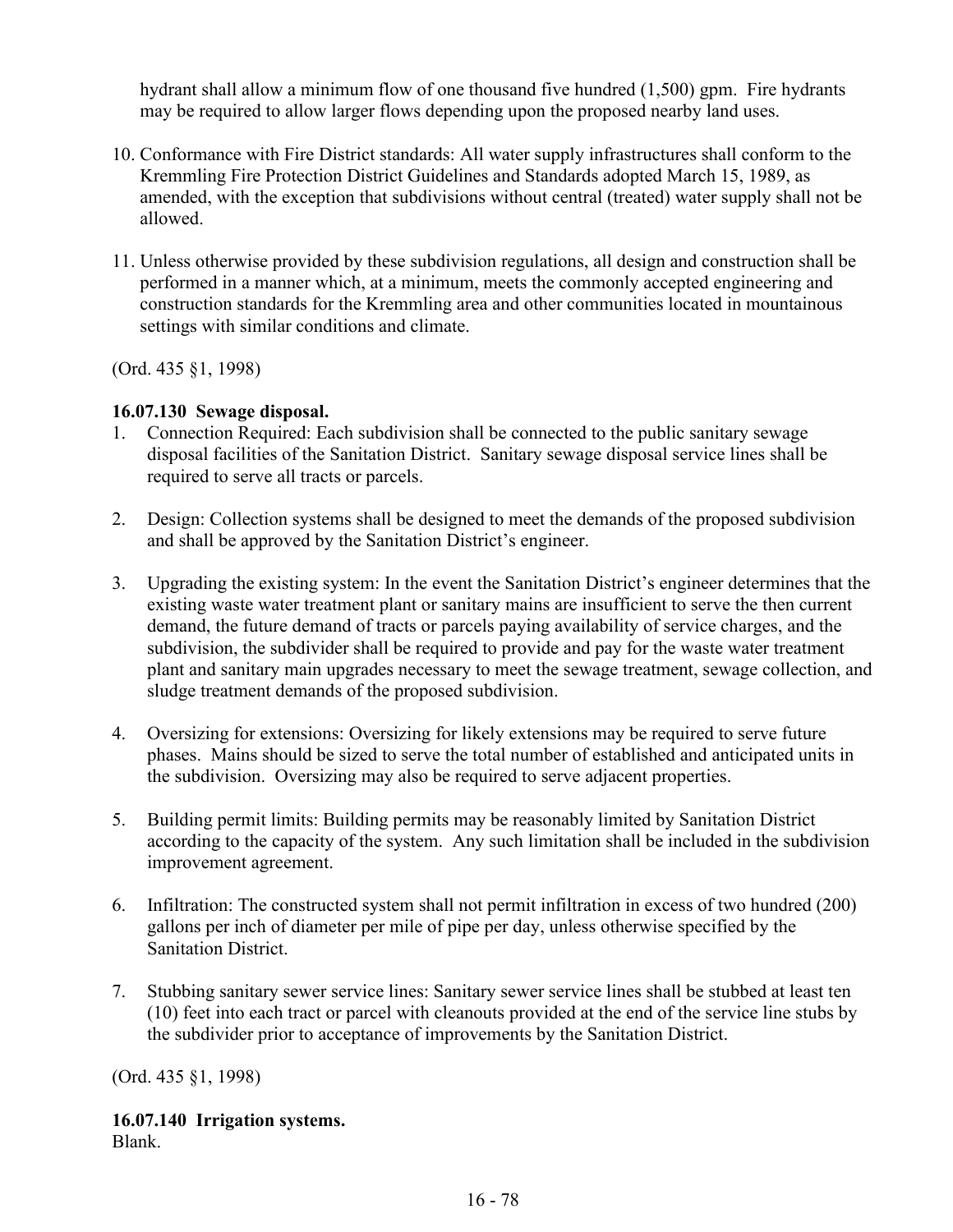hydrant shall allow a minimum flow of one thousand five hundred (1,500) gpm. Fire hydrants may be required to allow larger flows depending upon the proposed nearby land uses.

- 10. Conformance with Fire District standards: All water supply infrastructures shall conform to the Kremmling Fire Protection District Guidelines and Standards adopted March 15, 1989, as amended, with the exception that subdivisions without central (treated) water supply shall not be allowed.
- 11. Unless otherwise provided by these subdivision regulations, all design and construction shall be performed in a manner which, at a minimum, meets the commonly accepted engineering and construction standards for the Kremmling area and other communities located in mountainous settings with similar conditions and climate.

(Ord. 435 §1, 1998)

### **16.07.130 Sewage disposal.**

- 1. Connection Required: Each subdivision shall be connected to the public sanitary sewage disposal facilities of the Sanitation District. Sanitary sewage disposal service lines shall be required to serve all tracts or parcels.
- 2. Design: Collection systems shall be designed to meet the demands of the proposed subdivision and shall be approved by the Sanitation District's engineer.
- 3. Upgrading the existing system: In the event the Sanitation District's engineer determines that the existing waste water treatment plant or sanitary mains are insufficient to serve the then current demand, the future demand of tracts or parcels paying availability of service charges, and the subdivision, the subdivider shall be required to provide and pay for the waste water treatment plant and sanitary main upgrades necessary to meet the sewage treatment, sewage collection, and sludge treatment demands of the proposed subdivision.
- 4. Oversizing for extensions: Oversizing for likely extensions may be required to serve future phases. Mains should be sized to serve the total number of established and anticipated units in the subdivision. Oversizing may also be required to serve adjacent properties.
- 5. Building permit limits: Building permits may be reasonably limited by Sanitation District according to the capacity of the system. Any such limitation shall be included in the subdivision improvement agreement.
- 6. Infiltration: The constructed system shall not permit infiltration in excess of two hundred (200) gallons per inch of diameter per mile of pipe per day, unless otherwise specified by the Sanitation District.
- 7. Stubbing sanitary sewer service lines: Sanitary sewer service lines shall be stubbed at least ten (10) feet into each tract or parcel with cleanouts provided at the end of the service line stubs by the subdivider prior to acceptance of improvements by the Sanitation District.

(Ord. 435 §1, 1998)

# **16.07.140 Irrigation systems.**

Blank.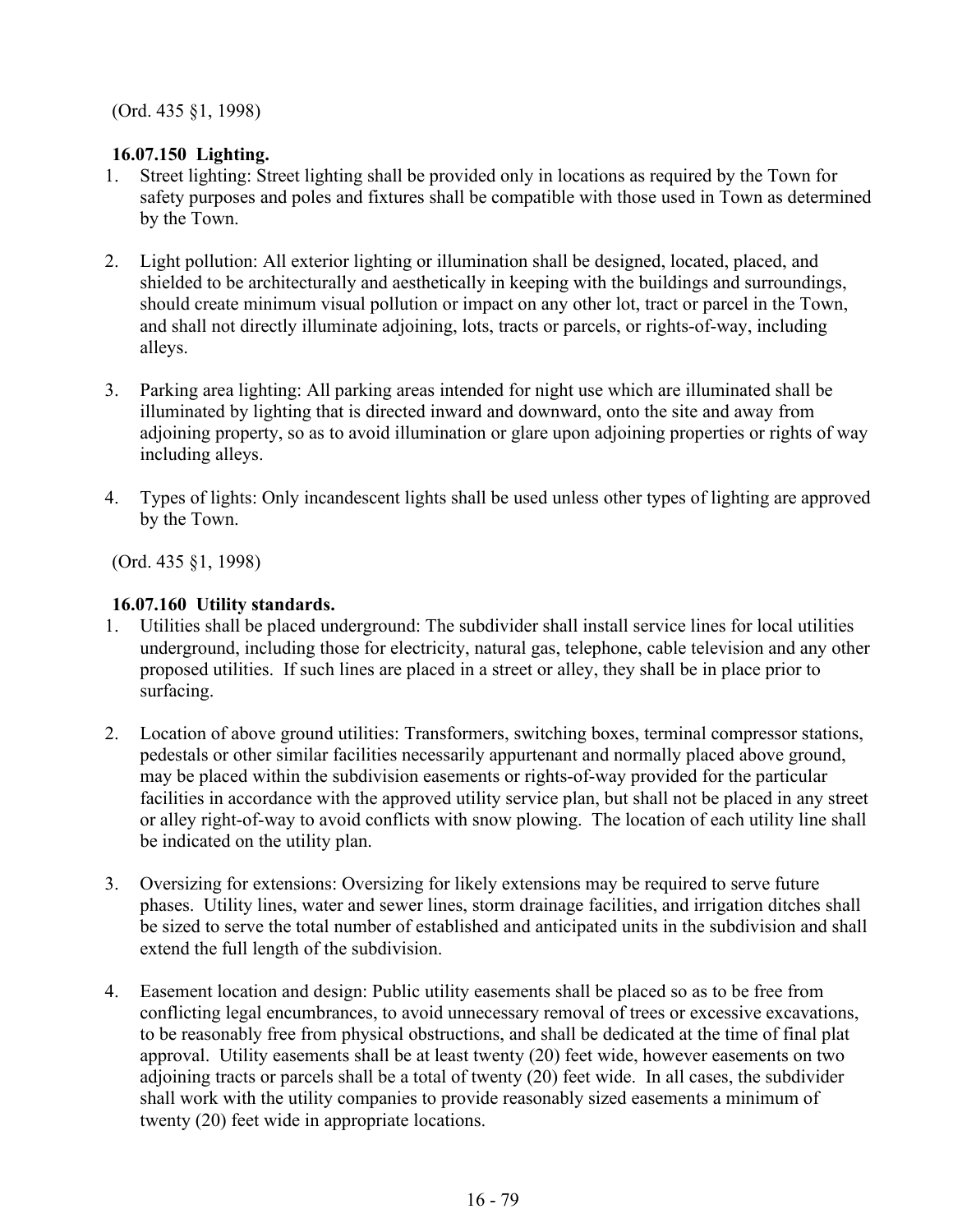(Ord. 435 §1, 1998)

# **16.07.150 Lighting.**

- 1. Street lighting: Street lighting shall be provided only in locations as required by the Town for safety purposes and poles and fixtures shall be compatible with those used in Town as determined by the Town.
- 2. Light pollution: All exterior lighting or illumination shall be designed, located, placed, and shielded to be architecturally and aesthetically in keeping with the buildings and surroundings, should create minimum visual pollution or impact on any other lot, tract or parcel in the Town, and shall not directly illuminate adjoining, lots, tracts or parcels, or rights-of-way, including alleys.
- 3. Parking area lighting: All parking areas intended for night use which are illuminated shall be illuminated by lighting that is directed inward and downward, onto the site and away from adjoining property, so as to avoid illumination or glare upon adjoining properties or rights of way including alleys.
- 4. Types of lights: Only incandescent lights shall be used unless other types of lighting are approved by the Town.

(Ord. 435 §1, 1998)

# **16.07.160 Utility standards.**

- 1. Utilities shall be placed underground: The subdivider shall install service lines for local utilities underground, including those for electricity, natural gas, telephone, cable television and any other proposed utilities. If such lines are placed in a street or alley, they shall be in place prior to surfacing.
- 2. Location of above ground utilities: Transformers, switching boxes, terminal compressor stations, pedestals or other similar facilities necessarily appurtenant and normally placed above ground, may be placed within the subdivision easements or rights-of-way provided for the particular facilities in accordance with the approved utility service plan, but shall not be placed in any street or alley right-of-way to avoid conflicts with snow plowing. The location of each utility line shall be indicated on the utility plan.
- 3. Oversizing for extensions: Oversizing for likely extensions may be required to serve future phases. Utility lines, water and sewer lines, storm drainage facilities, and irrigation ditches shall be sized to serve the total number of established and anticipated units in the subdivision and shall extend the full length of the subdivision.
- 4. Easement location and design: Public utility easements shall be placed so as to be free from conflicting legal encumbrances, to avoid unnecessary removal of trees or excessive excavations, to be reasonably free from physical obstructions, and shall be dedicated at the time of final plat approval. Utility easements shall be at least twenty (20) feet wide, however easements on two adjoining tracts or parcels shall be a total of twenty (20) feet wide. In all cases, the subdivider shall work with the utility companies to provide reasonably sized easements a minimum of twenty (20) feet wide in appropriate locations.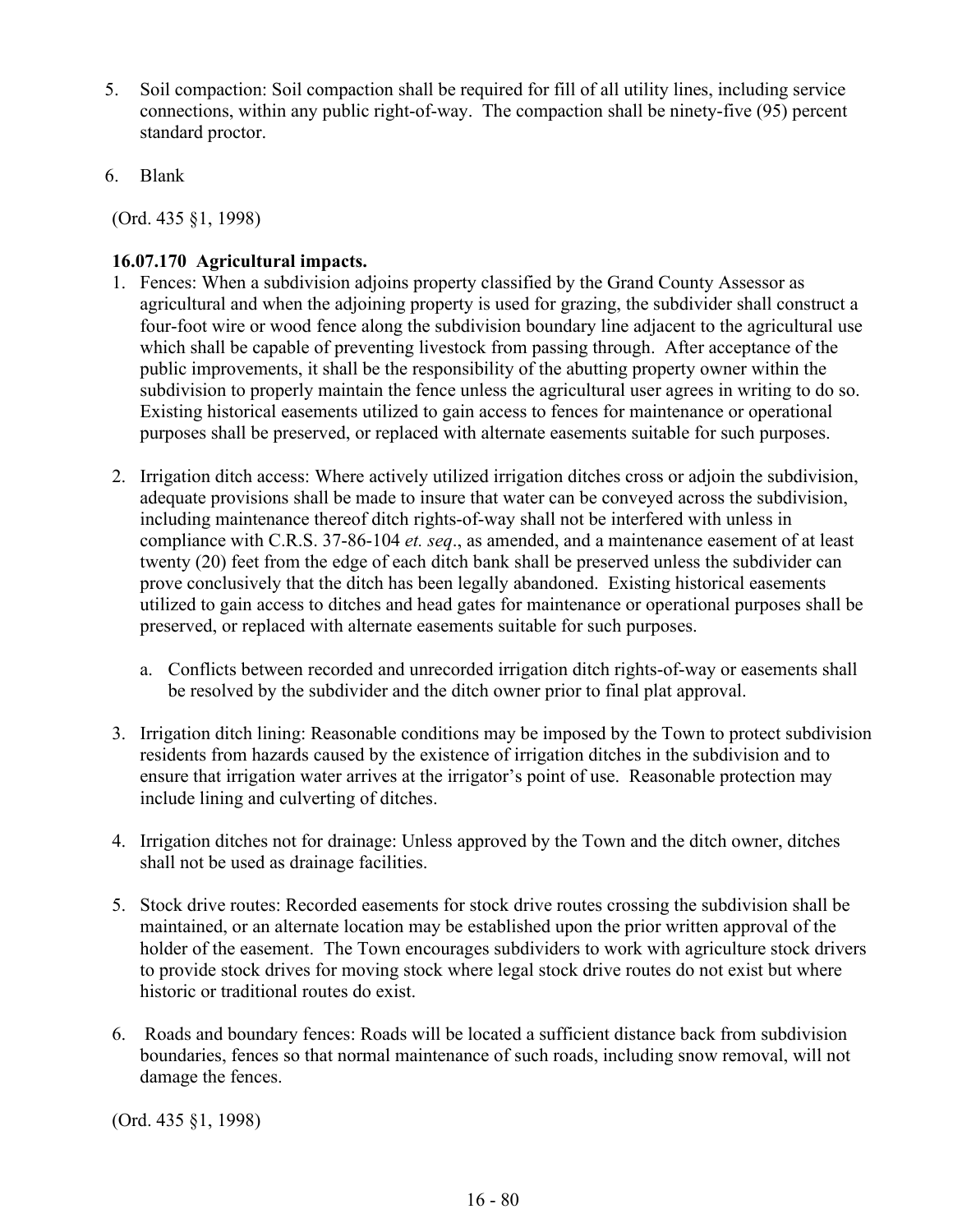- 5. Soil compaction: Soil compaction shall be required for fill of all utility lines, including service connections, within any public right-of-way. The compaction shall be ninety-five (95) percent standard proctor.
- 6. Blank

(Ord. 435 §1, 1998)

# **16.07.170 Agricultural impacts.**

- 1. Fences: When a subdivision adjoins property classified by the Grand County Assessor as agricultural and when the adjoining property is used for grazing, the subdivider shall construct a four-foot wire or wood fence along the subdivision boundary line adjacent to the agricultural use which shall be capable of preventing livestock from passing through. After acceptance of the public improvements, it shall be the responsibility of the abutting property owner within the subdivision to properly maintain the fence unless the agricultural user agrees in writing to do so. Existing historical easements utilized to gain access to fences for maintenance or operational purposes shall be preserved, or replaced with alternate easements suitable for such purposes.
- 2. Irrigation ditch access: Where actively utilized irrigation ditches cross or adjoin the subdivision, adequate provisions shall be made to insure that water can be conveyed across the subdivision, including maintenance thereof ditch rights-of-way shall not be interfered with unless in compliance with C.R.S. 37-86-104 *et. seq*., as amended, and a maintenance easement of at least twenty (20) feet from the edge of each ditch bank shall be preserved unless the subdivider can prove conclusively that the ditch has been legally abandoned. Existing historical easements utilized to gain access to ditches and head gates for maintenance or operational purposes shall be preserved, or replaced with alternate easements suitable for such purposes.
	- a. Conflicts between recorded and unrecorded irrigation ditch rights-of-way or easements shall be resolved by the subdivider and the ditch owner prior to final plat approval.
- 3. Irrigation ditch lining: Reasonable conditions may be imposed by the Town to protect subdivision residents from hazards caused by the existence of irrigation ditches in the subdivision and to ensure that irrigation water arrives at the irrigator's point of use. Reasonable protection may include lining and culverting of ditches.
- 4. Irrigation ditches not for drainage: Unless approved by the Town and the ditch owner, ditches shall not be used as drainage facilities.
- 5. Stock drive routes: Recorded easements for stock drive routes crossing the subdivision shall be maintained, or an alternate location may be established upon the prior written approval of the holder of the easement. The Town encourages subdividers to work with agriculture stock drivers to provide stock drives for moving stock where legal stock drive routes do not exist but where historic or traditional routes do exist.
- 6. Roads and boundary fences: Roads will be located a sufficient distance back from subdivision boundaries, fences so that normal maintenance of such roads, including snow removal, will not damage the fences.

(Ord. 435 §1, 1998)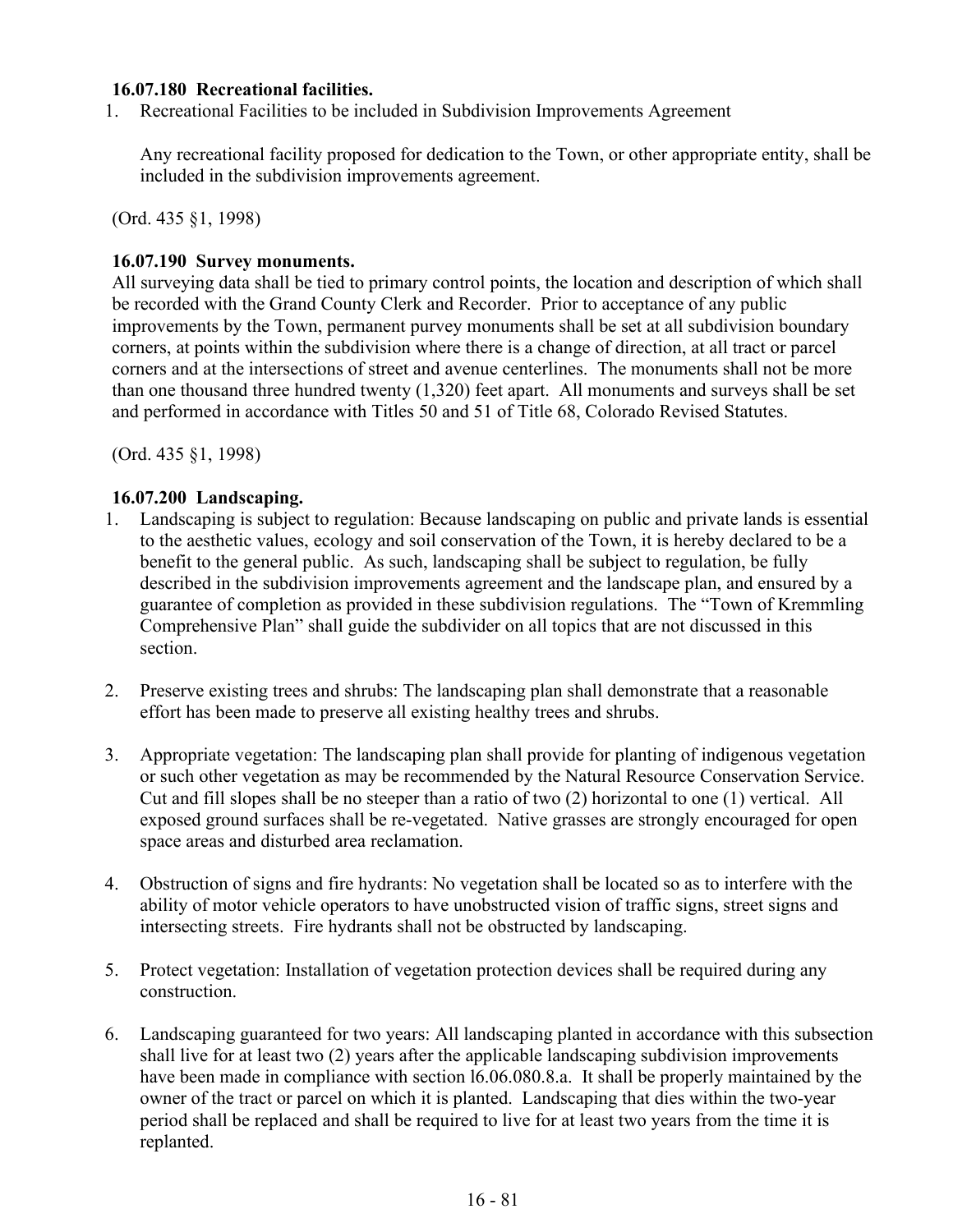### **16.07.180 Recreational facilities.**

1. Recreational Facilities to be included in Subdivision Improvements Agreement

Any recreational facility proposed for dedication to the Town, or other appropriate entity, shall be included in the subdivision improvements agreement.

(Ord. 435 §1, 1998)

### **16.07.190 Survey monuments.**

All surveying data shall be tied to primary control points, the location and description of which shall be recorded with the Grand County Clerk and Recorder. Prior to acceptance of any public improvements by the Town, permanent purvey monuments shall be set at all subdivision boundary corners, at points within the subdivision where there is a change of direction, at all tract or parcel corners and at the intersections of street and avenue centerlines. The monuments shall not be more than one thousand three hundred twenty (1,320) feet apart. All monuments and surveys shall be set and performed in accordance with Titles 50 and 51 of Title 68, Colorado Revised Statutes.

(Ord. 435 §1, 1998)

## **16.07.200 Landscaping.**

- 1. Landscaping is subject to regulation: Because landscaping on public and private lands is essential to the aesthetic values, ecology and soil conservation of the Town, it is hereby declared to be a benefit to the general public. As such, landscaping shall be subject to regulation, be fully described in the subdivision improvements agreement and the landscape plan, and ensured by a guarantee of completion as provided in these subdivision regulations. The "Town of Kremmling Comprehensive Plan" shall guide the subdivider on all topics that are not discussed in this section.
- 2. Preserve existing trees and shrubs: The landscaping plan shall demonstrate that a reasonable effort has been made to preserve all existing healthy trees and shrubs.
- 3. Appropriate vegetation: The landscaping plan shall provide for planting of indigenous vegetation or such other vegetation as may be recommended by the Natural Resource Conservation Service. Cut and fill slopes shall be no steeper than a ratio of two (2) horizontal to one (1) vertical. All exposed ground surfaces shall be re-vegetated. Native grasses are strongly encouraged for open space areas and disturbed area reclamation.
- 4. Obstruction of signs and fire hydrants: No vegetation shall be located so as to interfere with the ability of motor vehicle operators to have unobstructed vision of traffic signs, street signs and intersecting streets. Fire hydrants shall not be obstructed by landscaping.
- 5. Protect vegetation: Installation of vegetation protection devices shall be required during any construction.
- 6. Landscaping guaranteed for two years: All landscaping planted in accordance with this subsection shall live for at least two (2) years after the applicable landscaping subdivision improvements have been made in compliance with section l6.06.080.8.a. It shall be properly maintained by the owner of the tract or parcel on which it is planted. Landscaping that dies within the two-year period shall be replaced and shall be required to live for at least two years from the time it is replanted.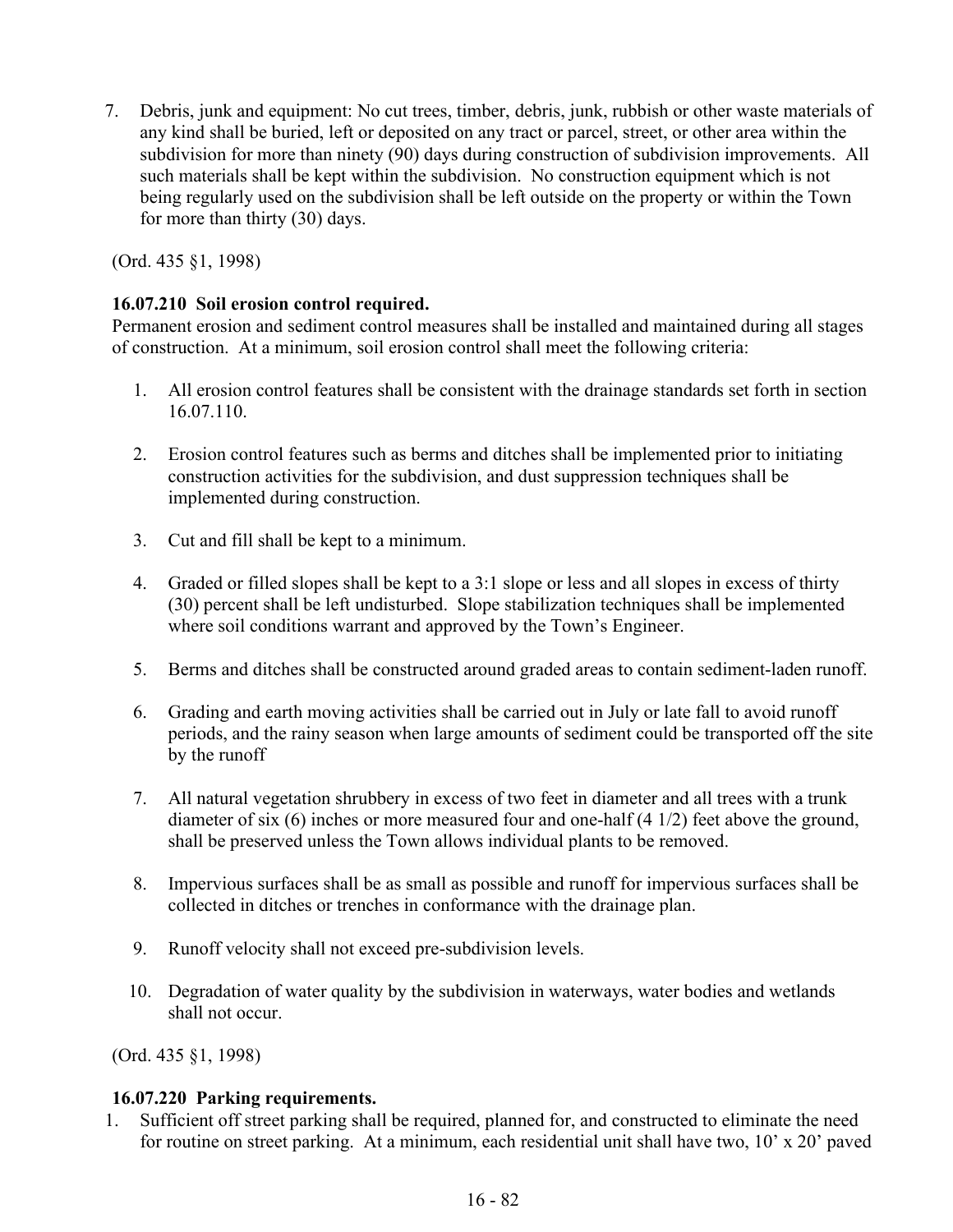7. Debris, junk and equipment: No cut trees, timber, debris, junk, rubbish or other waste materials of any kind shall be buried, left or deposited on any tract or parcel, street, or other area within the subdivision for more than ninety (90) days during construction of subdivision improvements. All such materials shall be kept within the subdivision. No construction equipment which is not being regularly used on the subdivision shall be left outside on the property or within the Town for more than thirty (30) days.

(Ord. 435 §1, 1998)

# **16.07.210 Soil erosion control required.**

Permanent erosion and sediment control measures shall be installed and maintained during all stages of construction. At a minimum, soil erosion control shall meet the following criteria:

- 1. All erosion control features shall be consistent with the drainage standards set forth in section 16.07.110.
- 2. Erosion control features such as berms and ditches shall be implemented prior to initiating construction activities for the subdivision, and dust suppression techniques shall be implemented during construction.
- 3. Cut and fill shall be kept to a minimum.
- 4. Graded or filled slopes shall be kept to a 3:1 slope or less and all slopes in excess of thirty (30) percent shall be left undisturbed. Slope stabilization techniques shall be implemented where soil conditions warrant and approved by the Town's Engineer.
- 5. Berms and ditches shall be constructed around graded areas to contain sediment-laden runoff.
- 6. Grading and earth moving activities shall be carried out in July or late fall to avoid runoff periods, and the rainy season when large amounts of sediment could be transported off the site by the runoff
- 7. All natural vegetation shrubbery in excess of two feet in diameter and all trees with a trunk diameter of six (6) inches or more measured four and one-half (4 1/2) feet above the ground, shall be preserved unless the Town allows individual plants to be removed.
- 8. Impervious surfaces shall be as small as possible and runoff for impervious surfaces shall be collected in ditches or trenches in conformance with the drainage plan.
- 9. Runoff velocity shall not exceed pre-subdivision levels.
- 10. Degradation of water quality by the subdivision in waterways, water bodies and wetlands shall not occur.

(Ord. 435 §1, 1998)

## **16.07.220 Parking requirements.**

1. Sufficient off street parking shall be required, planned for, and constructed to eliminate the need for routine on street parking. At a minimum, each residential unit shall have two, 10' x 20' paved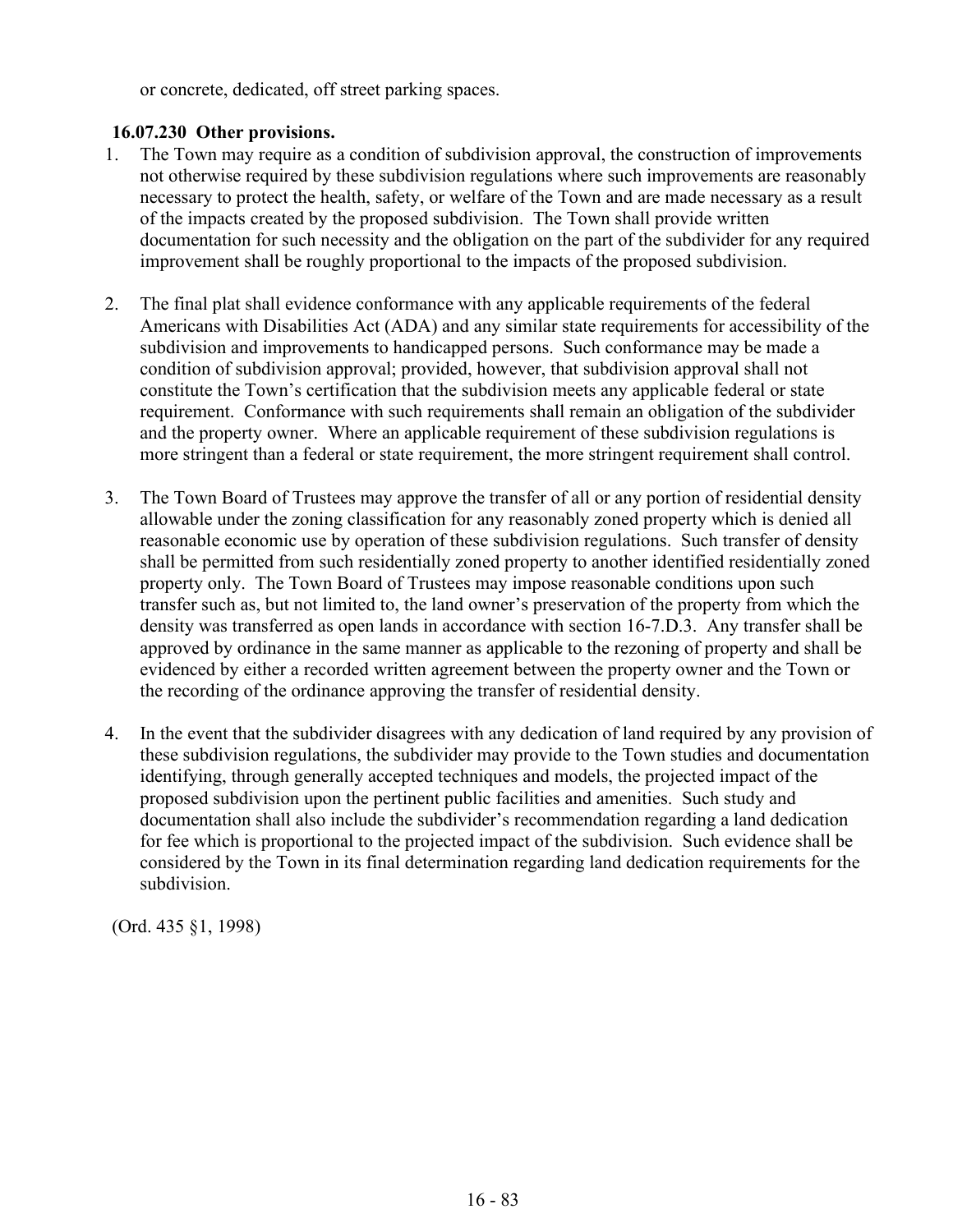or concrete, dedicated, off street parking spaces.

# **16.07.230 Other provisions.**

- 1. The Town may require as a condition of subdivision approval, the construction of improvements not otherwise required by these subdivision regulations where such improvements are reasonably necessary to protect the health, safety, or welfare of the Town and are made necessary as a result of the impacts created by the proposed subdivision. The Town shall provide written documentation for such necessity and the obligation on the part of the subdivider for any required improvement shall be roughly proportional to the impacts of the proposed subdivision.
- 2. The final plat shall evidence conformance with any applicable requirements of the federal Americans with Disabilities Act (ADA) and any similar state requirements for accessibility of the subdivision and improvements to handicapped persons. Such conformance may be made a condition of subdivision approval; provided, however, that subdivision approval shall not constitute the Town's certification that the subdivision meets any applicable federal or state requirement. Conformance with such requirements shall remain an obligation of the subdivider and the property owner. Where an applicable requirement of these subdivision regulations is more stringent than a federal or state requirement, the more stringent requirement shall control.
- 3. The Town Board of Trustees may approve the transfer of all or any portion of residential density allowable under the zoning classification for any reasonably zoned property which is denied all reasonable economic use by operation of these subdivision regulations. Such transfer of density shall be permitted from such residentially zoned property to another identified residentially zoned property only. The Town Board of Trustees may impose reasonable conditions upon such transfer such as, but not limited to, the land owner's preservation of the property from which the density was transferred as open lands in accordance with section 16-7.D.3. Any transfer shall be approved by ordinance in the same manner as applicable to the rezoning of property and shall be evidenced by either a recorded written agreement between the property owner and the Town or the recording of the ordinance approving the transfer of residential density.
- 4. In the event that the subdivider disagrees with any dedication of land required by any provision of these subdivision regulations, the subdivider may provide to the Town studies and documentation identifying, through generally accepted techniques and models, the projected impact of the proposed subdivision upon the pertinent public facilities and amenities. Such study and documentation shall also include the subdivider's recommendation regarding a land dedication for fee which is proportional to the projected impact of the subdivision. Such evidence shall be considered by the Town in its final determination regarding land dedication requirements for the subdivision.

(Ord. 435 §1, 1998)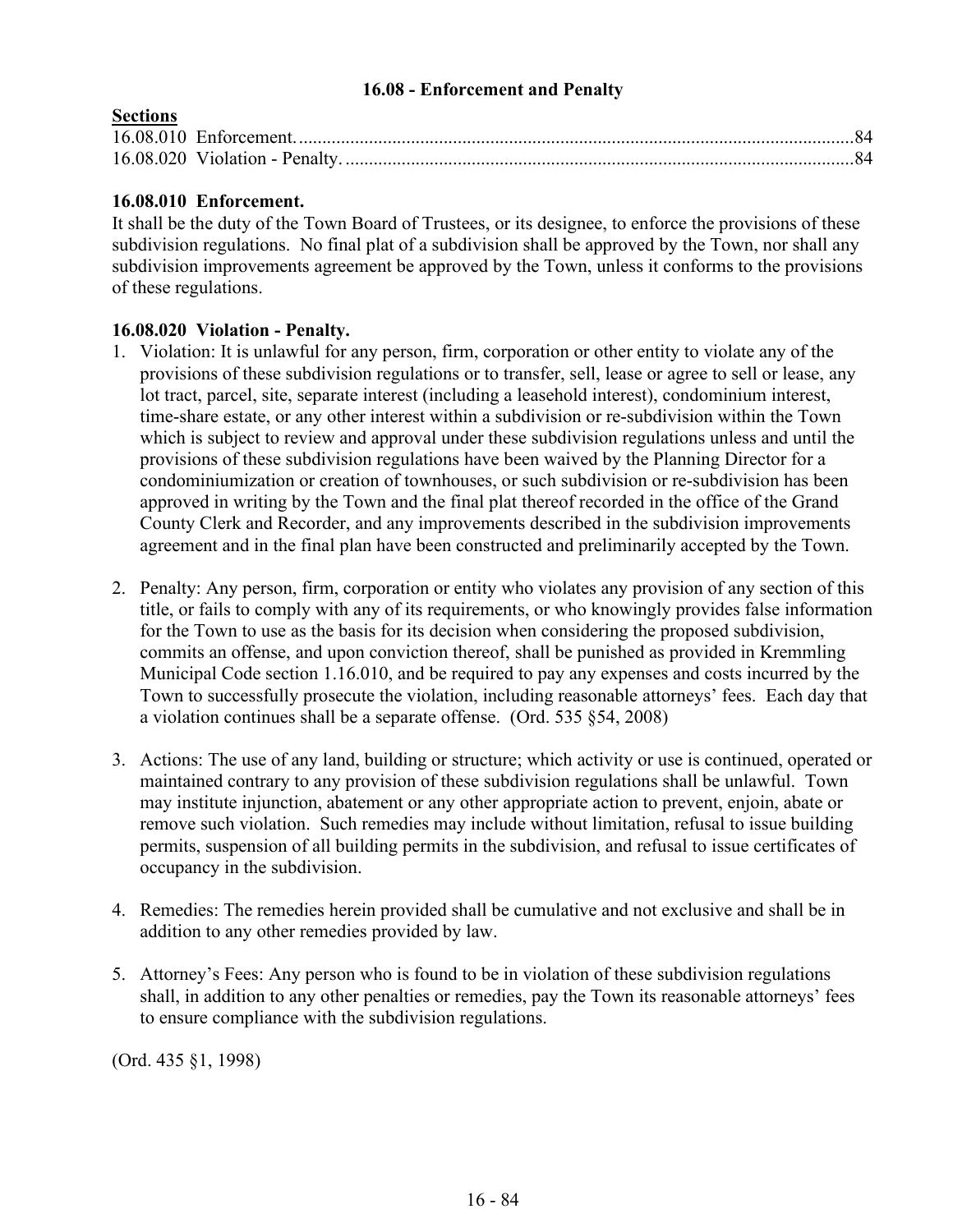### **16.08 - Enforcement and Penalty**

# **Sections**

# **16.08.010 Enforcement.**

It shall be the duty of the Town Board of Trustees, or its designee, to enforce the provisions of these subdivision regulations. No final plat of a subdivision shall be approved by the Town, nor shall any subdivision improvements agreement be approved by the Town, unless it conforms to the provisions of these regulations.

## **16.08.020 Violation - Penalty.**

- 1. Violation: It is unlawful for any person, firm, corporation or other entity to violate any of the provisions of these subdivision regulations or to transfer, sell, lease or agree to sell or lease, any lot tract, parcel, site, separate interest (including a leasehold interest), condominium interest, time-share estate, or any other interest within a subdivision or re-subdivision within the Town which is subject to review and approval under these subdivision regulations unless and until the provisions of these subdivision regulations have been waived by the Planning Director for a condominiumization or creation of townhouses, or such subdivision or re-subdivision has been approved in writing by the Town and the final plat thereof recorded in the office of the Grand County Clerk and Recorder, and any improvements described in the subdivision improvements agreement and in the final plan have been constructed and preliminarily accepted by the Town.
- 2. Penalty: Any person, firm, corporation or entity who violates any provision of any section of this title, or fails to comply with any of its requirements, or who knowingly provides false information for the Town to use as the basis for its decision when considering the proposed subdivision, commits an offense, and upon conviction thereof, shall be punished as provided in Kremmling Municipal Code section 1.16.010, and be required to pay any expenses and costs incurred by the Town to successfully prosecute the violation, including reasonable attorneys' fees. Each day that a violation continues shall be a separate offense. (Ord. 535 §54, 2008)
- 3. Actions: The use of any land, building or structure; which activity or use is continued, operated or maintained contrary to any provision of these subdivision regulations shall be unlawful. Town may institute injunction, abatement or any other appropriate action to prevent, enjoin, abate or remove such violation. Such remedies may include without limitation, refusal to issue building permits, suspension of all building permits in the subdivision, and refusal to issue certificates of occupancy in the subdivision.
- 4. Remedies: The remedies herein provided shall be cumulative and not exclusive and shall be in addition to any other remedies provided by law.
- 5. Attorney's Fees: Any person who is found to be in violation of these subdivision regulations shall, in addition to any other penalties or remedies, pay the Town its reasonable attorneys' fees to ensure compliance with the subdivision regulations.

(Ord. 435 §1, 1998)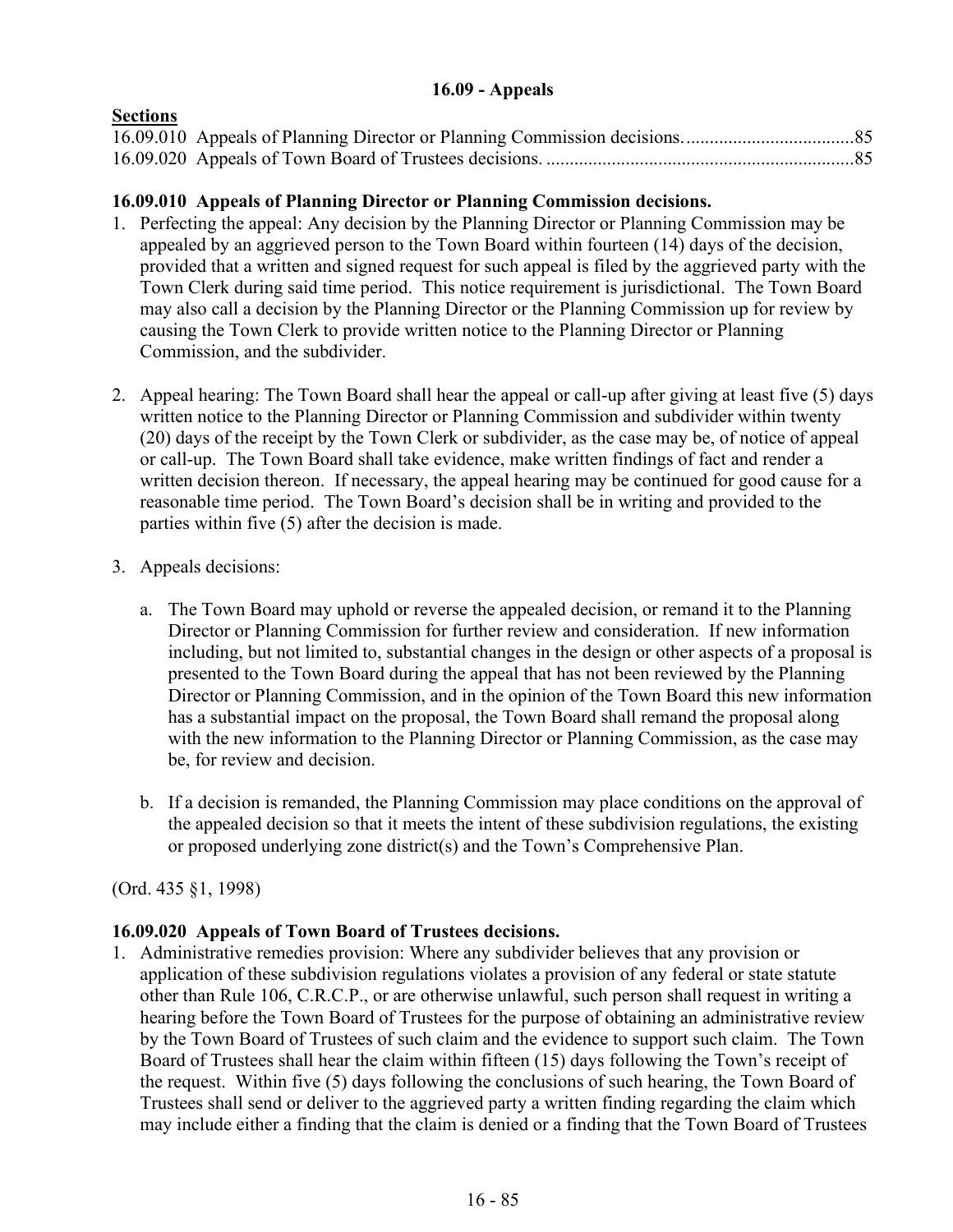# **16.09 - Appeals**

# **Sections**

# **16.09.010 Appeals of Planning Director or Planning Commission decisions.**

- 1. Perfecting the appeal: Any decision by the Planning Director or Planning Commission may be appealed by an aggrieved person to the Town Board within fourteen (14) days of the decision, provided that a written and signed request for such appeal is filed by the aggrieved party with the Town Clerk during said time period. This notice requirement is jurisdictional. The Town Board may also call a decision by the Planning Director or the Planning Commission up for review by causing the Town Clerk to provide written notice to the Planning Director or Planning Commission, and the subdivider.
- 2. Appeal hearing: The Town Board shall hear the appeal or call-up after giving at least five (5) days written notice to the Planning Director or Planning Commission and subdivider within twenty (20) days of the receipt by the Town Clerk or subdivider, as the case may be, of notice of appeal or call-up. The Town Board shall take evidence, make written findings of fact and render a written decision thereon. If necessary, the appeal hearing may be continued for good cause for a reasonable time period. The Town Board's decision shall be in writing and provided to the parties within five (5) after the decision is made.
- 3. Appeals decisions:
	- a. The Town Board may uphold or reverse the appealed decision, or remand it to the Planning Director or Planning Commission for further review and consideration. If new information including, but not limited to, substantial changes in the design or other aspects of a proposal is presented to the Town Board during the appeal that has not been reviewed by the Planning Director or Planning Commission, and in the opinion of the Town Board this new information has a substantial impact on the proposal, the Town Board shall remand the proposal along with the new information to the Planning Director or Planning Commission, as the case may be, for review and decision.
	- b. If a decision is remanded, the Planning Commission may place conditions on the approval of the appealed decision so that it meets the intent of these subdivision regulations, the existing or proposed underlying zone district(s) and the Town's Comprehensive Plan.

# (Ord. 435 §1, 1998)

# **16.09.020 Appeals of Town Board of Trustees decisions.**

1. Administrative remedies provision: Where any subdivider believes that any provision or application of these subdivision regulations violates a provision of any federal or state statute other than Rule 106, C.R.C.P., or are otherwise unlawful, such person shall request in writing a hearing before the Town Board of Trustees for the purpose of obtaining an administrative review by the Town Board of Trustees of such claim and the evidence to support such claim. The Town Board of Trustees shall hear the claim within fifteen (15) days following the Town's receipt of the request. Within five (5) days following the conclusions of such hearing, the Town Board of Trustees shall send or deliver to the aggrieved party a written finding regarding the claim which may include either a finding that the claim is denied or a finding that the Town Board of Trustees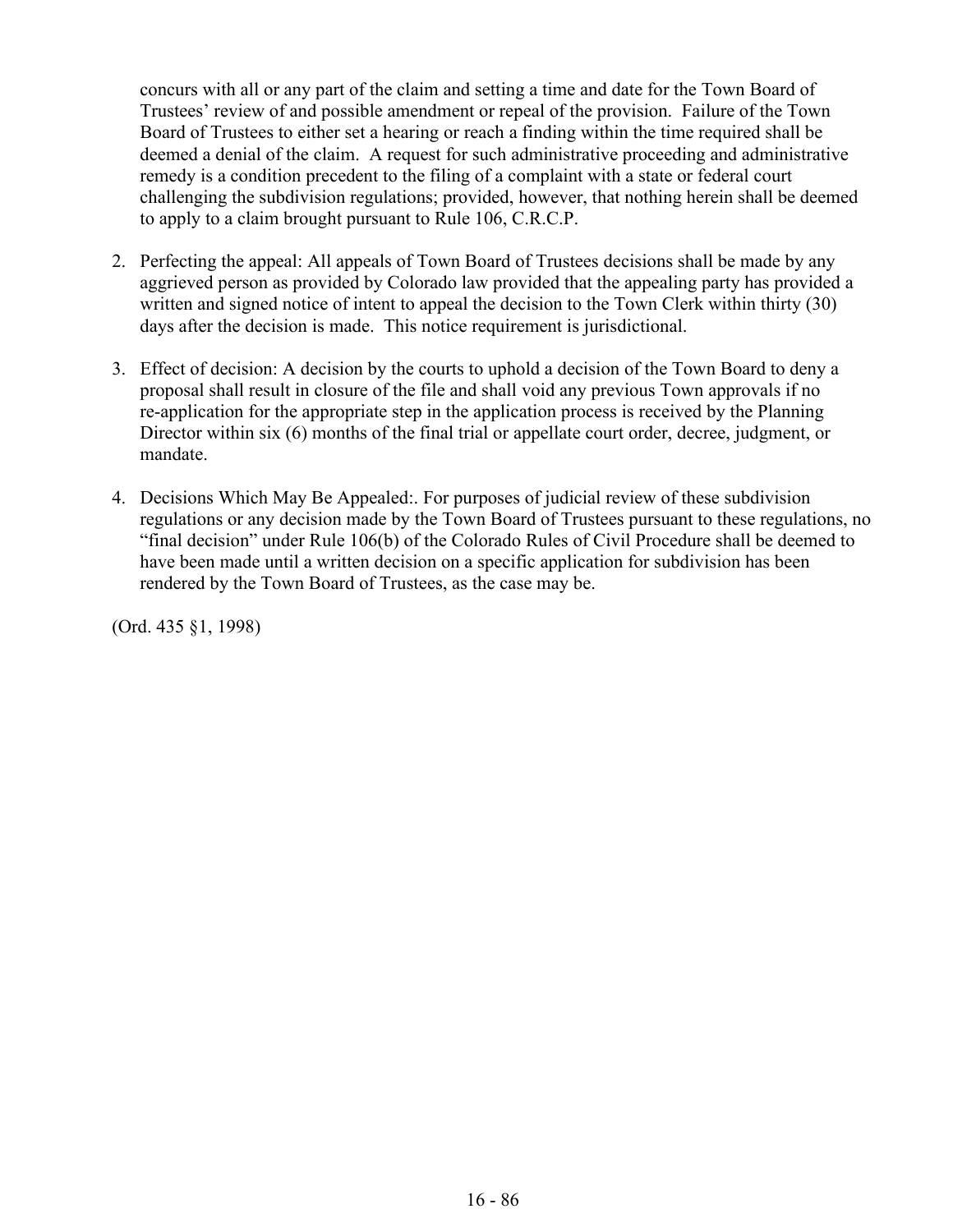concurs with all or any part of the claim and setting a time and date for the Town Board of Trustees' review of and possible amendment or repeal of the provision. Failure of the Town Board of Trustees to either set a hearing or reach a finding within the time required shall be deemed a denial of the claim. A request for such administrative proceeding and administrative remedy is a condition precedent to the filing of a complaint with a state or federal court challenging the subdivision regulations; provided, however, that nothing herein shall be deemed to apply to a claim brought pursuant to Rule 106, C.R.C.P.

- 2. Perfecting the appeal: All appeals of Town Board of Trustees decisions shall be made by any aggrieved person as provided by Colorado law provided that the appealing party has provided a written and signed notice of intent to appeal the decision to the Town Clerk within thirty (30) days after the decision is made. This notice requirement is jurisdictional.
- 3. Effect of decision: A decision by the courts to uphold a decision of the Town Board to deny a proposal shall result in closure of the file and shall void any previous Town approvals if no re-application for the appropriate step in the application process is received by the Planning Director within six (6) months of the final trial or appellate court order, decree, judgment, or mandate.
- 4. Decisions Which May Be Appealed:. For purposes of judicial review of these subdivision regulations or any decision made by the Town Board of Trustees pursuant to these regulations, no "final decision" under Rule 106(b) of the Colorado Rules of Civil Procedure shall be deemed to have been made until a written decision on a specific application for subdivision has been rendered by the Town Board of Trustees, as the case may be.

(Ord. 435 §1, 1998)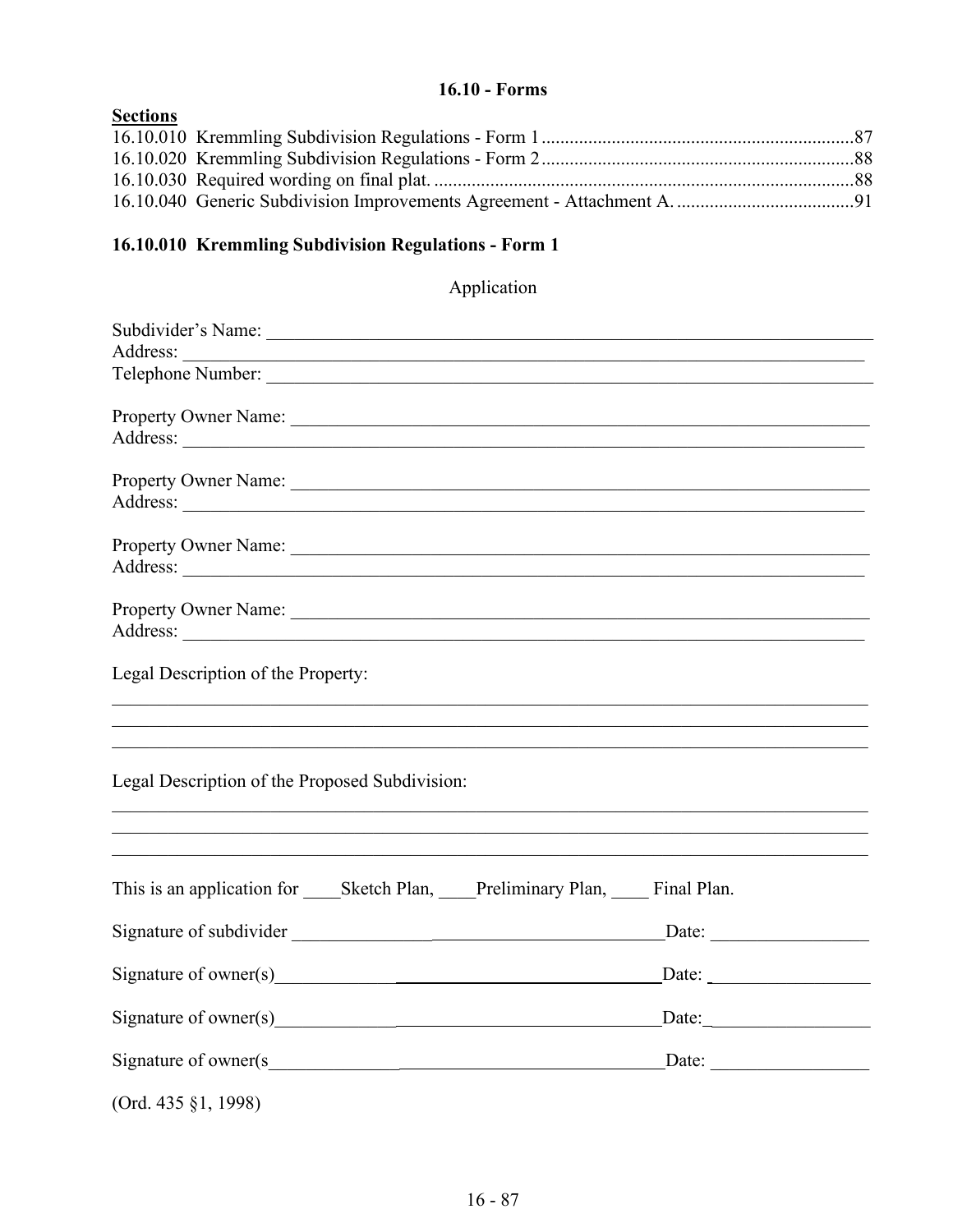# $16.10 - \text{Forms}$

| <b>Sections</b> |  |
|-----------------|--|
|                 |  |
|                 |  |
|                 |  |
|                 |  |

# 16.10.010 Kremmling Subdivision Regulations - Form 1

# Application

| Address:                                                              |                                                                                                                                                 |
|-----------------------------------------------------------------------|-------------------------------------------------------------------------------------------------------------------------------------------------|
|                                                                       |                                                                                                                                                 |
|                                                                       |                                                                                                                                                 |
| Legal Description of the Property:                                    |                                                                                                                                                 |
| Legal Description of the Proposed Subdivision:                        | ,我们也不能在这里的时候,我们也不能在这里的时候,我们也不能会不能会不能会不能会不能会不能会不能会不能会不能会不能会。<br>第2012章 我们的时候,我们的时候,我们的时候,我们的时候,我们的时候,我们的时候,我们的时候,我们的时候,我们的时候,我们的时候,我们的时候,我们的时候,我 |
| This is an application for Sketch Plan, Preliminary Plan, Final Plan. |                                                                                                                                                 |
|                                                                       | $\Box$ Date: $\Box$                                                                                                                             |
|                                                                       | $\frac{\text{Date:}}{\text{Date:}}$                                                                                                             |
|                                                                       | $\text{Date:}\_\_$                                                                                                                              |
| Signature of owner(s                                                  |                                                                                                                                                 |
| (Ord. 435 §1, 1998)                                                   |                                                                                                                                                 |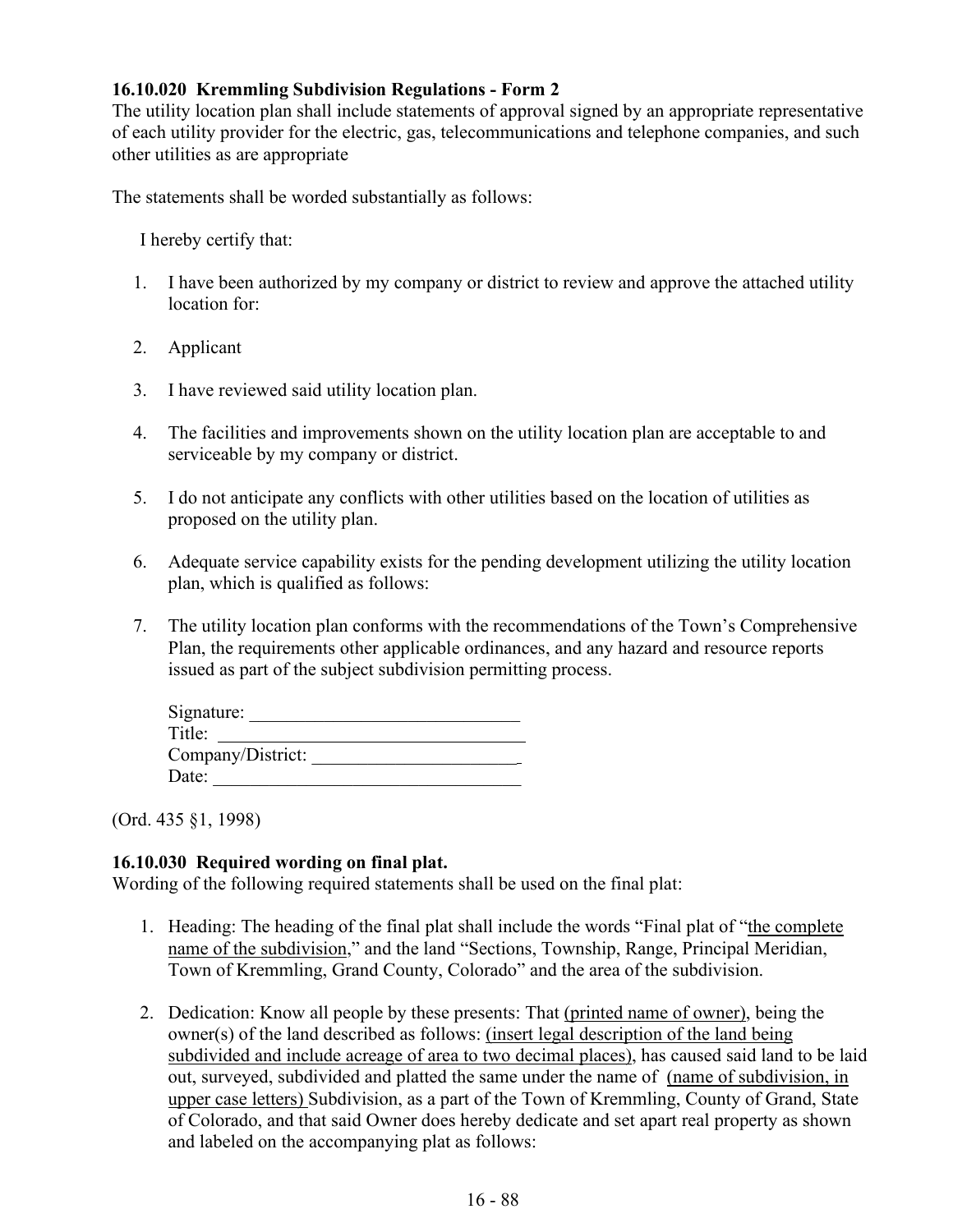# **16.10.020 Kremmling Subdivision Regulations - Form 2**

The utility location plan shall include statements of approval signed by an appropriate representative of each utility provider for the electric, gas, telecommunications and telephone companies, and such other utilities as are appropriate

The statements shall be worded substantially as follows:

I hereby certify that:

- 1. I have been authorized by my company or district to review and approve the attached utility location for:
- 2. Applicant
- 3. I have reviewed said utility location plan.
- 4. The facilities and improvements shown on the utility location plan are acceptable to and serviceable by my company or district.
- 5. I do not anticipate any conflicts with other utilities based on the location of utilities as proposed on the utility plan.
- 6. Adequate service capability exists for the pending development utilizing the utility location plan, which is qualified as follows:
- 7. The utility location plan conforms with the recommendations of the Town's Comprehensive Plan, the requirements other applicable ordinances, and any hazard and resource reports issued as part of the subject subdivision permitting process.

| Signature:        |  |
|-------------------|--|
| Title:            |  |
| Company/District: |  |
| Date:             |  |

(Ord. 435 §1, 1998)

### **16.10.030 Required wording on final plat.**

Wording of the following required statements shall be used on the final plat:

- 1. Heading: The heading of the final plat shall include the words "Final plat of "the complete name of the subdivision," and the land "Sections, Township, Range, Principal Meridian, Town of Kremmling, Grand County, Colorado" and the area of the subdivision.
- 2. Dedication: Know all people by these presents: That (printed name of owner), being the owner(s) of the land described as follows: (insert legal description of the land being subdivided and include acreage of area to two decimal places), has caused said land to be laid out, surveyed, subdivided and platted the same under the name of (name of subdivision, in upper case letters) Subdivision, as a part of the Town of Kremmling, County of Grand, State of Colorado, and that said Owner does hereby dedicate and set apart real property as shown and labeled on the accompanying plat as follows: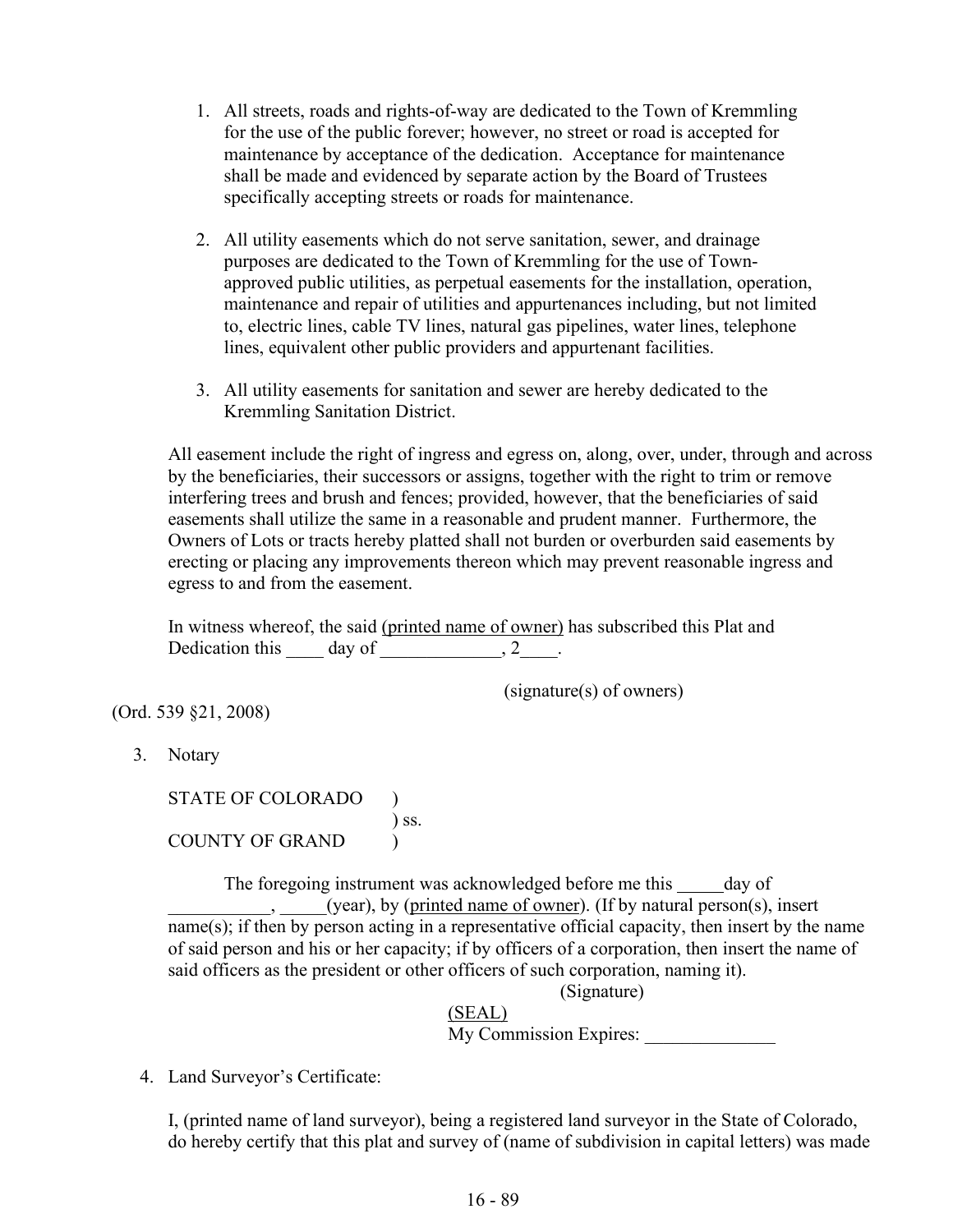- 1. All streets, roads and rights-of-way are dedicated to the Town of Kremmling for the use of the public forever; however, no street or road is accepted for maintenance by acceptance of the dedication. Acceptance for maintenance shall be made and evidenced by separate action by the Board of Trustees specifically accepting streets or roads for maintenance.
- 2. All utility easements which do not serve sanitation, sewer, and drainage purposes are dedicated to the Town of Kremmling for the use of Townapproved public utilities, as perpetual easements for the installation, operation, maintenance and repair of utilities and appurtenances including, but not limited to, electric lines, cable TV lines, natural gas pipelines, water lines, telephone lines, equivalent other public providers and appurtenant facilities.
- 3. All utility easements for sanitation and sewer are hereby dedicated to the Kremmling Sanitation District.

All easement include the right of ingress and egress on, along, over, under, through and across by the beneficiaries, their successors or assigns, together with the right to trim or remove interfering trees and brush and fences; provided, however, that the beneficiaries of said easements shall utilize the same in a reasonable and prudent manner. Furthermore, the Owners of Lots or tracts hereby platted shall not burden or overburden said easements by erecting or placing any improvements thereon which may prevent reasonable ingress and egress to and from the easement.

In witness whereof, the said (printed name of owner) has subscribed this Plat and Dedication this  $\qquad$  day of  $\qquad \qquad$ , 2 $\qquad \qquad$ .

(signature(s) of owners)

(Ord. 539 §21, 2008)

3. Notary

STATE OF COLORADO )<br>) ss. ) ss. COUNTY OF GRAND (

> The foregoing instrument was acknowledged before me this \_\_\_\_\_ day of \_\_\_\_\_\_\_\_\_\_\_, \_\_\_\_\_(year), by (printed name of owner). (If by natural person(s), insert name(s); if then by person acting in a representative official capacity, then insert by the name of said person and his or her capacity; if by officers of a corporation, then insert the name of said officers as the president or other officers of such corporation, naming it).

(Signature)

(SEAL) My Commission Expires:

4. Land Surveyor's Certificate:

I, (printed name of land surveyor), being a registered land surveyor in the State of Colorado, do hereby certify that this plat and survey of (name of subdivision in capital letters) was made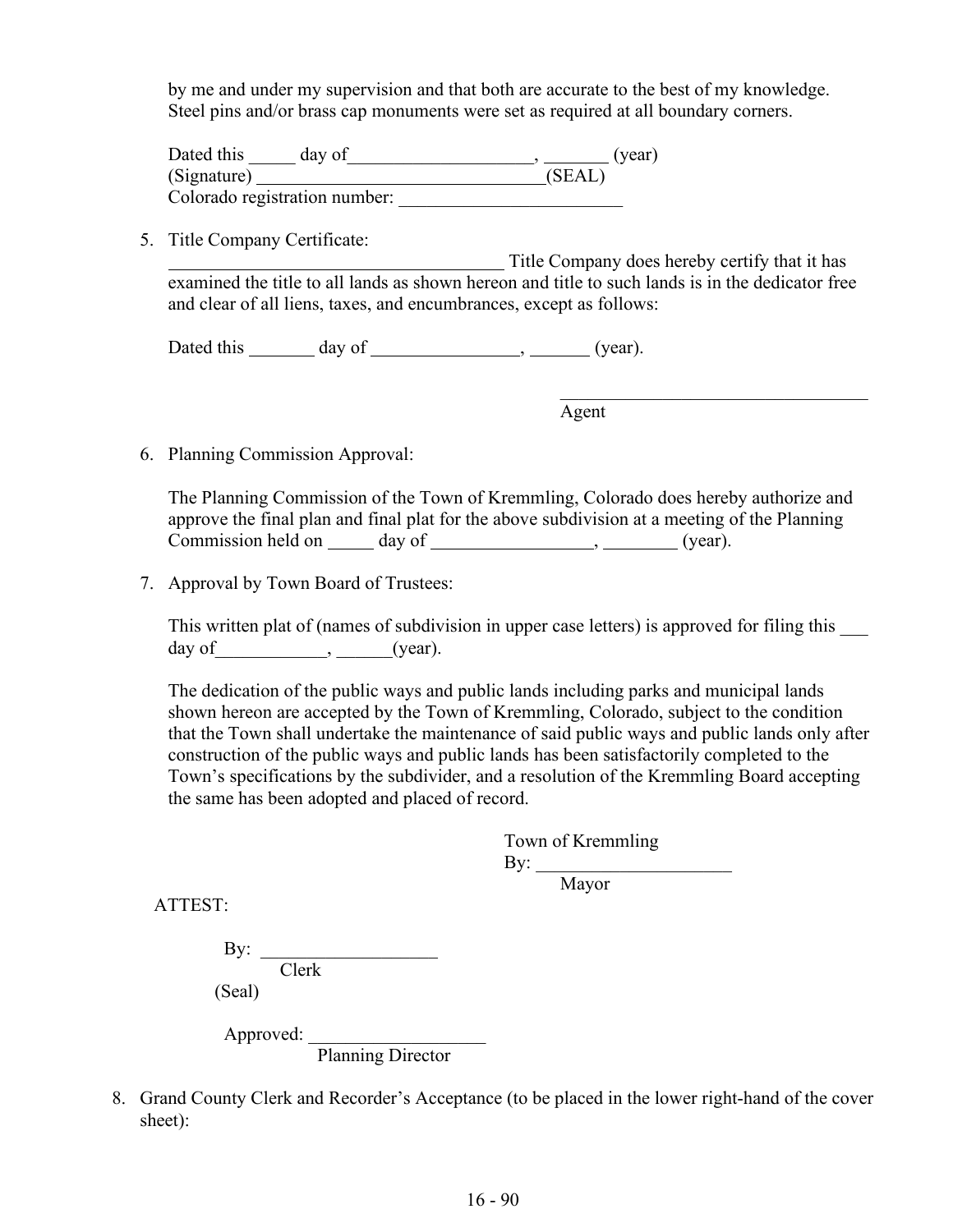by me and under my supervision and that both are accurate to the best of my knowledge. Steel pins and/or brass cap monuments were set as required at all boundary corners.

| Dated this<br>day of          | (year) |
|-------------------------------|--------|
| (Signature)                   | (SEAL) |
| Colorado registration number: |        |

5. Title Company Certificate:

 Title Company does hereby certify that it has examined the title to all lands as shown hereon and title to such lands is in the dedicator free and clear of all liens, taxes, and encumbrances, except as follows:

Dated this \_\_\_\_\_\_\_ day of \_\_\_\_\_\_\_\_\_\_\_\_\_\_\_\_\_, \_\_\_\_\_\_\_ (year).

Agent

6. Planning Commission Approval:

The Planning Commission of the Town of Kremmling, Colorado does hereby authorize and approve the final plan and final plat for the above subdivision at a meeting of the Planning Commission held on day of , (year).

7. Approval by Town Board of Trustees:

This written plat of (names of subdivision in upper case letters) is approved for filing this \_\_\_ day of  $\qquad \qquad , \qquad \qquad (year).$ 

The dedication of the public ways and public lands including parks and municipal lands shown hereon are accepted by the Town of Kremmling, Colorado, subject to the condition that the Town shall undertake the maintenance of said public ways and public lands only after construction of the public ways and public lands has been satisfactorily completed to the Town's specifications by the subdivider, and a resolution of the Kremmling Board accepting the same has been adopted and placed of record.

> Town of Kremmling By:  $\qquad \qquad$ Mayor

ATTEST:

| $\mathbf{By:}$ |       |
|----------------|-------|
|                | Clerk |
| (Seal)         |       |

Approved: \_\_\_\_\_\_\_\_\_\_\_\_\_\_\_\_\_\_\_ Planning Director

8. Grand County Clerk and Recorder's Acceptance (to be placed in the lower right-hand of the cover sheet):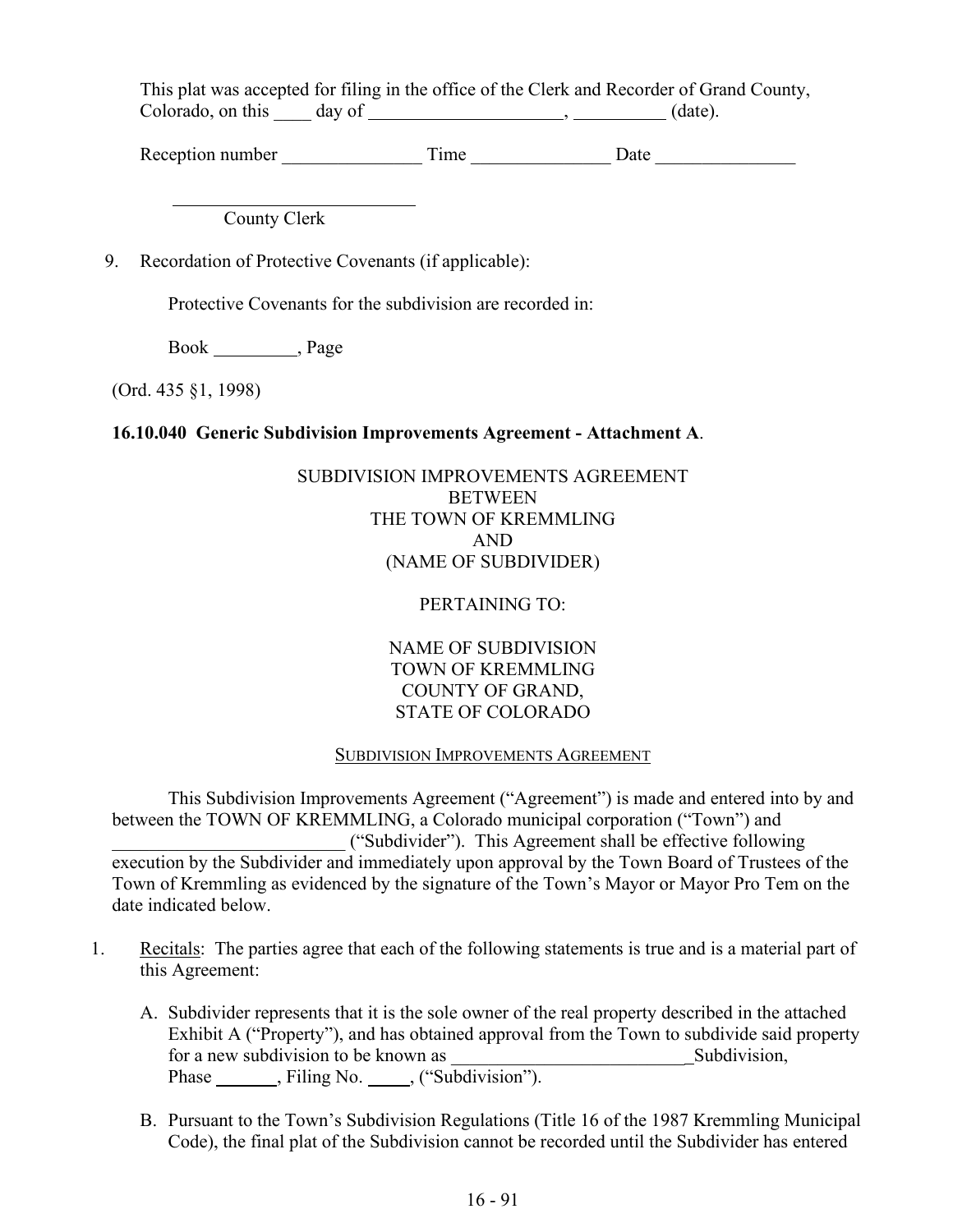This plat was accepted for filing in the office of the Clerk and Recorder of Grand County, Colorado, on this  $\qquad \qquad \text{day of } \underline{\qquad \qquad }$ ,  $\qquad \qquad \text{(date).}$ 

Reception number Time Date

County Clerk

9. Recordation of Protective Covenants (if applicable):

Protective Covenants for the subdivision are recorded in:

Book \_\_\_\_\_\_\_\_\_\_, Page

(Ord. 435 §1, 1998)

 $\overline{a}$ 

### **16.10.040 Generic Subdivision Improvements Agreement - Attachment A**.

# SUBDIVISION IMPROVEMENTS AGREEMENT BETWEEN THE TOWN OF KREMMLING AND (NAME OF SUBDIVIDER)

### PERTAINING TO:

NAME OF SUBDIVISION TOWN OF KREMMLING COUNTY OF GRAND, STATE OF COLORADO

### SUBDIVISION IMPROVEMENTS AGREEMENT

This Subdivision Improvements Agreement ("Agreement") is made and entered into by and between the TOWN OF KREMMLING, a Colorado municipal corporation ("Town") and \_\_\_\_\_\_\_\_\_\_\_\_\_\_\_\_\_\_\_\_\_\_\_\_\_ ("Subdivider"). This Agreement shall be effective following execution by the Subdivider and immediately upon approval by the Town Board of Trustees of the Town of Kremmling as evidenced by the signature of the Town's Mayor or Mayor Pro Tem on the date indicated below.

- 1. Recitals: The parties agree that each of the following statements is true and is a material part of this Agreement:
	- A. Subdivider represents that it is the sole owner of the real property described in the attached Exhibit A ("Property"), and has obtained approval from the Town to subdivide said property for a new subdivision to be known as \_\_\_\_\_\_\_\_\_\_\_\_\_\_\_\_\_\_\_\_\_\_\_\_\_ Subdivision, Phase \_\_\_\_\_\_, Filing No. \_\_\_\_, ("Subdivision").
	- B. Pursuant to the Town's Subdivision Regulations (Title 16 of the 1987 Kremmling Municipal Code), the final plat of the Subdivision cannot be recorded until the Subdivider has entered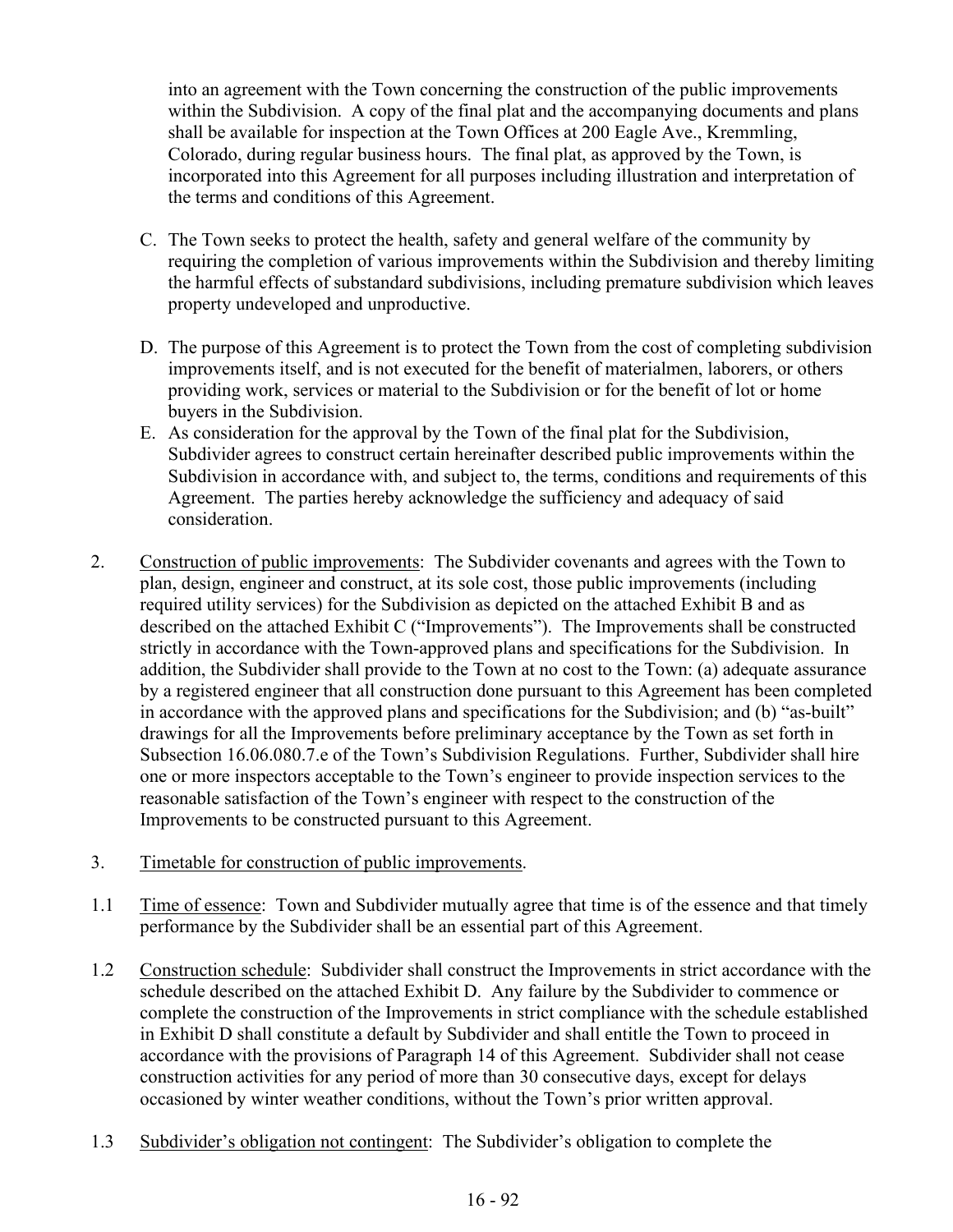into an agreement with the Town concerning the construction of the public improvements within the Subdivision. A copy of the final plat and the accompanying documents and plans shall be available for inspection at the Town Offices at 200 Eagle Ave., Kremmling, Colorado, during regular business hours. The final plat, as approved by the Town, is incorporated into this Agreement for all purposes including illustration and interpretation of the terms and conditions of this Agreement.

- C. The Town seeks to protect the health, safety and general welfare of the community by requiring the completion of various improvements within the Subdivision and thereby limiting the harmful effects of substandard subdivisions, including premature subdivision which leaves property undeveloped and unproductive.
- D. The purpose of this Agreement is to protect the Town from the cost of completing subdivision improvements itself, and is not executed for the benefit of materialmen, laborers, or others providing work, services or material to the Subdivision or for the benefit of lot or home buyers in the Subdivision.
- E. As consideration for the approval by the Town of the final plat for the Subdivision, Subdivider agrees to construct certain hereinafter described public improvements within the Subdivision in accordance with, and subject to, the terms, conditions and requirements of this Agreement. The parties hereby acknowledge the sufficiency and adequacy of said consideration.
- 2. Construction of public improvements: The Subdivider covenants and agrees with the Town to plan, design, engineer and construct, at its sole cost, those public improvements (including required utility services) for the Subdivision as depicted on the attached Exhibit B and as described on the attached Exhibit C ("Improvements"). The Improvements shall be constructed strictly in accordance with the Town-approved plans and specifications for the Subdivision. In addition, the Subdivider shall provide to the Town at no cost to the Town: (a) adequate assurance by a registered engineer that all construction done pursuant to this Agreement has been completed in accordance with the approved plans and specifications for the Subdivision; and (b) "as-built" drawings for all the Improvements before preliminary acceptance by the Town as set forth in Subsection 16.06.080.7.e of the Town's Subdivision Regulations. Further, Subdivider shall hire one or more inspectors acceptable to the Town's engineer to provide inspection services to the reasonable satisfaction of the Town's engineer with respect to the construction of the Improvements to be constructed pursuant to this Agreement.
- 3. Timetable for construction of public improvements.
- 1.1 Time of essence: Town and Subdivider mutually agree that time is of the essence and that timely performance by the Subdivider shall be an essential part of this Agreement.
- 1.2 Construction schedule: Subdivider shall construct the Improvements in strict accordance with the schedule described on the attached Exhibit D. Any failure by the Subdivider to commence or complete the construction of the Improvements in strict compliance with the schedule established in Exhibit D shall constitute a default by Subdivider and shall entitle the Town to proceed in accordance with the provisions of Paragraph 14 of this Agreement. Subdivider shall not cease construction activities for any period of more than 30 consecutive days, except for delays occasioned by winter weather conditions, without the Town's prior written approval.
- 1.3 Subdivider's obligation not contingent: The Subdivider's obligation to complete the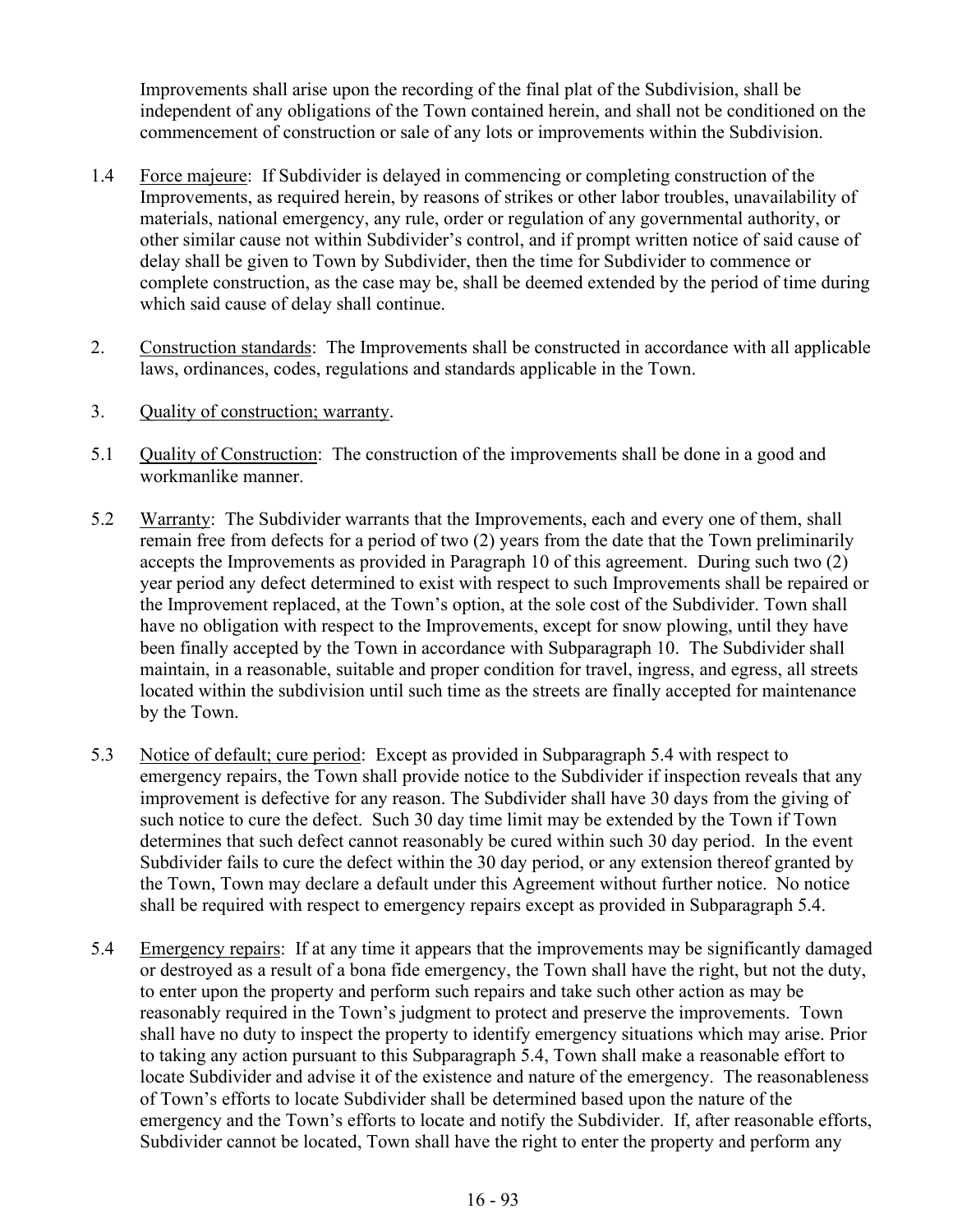Improvements shall arise upon the recording of the final plat of the Subdivision, shall be independent of any obligations of the Town contained herein, and shall not be conditioned on the commencement of construction or sale of any lots or improvements within the Subdivision.

- 1.4 Force majeure: If Subdivider is delayed in commencing or completing construction of the Improvements, as required herein, by reasons of strikes or other labor troubles, unavailability of materials, national emergency, any rule, order or regulation of any governmental authority, or other similar cause not within Subdivider's control, and if prompt written notice of said cause of delay shall be given to Town by Subdivider, then the time for Subdivider to commence or complete construction, as the case may be, shall be deemed extended by the period of time during which said cause of delay shall continue.
- 2. Construction standards: The Improvements shall be constructed in accordance with all applicable laws, ordinances, codes, regulations and standards applicable in the Town.
- 3. Quality of construction; warranty.
- 5.1 Quality of Construction: The construction of the improvements shall be done in a good and workmanlike manner.
- 5.2 Warranty: The Subdivider warrants that the Improvements, each and every one of them, shall remain free from defects for a period of two (2) years from the date that the Town preliminarily accepts the Improvements as provided in Paragraph 10 of this agreement. During such two (2) year period any defect determined to exist with respect to such Improvements shall be repaired or the Improvement replaced, at the Town's option, at the sole cost of the Subdivider. Town shall have no obligation with respect to the Improvements, except for snow plowing, until they have been finally accepted by the Town in accordance with Subparagraph 10. The Subdivider shall maintain, in a reasonable, suitable and proper condition for travel, ingress, and egress, all streets located within the subdivision until such time as the streets are finally accepted for maintenance by the Town.
- 5.3 Notice of default; cure period: Except as provided in Subparagraph 5.4 with respect to emergency repairs, the Town shall provide notice to the Subdivider if inspection reveals that any improvement is defective for any reason. The Subdivider shall have 30 days from the giving of such notice to cure the defect. Such 30 day time limit may be extended by the Town if Town determines that such defect cannot reasonably be cured within such 30 day period. In the event Subdivider fails to cure the defect within the 30 day period, or any extension thereof granted by the Town, Town may declare a default under this Agreement without further notice. No notice shall be required with respect to emergency repairs except as provided in Subparagraph 5.4.
- 5.4 Emergency repairs: If at any time it appears that the improvements may be significantly damaged or destroyed as a result of a bona fide emergency, the Town shall have the right, but not the duty, to enter upon the property and perform such repairs and take such other action as may be reasonably required in the Town's judgment to protect and preserve the improvements. Town shall have no duty to inspect the property to identify emergency situations which may arise. Prior to taking any action pursuant to this Subparagraph 5.4, Town shall make a reasonable effort to locate Subdivider and advise it of the existence and nature of the emergency. The reasonableness of Town's efforts to locate Subdivider shall be determined based upon the nature of the emergency and the Town's efforts to locate and notify the Subdivider. If, after reasonable efforts, Subdivider cannot be located, Town shall have the right to enter the property and perform any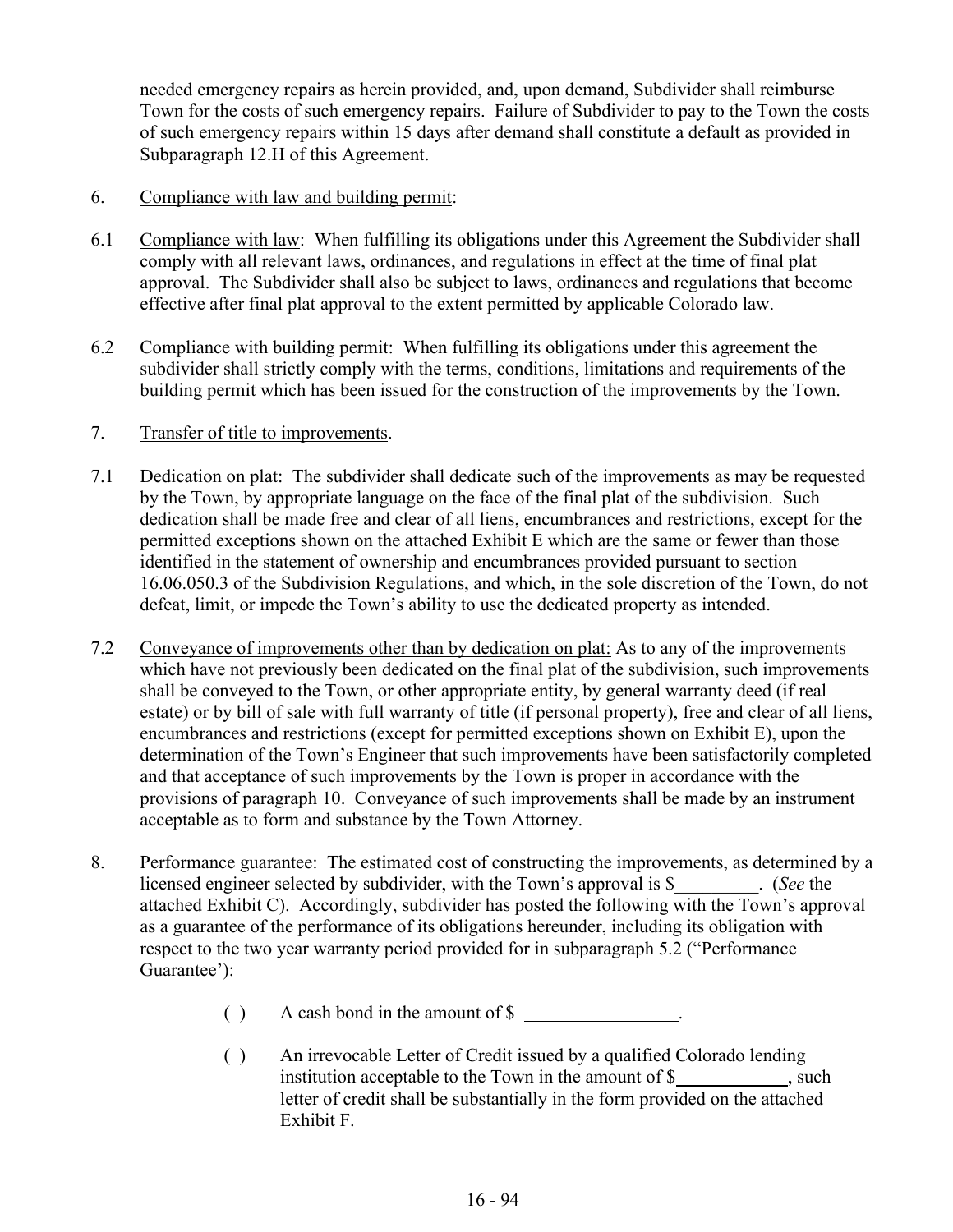needed emergency repairs as herein provided, and, upon demand, Subdivider shall reimburse Town for the costs of such emergency repairs. Failure of Subdivider to pay to the Town the costs of such emergency repairs within 15 days after demand shall constitute a default as provided in Subparagraph 12.H of this Agreement.

- 6. Compliance with law and building permit:
- 6.1 Compliance with law: When fulfilling its obligations under this Agreement the Subdivider shall comply with all relevant laws, ordinances, and regulations in effect at the time of final plat approval. The Subdivider shall also be subject to laws, ordinances and regulations that become effective after final plat approval to the extent permitted by applicable Colorado law.
- 6.2 Compliance with building permit: When fulfilling its obligations under this agreement the subdivider shall strictly comply with the terms, conditions, limitations and requirements of the building permit which has been issued for the construction of the improvements by the Town.

### 7. Transfer of title to improvements.

- 7.1 Dedication on plat: The subdivider shall dedicate such of the improvements as may be requested by the Town, by appropriate language on the face of the final plat of the subdivision. Such dedication shall be made free and clear of all liens, encumbrances and restrictions, except for the permitted exceptions shown on the attached Exhibit E which are the same or fewer than those identified in the statement of ownership and encumbrances provided pursuant to section 16.06.050.3 of the Subdivision Regulations, and which, in the sole discretion of the Town, do not defeat, limit, or impede the Town's ability to use the dedicated property as intended.
- 7.2 Conveyance of improvements other than by dedication on plat: As to any of the improvements which have not previously been dedicated on the final plat of the subdivision, such improvements shall be conveyed to the Town, or other appropriate entity, by general warranty deed (if real estate) or by bill of sale with full warranty of title (if personal property), free and clear of all liens, encumbrances and restrictions (except for permitted exceptions shown on Exhibit E), upon the determination of the Town's Engineer that such improvements have been satisfactorily completed and that acceptance of such improvements by the Town is proper in accordance with the provisions of paragraph 10. Conveyance of such improvements shall be made by an instrument acceptable as to form and substance by the Town Attorney.
- 8. Performance guarantee: The estimated cost of constructing the improvements, as determined by a licensed engineer selected by subdivider, with the Town's approval is \$\_\_\_\_\_\_\_\_\_. (*See* the attached Exhibit C). Accordingly, subdivider has posted the following with the Town's approval as a guarantee of the performance of its obligations hereunder, including its obligation with respect to the two year warranty period provided for in subparagraph 5.2 ("Performance Guarantee'):
	- ( ) A cash bond in the amount of \$
	- ( ) An irrevocable Letter of Credit issued by a qualified Colorado lending institution acceptable to the Town in the amount of  $\$ , such letter of credit shall be substantially in the form provided on the attached Exhibit F.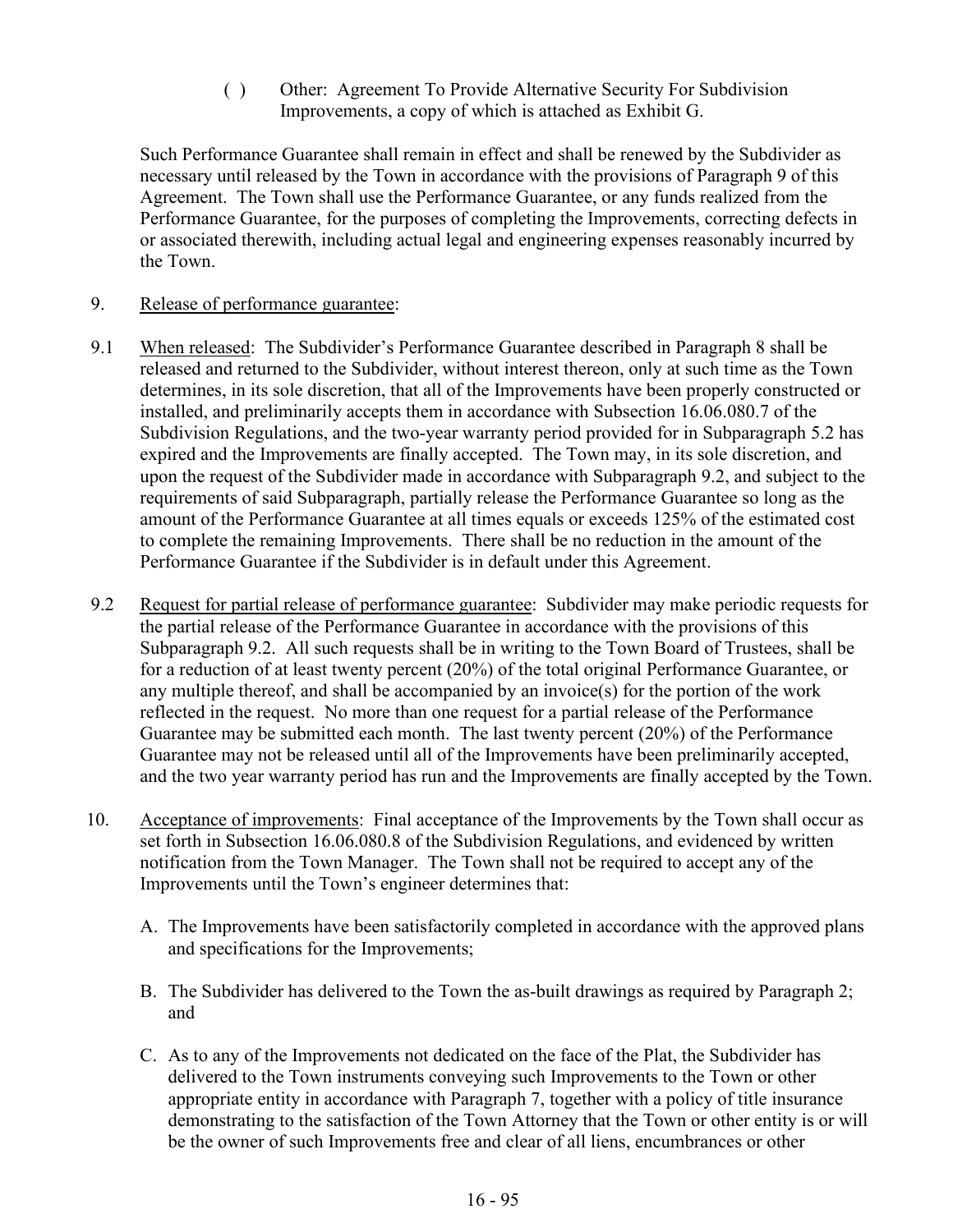( ) Other: Agreement To Provide Alternative Security For Subdivision Improvements, a copy of which is attached as Exhibit G.

Such Performance Guarantee shall remain in effect and shall be renewed by the Subdivider as necessary until released by the Town in accordance with the provisions of Paragraph 9 of this Agreement. The Town shall use the Performance Guarantee, or any funds realized from the Performance Guarantee, for the purposes of completing the Improvements, correcting defects in or associated therewith, including actual legal and engineering expenses reasonably incurred by the Town.

### 9. Release of performance guarantee:

- 9.1 When released: The Subdivider's Performance Guarantee described in Paragraph 8 shall be released and returned to the Subdivider, without interest thereon, only at such time as the Town determines, in its sole discretion, that all of the Improvements have been properly constructed or installed, and preliminarily accepts them in accordance with Subsection 16.06.080.7 of the Subdivision Regulations, and the two-year warranty period provided for in Subparagraph 5.2 has expired and the Improvements are finally accepted. The Town may, in its sole discretion, and upon the request of the Subdivider made in accordance with Subparagraph 9.2, and subject to the requirements of said Subparagraph, partially release the Performance Guarantee so long as the amount of the Performance Guarantee at all times equals or exceeds 125% of the estimated cost to complete the remaining Improvements. There shall be no reduction in the amount of the Performance Guarantee if the Subdivider is in default under this Agreement.
- 9.2 Request for partial release of performance guarantee: Subdivider may make periodic requests for the partial release of the Performance Guarantee in accordance with the provisions of this Subparagraph 9.2. All such requests shall be in writing to the Town Board of Trustees, shall be for a reduction of at least twenty percent (20%) of the total original Performance Guarantee, or any multiple thereof, and shall be accompanied by an invoice(s) for the portion of the work reflected in the request. No more than one request for a partial release of the Performance Guarantee may be submitted each month. The last twenty percent (20%) of the Performance Guarantee may not be released until all of the Improvements have been preliminarily accepted, and the two year warranty period has run and the Improvements are finally accepted by the Town.
- 10. Acceptance of improvements: Final acceptance of the Improvements by the Town shall occur as set forth in Subsection 16.06.080.8 of the Subdivision Regulations, and evidenced by written notification from the Town Manager. The Town shall not be required to accept any of the Improvements until the Town's engineer determines that:
	- A. The Improvements have been satisfactorily completed in accordance with the approved plans and specifications for the Improvements;
	- B. The Subdivider has delivered to the Town the as-built drawings as required by Paragraph 2; and
	- C. As to any of the Improvements not dedicated on the face of the Plat, the Subdivider has delivered to the Town instruments conveying such Improvements to the Town or other appropriate entity in accordance with Paragraph 7, together with a policy of title insurance demonstrating to the satisfaction of the Town Attorney that the Town or other entity is or will be the owner of such Improvements free and clear of all liens, encumbrances or other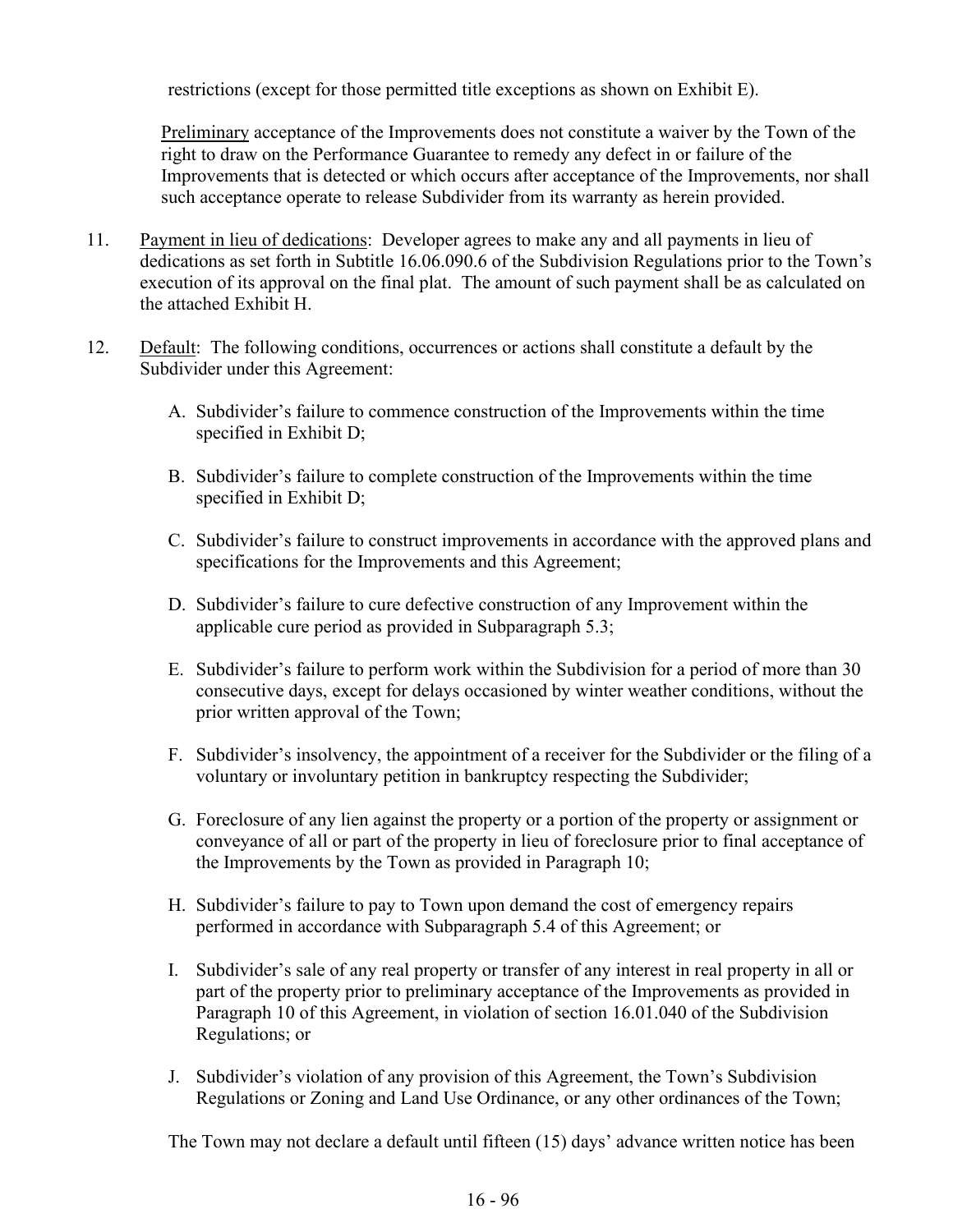restrictions (except for those permitted title exceptions as shown on Exhibit E).

Preliminary acceptance of the Improvements does not constitute a waiver by the Town of the right to draw on the Performance Guarantee to remedy any defect in or failure of the Improvements that is detected or which occurs after acceptance of the Improvements, nor shall such acceptance operate to release Subdivider from its warranty as herein provided.

- 11. Payment in lieu of dedications: Developer agrees to make any and all payments in lieu of dedications as set forth in Subtitle 16.06.090.6 of the Subdivision Regulations prior to the Town's execution of its approval on the final plat. The amount of such payment shall be as calculated on the attached Exhibit H.
- 12. Default: The following conditions, occurrences or actions shall constitute a default by the Subdivider under this Agreement:
	- A. Subdivider's failure to commence construction of the Improvements within the time specified in Exhibit D;
	- B. Subdivider's failure to complete construction of the Improvements within the time specified in Exhibit D;
	- C. Subdivider's failure to construct improvements in accordance with the approved plans and specifications for the Improvements and this Agreement;
	- D. Subdivider's failure to cure defective construction of any Improvement within the applicable cure period as provided in Subparagraph 5.3;
	- E. Subdivider's failure to perform work within the Subdivision for a period of more than 30 consecutive days, except for delays occasioned by winter weather conditions, without the prior written approval of the Town;
	- F. Subdivider's insolvency, the appointment of a receiver for the Subdivider or the filing of a voluntary or involuntary petition in bankruptcy respecting the Subdivider;
	- G. Foreclosure of any lien against the property or a portion of the property or assignment or conveyance of all or part of the property in lieu of foreclosure prior to final acceptance of the Improvements by the Town as provided in Paragraph 10;
	- H. Subdivider's failure to pay to Town upon demand the cost of emergency repairs performed in accordance with Subparagraph 5.4 of this Agreement; or
	- I. Subdivider's sale of any real property or transfer of any interest in real property in all or part of the property prior to preliminary acceptance of the Improvements as provided in Paragraph 10 of this Agreement, in violation of section 16.01.040 of the Subdivision Regulations; or
	- J. Subdivider's violation of any provision of this Agreement, the Town's Subdivision Regulations or Zoning and Land Use Ordinance, or any other ordinances of the Town;

The Town may not declare a default until fifteen (15) days' advance written notice has been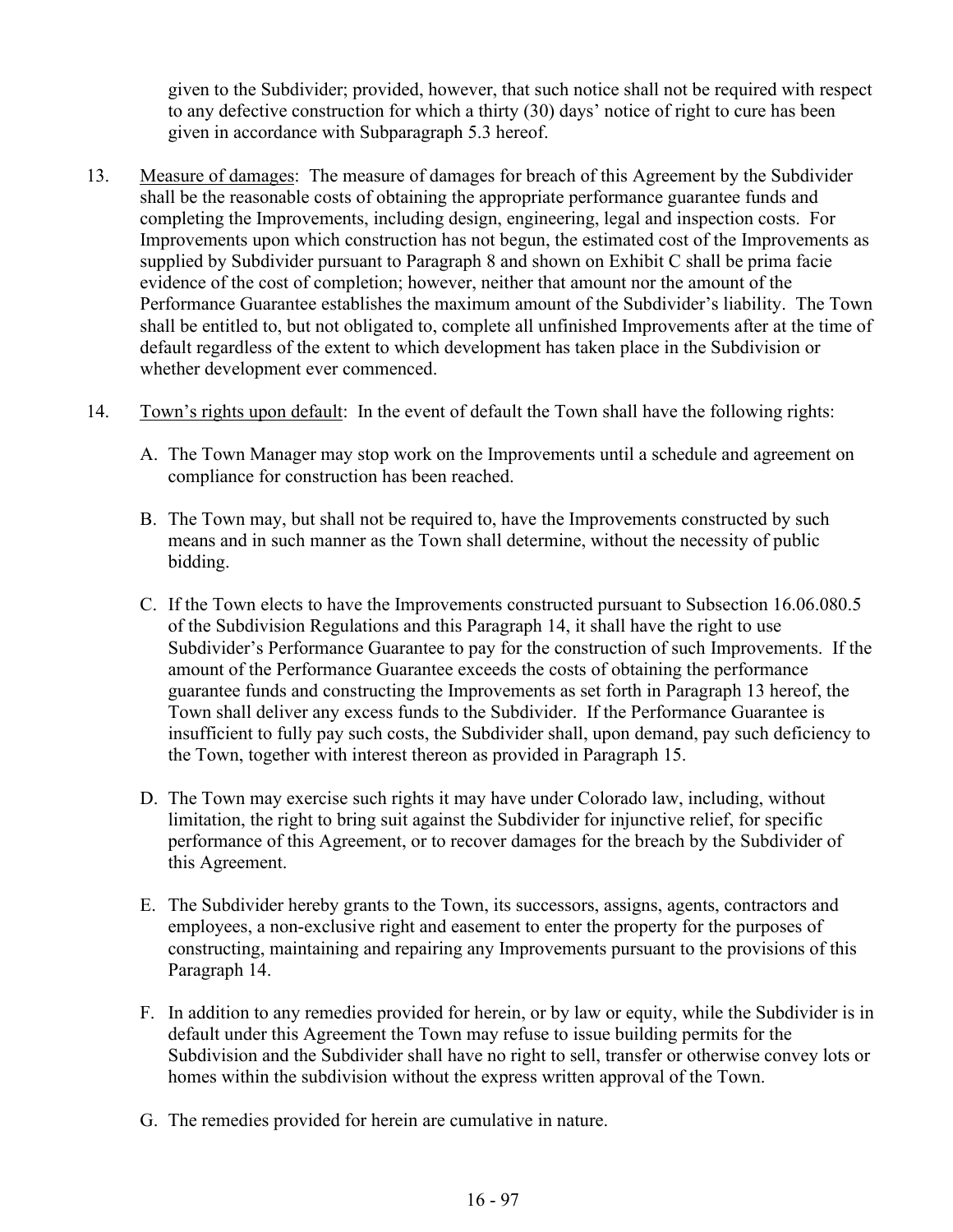given to the Subdivider; provided, however, that such notice shall not be required with respect to any defective construction for which a thirty (30) days' notice of right to cure has been given in accordance with Subparagraph 5.3 hereof.

- 13. Measure of damages: The measure of damages for breach of this Agreement by the Subdivider shall be the reasonable costs of obtaining the appropriate performance guarantee funds and completing the Improvements, including design, engineering, legal and inspection costs. For Improvements upon which construction has not begun, the estimated cost of the Improvements as supplied by Subdivider pursuant to Paragraph 8 and shown on Exhibit C shall be prima facie evidence of the cost of completion; however, neither that amount nor the amount of the Performance Guarantee establishes the maximum amount of the Subdivider's liability. The Town shall be entitled to, but not obligated to, complete all unfinished Improvements after at the time of default regardless of the extent to which development has taken place in the Subdivision or whether development ever commenced.
- 14. Town's rights upon default: In the event of default the Town shall have the following rights:
	- A. The Town Manager may stop work on the Improvements until a schedule and agreement on compliance for construction has been reached.
	- B. The Town may, but shall not be required to, have the Improvements constructed by such means and in such manner as the Town shall determine, without the necessity of public bidding.
	- C. If the Town elects to have the Improvements constructed pursuant to Subsection 16.06.080.5 of the Subdivision Regulations and this Paragraph 14, it shall have the right to use Subdivider's Performance Guarantee to pay for the construction of such Improvements. If the amount of the Performance Guarantee exceeds the costs of obtaining the performance guarantee funds and constructing the Improvements as set forth in Paragraph 13 hereof, the Town shall deliver any excess funds to the Subdivider. If the Performance Guarantee is insufficient to fully pay such costs, the Subdivider shall, upon demand, pay such deficiency to the Town, together with interest thereon as provided in Paragraph 15.
	- D. The Town may exercise such rights it may have under Colorado law, including, without limitation, the right to bring suit against the Subdivider for injunctive relief, for specific performance of this Agreement, or to recover damages for the breach by the Subdivider of this Agreement.
	- E. The Subdivider hereby grants to the Town, its successors, assigns, agents, contractors and employees, a non-exclusive right and easement to enter the property for the purposes of constructing, maintaining and repairing any Improvements pursuant to the provisions of this Paragraph 14.
	- F. In addition to any remedies provided for herein, or by law or equity, while the Subdivider is in default under this Agreement the Town may refuse to issue building permits for the Subdivision and the Subdivider shall have no right to sell, transfer or otherwise convey lots or homes within the subdivision without the express written approval of the Town.
	- G. The remedies provided for herein are cumulative in nature.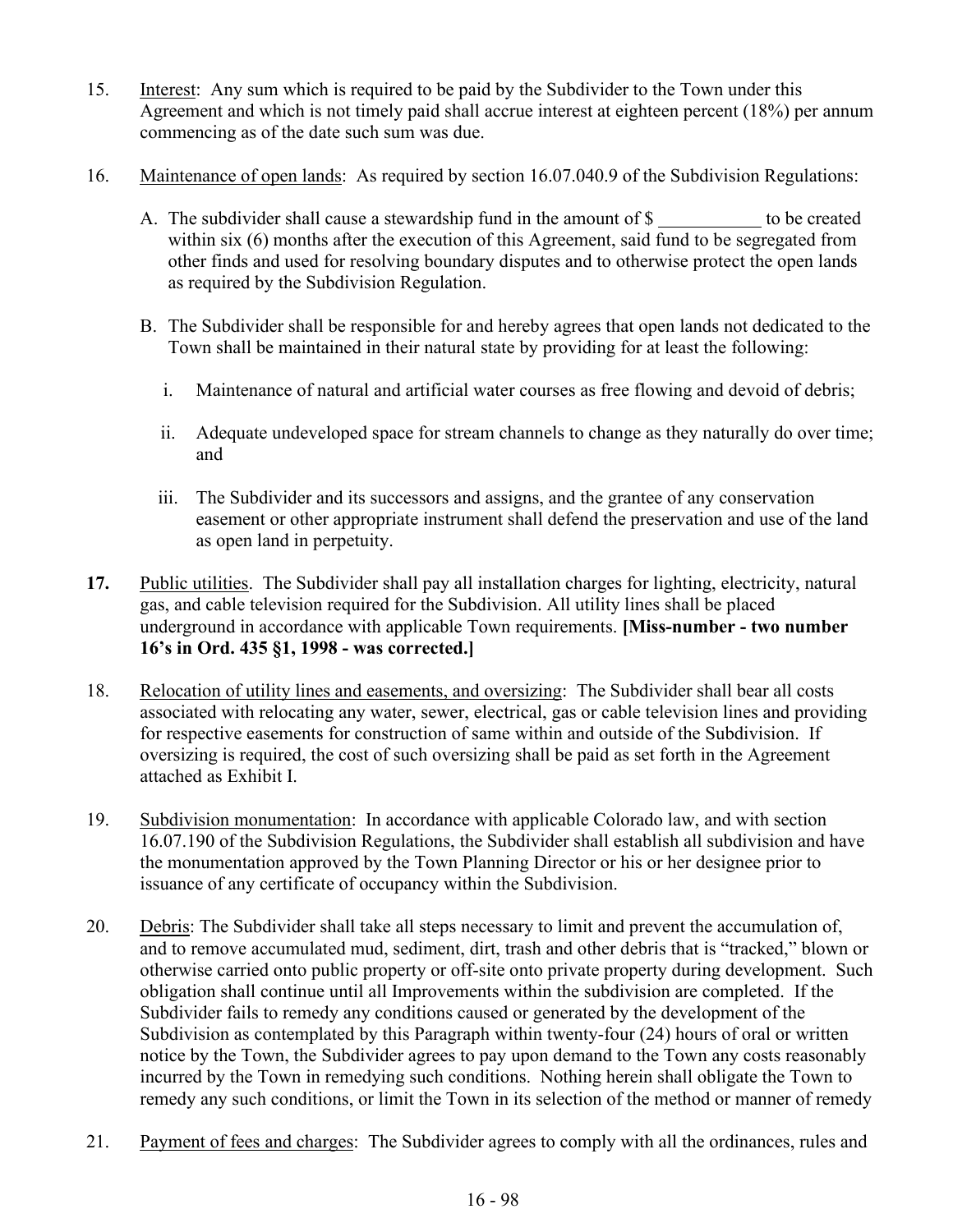- 15. Interest: Any sum which is required to be paid by the Subdivider to the Town under this Agreement and which is not timely paid shall accrue interest at eighteen percent (18%) per annum commencing as of the date such sum was due.
- 16. Maintenance of open lands: As required by section 16.07.040.9 of the Subdivision Regulations:
	- A. The subdivider shall cause a stewardship fund in the amount of \$ to be created within six (6) months after the execution of this Agreement, said fund to be segregated from other finds and used for resolving boundary disputes and to otherwise protect the open lands as required by the Subdivision Regulation.
	- B. The Subdivider shall be responsible for and hereby agrees that open lands not dedicated to the Town shall be maintained in their natural state by providing for at least the following:
		- i. Maintenance of natural and artificial water courses as free flowing and devoid of debris;
		- ii. Adequate undeveloped space for stream channels to change as they naturally do over time; and
		- iii. The Subdivider and its successors and assigns, and the grantee of any conservation easement or other appropriate instrument shall defend the preservation and use of the land as open land in perpetuity.
- **17.** Public utilities. The Subdivider shall pay all installation charges for lighting, electricity, natural gas, and cable television required for the Subdivision. All utility lines shall be placed underground in accordance with applicable Town requirements. **[Miss-number - two number 16's in Ord. 435 §1, 1998 - was corrected.]**
- 18. Relocation of utility lines and easements, and oversizing: The Subdivider shall bear all costs associated with relocating any water, sewer, electrical, gas or cable television lines and providing for respective easements for construction of same within and outside of the Subdivision. If oversizing is required, the cost of such oversizing shall be paid as set forth in the Agreement attached as Exhibit I.
- 19. Subdivision monumentation: In accordance with applicable Colorado law, and with section 16.07.190 of the Subdivision Regulations, the Subdivider shall establish all subdivision and have the monumentation approved by the Town Planning Director or his or her designee prior to issuance of any certificate of occupancy within the Subdivision.
- 20. Debris: The Subdivider shall take all steps necessary to limit and prevent the accumulation of, and to remove accumulated mud, sediment, dirt, trash and other debris that is "tracked," blown or otherwise carried onto public property or off-site onto private property during development. Such obligation shall continue until all Improvements within the subdivision are completed. If the Subdivider fails to remedy any conditions caused or generated by the development of the Subdivision as contemplated by this Paragraph within twenty-four (24) hours of oral or written notice by the Town, the Subdivider agrees to pay upon demand to the Town any costs reasonably incurred by the Town in remedying such conditions. Nothing herein shall obligate the Town to remedy any such conditions, or limit the Town in its selection of the method or manner of remedy
- 21. Payment of fees and charges: The Subdivider agrees to comply with all the ordinances, rules and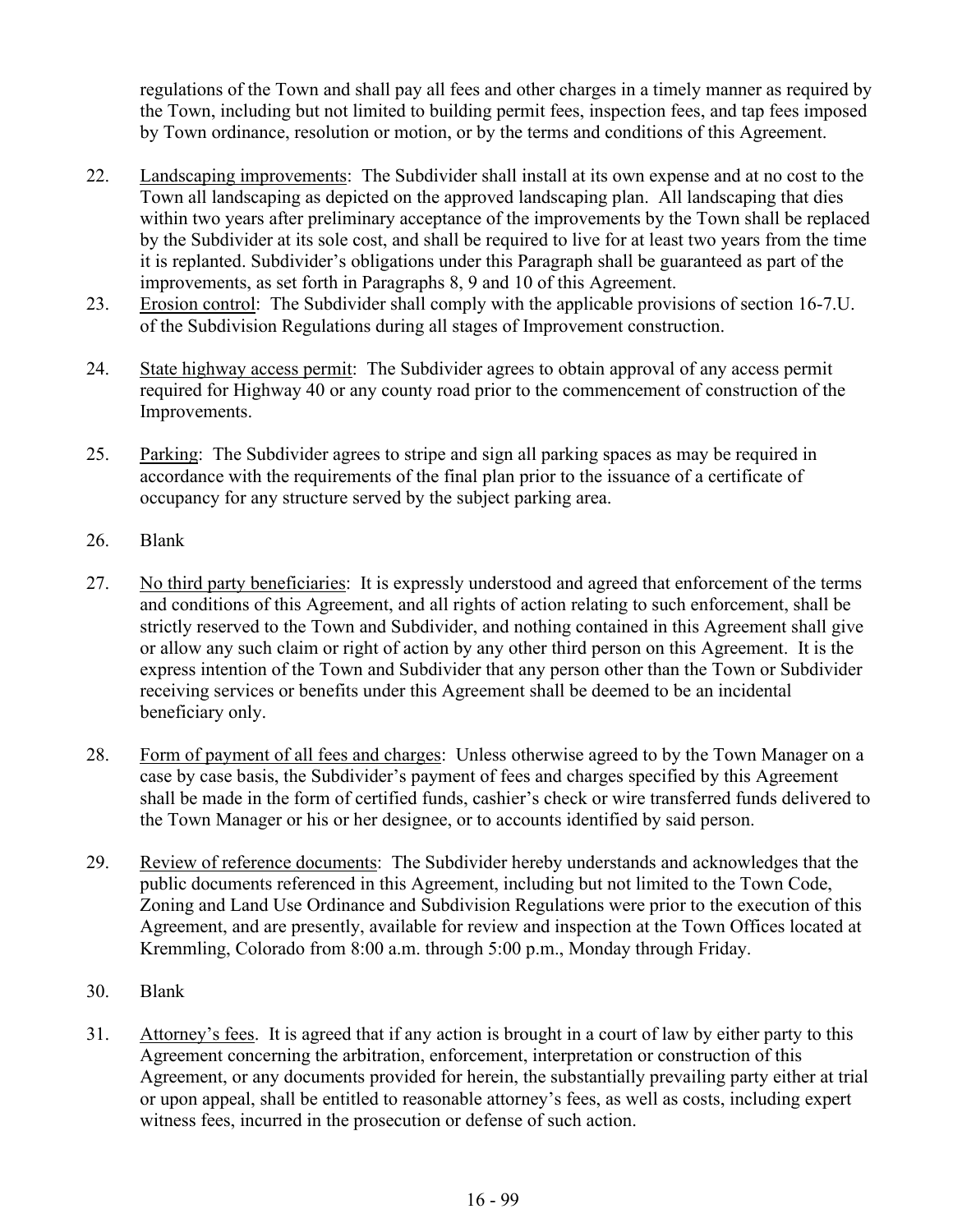regulations of the Town and shall pay all fees and other charges in a timely manner as required by the Town, including but not limited to building permit fees, inspection fees, and tap fees imposed by Town ordinance, resolution or motion, or by the terms and conditions of this Agreement.

- 22. Landscaping improvements: The Subdivider shall install at its own expense and at no cost to the Town all landscaping as depicted on the approved landscaping plan. All landscaping that dies within two years after preliminary acceptance of the improvements by the Town shall be replaced by the Subdivider at its sole cost, and shall be required to live for at least two years from the time it is replanted. Subdivider's obligations under this Paragraph shall be guaranteed as part of the improvements, as set forth in Paragraphs 8, 9 and 10 of this Agreement.
- 23. Erosion control: The Subdivider shall comply with the applicable provisions of section 16-7.U. of the Subdivision Regulations during all stages of Improvement construction.
- 24. State highway access permit: The Subdivider agrees to obtain approval of any access permit required for Highway 40 or any county road prior to the commencement of construction of the Improvements.
- 25. Parking: The Subdivider agrees to stripe and sign all parking spaces as may be required in accordance with the requirements of the final plan prior to the issuance of a certificate of occupancy for any structure served by the subject parking area.
- 26. Blank
- 27. No third party beneficiaries: It is expressly understood and agreed that enforcement of the terms and conditions of this Agreement, and all rights of action relating to such enforcement, shall be strictly reserved to the Town and Subdivider, and nothing contained in this Agreement shall give or allow any such claim or right of action by any other third person on this Agreement. It is the express intention of the Town and Subdivider that any person other than the Town or Subdivider receiving services or benefits under this Agreement shall be deemed to be an incidental beneficiary only.
- 28. Form of payment of all fees and charges: Unless otherwise agreed to by the Town Manager on a case by case basis, the Subdivider's payment of fees and charges specified by this Agreement shall be made in the form of certified funds, cashier's check or wire transferred funds delivered to the Town Manager or his or her designee, or to accounts identified by said person.
- 29. Review of reference documents: The Subdivider hereby understands and acknowledges that the public documents referenced in this Agreement, including but not limited to the Town Code, Zoning and Land Use Ordinance and Subdivision Regulations were prior to the execution of this Agreement, and are presently, available for review and inspection at the Town Offices located at Kremmling, Colorado from 8:00 a.m. through 5:00 p.m., Monday through Friday.
- 30. Blank
- 31. Attorney's fees. It is agreed that if any action is brought in a court of law by either party to this Agreement concerning the arbitration, enforcement, interpretation or construction of this Agreement, or any documents provided for herein, the substantially prevailing party either at trial or upon appeal, shall be entitled to reasonable attorney's fees, as well as costs, including expert witness fees, incurred in the prosecution or defense of such action.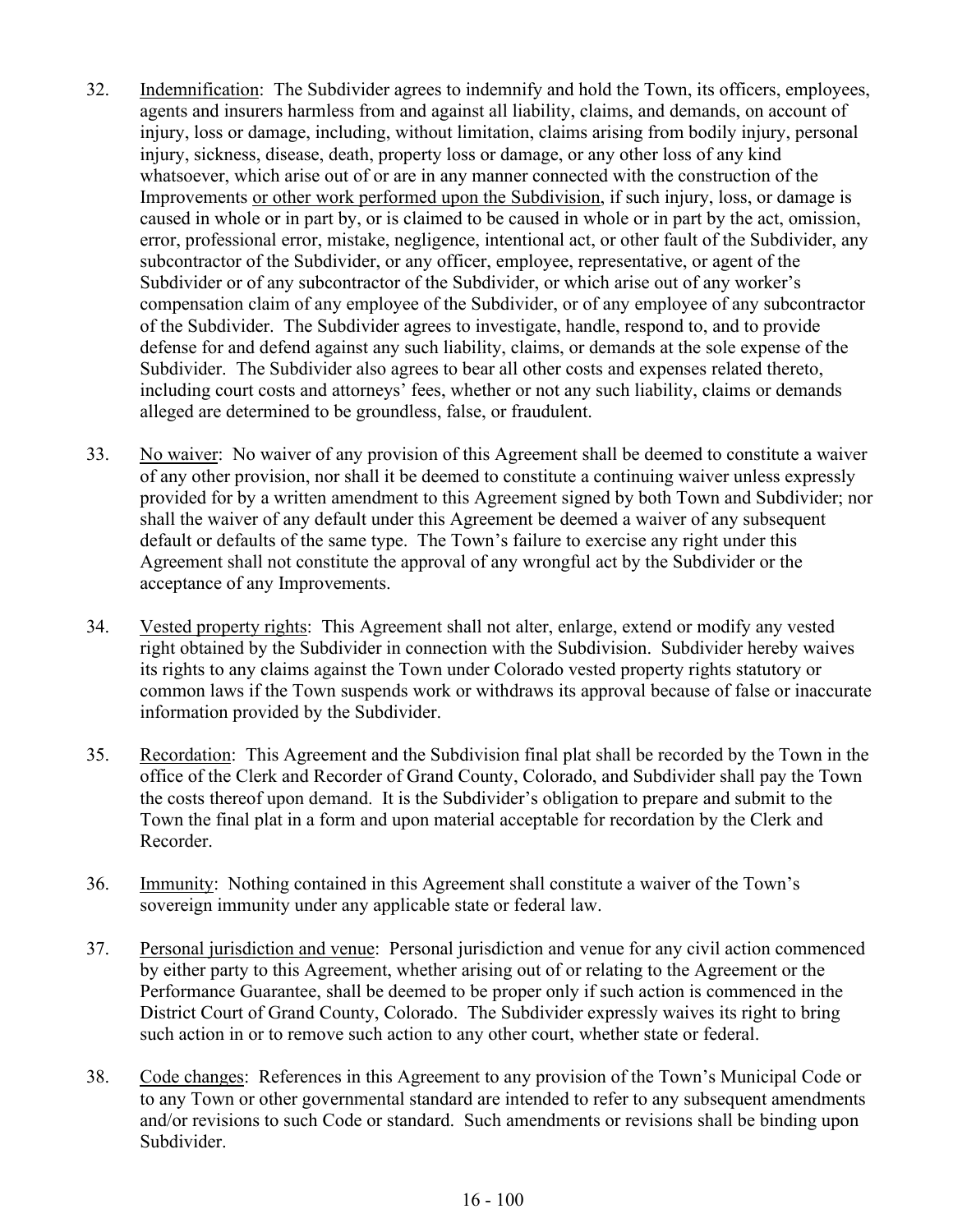- 32. Indemnification: The Subdivider agrees to indemnify and hold the Town, its officers, employees, agents and insurers harmless from and against all liability, claims, and demands, on account of injury, loss or damage, including, without limitation, claims arising from bodily injury, personal injury, sickness, disease, death, property loss or damage, or any other loss of any kind whatsoever, which arise out of or are in any manner connected with the construction of the Improvements or other work performed upon the Subdivision, if such injury, loss, or damage is caused in whole or in part by, or is claimed to be caused in whole or in part by the act, omission, error, professional error, mistake, negligence, intentional act, or other fault of the Subdivider, any subcontractor of the Subdivider, or any officer, employee, representative, or agent of the Subdivider or of any subcontractor of the Subdivider, or which arise out of any worker's compensation claim of any employee of the Subdivider, or of any employee of any subcontractor of the Subdivider. The Subdivider agrees to investigate, handle, respond to, and to provide defense for and defend against any such liability, claims, or demands at the sole expense of the Subdivider. The Subdivider also agrees to bear all other costs and expenses related thereto, including court costs and attorneys' fees, whether or not any such liability, claims or demands alleged are determined to be groundless, false, or fraudulent.
- 33. No waiver: No waiver of any provision of this Agreement shall be deemed to constitute a waiver of any other provision, nor shall it be deemed to constitute a continuing waiver unless expressly provided for by a written amendment to this Agreement signed by both Town and Subdivider; nor shall the waiver of any default under this Agreement be deemed a waiver of any subsequent default or defaults of the same type. The Town's failure to exercise any right under this Agreement shall not constitute the approval of any wrongful act by the Subdivider or the acceptance of any Improvements.
- 34. Vested property rights: This Agreement shall not alter, enlarge, extend or modify any vested right obtained by the Subdivider in connection with the Subdivision. Subdivider hereby waives its rights to any claims against the Town under Colorado vested property rights statutory or common laws if the Town suspends work or withdraws its approval because of false or inaccurate information provided by the Subdivider.
- 35. Recordation: This Agreement and the Subdivision final plat shall be recorded by the Town in the office of the Clerk and Recorder of Grand County, Colorado, and Subdivider shall pay the Town the costs thereof upon demand. It is the Subdivider's obligation to prepare and submit to the Town the final plat in a form and upon material acceptable for recordation by the Clerk and Recorder.
- 36. Immunity: Nothing contained in this Agreement shall constitute a waiver of the Town's sovereign immunity under any applicable state or federal law.
- 37. Personal jurisdiction and venue: Personal jurisdiction and venue for any civil action commenced by either party to this Agreement, whether arising out of or relating to the Agreement or the Performance Guarantee, shall be deemed to be proper only if such action is commenced in the District Court of Grand County, Colorado. The Subdivider expressly waives its right to bring such action in or to remove such action to any other court, whether state or federal.
- 38. Code changes: References in this Agreement to any provision of the Town's Municipal Code or to any Town or other governmental standard are intended to refer to any subsequent amendments and/or revisions to such Code or standard. Such amendments or revisions shall be binding upon Subdivider.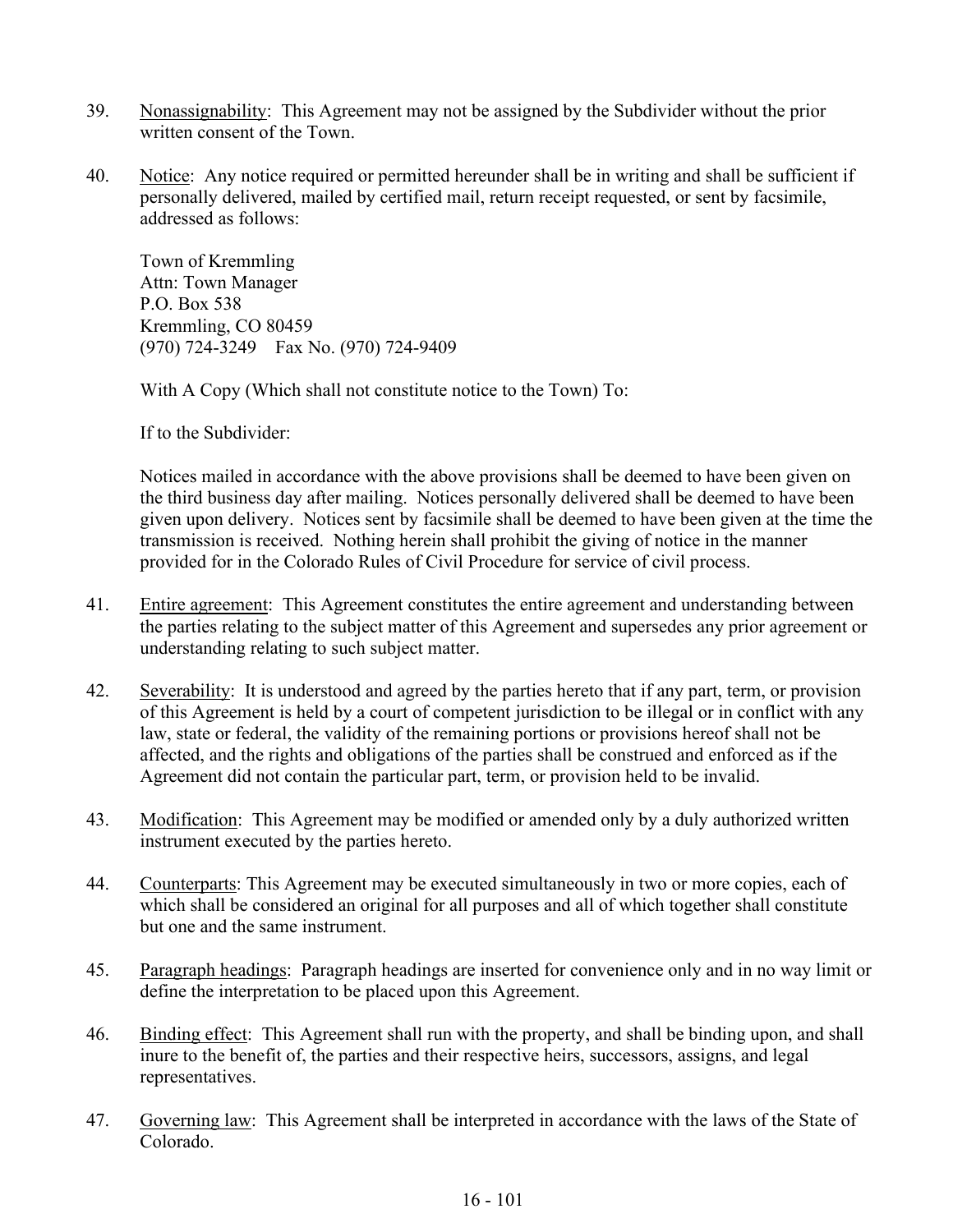- 39. Nonassignability: This Agreement may not be assigned by the Subdivider without the prior written consent of the Town.
- 40. Notice: Any notice required or permitted hereunder shall be in writing and shall be sufficient if personally delivered, mailed by certified mail, return receipt requested, or sent by facsimile, addressed as follows:

Town of Kremmling Attn: Town Manager P.O. Box 538 Kremmling, CO 80459 (970) 724-3249 Fax No. (970) 724-9409

With A Copy (Which shall not constitute notice to the Town) To:

If to the Subdivider:

Notices mailed in accordance with the above provisions shall be deemed to have been given on the third business day after mailing. Notices personally delivered shall be deemed to have been given upon delivery. Notices sent by facsimile shall be deemed to have been given at the time the transmission is received. Nothing herein shall prohibit the giving of notice in the manner provided for in the Colorado Rules of Civil Procedure for service of civil process.

- 41. Entire agreement: This Agreement constitutes the entire agreement and understanding between the parties relating to the subject matter of this Agreement and supersedes any prior agreement or understanding relating to such subject matter.
- 42. Severability: It is understood and agreed by the parties hereto that if any part, term, or provision of this Agreement is held by a court of competent jurisdiction to be illegal or in conflict with any law, state or federal, the validity of the remaining portions or provisions hereof shall not be affected, and the rights and obligations of the parties shall be construed and enforced as if the Agreement did not contain the particular part, term, or provision held to be invalid.
- 43. Modification: This Agreement may be modified or amended only by a duly authorized written instrument executed by the parties hereto.
- 44. Counterparts: This Agreement may be executed simultaneously in two or more copies, each of which shall be considered an original for all purposes and all of which together shall constitute but one and the same instrument.
- 45. Paragraph headings: Paragraph headings are inserted for convenience only and in no way limit or define the interpretation to be placed upon this Agreement.
- 46. Binding effect: This Agreement shall run with the property, and shall be binding upon, and shall inure to the benefit of, the parties and their respective heirs, successors, assigns, and legal representatives.
- 47. Governing law: This Agreement shall be interpreted in accordance with the laws of the State of Colorado.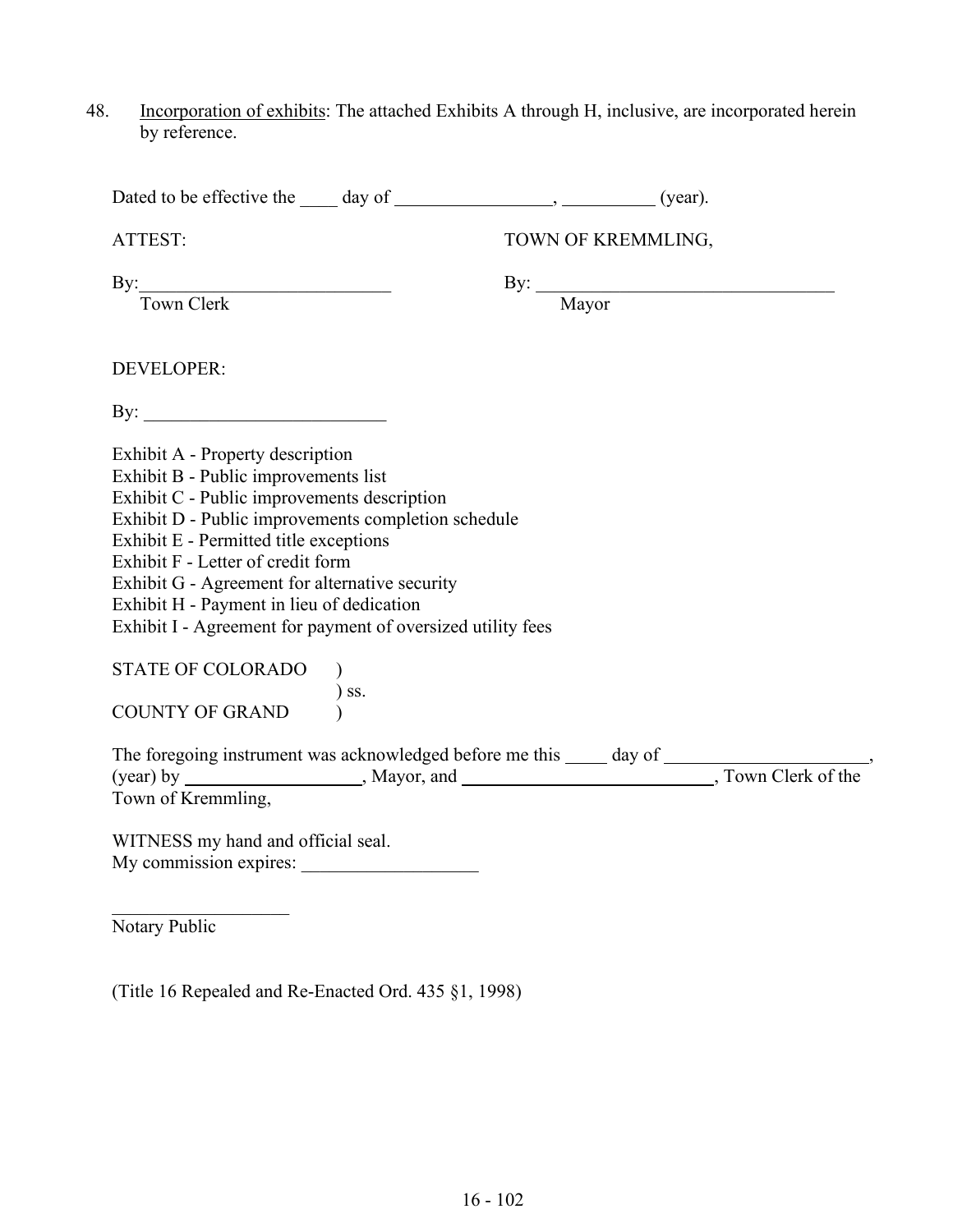48. Incorporation of exhibits: The attached Exhibits A through H, inclusive, are incorporated herein by reference.

| ATTEST:                                                                                                                                                                                                                                                                                                                                                                                                                     | TOWN OF KREMMLING, |
|-----------------------------------------------------------------------------------------------------------------------------------------------------------------------------------------------------------------------------------------------------------------------------------------------------------------------------------------------------------------------------------------------------------------------------|--------------------|
| By: Town Clerk                                                                                                                                                                                                                                                                                                                                                                                                              | By: <u>Mayor</u>   |
| DEVELOPER:                                                                                                                                                                                                                                                                                                                                                                                                                  |                    |
|                                                                                                                                                                                                                                                                                                                                                                                                                             |                    |
| Exhibit A - Property description<br>Exhibit B - Public improvements list<br>Exhibit C - Public improvements description<br>Exhibit D - Public improvements completion schedule<br>Exhibit E - Permitted title exceptions<br>Exhibit F - Letter of credit form<br>Exhibit G - Agreement for alternative security<br>Exhibit H - Payment in lieu of dedication<br>Exhibit I - Agreement for payment of oversized utility fees |                    |
| STATE OF COLORADO<br>UULUKADU )<br>) ss.<br>(                                                                                                                                                                                                                                                                                                                                                                               |                    |
| COUNTY OF GRAND                                                                                                                                                                                                                                                                                                                                                                                                             |                    |
| Town of Kremmling,                                                                                                                                                                                                                                                                                                                                                                                                          |                    |
| WITNESS my hand and official seal.                                                                                                                                                                                                                                                                                                                                                                                          |                    |
| Notary Public                                                                                                                                                                                                                                                                                                                                                                                                               |                    |

(Title 16 Repealed and Re-Enacted Ord. 435 §1, 1998)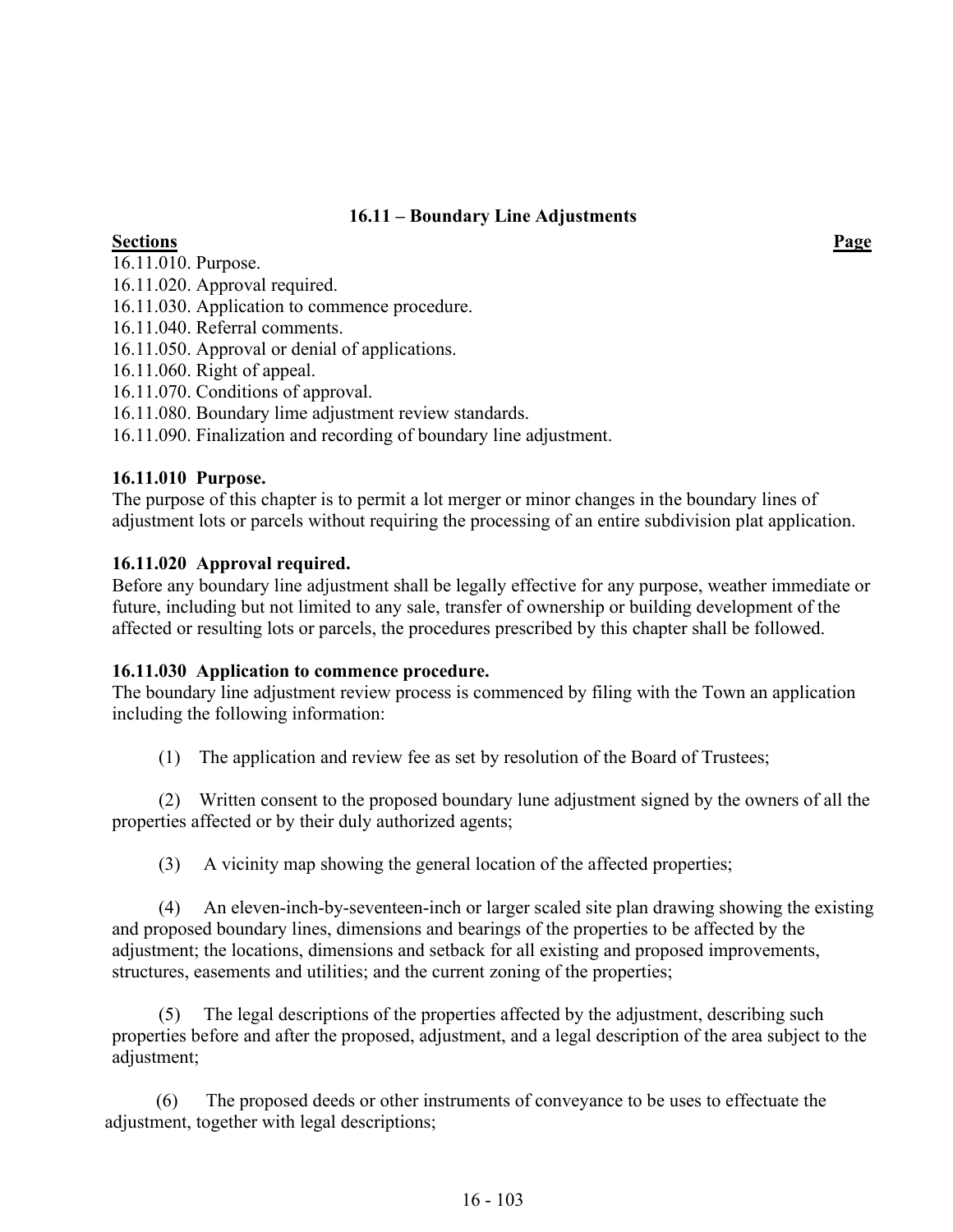## **16.11 – Boundary Line Adjustments**

# **Sections Page**

16.11.010. Purpose.

16.11.020. Approval required.

16.11.030. Application to commence procedure.

16.11.040. Referral comments.

16.11.050. Approval or denial of applications.

16.11.060. Right of appeal.

16.11.070. Conditions of approval.

16.11.080. Boundary lime adjustment review standards.

16.11.090. Finalization and recording of boundary line adjustment.

### **16.11.010 Purpose.**

The purpose of this chapter is to permit a lot merger or minor changes in the boundary lines of adjustment lots or parcels without requiring the processing of an entire subdivision plat application.

### **16.11.020 Approval required.**

Before any boundary line adjustment shall be legally effective for any purpose, weather immediate or future, including but not limited to any sale, transfer of ownership or building development of the affected or resulting lots or parcels, the procedures prescribed by this chapter shall be followed.

### **16.11.030 Application to commence procedure.**

The boundary line adjustment review process is commenced by filing with the Town an application including the following information:

(1) The application and review fee as set by resolution of the Board of Trustees;

 (2) Written consent to the proposed boundary lune adjustment signed by the owners of all the properties affected or by their duly authorized agents;

(3) A vicinity map showing the general location of the affected properties;

 (4) An eleven-inch-by-seventeen-inch or larger scaled site plan drawing showing the existing and proposed boundary lines, dimensions and bearings of the properties to be affected by the adjustment; the locations, dimensions and setback for all existing and proposed improvements, structures, easements and utilities; and the current zoning of the properties;

 (5) The legal descriptions of the properties affected by the adjustment, describing such properties before and after the proposed, adjustment, and a legal description of the area subject to the adjustment;

 (6) The proposed deeds or other instruments of conveyance to be uses to effectuate the adjustment, together with legal descriptions;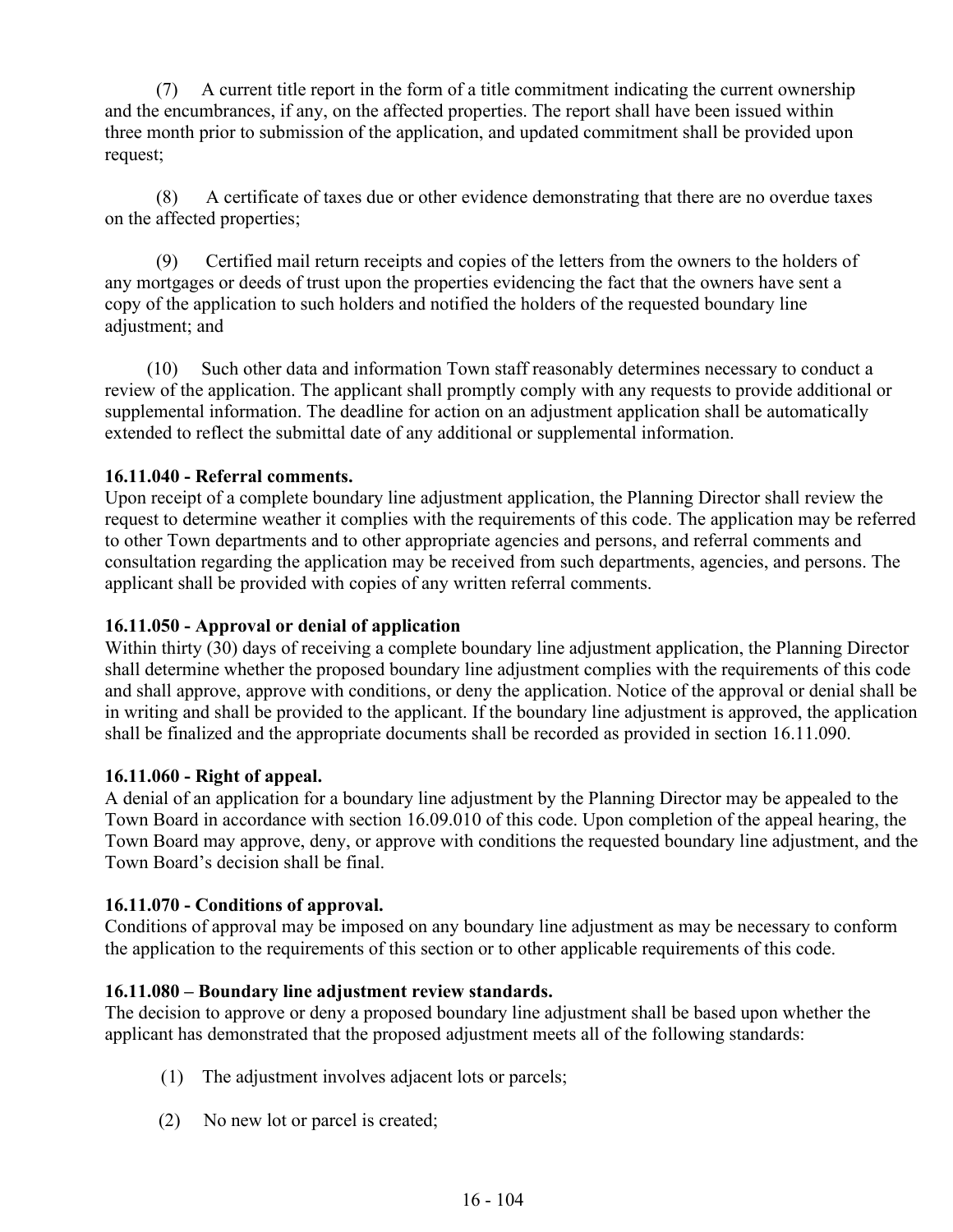(7) A current title report in the form of a title commitment indicating the current ownership and the encumbrances, if any, on the affected properties. The report shall have been issued within three month prior to submission of the application, and updated commitment shall be provided upon request;

 (8) A certificate of taxes due or other evidence demonstrating that there are no overdue taxes on the affected properties;

 (9) Certified mail return receipts and copies of the letters from the owners to the holders of any mortgages or deeds of trust upon the properties evidencing the fact that the owners have sent a copy of the application to such holders and notified the holders of the requested boundary line adjustment; and

 (10) Such other data and information Town staff reasonably determines necessary to conduct a review of the application. The applicant shall promptly comply with any requests to provide additional or supplemental information. The deadline for action on an adjustment application shall be automatically extended to reflect the submittal date of any additional or supplemental information.

## **16.11.040 - Referral comments.**

Upon receipt of a complete boundary line adjustment application, the Planning Director shall review the request to determine weather it complies with the requirements of this code. The application may be referred to other Town departments and to other appropriate agencies and persons, and referral comments and consultation regarding the application may be received from such departments, agencies, and persons. The applicant shall be provided with copies of any written referral comments.

### **16.11.050 - Approval or denial of application**

Within thirty (30) days of receiving a complete boundary line adjustment application, the Planning Director shall determine whether the proposed boundary line adjustment complies with the requirements of this code and shall approve, approve with conditions, or deny the application. Notice of the approval or denial shall be in writing and shall be provided to the applicant. If the boundary line adjustment is approved, the application shall be finalized and the appropriate documents shall be recorded as provided in section 16.11.090.

### **16.11.060 - Right of appeal.**

A denial of an application for a boundary line adjustment by the Planning Director may be appealed to the Town Board in accordance with section 16.09.010 of this code. Upon completion of the appeal hearing, the Town Board may approve, deny, or approve with conditions the requested boundary line adjustment, and the Town Board's decision shall be final.

### **16.11.070 - Conditions of approval.**

Conditions of approval may be imposed on any boundary line adjustment as may be necessary to conform the application to the requirements of this section or to other applicable requirements of this code.

### **16.11.080 – Boundary line adjustment review standards.**

The decision to approve or deny a proposed boundary line adjustment shall be based upon whether the applicant has demonstrated that the proposed adjustment meets all of the following standards:

- (1) The adjustment involves adjacent lots or parcels;
- (2) No new lot or parcel is created;